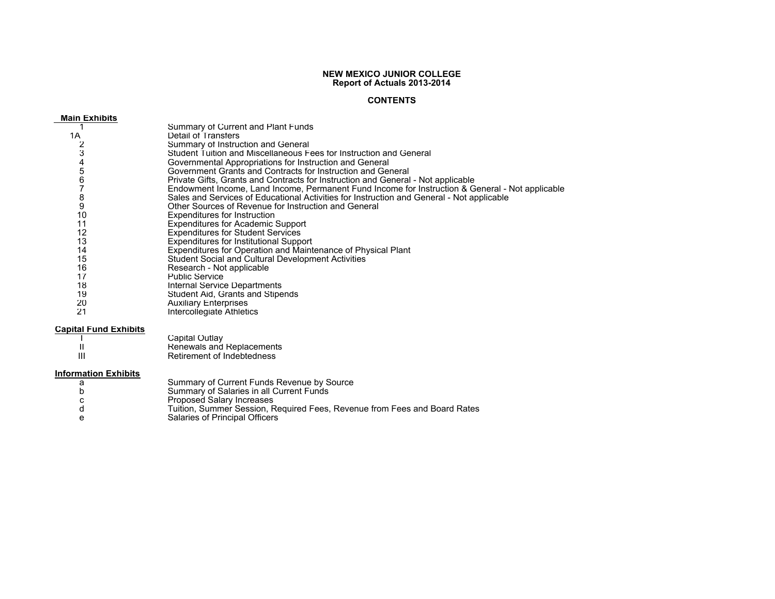# **NEW MEXICO JUNIOR COLLEGE Report of Actuals 2013-2014**

# **CONTENTS**

### **Main Exhibits**1 Summary of Current and Plant Funds 1ADetail of Transfers 2 Summary of Instruction and General 3 Student Tuition and Miscellaneous Fees for Instruction and General 4 Governmental Appropriations for Instruction and General 5 Government Grants and Contracts for Instruction and General 6 Private Gifts, Grants and Contracts for Instruction and General - Not applicable  $\overline{7}$  Endowment Income, Land Income, Permanent Fund Income for Instruction & General - Not applicable 8 Sales and Services of Educational Activities for Instruction and General - Not applicable 9 Other Sources of Revenue for Instruction and General 10 Expenditures for Instruction 11 Expenditures for Academic Support 12 Expenditures for Student Services 13 Expenditures for Institutional Support 14 Expenditures for Operation and Maintenance of Physical Plant 15 Student Social and Cultural Development Activities 16 Research - Not applicable 17 Public Service 18 Internal Service Departments 19 Student Aid, Grants and Stipends 20 Auxiliary Enterprises 21Intercollegiate Athletics

# **Capital Fund Exhibits**

|   | Capital Outlay             |
|---|----------------------------|
|   | Renewals and Replacements  |
| Ш | Retirement of Indebtedness |

# **Information Exhibits**

| Summary of Current Funds Revenue by Source                                |
|---------------------------------------------------------------------------|
| Summary of Salaries in all Current Funds                                  |
| Proposed Salary Increases                                                 |
| Tuition, Summer Session, Required Fees, Revenue from Fees and Board Rates |
| Salaries of Principal Officers                                            |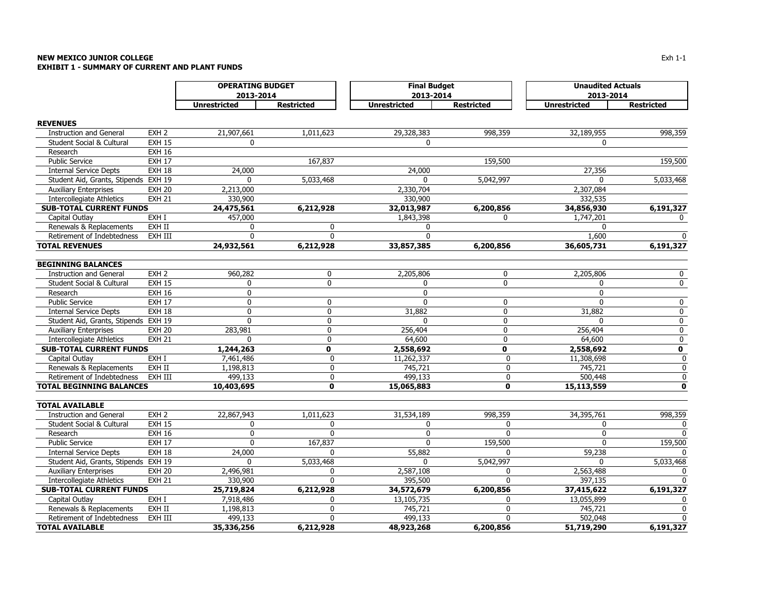## **NEW MEXICO JUNIOR COLLEGE** $\mathsf E$ **EXHIBIT 1 - SUMMARY OF CURRENT AND PLANT FUNDS**

|                                      |                  | <b>OPERATING BUDGET</b> |                   | <b>Final Budget</b> |                   | <b>Unaudited Actuals</b> |                   |  |  |
|--------------------------------------|------------------|-------------------------|-------------------|---------------------|-------------------|--------------------------|-------------------|--|--|
|                                      |                  | 2013-2014               |                   | 2013-2014           |                   | 2013-2014                |                   |  |  |
|                                      |                  | <b>Unrestricted</b>     | <b>Restricted</b> | <b>Unrestricted</b> | <b>Restricted</b> | <b>Unrestricted</b>      | <b>Restricted</b> |  |  |
| <b>REVENUES</b>                      |                  |                         |                   |                     |                   |                          |                   |  |  |
| <b>Instruction and General</b>       | EXH <sub>2</sub> | 21,907,661              | 1,011,623         | 29,328,383          | 998,359           | 32,189,955               | 998,359           |  |  |
| Student Social & Cultural            | <b>EXH 15</b>    | 0                       |                   | 0                   |                   | 0                        |                   |  |  |
| Research                             | <b>EXH 16</b>    |                         |                   |                     |                   |                          |                   |  |  |
| <b>Public Service</b>                | <b>EXH 17</b>    |                         | 167,837           |                     | 159,500           |                          | 159,500           |  |  |
| <b>Internal Service Depts</b>        | <b>EXH 18</b>    | 24,000                  |                   | 24,000              |                   | 27,356                   |                   |  |  |
| Student Aid, Grants, Stipends EXH 19 |                  | 0                       | 5,033,468         | $\mathbf{0}$        | 5,042,997         | 0                        | 5,033,468         |  |  |
| <b>Auxiliary Enterprises</b>         | <b>EXH 20</b>    | 2,213,000               |                   | 2,330,704           |                   | 2,307,084                |                   |  |  |
| <b>Intercollegiate Athletics</b>     | <b>EXH 21</b>    | 330,900                 |                   | 330,900             |                   | 332,535                  |                   |  |  |
| <b>SUB-TOTAL CURRENT FUNDS</b>       |                  | 24,475,561              | 6,212,928         | 32,013,987          | 6,200,856         | 34,856,930               | 6,191,327         |  |  |
| Capital Outlay                       | EXH I            | 457,000                 |                   | 1,843,398           | 0                 | 1,747,201                | $\Omega$          |  |  |
| Renewals & Replacements              | EXH II           | 0                       | $\mathbf{0}$      | 0                   |                   | 0                        |                   |  |  |
| Retirement of Indebtedness           | EXH III          | 0                       | 0                 | 0                   |                   | 1,600                    | $\Omega$          |  |  |
| <b>TOTAL REVENUES</b>                |                  | 24,932,561              | 6,212,928         | 33,857,385          | 6,200,856         | 36,605,731               | 6,191,327         |  |  |
| <b>BEGINNING BALANCES</b>            |                  |                         |                   |                     |                   |                          |                   |  |  |
| <b>Instruction and General</b>       | EXH <sub>2</sub> | 960,282                 | $\mathbf 0$       | 2,205,806           | $\mathbf 0$       | 2,205,806                | $\mathbf 0$       |  |  |
| Student Social & Cultural            | <b>EXH 15</b>    | 0                       | $\mathbf 0$       | 0                   | 0                 | 0                        | 0                 |  |  |
| Research                             | <b>EXH 16</b>    | $\mathbf 0$             |                   | $\mathbf{0}$        |                   | $\mathbf{0}$             |                   |  |  |
| <b>Public Service</b>                | <b>EXH 17</b>    | $\mathbf 0$             | 0                 | $\Omega$            | 0                 | $\Omega$                 | 0                 |  |  |
| <b>Internal Service Depts</b>        | <b>EXH 18</b>    | 0                       | 0                 | 31,882              | 0                 | 31,882                   | $\mathbf 0$       |  |  |
| Student Aid, Grants, Stipends EXH 19 |                  | $\mathbf{0}$            | $\mathbf 0$       | $\Omega$            | 0                 | <sup>0</sup>             | 0                 |  |  |
| <b>Auxiliary Enterprises</b>         | <b>EXH 20</b>    | 283,981                 | $\mathbf 0$       | 256,404             | $\mathbf{0}$      | 256,404                  | 0                 |  |  |
| <b>Intercollegiate Athletics</b>     | <b>EXH 21</b>    | $\mathbf{0}$            | 0                 | 64,600              | 0                 | 64,600                   | $\bf{0}$          |  |  |
| <b>SUB-TOTAL CURRENT FUNDS</b>       |                  | 1,244,263               | $\mathbf{0}$      | 2,558,692           | $\mathbf 0$       | 2,558,692                | $\mathbf 0$       |  |  |
| Capital Outlay                       | EXH I            | 7,461,486               | 0                 | 11,262,337          | 0                 | 11,308,698               | $\mathbf 0$       |  |  |
| Renewals & Replacements              | EXH II           | 1,198,813               | 0                 | 745,721             | $\mathbf 0$       | 745,721                  | $\pmb{0}$         |  |  |
| Retirement of Indebtedness           | EXH III          | 499,133                 | 0                 | 499,133             | $\pmb{0}$         | 500,448                  | $\pmb{0}$         |  |  |
| <b>TOTAL BEGINNING BALANCES</b>      |                  | 10,403,695              | $\mathbf{0}$      | 15,065,883          | 0                 | 15,113,559               | $\mathbf 0$       |  |  |
| <b>TOTAL AVAILABLE</b>               |                  |                         |                   |                     |                   |                          |                   |  |  |
| <b>Instruction and General</b>       | EXH <sub>2</sub> | 22,867,943              | 1,011,623         | 31,534,189          | 998,359           | 34,395,761               | 998,359           |  |  |
| Student Social & Cultural            | <b>EXH 15</b>    | 0                       | 0                 | 0                   | 0                 | 0                        | $\Omega$          |  |  |
| Research                             | <b>EXH 16</b>    | $\mathbf{0}$            | $\Omega$          | $\mathbf{0}$        | $\mathbf{0}$      | 0                        | $\mathbf{0}$      |  |  |
| <b>Public Service</b>                | <b>EXH 17</b>    | $\mathbf{0}$            | 167,837           | 0                   | 159,500           | 0                        | 159,500           |  |  |
| <b>Internal Service Depts</b>        | <b>EXH 18</b>    | 24,000                  | 0                 | 55,882              | $\mathbf{0}$      | 59,238                   | $\Omega$          |  |  |
| Student Aid, Grants, Stipends EXH 19 |                  | $\mathbf{0}$            | 5,033,468         | $\mathbf{0}$        | 5,042,997         | 0                        | 5,033,468         |  |  |
| <b>Auxiliary Enterprises</b>         | <b>EXH 20</b>    | 2,496,981               | 0                 | 2,587,108           | $\mathbf{0}$      | 2,563,488                | $\mathbf{0}$      |  |  |
| Intercollegiate Athletics            | <b>EXH 21</b>    | 330,900                 | 0                 | 395,500             | $\mathbf{0}$      | 397,135                  | $\mathbf{0}$      |  |  |
| <b>SUB-TOTAL CURRENT FUNDS</b>       |                  | 25,719,824              | 6,212,928         | 34,572,679          | 6,200,856         | 37,415,622               | 6,191,327         |  |  |
| Capital Outlay                       | EXH I            | 7,918,486               | 0                 | 13,105,735          | 0                 | 13,055,899               | 0                 |  |  |
| Renewals & Replacements              | EXH II           | 1,198,813               | 0                 | 745,721             | 0                 | 745,721                  | $\mathbf{0}$      |  |  |
| Retirement of Indebtedness           | EXH III          | 499,133                 | 0                 | 499,133             | $\Omega$          | 502,048                  | $\mathbf 0$       |  |  |
| <b>TOTAL AVAILABLE</b>               |                  | 35,336,256              | 6,212,928         | 48,923,268          | 6,200,856         | 51,719,290               | 6,191,327         |  |  |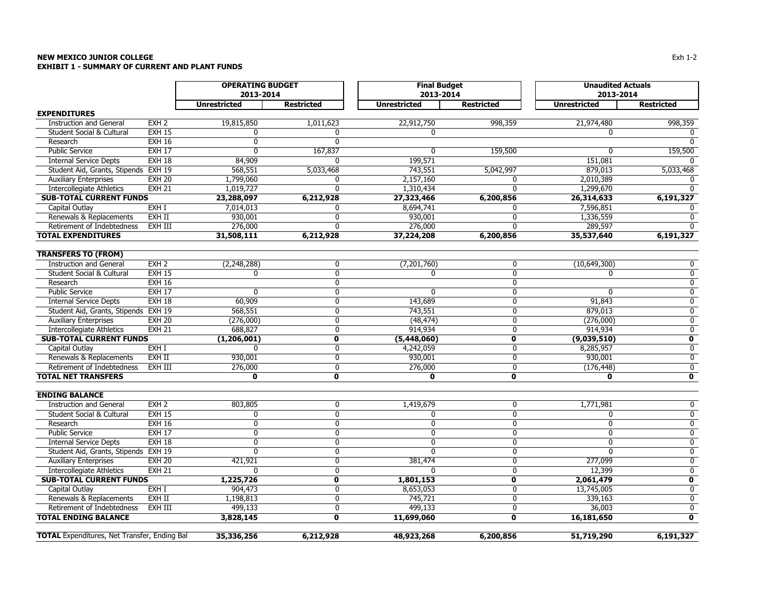## **NEW MEXICO JUNIOR COLLEGE** $\mathsf E$ **EXHIBIT 1 - SUMMARY OF CURRENT AND PLANT FUNDS**

|                                                     |                  | <b>OPERATING BUDGET</b> |                         | <b>Final Budget</b> |                         | <b>Unaudited Actuals</b> |                         |
|-----------------------------------------------------|------------------|-------------------------|-------------------------|---------------------|-------------------------|--------------------------|-------------------------|
|                                                     |                  | 2013-2014               |                         | 2013-2014           |                         | 2013-2014                |                         |
|                                                     |                  | <b>Unrestricted</b>     | <b>Restricted</b>       | <b>Unrestricted</b> | <b>Restricted</b>       | <b>Unrestricted</b>      | <b>Restricted</b>       |
| <b>EXPENDITURES</b>                                 |                  |                         |                         |                     |                         |                          |                         |
| <b>Instruction and General</b>                      | EXH <sub>2</sub> | 19,815,850              | 1,011,623               | 22,912,750          | 998,359                 | 21,974,480               | 998,359                 |
| Student Social & Cultural                           | <b>EXH 15</b>    | $\Omega$                | 0                       | 0                   |                         | 0                        |                         |
| Research                                            | <b>EXH 16</b>    | $\mathbf{0}$            | $\overline{0}$          |                     |                         |                          |                         |
| <b>Public Service</b>                               | <b>EXH 17</b>    | $\Omega$                | 167,837                 | ŋ                   | 159,500                 | n                        | 159,500                 |
| <b>Internal Service Depts</b>                       | <b>EXH 18</b>    | 84,909                  | U                       | 199,571             |                         | 151,081                  | $\Omega$                |
| Student Aid, Grants, Stipends EXH 19                |                  | 568,551                 | 5,033,468               | 743,551             | 5,042,997               | 879,013                  | 5,033,468               |
| <b>Auxiliary Enterprises</b>                        | <b>EXH 20</b>    | 1,799,060               | 0                       | 2,157,160           | 0                       | 2,010,389                | 0                       |
| <b>Intercollegiate Athletics</b>                    | <b>EXH 21</b>    | 1,019,727               | $\overline{0}$          | 1,310,434           | $\overline{0}$          | 1,299,670                | $\mathbf{0}$            |
| <b>SUB-TOTAL CURRENT FUNDS</b>                      |                  | 23,288,097              | 6,212,928               | 27,323,466          | 6,200,856               | 26,314,633               | 6,191,327               |
| Capital Outlay                                      | EXH I            | 7,014,013               | 0                       | 8,694,741           | 0                       | 7,596,851                | 0                       |
| Renewals & Replacements                             | EXH II           | 930,001                 | 0                       | 930,001             | 0                       | 1,336,559                | 0                       |
| Retirement of Indebtedness                          | EXH III          | 276,000                 | $\Omega$                | 276,000             | 0                       | 289,597                  | $\mathbf{0}$            |
| <b>TOTAL EXPENDITURES</b>                           |                  | 31,508,111              | 6,212,928               | 37,224,208          | 6,200,856               | 35,537,640               | 6,191,327               |
| <b>TRANSFERS TO (FROM)</b>                          |                  |                         |                         |                     |                         |                          |                         |
| <b>Instruction and General</b>                      | EXH <sub>2</sub> | (2, 248, 288)           | 0                       | (7,201,760)         | 0                       | (10,649,300)             | $\mathbf 0$             |
| Student Social & Cultural                           | <b>EXH 15</b>    | $\mathbf{0}$            | 0                       | 0                   | $\mathbf 0$             | 0                        | 0                       |
| Research                                            | <b>EXH 16</b>    |                         | $\overline{0}$          |                     | $\overline{0}$          |                          | $\overline{0}$          |
| <b>Public Service</b>                               | <b>EXH 17</b>    | $\mathbf{0}$            | 0                       | $\mathbf{0}$        | 0                       | $\mathbf{0}$             | $\mathbf 0$             |
| <b>Internal Service Depts</b>                       | EXH18            | 60,909                  | $\overline{0}$          | 143,689             | $\overline{0}$          | 91,843                   | $\overline{0}$          |
| Student Aid, Grants, Stipends EXH 19                |                  | 568,551                 | $\overline{0}$          | 743,551             | $\overline{0}$          | 879,013                  | $\overline{0}$          |
| <b>Auxiliary Enterprises</b>                        | <b>EXH 20</b>    | (276,000)               | 0                       | (48, 474)           | 0                       | (276,000)                | 0                       |
| <b>Intercollegiate Athletics</b>                    | <b>EXH 21</b>    | 688,827                 | $\overline{0}$          | 914,934             | $\overline{0}$          | 914,934                  | $\overline{0}$          |
| <b>SUB-TOTAL CURRENT FUNDS</b>                      |                  | (1, 206, 001)           | $\mathbf 0$             | (5,448,060)         | $\mathbf 0$             | (9,039,510)              | $\mathbf 0$             |
| Capital Outlay                                      | EXHI             | ŋ                       | $\overline{0}$          | 4,242,059           | $\overline{0}$          | 8,285,957                | $\overline{0}$          |
| Renewals & Replacements                             | EXH II           | 930,001                 | 0                       | 930,001             | 0                       | 930,001                  | $\overline{0}$          |
| Retirement of Indebtedness                          | EXH III          | 276,000                 | $\overline{0}$          | 276,000             | $\overline{0}$          | (176, 448)               | $\overline{0}$          |
| <b>TOTAL NET TRANSFERS</b>                          |                  | $\mathbf 0$             | $\overline{\mathbf{0}}$ | $\mathbf 0$         | $\overline{\mathbf{0}}$ | 0                        | $\overline{\mathbf{0}}$ |
| <b>ENDING BALANCE</b>                               |                  |                         |                         |                     |                         |                          |                         |
| <b>Instruction and General</b>                      | EXH <sub>2</sub> | 803,805                 | 0                       | 1,419,679           | $\mathbf 0$             | 1,771,981                | 0                       |
| Student Social & Cultural                           | <b>EXH 15</b>    | 0                       | 0                       | 0                   | 0                       | 0                        | 0                       |
| Research                                            | EXH16            | $\overline{0}$          | $\overline{0}$          | $\overline{0}$      | $\overline{0}$          | $\overline{0}$           | $\overline{0}$          |
| <b>Public Service</b>                               | <b>EXH 17</b>    | $\mathbf{0}$            | 0                       | $\mathbf{0}$        | $\pmb{0}$               | $\mathbf{0}$             | 0                       |
| <b>Internal Service Depts</b>                       | <b>EXH 18</b>    | $\mathbf{0}$            | 0                       | 0                   | 0                       | 0                        | $\overline{0}$          |
| Student Aid, Grants, Stipends EXH 19                |                  | $\Omega$                | $\overline{0}$          | $\Omega$            | 0                       | $\Omega$                 | $\overline{0}$          |
| <b>Auxiliary Enterprises</b>                        | <b>EXH 20</b>    | 421,921                 | $\overline{0}$          | 381,474             | $\overline{0}$          | 277,099                  | $\overline{0}$          |
| <b>Intercollegiate Athletics</b>                    | <b>EXH 21</b>    | $\Omega$                | 0                       | 0                   | $\mathbf 0$             | 12,399                   | $\overline{0}$          |
| <b>SUB-TOTAL CURRENT FUNDS</b>                      |                  | 1,225,726               | 0                       | 1,801,153           | $\mathbf 0$             | 2,061,479                | 0                       |
| Capital Outlay                                      | EXH I            | 904,473                 | $\overline{0}$          | 8,653,053           | $\overline{0}$          | 13,745,005               | $\overline{0}$          |
| Renewals & Replacements                             | EXH II           | 1,198,813               | $\overline{0}$          | 745,721             | $\overline{0}$          | 339,163                  | $\overline{0}$          |
| Retirement of Indebtedness                          | EXH III          | 499,133                 | $\overline{0}$          | 499,133             | 0                       | 36,003                   | $\overline{0}$          |
| <b>TOTAL ENDING BALANCE</b>                         |                  | 3,828,145               | 0                       | 11,699,060          | $\mathbf 0$             | 16,181,650               | $\mathbf 0$             |
| <b>TOTAL</b> Expenditures, Net Transfer, Ending Bal |                  | 35,336,256              | 6,212,928               | 48,923,268          | 6,200,856               | 51,719,290               | 6,191,327               |
|                                                     |                  |                         |                         |                     |                         |                          |                         |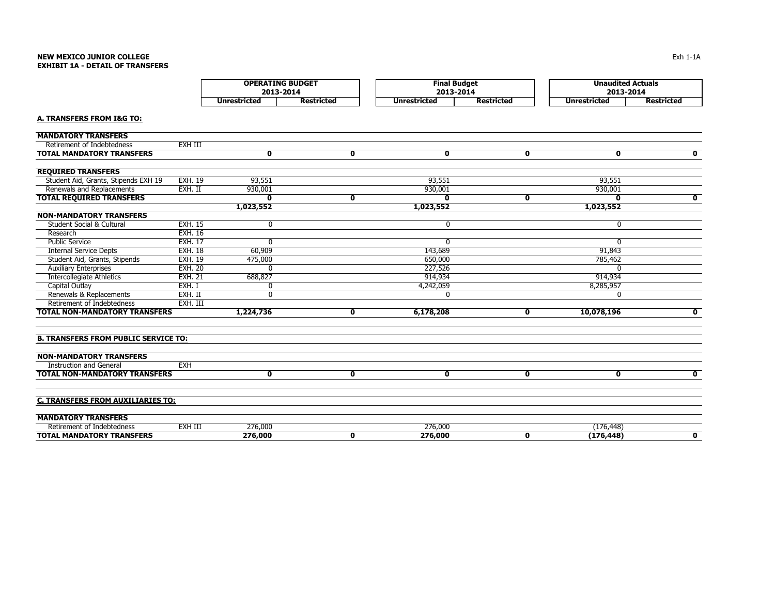# **NEW MEXICO JUNIOR COLLEGEEXHIBIT 1A - DETAIL OF TRANSFERS**

|                                             |                | <b>OPERATING BUDGET</b><br>2013-2014 |                   | <b>Final Budget</b><br>2013-2014 |                   | <b>Unaudited Actuals</b><br>2013-2014 |                         |
|---------------------------------------------|----------------|--------------------------------------|-------------------|----------------------------------|-------------------|---------------------------------------|-------------------------|
|                                             |                | <b>Unrestricted</b>                  | <b>Restricted</b> | <b>Unrestricted</b>              | <b>Restricted</b> | <b>Unrestricted</b>                   | <b>Restricted</b>       |
| A. TRANSFERS FROM I&G TO:                   |                |                                      |                   |                                  |                   |                                       |                         |
| <b>MANDATORY TRANSFERS</b>                  |                |                                      |                   |                                  |                   |                                       |                         |
| Retirement of Indebtedness                  | EXH III        |                                      |                   |                                  |                   |                                       |                         |
| <b>TOTAL MANDATORY TRANSFERS</b>            |                | $\mathbf 0$                          | 0                 | $\mathbf 0$                      | 0                 | $\mathbf{0}$                          | 0                       |
| <b>REQUIRED TRANSFERS</b>                   |                |                                      |                   |                                  |                   |                                       |                         |
| Student Aid, Grants, Stipends EXH 19        | <b>EXH. 19</b> | 93,551                               |                   | 93,551                           |                   | 93,551                                |                         |
| Renewals and Replacements                   | EXH. II        | 930,001                              |                   | 930,001                          |                   | 930,001                               |                         |
| <b>TOTAL REQUIRED TRANSFERS</b>             |                | $\mathbf{0}$                         | $\mathbf{0}$      | $\mathbf{0}$                     | 0                 | $\mathbf{0}$                          | $\overline{\mathbf{0}}$ |
|                                             |                | 1,023,552                            |                   | 1,023,552                        |                   | 1,023,552                             |                         |
| <b>NON-MANDATORY TRANSFERS</b>              |                |                                      |                   |                                  |                   |                                       |                         |
| <b>Student Social &amp; Cultural</b>        | <b>EXH. 15</b> | 0                                    |                   | 0                                |                   | $\mathbf{0}$                          |                         |
| Research                                    | <b>EXH. 16</b> |                                      |                   |                                  |                   |                                       |                         |
| <b>Public Service</b>                       | <b>EXH. 17</b> | $\mathbf{0}$                         |                   | $\mathbf{0}$                     |                   | $\mathbf{0}$                          |                         |
| <b>Internal Service Depts</b>               | <b>EXH. 18</b> | 60,909                               |                   | 143,689                          |                   | 91,843                                |                         |
| Student Aid, Grants, Stipends               | <b>EXH. 19</b> | 475,000                              |                   | 650,000                          |                   | 785,462                               |                         |
| <b>Auxiliary Enterprises</b>                | <b>EXH. 20</b> | $\Omega$                             |                   | 227,526                          |                   | $\Omega$                              |                         |
| <b>Intercollegiate Athletics</b>            | <b>EXH. 21</b> | 688,827                              |                   | 914,934                          |                   | 914,934                               |                         |
| Capital Outlay                              | EXH. I         | $\mathbf{0}$                         |                   | 4,242,059                        |                   | 8,285,957                             |                         |
| Renewals & Replacements                     | $EXH.$ II      | $\Omega$                             |                   | $\Omega$                         |                   | $\Omega$                              |                         |
| Retirement of Indebtedness                  | EXH. III       |                                      |                   |                                  |                   |                                       |                         |
| <b>TOTAL NON-MANDATORY TRANSFERS</b>        |                | 1,224,736                            | 0                 | 6,178,208                        | 0                 | 10,078,196                            | $\mathbf 0$             |
| <b>B. TRANSFERS FROM PUBLIC SERVICE TO:</b> |                |                                      |                   |                                  |                   |                                       |                         |
| <b>NON-MANDATORY TRANSFERS</b>              |                |                                      |                   |                                  |                   |                                       |                         |
| <b>Instruction and General</b>              | <b>EXH</b>     |                                      |                   |                                  |                   |                                       |                         |
| <b>TOTAL NON-MANDATORY TRANSFERS</b>        |                | $\mathbf 0$                          | 0                 | 0                                | 0                 | $\mathbf 0$                           | $\mathbf 0$             |
| <b>C. TRANSFERS FROM AUXILIARIES TO:</b>    |                |                                      |                   |                                  |                   |                                       |                         |
| <b>MANDATORY TRANSFERS</b>                  |                |                                      |                   |                                  |                   |                                       |                         |
| Retirement of Indebtedness                  | EXH III        | 276,000                              |                   | 276,000                          |                   | (176, 448)                            |                         |
| <b>TOTAL MANDATORY TRANSFERS</b>            |                | 276,000                              | $\mathbf{0}$      | 276,000                          | $\mathbf{0}$      | (176, 448)                            | $\mathbf{0}$            |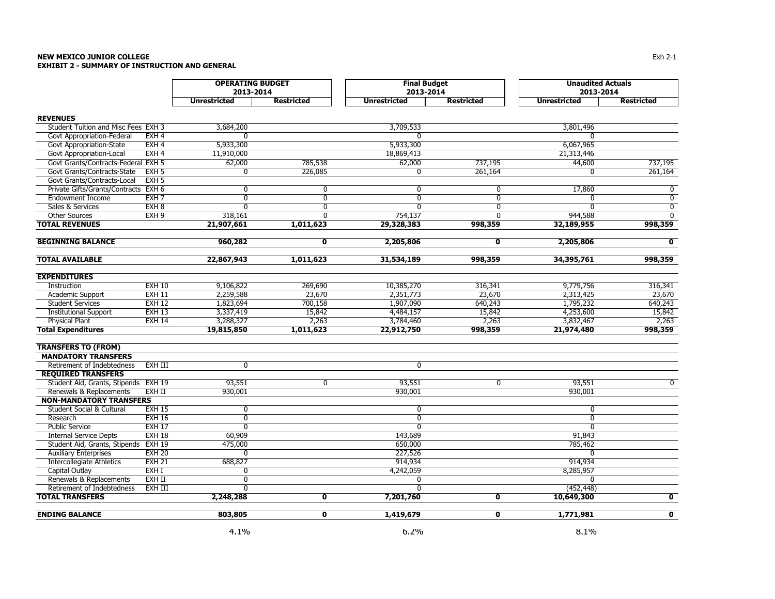### **NEW MEXICO JUNIOR COLLEGE** $\mathsf E$ **EXHIBIT 2 - SUMMARY OF INSTRUCTION AND GENERAL**

| <b>OPERATING BUDGET</b><br><b>Final Budget</b><br><b>Unaudited Actuals</b><br>2013-2014<br>2013-2014<br>2013-2014<br><b>Unrestricted</b><br><b>Restricted</b><br><b>Unrestricted</b><br><b>Restricted</b><br><b>Unrestricted</b><br><b>Restricted</b><br><b>REVENUES</b><br>Student Tuition and Misc Fees EXH 3<br>3,684,200<br>3,709,533<br>3,801,496<br>Govt Appropriation-Federal<br>EXH <sub>4</sub><br>$\Omega$<br>$\Omega$<br>U<br>EXH <sub>4</sub><br>5,933,300<br>5,933,300<br>6,067,965<br>Govt Appropriation-State<br>EXH <sub>4</sub><br>11,910,000<br>18,869,413<br>Govt Appropriation-Local<br>21,313,446<br>Govt Grants/Contracts-Federal EXH 5<br>62,000<br>785,538<br>62,000<br>737,195<br>44,600<br>737,195<br>Govt Grants/Contracts-State<br>EXH <sub>5</sub><br>226,085<br>261,164<br>261,164<br>0<br>$\mathbf{0}$<br>$\Omega$<br>Govt Grants/Contracts-Local<br>EXH <sub>5</sub><br>17,860<br>Private Gifts/Grants/Contracts EXH 6<br>0<br>$\mathbf 0$<br>$\mathbf 0$<br>0<br>0<br>$\overline{0}$<br>$\overline{0}$<br><b>Endowment Income</b><br>EXH <sub>7</sub><br>$\Omega$<br>$\mathbf{0}$<br>0<br>0<br>Sales & Services<br>EXH <sub>8</sub><br>$\Omega$<br>0<br>$\mathbf{0}$<br>$\mathbf 0$<br>$\mathbf{0}$<br>0<br>EXH <sub>9</sub><br>$\overline{0}$<br><b>Other Sources</b><br>318,161<br>754,137<br>$\mathbf{0}$<br>944,588<br>$\mathbf{0}$<br><b>TOTAL REVENUES</b><br>1,011,623<br>29,328,383<br>998,359<br>32,189,955<br>998,359<br>21,907,661<br>960,282<br>$\overline{\mathbf{0}}$<br>$\overline{\mathbf{0}}$<br>$\overline{\mathbf{0}}$<br><b>BEGINNING BALANCE</b><br>2,205,806<br>2,205,806<br><b>TOTAL AVAILABLE</b><br>22,867,943<br>1,011,623<br>998,359<br>998,359<br>31,534,189<br>34,395,761<br><b>EXPENDITURES</b><br><b>EXH 10</b><br>9,106,822<br>269,690<br>10,385,270<br>316,341<br>9,779,756<br>316,341<br>Instruction<br><b>EXH 11</b><br>2,259,588<br>23,670<br>2,351,773<br>23,670<br>2,313,425<br>23,670<br>Academic Support<br><b>Student Services</b><br><b>EXH 12</b><br>1,823,694<br>700,158<br>1,907,090<br>1,795,232<br>640,243<br>640,243<br>$EXH$ 13<br>3,337,419<br>4,253,600<br>15,842<br><b>Institutional Support</b><br>15,842<br>4,484,157<br>15,842<br><b>Physical Plant</b><br>EXH14<br>2,263<br>2,263<br>3,288,327<br>3,784,460<br>3,832,467<br>2,263<br><b>Total Expenditures</b><br>19,815,850<br>1,011,623<br>22,912,750<br>998,359<br>998,359<br>21,974,480<br><b>TRANSFERS TO (FROM)</b><br><b>MANDATORY TRANSFERS</b><br>EXH III<br>Retirement of Indebtedness<br>$\overline{0}$<br>$\overline{0}$<br><b>REQUIRED TRANSFERS</b><br>93,551<br>$\overline{0}$<br>93,551<br>$\overline{0}$<br>93,551<br>$\overline{0}$<br>Student Aid, Grants, Stipends EXH 19 |
|----------------------------------------------------------------------------------------------------------------------------------------------------------------------------------------------------------------------------------------------------------------------------------------------------------------------------------------------------------------------------------------------------------------------------------------------------------------------------------------------------------------------------------------------------------------------------------------------------------------------------------------------------------------------------------------------------------------------------------------------------------------------------------------------------------------------------------------------------------------------------------------------------------------------------------------------------------------------------------------------------------------------------------------------------------------------------------------------------------------------------------------------------------------------------------------------------------------------------------------------------------------------------------------------------------------------------------------------------------------------------------------------------------------------------------------------------------------------------------------------------------------------------------------------------------------------------------------------------------------------------------------------------------------------------------------------------------------------------------------------------------------------------------------------------------------------------------------------------------------------------------------------------------------------------------------------------------------------------------------------------------------------------------------------------------------------------------------------------------------------------------------------------------------------------------------------------------------------------------------------------------------------------------------------------------------------------------------------------------------------------------------------------------------------------------------------------------------------------------------------------------------------------------------------------------------------------------------------------------------------------------------------------------------------------------------------------------------------------------------|
|                                                                                                                                                                                                                                                                                                                                                                                                                                                                                                                                                                                                                                                                                                                                                                                                                                                                                                                                                                                                                                                                                                                                                                                                                                                                                                                                                                                                                                                                                                                                                                                                                                                                                                                                                                                                                                                                                                                                                                                                                                                                                                                                                                                                                                                                                                                                                                                                                                                                                                                                                                                                                                                                                                                                        |
|                                                                                                                                                                                                                                                                                                                                                                                                                                                                                                                                                                                                                                                                                                                                                                                                                                                                                                                                                                                                                                                                                                                                                                                                                                                                                                                                                                                                                                                                                                                                                                                                                                                                                                                                                                                                                                                                                                                                                                                                                                                                                                                                                                                                                                                                                                                                                                                                                                                                                                                                                                                                                                                                                                                                        |
|                                                                                                                                                                                                                                                                                                                                                                                                                                                                                                                                                                                                                                                                                                                                                                                                                                                                                                                                                                                                                                                                                                                                                                                                                                                                                                                                                                                                                                                                                                                                                                                                                                                                                                                                                                                                                                                                                                                                                                                                                                                                                                                                                                                                                                                                                                                                                                                                                                                                                                                                                                                                                                                                                                                                        |
|                                                                                                                                                                                                                                                                                                                                                                                                                                                                                                                                                                                                                                                                                                                                                                                                                                                                                                                                                                                                                                                                                                                                                                                                                                                                                                                                                                                                                                                                                                                                                                                                                                                                                                                                                                                                                                                                                                                                                                                                                                                                                                                                                                                                                                                                                                                                                                                                                                                                                                                                                                                                                                                                                                                                        |
|                                                                                                                                                                                                                                                                                                                                                                                                                                                                                                                                                                                                                                                                                                                                                                                                                                                                                                                                                                                                                                                                                                                                                                                                                                                                                                                                                                                                                                                                                                                                                                                                                                                                                                                                                                                                                                                                                                                                                                                                                                                                                                                                                                                                                                                                                                                                                                                                                                                                                                                                                                                                                                                                                                                                        |
|                                                                                                                                                                                                                                                                                                                                                                                                                                                                                                                                                                                                                                                                                                                                                                                                                                                                                                                                                                                                                                                                                                                                                                                                                                                                                                                                                                                                                                                                                                                                                                                                                                                                                                                                                                                                                                                                                                                                                                                                                                                                                                                                                                                                                                                                                                                                                                                                                                                                                                                                                                                                                                                                                                                                        |
|                                                                                                                                                                                                                                                                                                                                                                                                                                                                                                                                                                                                                                                                                                                                                                                                                                                                                                                                                                                                                                                                                                                                                                                                                                                                                                                                                                                                                                                                                                                                                                                                                                                                                                                                                                                                                                                                                                                                                                                                                                                                                                                                                                                                                                                                                                                                                                                                                                                                                                                                                                                                                                                                                                                                        |
|                                                                                                                                                                                                                                                                                                                                                                                                                                                                                                                                                                                                                                                                                                                                                                                                                                                                                                                                                                                                                                                                                                                                                                                                                                                                                                                                                                                                                                                                                                                                                                                                                                                                                                                                                                                                                                                                                                                                                                                                                                                                                                                                                                                                                                                                                                                                                                                                                                                                                                                                                                                                                                                                                                                                        |
|                                                                                                                                                                                                                                                                                                                                                                                                                                                                                                                                                                                                                                                                                                                                                                                                                                                                                                                                                                                                                                                                                                                                                                                                                                                                                                                                                                                                                                                                                                                                                                                                                                                                                                                                                                                                                                                                                                                                                                                                                                                                                                                                                                                                                                                                                                                                                                                                                                                                                                                                                                                                                                                                                                                                        |
|                                                                                                                                                                                                                                                                                                                                                                                                                                                                                                                                                                                                                                                                                                                                                                                                                                                                                                                                                                                                                                                                                                                                                                                                                                                                                                                                                                                                                                                                                                                                                                                                                                                                                                                                                                                                                                                                                                                                                                                                                                                                                                                                                                                                                                                                                                                                                                                                                                                                                                                                                                                                                                                                                                                                        |
|                                                                                                                                                                                                                                                                                                                                                                                                                                                                                                                                                                                                                                                                                                                                                                                                                                                                                                                                                                                                                                                                                                                                                                                                                                                                                                                                                                                                                                                                                                                                                                                                                                                                                                                                                                                                                                                                                                                                                                                                                                                                                                                                                                                                                                                                                                                                                                                                                                                                                                                                                                                                                                                                                                                                        |
|                                                                                                                                                                                                                                                                                                                                                                                                                                                                                                                                                                                                                                                                                                                                                                                                                                                                                                                                                                                                                                                                                                                                                                                                                                                                                                                                                                                                                                                                                                                                                                                                                                                                                                                                                                                                                                                                                                                                                                                                                                                                                                                                                                                                                                                                                                                                                                                                                                                                                                                                                                                                                                                                                                                                        |
|                                                                                                                                                                                                                                                                                                                                                                                                                                                                                                                                                                                                                                                                                                                                                                                                                                                                                                                                                                                                                                                                                                                                                                                                                                                                                                                                                                                                                                                                                                                                                                                                                                                                                                                                                                                                                                                                                                                                                                                                                                                                                                                                                                                                                                                                                                                                                                                                                                                                                                                                                                                                                                                                                                                                        |
|                                                                                                                                                                                                                                                                                                                                                                                                                                                                                                                                                                                                                                                                                                                                                                                                                                                                                                                                                                                                                                                                                                                                                                                                                                                                                                                                                                                                                                                                                                                                                                                                                                                                                                                                                                                                                                                                                                                                                                                                                                                                                                                                                                                                                                                                                                                                                                                                                                                                                                                                                                                                                                                                                                                                        |
|                                                                                                                                                                                                                                                                                                                                                                                                                                                                                                                                                                                                                                                                                                                                                                                                                                                                                                                                                                                                                                                                                                                                                                                                                                                                                                                                                                                                                                                                                                                                                                                                                                                                                                                                                                                                                                                                                                                                                                                                                                                                                                                                                                                                                                                                                                                                                                                                                                                                                                                                                                                                                                                                                                                                        |
|                                                                                                                                                                                                                                                                                                                                                                                                                                                                                                                                                                                                                                                                                                                                                                                                                                                                                                                                                                                                                                                                                                                                                                                                                                                                                                                                                                                                                                                                                                                                                                                                                                                                                                                                                                                                                                                                                                                                                                                                                                                                                                                                                                                                                                                                                                                                                                                                                                                                                                                                                                                                                                                                                                                                        |
|                                                                                                                                                                                                                                                                                                                                                                                                                                                                                                                                                                                                                                                                                                                                                                                                                                                                                                                                                                                                                                                                                                                                                                                                                                                                                                                                                                                                                                                                                                                                                                                                                                                                                                                                                                                                                                                                                                                                                                                                                                                                                                                                                                                                                                                                                                                                                                                                                                                                                                                                                                                                                                                                                                                                        |
|                                                                                                                                                                                                                                                                                                                                                                                                                                                                                                                                                                                                                                                                                                                                                                                                                                                                                                                                                                                                                                                                                                                                                                                                                                                                                                                                                                                                                                                                                                                                                                                                                                                                                                                                                                                                                                                                                                                                                                                                                                                                                                                                                                                                                                                                                                                                                                                                                                                                                                                                                                                                                                                                                                                                        |
|                                                                                                                                                                                                                                                                                                                                                                                                                                                                                                                                                                                                                                                                                                                                                                                                                                                                                                                                                                                                                                                                                                                                                                                                                                                                                                                                                                                                                                                                                                                                                                                                                                                                                                                                                                                                                                                                                                                                                                                                                                                                                                                                                                                                                                                                                                                                                                                                                                                                                                                                                                                                                                                                                                                                        |
|                                                                                                                                                                                                                                                                                                                                                                                                                                                                                                                                                                                                                                                                                                                                                                                                                                                                                                                                                                                                                                                                                                                                                                                                                                                                                                                                                                                                                                                                                                                                                                                                                                                                                                                                                                                                                                                                                                                                                                                                                                                                                                                                                                                                                                                                                                                                                                                                                                                                                                                                                                                                                                                                                                                                        |
|                                                                                                                                                                                                                                                                                                                                                                                                                                                                                                                                                                                                                                                                                                                                                                                                                                                                                                                                                                                                                                                                                                                                                                                                                                                                                                                                                                                                                                                                                                                                                                                                                                                                                                                                                                                                                                                                                                                                                                                                                                                                                                                                                                                                                                                                                                                                                                                                                                                                                                                                                                                                                                                                                                                                        |
|                                                                                                                                                                                                                                                                                                                                                                                                                                                                                                                                                                                                                                                                                                                                                                                                                                                                                                                                                                                                                                                                                                                                                                                                                                                                                                                                                                                                                                                                                                                                                                                                                                                                                                                                                                                                                                                                                                                                                                                                                                                                                                                                                                                                                                                                                                                                                                                                                                                                                                                                                                                                                                                                                                                                        |
|                                                                                                                                                                                                                                                                                                                                                                                                                                                                                                                                                                                                                                                                                                                                                                                                                                                                                                                                                                                                                                                                                                                                                                                                                                                                                                                                                                                                                                                                                                                                                                                                                                                                                                                                                                                                                                                                                                                                                                                                                                                                                                                                                                                                                                                                                                                                                                                                                                                                                                                                                                                                                                                                                                                                        |
|                                                                                                                                                                                                                                                                                                                                                                                                                                                                                                                                                                                                                                                                                                                                                                                                                                                                                                                                                                                                                                                                                                                                                                                                                                                                                                                                                                                                                                                                                                                                                                                                                                                                                                                                                                                                                                                                                                                                                                                                                                                                                                                                                                                                                                                                                                                                                                                                                                                                                                                                                                                                                                                                                                                                        |
|                                                                                                                                                                                                                                                                                                                                                                                                                                                                                                                                                                                                                                                                                                                                                                                                                                                                                                                                                                                                                                                                                                                                                                                                                                                                                                                                                                                                                                                                                                                                                                                                                                                                                                                                                                                                                                                                                                                                                                                                                                                                                                                                                                                                                                                                                                                                                                                                                                                                                                                                                                                                                                                                                                                                        |
|                                                                                                                                                                                                                                                                                                                                                                                                                                                                                                                                                                                                                                                                                                                                                                                                                                                                                                                                                                                                                                                                                                                                                                                                                                                                                                                                                                                                                                                                                                                                                                                                                                                                                                                                                                                                                                                                                                                                                                                                                                                                                                                                                                                                                                                                                                                                                                                                                                                                                                                                                                                                                                                                                                                                        |
|                                                                                                                                                                                                                                                                                                                                                                                                                                                                                                                                                                                                                                                                                                                                                                                                                                                                                                                                                                                                                                                                                                                                                                                                                                                                                                                                                                                                                                                                                                                                                                                                                                                                                                                                                                                                                                                                                                                                                                                                                                                                                                                                                                                                                                                                                                                                                                                                                                                                                                                                                                                                                                                                                                                                        |
|                                                                                                                                                                                                                                                                                                                                                                                                                                                                                                                                                                                                                                                                                                                                                                                                                                                                                                                                                                                                                                                                                                                                                                                                                                                                                                                                                                                                                                                                                                                                                                                                                                                                                                                                                                                                                                                                                                                                                                                                                                                                                                                                                                                                                                                                                                                                                                                                                                                                                                                                                                                                                                                                                                                                        |
|                                                                                                                                                                                                                                                                                                                                                                                                                                                                                                                                                                                                                                                                                                                                                                                                                                                                                                                                                                                                                                                                                                                                                                                                                                                                                                                                                                                                                                                                                                                                                                                                                                                                                                                                                                                                                                                                                                                                                                                                                                                                                                                                                                                                                                                                                                                                                                                                                                                                                                                                                                                                                                                                                                                                        |
|                                                                                                                                                                                                                                                                                                                                                                                                                                                                                                                                                                                                                                                                                                                                                                                                                                                                                                                                                                                                                                                                                                                                                                                                                                                                                                                                                                                                                                                                                                                                                                                                                                                                                                                                                                                                                                                                                                                                                                                                                                                                                                                                                                                                                                                                                                                                                                                                                                                                                                                                                                                                                                                                                                                                        |
|                                                                                                                                                                                                                                                                                                                                                                                                                                                                                                                                                                                                                                                                                                                                                                                                                                                                                                                                                                                                                                                                                                                                                                                                                                                                                                                                                                                                                                                                                                                                                                                                                                                                                                                                                                                                                                                                                                                                                                                                                                                                                                                                                                                                                                                                                                                                                                                                                                                                                                                                                                                                                                                                                                                                        |
|                                                                                                                                                                                                                                                                                                                                                                                                                                                                                                                                                                                                                                                                                                                                                                                                                                                                                                                                                                                                                                                                                                                                                                                                                                                                                                                                                                                                                                                                                                                                                                                                                                                                                                                                                                                                                                                                                                                                                                                                                                                                                                                                                                                                                                                                                                                                                                                                                                                                                                                                                                                                                                                                                                                                        |
| 930,001<br>Renewals & Replacements<br>EXH II<br>930,001<br>930,001                                                                                                                                                                                                                                                                                                                                                                                                                                                                                                                                                                                                                                                                                                                                                                                                                                                                                                                                                                                                                                                                                                                                                                                                                                                                                                                                                                                                                                                                                                                                                                                                                                                                                                                                                                                                                                                                                                                                                                                                                                                                                                                                                                                                                                                                                                                                                                                                                                                                                                                                                                                                                                                                     |
| <b>NON-MANDATORY TRANSFERS</b>                                                                                                                                                                                                                                                                                                                                                                                                                                                                                                                                                                                                                                                                                                                                                                                                                                                                                                                                                                                                                                                                                                                                                                                                                                                                                                                                                                                                                                                                                                                                                                                                                                                                                                                                                                                                                                                                                                                                                                                                                                                                                                                                                                                                                                                                                                                                                                                                                                                                                                                                                                                                                                                                                                         |
| <b>Student Social &amp; Cultural</b><br><b>EXH 15</b><br>0<br>$\mathbf 0$<br>0                                                                                                                                                                                                                                                                                                                                                                                                                                                                                                                                                                                                                                                                                                                                                                                                                                                                                                                                                                                                                                                                                                                                                                                                                                                                                                                                                                                                                                                                                                                                                                                                                                                                                                                                                                                                                                                                                                                                                                                                                                                                                                                                                                                                                                                                                                                                                                                                                                                                                                                                                                                                                                                         |
| <b>EXH 16</b><br>$\overline{0}$<br>$\overline{0}$<br>Research<br>$\mathbf{0}$                                                                                                                                                                                                                                                                                                                                                                                                                                                                                                                                                                                                                                                                                                                                                                                                                                                                                                                                                                                                                                                                                                                                                                                                                                                                                                                                                                                                                                                                                                                                                                                                                                                                                                                                                                                                                                                                                                                                                                                                                                                                                                                                                                                                                                                                                                                                                                                                                                                                                                                                                                                                                                                          |
| EXH17<br><b>Public Service</b><br>0<br>$\mathbf{0}$<br>$\Omega$                                                                                                                                                                                                                                                                                                                                                                                                                                                                                                                                                                                                                                                                                                                                                                                                                                                                                                                                                                                                                                                                                                                                                                                                                                                                                                                                                                                                                                                                                                                                                                                                                                                                                                                                                                                                                                                                                                                                                                                                                                                                                                                                                                                                                                                                                                                                                                                                                                                                                                                                                                                                                                                                        |
| <b>EXH 18</b><br>60,909<br>143,689<br>91,843<br><b>Internal Service Depts</b>                                                                                                                                                                                                                                                                                                                                                                                                                                                                                                                                                                                                                                                                                                                                                                                                                                                                                                                                                                                                                                                                                                                                                                                                                                                                                                                                                                                                                                                                                                                                                                                                                                                                                                                                                                                                                                                                                                                                                                                                                                                                                                                                                                                                                                                                                                                                                                                                                                                                                                                                                                                                                                                          |
| <b>EXH 19</b><br>475,000<br>785,462<br>Student Aid, Grants, Stipends<br>650,000                                                                                                                                                                                                                                                                                                                                                                                                                                                                                                                                                                                                                                                                                                                                                                                                                                                                                                                                                                                                                                                                                                                                                                                                                                                                                                                                                                                                                                                                                                                                                                                                                                                                                                                                                                                                                                                                                                                                                                                                                                                                                                                                                                                                                                                                                                                                                                                                                                                                                                                                                                                                                                                        |
| <b>Auxiliary Enterprises</b><br><b>EXH 20</b><br>0<br>227,526<br>U                                                                                                                                                                                                                                                                                                                                                                                                                                                                                                                                                                                                                                                                                                                                                                                                                                                                                                                                                                                                                                                                                                                                                                                                                                                                                                                                                                                                                                                                                                                                                                                                                                                                                                                                                                                                                                                                                                                                                                                                                                                                                                                                                                                                                                                                                                                                                                                                                                                                                                                                                                                                                                                                     |
| 914,934<br><b>Intercollegiate Athletics</b><br><b>EXH 21</b><br>688,827<br>914,934                                                                                                                                                                                                                                                                                                                                                                                                                                                                                                                                                                                                                                                                                                                                                                                                                                                                                                                                                                                                                                                                                                                                                                                                                                                                                                                                                                                                                                                                                                                                                                                                                                                                                                                                                                                                                                                                                                                                                                                                                                                                                                                                                                                                                                                                                                                                                                                                                                                                                                                                                                                                                                                     |
| EXH I<br>4,242,059<br>8,285,957<br>Capital Outlay<br>0                                                                                                                                                                                                                                                                                                                                                                                                                                                                                                                                                                                                                                                                                                                                                                                                                                                                                                                                                                                                                                                                                                                                                                                                                                                                                                                                                                                                                                                                                                                                                                                                                                                                                                                                                                                                                                                                                                                                                                                                                                                                                                                                                                                                                                                                                                                                                                                                                                                                                                                                                                                                                                                                                 |
| EXH II<br>$\overline{0}$<br>Renewals & Replacements<br>$\Omega$<br>$\Omega$                                                                                                                                                                                                                                                                                                                                                                                                                                                                                                                                                                                                                                                                                                                                                                                                                                                                                                                                                                                                                                                                                                                                                                                                                                                                                                                                                                                                                                                                                                                                                                                                                                                                                                                                                                                                                                                                                                                                                                                                                                                                                                                                                                                                                                                                                                                                                                                                                                                                                                                                                                                                                                                            |
| Retirement of Indebtedness<br>EXH III<br>$\Omega$<br>$\Omega$<br>(452, 448)                                                                                                                                                                                                                                                                                                                                                                                                                                                                                                                                                                                                                                                                                                                                                                                                                                                                                                                                                                                                                                                                                                                                                                                                                                                                                                                                                                                                                                                                                                                                                                                                                                                                                                                                                                                                                                                                                                                                                                                                                                                                                                                                                                                                                                                                                                                                                                                                                                                                                                                                                                                                                                                            |
| <b>TOTAL TRANSFERS</b><br>7,201,760<br>$\overline{\mathbf{0}}$<br>$\overline{\mathbf{0}}$<br>2,248,288<br>$\mathbf{0}$<br>10,649,300                                                                                                                                                                                                                                                                                                                                                                                                                                                                                                                                                                                                                                                                                                                                                                                                                                                                                                                                                                                                                                                                                                                                                                                                                                                                                                                                                                                                                                                                                                                                                                                                                                                                                                                                                                                                                                                                                                                                                                                                                                                                                                                                                                                                                                                                                                                                                                                                                                                                                                                                                                                                   |
| $\overline{\mathbf{0}}$<br>$\overline{\mathbf{0}}$<br>$\overline{\mathbf{0}}$<br><b>ENDING BALANCE</b><br>803,805<br>1,419,679<br>1,771,981                                                                                                                                                                                                                                                                                                                                                                                                                                                                                                                                                                                                                                                                                                                                                                                                                                                                                                                                                                                                                                                                                                                                                                                                                                                                                                                                                                                                                                                                                                                                                                                                                                                                                                                                                                                                                                                                                                                                                                                                                                                                                                                                                                                                                                                                                                                                                                                                                                                                                                                                                                                            |
| 8.1%<br>4.1%<br>6.2%                                                                                                                                                                                                                                                                                                                                                                                                                                                                                                                                                                                                                                                                                                                                                                                                                                                                                                                                                                                                                                                                                                                                                                                                                                                                                                                                                                                                                                                                                                                                                                                                                                                                                                                                                                                                                                                                                                                                                                                                                                                                                                                                                                                                                                                                                                                                                                                                                                                                                                                                                                                                                                                                                                                   |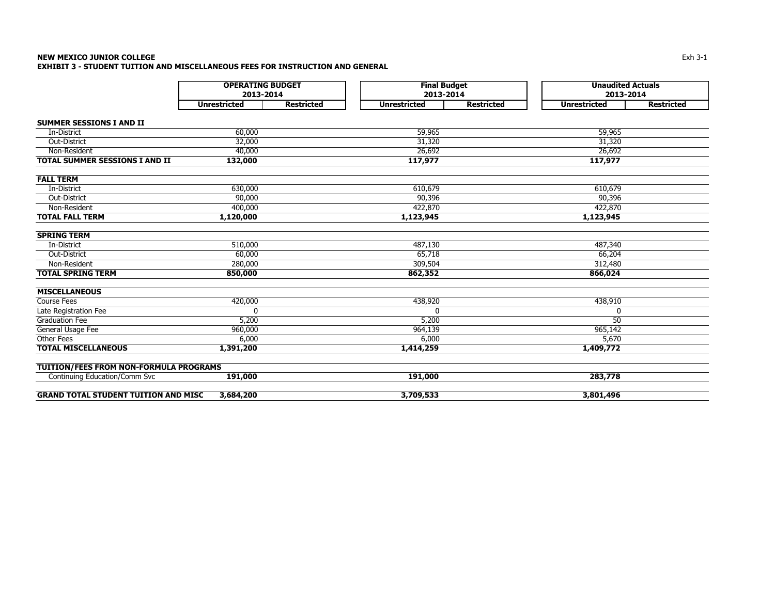## **NEW MEXICO JUNIOR COLLEGE** $\mathsf E$ **EXHIBIT 3 - STUDENT TUITION AND MISCELLANEOUS FEES FOR INSTRUCTION AND GENERAL**

|                                             | <b>OPERATING BUDGET</b> |                   | <b>Final Budget</b> |                   | <b>Unaudited Actuals</b> |                   |  |
|---------------------------------------------|-------------------------|-------------------|---------------------|-------------------|--------------------------|-------------------|--|
|                                             | 2013-2014               |                   | 2013-2014           |                   | 2013-2014                |                   |  |
|                                             | <b>Unrestricted</b>     | <b>Restricted</b> | <b>Unrestricted</b> | <b>Restricted</b> | <b>Unrestricted</b>      | <b>Restricted</b> |  |
| <b>SUMMER SESSIONS I AND II</b>             |                         |                   |                     |                   |                          |                   |  |
| In-District                                 | 60,000                  |                   | 59,965              |                   | 59,965                   |                   |  |
| Out-District                                | 32,000                  |                   | 31,320              |                   | 31,320                   |                   |  |
| Non-Resident                                | 40,000                  |                   | 26,692              |                   | 26,692                   |                   |  |
| <b>TOTAL SUMMER SESSIONS I AND II</b>       | 132,000                 |                   | 117,977             |                   | 117,977                  |                   |  |
| <b>FALL TERM</b>                            |                         |                   |                     |                   |                          |                   |  |
| In-District                                 | 630,000                 |                   | 610,679             |                   | 610,679                  |                   |  |
| Out-District                                | 90,000                  |                   | 90,396              |                   | 90,396                   |                   |  |
| Non-Resident                                | 400,000                 |                   | 422,870             |                   | 422,870                  |                   |  |
| <b>TOTAL FALL TERM</b>                      | 1,120,000               |                   | 1,123,945           |                   | 1,123,945                |                   |  |
| <b>SPRING TERM</b>                          |                         |                   |                     |                   |                          |                   |  |
| In-District                                 | 510,000                 |                   | 487,130             |                   | 487,340                  |                   |  |
| Out-District                                | 60,000                  |                   | 65,718              |                   | 66,204                   |                   |  |
| Non-Resident                                | 280,000                 |                   | 309,504             |                   | 312,480                  |                   |  |
| <b>TOTAL SPRING TERM</b>                    | 850,000                 |                   | 862,352             |                   | 866,024                  |                   |  |
| <b>MISCELLANEOUS</b>                        |                         |                   |                     |                   |                          |                   |  |
| <b>Course Fees</b>                          | 420,000                 |                   | 438,920             |                   | 438,910                  |                   |  |
| Late Registration Fee                       | 0                       |                   | 0                   |                   | 0                        |                   |  |
| <b>Graduation Fee</b>                       | 5,200                   |                   | 5,200               |                   | $\overline{50}$          |                   |  |
| General Usage Fee                           | 960,000                 |                   | 964,139             |                   | 965,142                  |                   |  |
| Other Fees                                  | 6,000                   |                   | 6,000               |                   | 5,670                    |                   |  |
| <b>TOTAL MISCELLANEOUS</b>                  | 1,391,200               |                   | 1,414,259           |                   | 1,409,772                |                   |  |
| TUITION/FEES FROM NON-FORMULA PROGRAMS      |                         |                   |                     |                   |                          |                   |  |
| Continuing Education/Comm Svc               | 191,000                 |                   | 191,000             |                   | 283,778                  |                   |  |
| <b>GRAND TOTAL STUDENT TUITION AND MISC</b> | 3,684,200               |                   | 3,709,533           |                   | 3,801,496                |                   |  |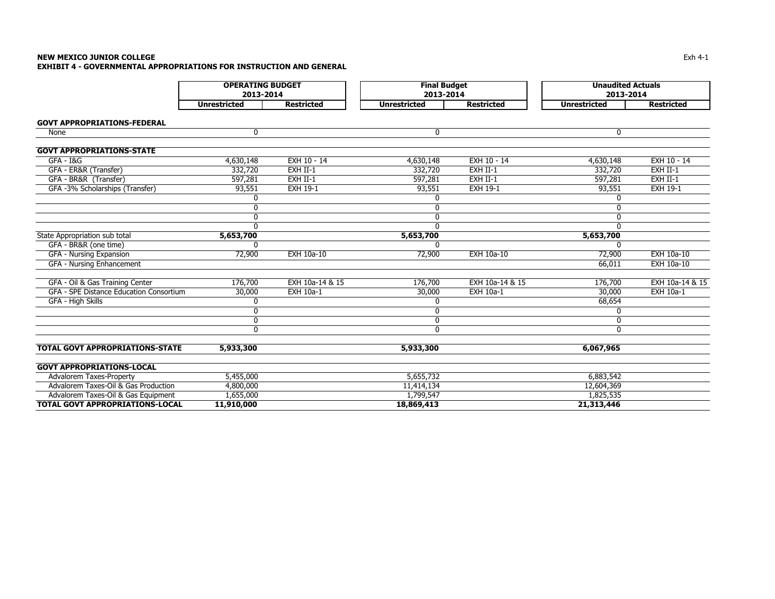# **NEW MEXICO JUNIOR COLLEGE** $\mathsf E$ **EXHIBIT 4 - GOVERNMENTAL APPROPRIATIONS FOR INSTRUCTION AND GENERAL**

|                                         | <b>OPERATING BUDGET</b><br>2013-2014 |                   | <b>Final Budget</b><br>2013-2014 |                   | <b>Unaudited Actuals</b><br>2013-2014 |                   |  |
|-----------------------------------------|--------------------------------------|-------------------|----------------------------------|-------------------|---------------------------------------|-------------------|--|
|                                         | <b>Unrestricted</b>                  | <b>Restricted</b> | <b>Unrestricted</b>              | <b>Restricted</b> | <b>Unrestricted</b>                   | <b>Restricted</b> |  |
| <b>GOVT APPROPRIATIONS-FEDERAL</b>      |                                      |                   |                                  |                   |                                       |                   |  |
| None                                    | 0                                    |                   | 0                                |                   | 0                                     |                   |  |
| <b>GOVT APPROPRIATIONS-STATE</b>        |                                      |                   |                                  |                   |                                       |                   |  |
| $GFA - IAG$                             | 4,630,148                            | EXH 10 - 14       | 4,630,148                        | EXH 10 - 14       | 4,630,148                             | EXH 10 - 14       |  |
| GFA - ER&R (Transfer)                   | 332,720                              | EXH II-1          | 332,720                          | EXH II-1          | 332,720                               | EXH II-1          |  |
| GFA - BR&R (Transfer)                   | 597,281                              | EXH II-1          | 597,281                          | EXH II-1          | 597,281                               | EXH II-1          |  |
| GFA -3% Scholarships (Transfer)         | 93,551                               | <b>EXH 19-1</b>   | 93,551                           | <b>EXH 19-1</b>   | 93,551                                | <b>EXH 19-1</b>   |  |
|                                         | 0                                    |                   | 0                                |                   | 0                                     |                   |  |
|                                         | 0                                    |                   | 0                                |                   | 0                                     |                   |  |
|                                         | 0                                    |                   | 0                                |                   | 0                                     |                   |  |
|                                         | $\Omega$                             |                   | $\Omega$                         |                   | $\Omega$                              |                   |  |
| State Appropriation sub total           | 5,653,700                            |                   | 5,653,700                        |                   | 5,653,700                             |                   |  |
| GFA - BR&R (one time)                   | $\Omega$                             |                   | ŋ                                |                   | ŋ                                     |                   |  |
| GFA - Nursing Expansion                 | 72,900                               | <b>EXH 10a-10</b> | 72,900                           | <b>EXH 10a-10</b> | 72,900                                | <b>EXH 10a-10</b> |  |
| GFA - Nursing Enhancement               |                                      |                   |                                  |                   | 66,011                                | <b>EXH 10a-10</b> |  |
| GFA - Oil & Gas Training Center         | 176,700                              | EXH 10a-14 & 15   | 176,700                          | EXH 10a-14 & 15   | 176,700                               | EXH 10a-14 & 15   |  |
| GFA - SPE Distance Education Consortium | 30,000                               | EXH 10a-1         | 30,000                           | EXH 10a-1         | 30,000                                | EXH 10a-1         |  |
| GFA - High Skills                       | 0                                    |                   | 0                                |                   | 68,654                                |                   |  |
|                                         | 0                                    |                   | 0                                |                   | 0                                     |                   |  |
|                                         | $\mathbf 0$                          |                   | $\mathbf 0$                      |                   | 0                                     |                   |  |
|                                         | $\Omega$                             |                   | $\Omega$                         |                   | $\Omega$                              |                   |  |
| <b>TOTAL GOVT APPROPRIATIONS-STATE</b>  | 5,933,300                            |                   | 5,933,300                        |                   | 6,067,965                             |                   |  |
| <b>GOVT APPROPRIATIONS-LOCAL</b>        |                                      |                   |                                  |                   |                                       |                   |  |
| Advalorem Taxes-Property                | 5,455,000                            |                   | 5,655,732                        |                   | 6,883,542                             |                   |  |
| Advalorem Taxes-Oil & Gas Production    | 4,800,000                            |                   | 11,414,134                       |                   | 12,604,369                            |                   |  |
| Advalorem Taxes-Oil & Gas Equipment     | 1,655,000                            |                   | 1,799,547                        |                   | 1,825,535                             |                   |  |
| <b>TOTAL GOVT APPROPRIATIONS-LOCAL</b>  | 11,910,000                           |                   | 18,869,413                       |                   | 21,313,446                            |                   |  |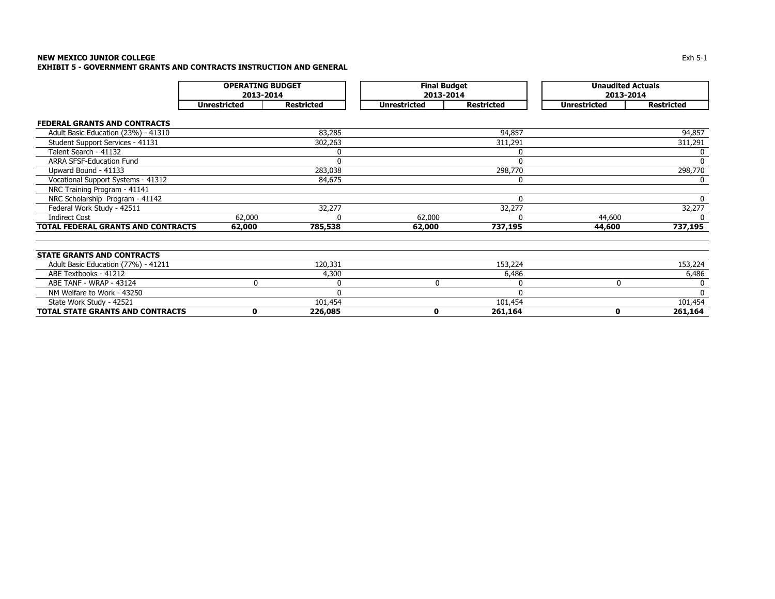# **NEW MEXICO JUNIOR COLLEGE** Exh 5-1 **EXHIBIT 5 - GOVERNMENT GRANTS AND CONTRACTS INSTRUCTION AND GENERAL**

|                                     | <b>OPERATING BUDGET</b><br>2013-2014 |                   |                     | <b>Final Budget</b><br>2013-2014 |                     | <b>Unaudited Actuals</b><br>2013-2014 |
|-------------------------------------|--------------------------------------|-------------------|---------------------|----------------------------------|---------------------|---------------------------------------|
|                                     | <b>Unrestricted</b>                  | <b>Restricted</b> | <b>Unrestricted</b> | <b>Restricted</b>                | <b>Unrestricted</b> | <b>Restricted</b>                     |
| <b>FEDERAL GRANTS AND CONTRACTS</b> |                                      |                   |                     |                                  |                     |                                       |
| Adult Basic Education (23%) - 41310 |                                      | 83,285            |                     | 94,857                           |                     | 94,857                                |
| Student Support Services - 41131    |                                      | 302,263           |                     | 311,291                          |                     | 311,291                               |
| Talent Search - 41132               |                                      | 0                 |                     |                                  |                     |                                       |
| ARRA SFSF-Education Fund            |                                      | $\mathbf 0$       |                     | ŋ                                |                     | 0                                     |
| Upward Bound - 41133                |                                      | 283,038           |                     | 298,770                          |                     | 298,770                               |
| Vocational Support Systems - 41312  |                                      | 84,675            |                     | 0                                |                     | 0                                     |
| NRC Training Program - 41141        |                                      |                   |                     |                                  |                     |                                       |
| NRC Scholarship Program - 41142     |                                      |                   |                     | $\Omega$                         |                     | 0                                     |
| Federal Work Study - 42511          |                                      | 32,277            |                     | 32,277                           |                     | 32,277                                |
| <b>Indirect Cost</b>                | 62,000                               | $\Omega$          | 62,000              |                                  | 44,600              | 0                                     |
| TOTAL FEDERAL GRANTS AND CONTRACTS  | 62,000                               | 785,538           | 62,000              | 737,195                          | 44,600              | 737,195                               |
|                                     |                                      |                   |                     |                                  |                     |                                       |
|                                     |                                      |                   |                     |                                  |                     |                                       |
| <b>STATE GRANTS AND CONTRACTS</b>   |                                      |                   |                     |                                  |                     |                                       |
| Adult Basic Education (77%) - 41211 |                                      | 120,331           |                     | 153,224                          |                     | 153,224                               |
| ABE Textbooks - 41212               |                                      | 4,300             |                     | 6,486                            |                     | 6,486                                 |
| ABE TANF - WRAP - 43124             | 0                                    | 0                 | 0                   |                                  | 0                   |                                       |
| NM Welfare to Work - 43250          |                                      | $\Omega$          |                     |                                  |                     | $\Omega$                              |
| State Work Study - 42521            |                                      | 101,454           |                     | 101,454                          |                     | 101,454                               |
| TOTAL STATE GRANTS AND CONTRACTS    | 0                                    | 226,085           | 0                   | 261,164                          | 0                   | 261,164                               |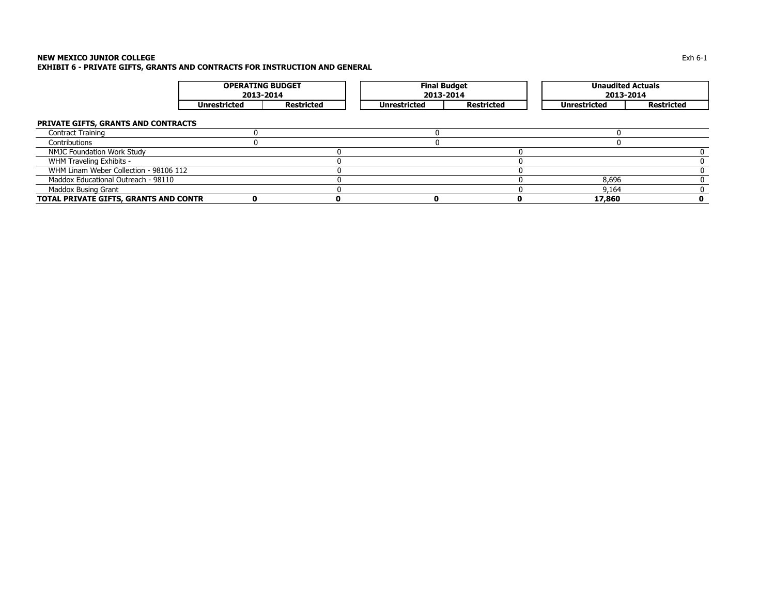# **NEW MEXICO JUNIOR COLLEGE** Exh 6-1 **EXHIBIT 6 - PRIVATE GIFTS, GRANTS AND CONTRACTS FOR INSTRUCTION AND GENERAL**

|                                        | <b>OPERATING BUDGET</b><br>2013-2014 |                   | <b>Final Budget</b><br>2013-2014 |                   | <b>Unaudited Actuals</b><br>2013-2014 |                   |  |
|----------------------------------------|--------------------------------------|-------------------|----------------------------------|-------------------|---------------------------------------|-------------------|--|
|                                        | <b>Unrestricted</b>                  | <b>Restricted</b> | <b>Unrestricted</b>              | <b>Restricted</b> | <b>Unrestricted</b>                   | <b>Restricted</b> |  |
| PRIVATE GIFTS, GRANTS AND CONTRACTS    |                                      |                   |                                  |                   |                                       |                   |  |
| <b>Contract Training</b>               |                                      |                   |                                  |                   |                                       |                   |  |
| Contributions                          |                                      |                   |                                  |                   |                                       |                   |  |
| NMJC Foundation Work Study             |                                      |                   |                                  |                   |                                       |                   |  |
| WHM Traveling Exhibits -               |                                      |                   |                                  |                   |                                       |                   |  |
| WHM Linam Weber Collection - 98106 112 |                                      |                   |                                  |                   |                                       |                   |  |
| Maddox Educational Outreach - 98110    |                                      |                   |                                  |                   | 8,696                                 |                   |  |
| Maddox Busing Grant                    |                                      |                   |                                  |                   | 9.164                                 |                   |  |
| TOTAL PRIVATE GIFTS, GRANTS AND CONTR  |                                      |                   |                                  |                   | 17,860                                |                   |  |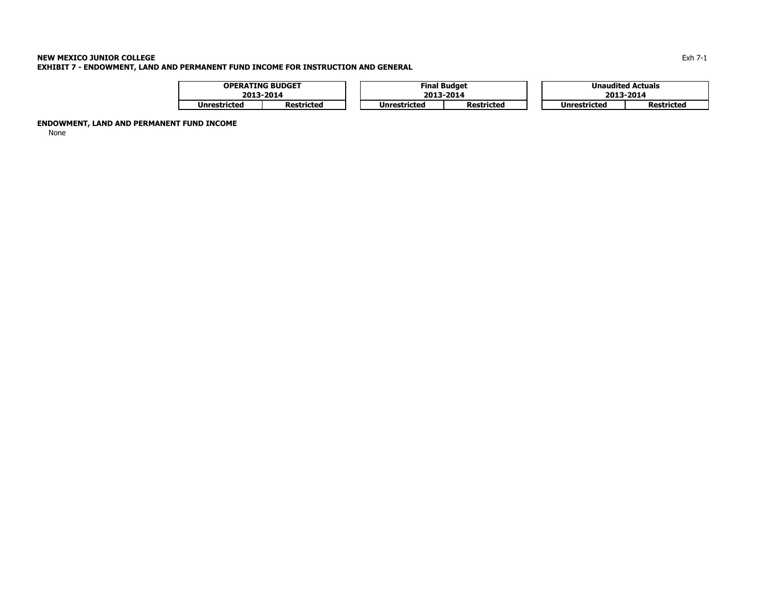# **NEW MEXICO JUNIOR COLLEGE** Exh 7-1 **EXHIBIT 7 - ENDOWMENT, LAND AND PERMANENT FUND INCOME FOR INSTRUCTION AND GENERAL**

|              | <b>OPERATING BUDGET</b> |  |              | <b>Final Budget</b> |  |                     | <b>Unaudited Actuals</b> |  |
|--------------|-------------------------|--|--------------|---------------------|--|---------------------|--------------------------|--|
|              | 2013-2014               |  |              | 2013-2014           |  | 2013-2014           |                          |  |
| Unrestricted | Restricted              |  | Unrestricted | <b>Restricted</b>   |  | <b>Unrestricted</b> | <b>Restricted</b>        |  |

**ENDOWMENT, LAND AND PERMANENT FUND INCOME** 

None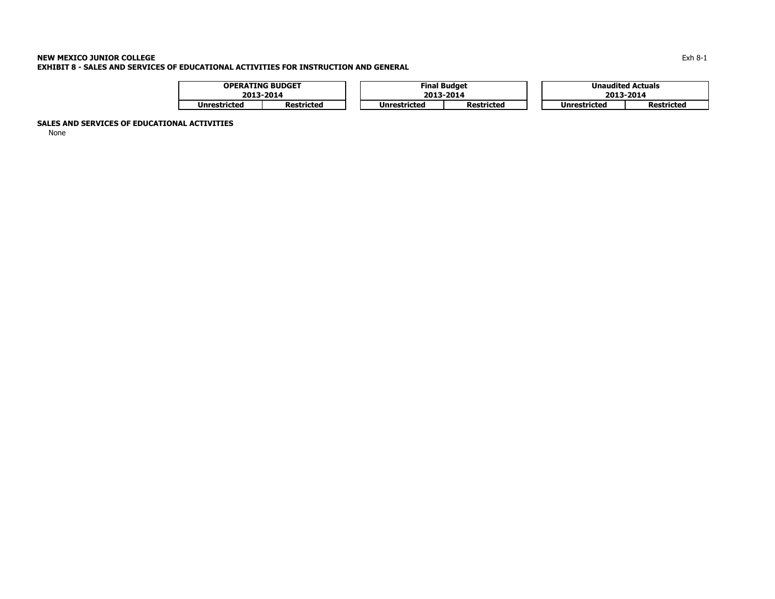# **NEW MEXICO JUNIOR COLLEGE** $\mathsf E$ **EXHIBIT 8 - SALES AND SERVICES OF EDUCATIONAL ACTIVITIES FOR INSTRUCTION AND GENERAL**

|                     | <b>OPERATING BUDGET</b> |  |              | <b>Final Budget</b> | <b>Unaudited Actuals</b> |                   |  |
|---------------------|-------------------------|--|--------------|---------------------|--------------------------|-------------------|--|
|                     | 2013-2014               |  |              | 2013-2014           | 2013-2014                |                   |  |
| <b>Unrestricted</b> | Restricted              |  | Unrestricted | <b>Restricted</b>   | Unrestricted             | <b>Restricted</b> |  |

# **SALES AND SERVICES OF EDUCATIONAL ACTIVITIES**

None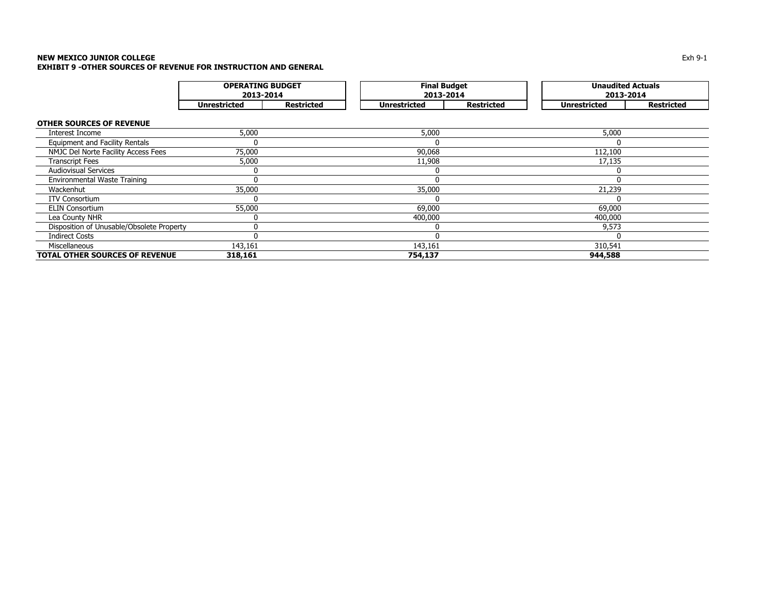# **NEW MEXICO JUNIOR COLLEGE** Exh 9-1 **EXHIBIT 9 -OTHER SOURCES OF REVENUE FOR INSTRUCTION AND GENERAL**

|                                           | <b>OPERATING BUDGET</b><br>2013-2014 |                   | <b>Final Budget</b><br>2013-2014 |                   | <b>Unaudited Actuals</b><br>2013-2014 |                   |
|-------------------------------------------|--------------------------------------|-------------------|----------------------------------|-------------------|---------------------------------------|-------------------|
|                                           | <b>Unrestricted</b>                  | <b>Restricted</b> | <b>Unrestricted</b>              | <b>Restricted</b> | <b>Unrestricted</b>                   | <b>Restricted</b> |
| <b>OTHER SOURCES OF REVENUE</b>           |                                      |                   |                                  |                   |                                       |                   |
| Interest Income                           | 5,000                                |                   | 5,000                            |                   | 5,000                                 |                   |
| <b>Equipment and Facility Rentals</b>     | 0                                    |                   | 0                                |                   |                                       |                   |
| NMJC Del Norte Facility Access Fees       | 75,000                               |                   | 90,068                           |                   | 112,100                               |                   |
| <b>Transcript Fees</b>                    | 5,000                                |                   | 11,908                           |                   | 17,135                                |                   |
| <b>Audiovisual Services</b>               | 0                                    |                   | 0                                |                   |                                       |                   |
| <b>Environmental Waste Training</b>       | $\Omega$                             |                   | $\Omega$                         |                   |                                       |                   |
| Wackenhut                                 | 35,000                               |                   | 35,000                           |                   | 21,239                                |                   |
| <b>ITV Consortium</b>                     | 0                                    |                   | 0                                |                   |                                       |                   |
| <b>ELIN Consortium</b>                    | 55,000                               |                   | 69,000                           |                   | 69,000                                |                   |
| Lea County NHR                            | 0                                    |                   | 400,000                          |                   | 400,000                               |                   |
| Disposition of Unusable/Obsolete Property | 0                                    |                   | 0                                |                   | 9,573                                 |                   |
| <b>Indirect Costs</b>                     | 0                                    |                   | $\mathbf 0$                      |                   |                                       |                   |
| Miscellaneous                             | 143,161                              |                   | 143,161                          |                   | 310,541                               |                   |
| TOTAL OTHER SOURCES OF REVENUE            | 318,161                              |                   | 754,137                          |                   | 944,588                               |                   |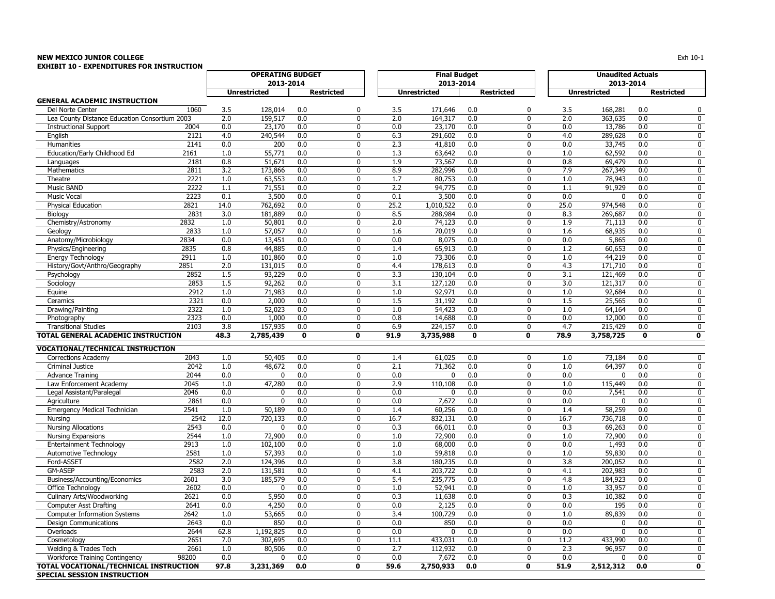# **NEW MEXICO JUNIOR COLLEGE** $\mathsf E$  the contract of the contract of the contract of the contract of the contract of the contract of the contract of the contract of the contract of the contract of the contract of the contract of the contract of the co

| EXHIBIT 10 - EXPENDITURES FOR INSTRUCTION     |              | <b>OPERATING BUDGET</b> |                     |                   |                            |             |                                  |                   |              |             |                                       |            |                   |
|-----------------------------------------------|--------------|-------------------------|---------------------|-------------------|----------------------------|-------------|----------------------------------|-------------------|--------------|-------------|---------------------------------------|------------|-------------------|
|                                               |              |                         | 2013-2014           |                   |                            |             | <b>Final Budget</b><br>2013-2014 |                   |              |             | <b>Unaudited Actuals</b><br>2013-2014 |            |                   |
|                                               |              |                         | <b>Unrestricted</b> | <b>Restricted</b> |                            |             | <b>Unrestricted</b>              | <b>Restricted</b> |              |             | <b>Unrestricted</b>                   |            | <b>Restricted</b> |
| <b>GENERAL ACADEMIC INSTRUCTION</b>           |              |                         |                     |                   |                            |             |                                  |                   |              |             |                                       |            |                   |
| Del Norte Center                              | 1060         | 3.5                     | 128,014             | 0.0               | 0                          | 3.5         | 171,646                          | 0.0               | 0            | 3.5         | 168,281                               | 0.0        | 0                 |
| Lea County Distance Education Consortium 2003 |              | 2.0                     | 159,517             | 0.0               | $\Omega$                   | 2.0         | 164,317                          | 0.0               | 0            | 2.0         | 363,635                               | 0.0        | 0                 |
| <b>Instructional Support</b>                  | 2004         | 0.0                     | 23,170              | 0.0               | $\mathbf 0$                | 0.0         | 23,170                           | 0.0               | 0            | 0.0         | 13,786                                | 0.0        | 0                 |
| English                                       | 2121         | 4.0                     | 240,544             | 0.0               | $\mathbf 0$                | 6.3         | 291,602                          | 0.0               | 0            | 4.0         | 289,628                               | 0.0        | 0                 |
| Humanities                                    | 2141         | 0.0                     | 200                 | 0.0               | $\Omega$                   | 2.3         | 41,810                           | 0.0               | 0            | 0.0         | 33,745                                | 0.0        | 0                 |
| Education/Early Childhood Ed                  | 2161         | 1.0                     | 55,771              | 0.0               | $\mathbf 0$                | 1.3         | 63,642                           | 0.0               | 0            | 1.0         | 62,592                                | 0.0        | 0                 |
| Languages                                     | 2181         | 0.8                     | 51,671              | 0.0               | $\mathbf 0$                | 1.9         | 73,567                           | 0.0               | 0            | 0.8         | 69,479                                | 0.0        | 0                 |
| Mathematics                                   | 2811         | 3.2                     | 173,866             | 0.0               | $\mathbf 0$<br>$\mathbf 0$ | 8.9         | 282,996                          | 0.0               | 0<br>0       | 7.9         | 267,349                               | 0.0        | 0                 |
| Theatre<br>Music BAND                         | 2221<br>2222 | 1.0                     | 63,553              | 0.0<br>0.0        | $\mathbf 0$                | 1.7<br>2.2  | 80,753                           | 0.0               | 0            | 1.0         | 78,943                                | 0.0<br>0.0 | 0                 |
| <b>Music Vocal</b>                            | 2223         | 1.1<br>0.1              | 71,551<br>3,500     | 0.0               | $\mathbf 0$                | 0.1         | 94,775<br>3,500                  | 0.0<br>0.0        | 0            | 1.1<br>0.0  | 91,929<br>$\Omega$                    | 0.0        | 0<br>0            |
| Physical Education                            | 2821         | 14.0                    | 762,692             | 0.0               | $\mathbf{0}$               | 25.2        | 1,010,522                        | 0.0               | 0            | 25.0        | 974,548                               | 0.0        | 0                 |
| Biology                                       | 2831         | 3.0                     | 181,889             | 0.0               | $\mathbf{0}$               | 8.5         | 288,984                          | 0.0               | $\mathbf{0}$ | 8.3         | 269,687                               | 0.0        | 0                 |
| Chemistry/Astronomy                           | 2832         | 1.0                     | 50,801              | 0.0               | $\mathbf{0}$               | 2.0         | 74,123                           | 0.0               | $\mathbf{0}$ | 1.9         | 71,113                                | 0.0        | 0                 |
| Geology                                       | 2833         | 1.0                     | 57,057              | 0.0               | $\mathbf{0}$               | 1.6         | 70,019                           | 0.0               | $\mathbf{0}$ | 1.6         | 68,935                                | 0.0        | 0                 |
| Anatomy/Microbiology                          | 2834         | 0.0                     | 13,451              | 0.0               | $\Omega$                   | 0.0         | 8,075                            | 0.0               | $\Omega$     | 0.0         | 5,865                                 | 0.0        | $\mathbf 0$       |
| Physics/Engineering                           | 2835         | 0.8                     | 44,885              | 0.0               | $\Omega$                   | 1.4         | 65,913                           | 0.0               | 0            | 1.2         | 60,653                                | 0.0        | 0                 |
| <b>Energy Technology</b>                      | 2911         | 1.0                     | 101,860             | 0.0               | $\mathbf{0}$               | 1.0         | 73,306                           | 0.0               | $\Omega$     | 1.0         | 44,219                                | 0.0        | 0                 |
| History/Govt/Anthro/Geography                 | 2851         | 2.0                     | 131,015             | 0.0               | $\mathbf 0$                | 4.4         | 178,613                          | 0.0               | 0            | 4.3         | 171,710                               | 0.0        | 0                 |
| Psychology                                    | 2852         | 1.5                     | 93,229              | 0.0               | $\mathbf 0$                | 3.3         | 130,104                          | 0.0               | $\mathbf{0}$ | 3.1         | 121,469                               | 0.0        | 0                 |
| Sociology                                     | 2853         | 1.5                     | 92,262              | 0.0               | $\mathbf 0$                | 3.1         | 127,120                          | 0.0               | 0            | 3.0         | 121,317                               | 0.0        | 0                 |
| Equine                                        | 2912         | 1.0                     | 71,983              | 0.0               | $\mathbf 0$                | 1.0         | 92,971                           | 0.0               | $\mathbf{0}$ | 1.0         | 92,684                                | 0.0        | 0                 |
| Ceramics                                      | 2321         | 0.0                     | 2,000               | 0.0               | $\mathbf 0$                | 1.5         | 31,192                           | 0.0               | 0            | 1.5         | 25,565                                | 0.0        | 0                 |
| Drawing/Painting                              | 2322         | 1.0                     | 52,023              | 0.0               | $\mathbf 0$                | 1.0         | 54,423                           | 0.0               | 0            | 1.0         | 64,164                                | 0.0        | 0                 |
| Photography                                   | 2323         | 0.0                     | 1,000               | 0.0               | $\mathbf 0$                | 0.8         | 14,688                           | 0.0               | 0            | 0.0         | 12,000                                | 0.0        | 0                 |
| <b>Transitional Studies</b>                   | 2103         | 3.8                     | 157,935             | 0.0               | $\mathbf 0$                | 6.9         | 224,157                          | 0.0               | 0            | 4.7         | 215,429                               | 0.0        | 0                 |
| TOTAL GENERAL ACADEMIC INSTRUCTION            |              | 48.3                    | 2,785,439           | 0                 | 0                          | 91.9        | 3,735,988                        | $\mathbf 0$       | 0            | 78.9        | 3,758,725                             | 0          | 0                 |
| <b>VOCATIONAL/TECHNICAL INSTRUCTION</b>       |              |                         |                     |                   |                            |             |                                  |                   |              |             |                                       |            |                   |
| Corrections Academy                           | 2043         | 1.0                     | 50,405              | 0.0               | $\mathbf 0$                | 1.4         | 61,025                           | 0.0               | 0            | 1.0         | 73,184                                | 0.0        | 0                 |
| Criminal Justice                              | 2042         | 1.0                     | 48,672              | 0.0               | $\mathbf{0}$               | 2.1         | 71,362                           | 0.0               | 0            | 1.0         | 64,397                                | 0.0        | 0                 |
| <b>Advance Training</b>                       | 2044         | 0.0                     | $\mathbf{0}$        | 0.0               | $\mathbf{0}$               | 0.0         | $\mathbf{0}$                     | 0.0               | $\mathbf{0}$ | 0.0         | $\Omega$                              | 0.0        | 0                 |
| Law Enforcement Academy                       | 2045         | 1.0                     | 47,280              | 0.0               | $\mathbf{0}$               | 2.9         | 110,108                          | 0.0               | $\mathbf{0}$ | 1.0         | 115,449                               | 0.0        | 0                 |
| Legal Assistant/Paralegal                     | 2046         | 0.0                     | $\mathbf{0}$        | 0.0               | $\Omega$                   | 0.0         | $\mathbf{0}$                     | 0.0               | 0            | 0.0         | 7,541                                 | 0.0        | 0                 |
| Agriculture                                   | 2861         | 0.0                     | $\Omega$            | 0.0               | $\Omega$                   | 0.0         | 7,672                            | 0.0               | $\mathbf{0}$ | 0.0         |                                       | 0.0        | 0                 |
| <b>Emergency Medical Technician</b>           | 2541         | 1.0                     | 50,189              | 0.0               | $\mathbf 0$                | 1.4         | 60,256                           | 0.0               | $\mathbf{0}$ | 1.4         | 58,259                                | 0.0        | 0                 |
| Nursing                                       | 2542         | 12.0                    | 720,133             | 0.0               | $\mathbf 0$                | 16.7        | 832,131                          | 0.0               | 0            | 16.7        | 736,718                               | 0.0        | 0                 |
| <b>Nursing Allocations</b>                    | 2543         | 0.0                     | $\Omega$            | 0.0               | $\Omega$                   | 0.3         | 66,011                           | 0.0               | $\Omega$     | 0.3         | 69,263                                | 0.0        | $\mathbf 0$       |
| <b>Nursing Expansions</b>                     | 2544         | 1.0                     | 72,900              | 0.0               | $\mathbf 0$                | 1.0         | 72,900                           | 0.0               | 0            | 1.0         | 72,900                                | 0.0        | 0                 |
| Entertainment Technology                      | 2913         | 1.0                     | 102,100             | 0.0               | $\mathbf 0$                | 1.0         | 68,000                           | 0.0               | $\mathbf{0}$ | 0.0         | 1,493                                 | 0.0        | 0                 |
| Automotive Technology                         | 2581         | 1.0                     | 57,393              | 0.0               | $\mathbf 0$                | 1.0         | 59,818                           | 0.0               | 0            | 1.0         | 59,830                                | 0.0        | 0                 |
| Ford-ASSET                                    | 2582         | 2.0                     | 124,396             | 0.0               | $\mathbf 0$                | 3.8         | 180,235                          | 0.0               | $\mathbf{0}$ | 3.8         | 200,052                               | 0.0        | 0                 |
| <b>GM-ASEP</b>                                | 2583         | 2.0                     | 131,581             | 0.0               | $\mathbf 0$                | 4.1         | 203,722                          | 0.0               | 0            | 4.1         | 202,983                               | 0.0        | 0                 |
| Business/Accounting/Economics                 | 2601         | 3.0                     | 185,579             | 0.0               | $\mathbf 0$                | 5.4         | 235,775                          | 0.0               | 0            | 4.8         | 184,923                               | 0.0        | 0                 |
| Office Technology                             | 2602         | 0.0                     | $\Omega$            | 0.0               | $\mathbf{0}$               | 1.0         | 52,941                           | 0.0               | 0            | 1.0         | 33,957                                | 0.0        | 0                 |
| Culinary Arts/Woodworking                     | 2621         | 0.0                     | 5,950               | 0.0               | $\Omega$                   | 0.3         | 11,638                           | 0.0               | $\Omega$     | 0.3         | 10,382                                | 0.0        | 0                 |
| Computer Asst Drafting                        | 2641         | 0.0                     | 4,250               | 0.0               | 0                          | 0.0         | 2,125                            | 0.0               | 0            | 0.0         | 195                                   | 0.0        | 0                 |
| <b>Computer Information Systems</b>           | 2642         | 1.0                     | 53,665              | 0.0               | 0                          | 3.4         | 100,729                          | 0.0               | 0            | 1.0         | 89,839                                | 0.0        | $\bf{0}$          |
| <b>Design Communications</b>                  | 2643         | 0.0                     | 850                 | 0.0               | 0                          | 0.0         | 850                              | 0.0               | 0            | 0.0         | 0                                     | 0.0        | 0                 |
| Overloads                                     | 2644         | 62.8                    | 1,192,825           | 0.0               | 0                          | 0.0         | 0                                | 0.0               | 0            | 0.0         | 0                                     | 0.0        | 0                 |
| Cosmetology<br>Welding & Trades Tech          | 2651<br>2661 | 7.0<br>1.0              | 302,695<br>80,506   | 0.0<br>0.0        | 0<br>0                     | 11.1<br>2.7 | 433,031<br>112,932               | 0.0<br>0.0        | 0<br>0       | 11.2<br>2.3 | 433,990<br>96,957                     | 0.0<br>0.0 | 0<br>0            |
| <b>Workforce Training Contingency</b>         | 98200        | 0.0                     | 0                   | 0.0               | 0                          | 0.0         | 7,672                            | 0.0               | 0            | 0.0         | 0                                     | 0.0        | 0                 |
| TOTAL VOCATIONAL/TECHNICAL INSTRUCTION        |              | 97.8                    | 3,231,369           | 0.0               | $\mathbf 0$                | 59.6        | 2,750,933                        | 0.0               | $\mathbf 0$  | 51.9        | 2,512,312                             | 0.0        | $\mathbf 0$       |
| <b>SPECIAL SESSION INSTRUCTION</b>            |              |                         |                     |                   |                            |             |                                  |                   |              |             |                                       |            |                   |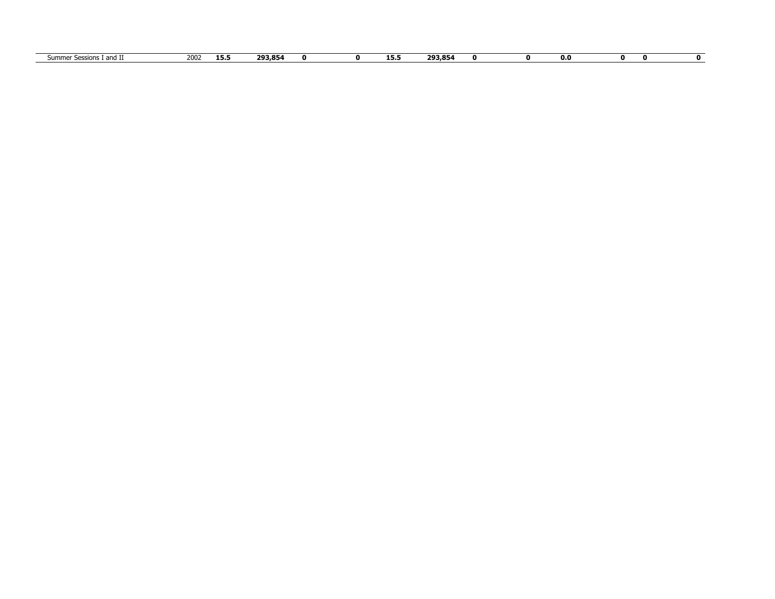| <b>SUMM</b><br>- 61 11 1 | 2002<br>---- | 13.3 | 20205 |  | ---<br>. | <b>202 OL.</b><br>-- |  | 0.0 |  |
|--------------------------|--------------|------|-------|--|----------|----------------------|--|-----|--|
|                          |              |      |       |  |          |                      |  |     |  |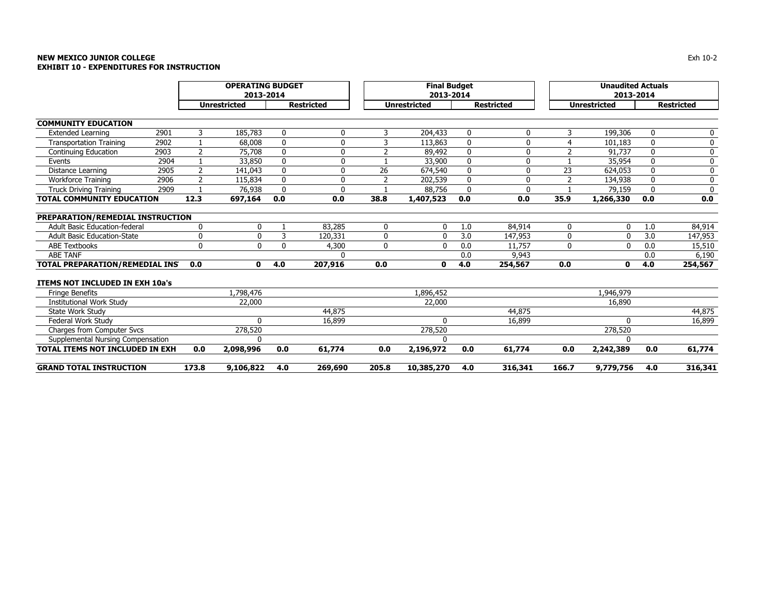# **NEW MEXICO JUNIOR COLLEGE** $\mathsf E$ **EXHIBIT 10 - EXPENDITURES FOR INSTRUCTION**

|                                        |                                  | <b>OPERATING BUDGET</b> |                     |              |                   |                | <b>Final Budget</b> |              |                   |                | <b>Unaudited Actuals</b> |              |                   |
|----------------------------------------|----------------------------------|-------------------------|---------------------|--------------|-------------------|----------------|---------------------|--------------|-------------------|----------------|--------------------------|--------------|-------------------|
|                                        |                                  |                         | 2013-2014           |              |                   |                | 2013-2014           |              |                   |                | 2013-2014                |              |                   |
|                                        |                                  |                         | <b>Unrestricted</b> |              | <b>Restricted</b> |                | <b>Unrestricted</b> |              | <b>Restricted</b> |                | <b>Unrestricted</b>      |              | <b>Restricted</b> |
|                                        |                                  |                         |                     |              |                   |                |                     |              |                   |                |                          |              |                   |
| <b>COMMUNITY EDUCATION</b>             |                                  |                         |                     |              |                   |                |                     |              |                   |                |                          |              |                   |
| <b>Extended Learning</b>               | 2901                             | 3                       | 185,783             | 0            | 0                 | 3              | 204,433             | 0            | 0                 | 3              | 199,306                  | 0            | 0                 |
| <b>Transportation Training</b>         | 2902                             |                         | 68,008              | $\mathbf{0}$ | $\Omega$          | 3              | 113,863             | $\mathbf{0}$ | U                 | 4              | 101,183                  | $\mathbf{0}$ | 0                 |
| Continuing Education                   | 2903                             | $\overline{2}$          | 75,708              | $\mathbf{0}$ | $\mathbf{0}$      | $\overline{2}$ | 89,492              | 0            | 0                 | $\overline{2}$ | 91,737                   | $\mathbf 0$  | 0                 |
| Events                                 | 2904                             |                         | 33,850              | $\mathbf{0}$ | $\Omega$          |                | 33,900              | $\mathbf{0}$ | 0                 | $\mathbf{1}$   | 35,954                   | $\Omega$     | $\pmb{0}$         |
| Distance Learning                      | 2905                             | $\overline{2}$          | 141.043             | $\Omega$     | $\Omega$          | 26             | 674,540             | $\mathbf{0}$ | 0                 | 23             | 624,053                  | $\mathbf{0}$ | 0                 |
| Workforce Training                     | 2906                             | $\overline{2}$          | 115,834             | $\Omega$     | $\mathbf 0$       | $\overline{2}$ | 202,539             | $\mathbf{0}$ | $\mathbf{0}$      | $\overline{2}$ | 134,938                  | $\mathbf{0}$ | 0                 |
| <b>Truck Driving Training</b>          | 2909                             |                         | 76,938              | $\Omega$     | $\Omega$          |                | 88,756              | $\Omega$     | $\Omega$          |                | 79,159                   |              | $\mathbf{0}$      |
| <b>TOTAL COMMUNITY EDUCATION</b>       |                                  | 12.3                    | 697,164             | 0.0          | 0.0               | 38.8           | 1,407,523           | 0.0          | 0.0               | 35.9           | 1,266,330                | 0.0          | 0.0               |
|                                        |                                  |                         |                     |              |                   |                |                     |              |                   |                |                          |              |                   |
|                                        | PREPARATION/REMEDIAL INSTRUCTION |                         |                     |              |                   |                |                     |              |                   |                |                          |              |                   |
| <b>Adult Basic Education-federal</b>   |                                  | $\mathbf{0}$            | 0                   |              | 83,285            | $\mathbf 0$    | $\mathbf{0}$        | 1.0          | 84,914            | 0              | $\mathbf{0}$             | 1.0          | 84,914            |
| <b>Adult Basic Education-State</b>     |                                  | 0                       | 0                   | 3            | 120,331           | 0              | $\Omega$            | 3.0          | 147,953           | 0              | $\Omega$                 | 3.0          | 147,953           |
| <b>ABE Textbooks</b>                   |                                  | 0                       | $\Omega$            | $\mathbf{0}$ | 4,300             | 0              | $\Omega$            | 0.0          | 11,757            | 0              | $\mathbf 0$              | 0.0          | 15,510            |
| <b>ABE TANF</b>                        |                                  |                         |                     |              | $\Omega$          |                |                     | 0.0          | 9,943             |                |                          | 0.0          | 6,190             |
| TOTAL PREPARATION/REMEDIAL INS         |                                  | 0.0                     | 0                   | 4.0          | 207,916           | 0.0            | 0                   | 4.0          | 254,567           | 0.0            | 0                        | 4.0          | 254,567           |
|                                        |                                  |                         |                     |              |                   |                |                     |              |                   |                |                          |              |                   |
| <b>ITEMS NOT INCLUDED IN EXH 10a's</b> |                                  |                         |                     |              |                   |                |                     |              |                   |                |                          |              |                   |
| <b>Fringe Benefits</b>                 |                                  |                         | 1,798,476           |              |                   |                | 1,896,452           |              |                   |                | 1,946,979                |              |                   |
| <b>Institutional Work Study</b>        |                                  |                         | 22,000              |              |                   |                | 22,000              |              |                   |                | 16,890                   |              |                   |
| State Work Study                       |                                  |                         |                     |              | 44,875            |                |                     |              | 44,875            |                |                          |              | 44,875            |
| Federal Work Study                     |                                  |                         | 0                   |              | 16,899            |                | $\Omega$            |              | 16,899            |                | n                        |              | 16,899            |
| <b>Charges from Computer Svcs</b>      |                                  |                         | 278,520             |              |                   |                | 278,520             |              |                   |                | 278,520                  |              |                   |
| Supplemental Nursing Compensation      |                                  |                         | $\Omega$            |              |                   |                | $\Omega$            |              |                   |                |                          |              |                   |
| <b>TOTAL ITEMS NOT INCLUDED IN EXH</b> |                                  | 0.0                     | 2,098,996           | 0.0          | 61,774            | 0.0            | 2,196,972           | 0.0          | 61,774            | 0.0            | 2,242,389                | 0.0          | 61,774            |
| <b>GRAND TOTAL INSTRUCTION</b>         |                                  | 173.8                   | 9,106,822           | 4.0          | 269,690           | 205.8          | 10,385,270          | 4.0          | 316,341           | 166.7          | 9,779,756                | 4.0          | 316,341           |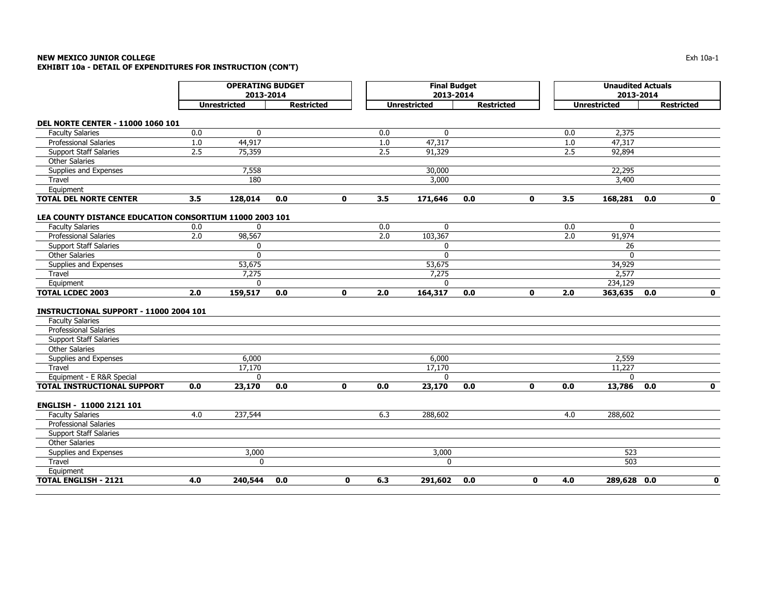# **NEW MEXICO JUNIOR COLLEGE** $\mathsf E$  the contract of the contract of the contract of the contract of the contract of the contract of the contract of the contract of the contract of the contract of the contract of the contract of the contract of the co **EXHIBIT 10a - DETAIL OF EXPENDITURES FOR INSTRUCTION (CON'T)**

|                                                         | <b>OPERATING BUDGET</b><br>2013-2014 |                     |                   |              |     | <b>Final Budget</b><br>2013-2014 |                   |              |     | <b>Unaudited Actuals</b><br>2013-2014 |                   |             |
|---------------------------------------------------------|--------------------------------------|---------------------|-------------------|--------------|-----|----------------------------------|-------------------|--------------|-----|---------------------------------------|-------------------|-------------|
|                                                         |                                      | <b>Unrestricted</b> | <b>Restricted</b> |              |     | <b>Unrestricted</b>              | <b>Restricted</b> |              |     | <b>Unrestricted</b>                   | <b>Restricted</b> |             |
| <b>DEL NORTE CENTER - 11000 1060 101</b>                |                                      |                     |                   |              |     |                                  |                   |              |     |                                       |                   |             |
| <b>Faculty Salaries</b>                                 | 0.0                                  | $\Omega$            |                   |              | 0.0 | $\mathbf{0}$                     |                   |              | 0.0 | 2,375                                 |                   |             |
| <b>Professional Salaries</b>                            | 1.0                                  | 44,917              |                   |              | 1.0 | 47,317                           |                   |              | 1.0 | 47,317                                |                   |             |
| <b>Support Staff Salaries</b>                           | 2.5                                  | 75,359              |                   |              | 2.5 | 91,329                           |                   |              | 2.5 | 92,894                                |                   |             |
| <b>Other Salaries</b>                                   |                                      |                     |                   |              |     |                                  |                   |              |     |                                       |                   |             |
| Supplies and Expenses                                   |                                      | 7,558               |                   |              |     | 30,000                           |                   |              |     | 22,295                                |                   |             |
| Travel                                                  |                                      | 180                 |                   |              |     | 3,000                            |                   |              |     | 3,400                                 |                   |             |
| Equipment                                               |                                      |                     |                   |              |     |                                  |                   |              |     |                                       |                   |             |
| <b>TOTAL DEL NORTE CENTER</b>                           | 3.5                                  | 128,014             | 0.0               | $\mathbf{0}$ | 3.5 | 171,646                          | 0.0               | $\mathbf{0}$ | 3.5 | 168,281                               | 0.0               | $\mathbf 0$ |
|                                                         |                                      |                     |                   |              |     |                                  |                   |              |     |                                       |                   |             |
| LEA COUNTY DISTANCE EDUCATION CONSORTIUM 11000 2003 101 |                                      |                     |                   |              |     |                                  |                   |              |     |                                       |                   |             |
| <b>Faculty Salaries</b>                                 | 0.0                                  | 0                   |                   |              | 0.0 | $\mathbf 0$                      |                   |              | 0.0 | $\mathbf 0$                           |                   |             |
| Professional Salaries                                   | 2.0                                  | 98,567              |                   |              | 2.0 | 103,367                          |                   |              | 2.0 | 91,974                                |                   |             |
| <b>Support Staff Salaries</b>                           |                                      | 0                   |                   |              |     | 0                                |                   |              |     | 26                                    |                   |             |
| <b>Other Salaries</b>                                   |                                      | $\mathbf 0$         |                   |              |     | $\mathbf 0$                      |                   |              |     | $\mathbf{0}$                          |                   |             |
| Supplies and Expenses                                   |                                      | 53,675              |                   |              |     | 53,675                           |                   |              |     | 34,929                                |                   |             |
| Travel                                                  |                                      | 7,275               |                   |              |     | 7,275                            |                   |              |     | 2,577                                 |                   |             |
| Equipment                                               |                                      | 0                   |                   |              |     | $\Omega$                         |                   |              |     | 234,129                               |                   |             |
| <b>TOTAL LCDEC 2003</b>                                 | 2.0                                  | 159,517             | 0.0               | $\mathbf{0}$ | 2.0 | 164,317                          | 0.0               | $\mathbf 0$  | 2.0 | 363,635                               | 0.0               | $\mathbf 0$ |
|                                                         |                                      |                     |                   |              |     |                                  |                   |              |     |                                       |                   |             |
| <b>INSTRUCTIONAL SUPPORT - 11000 2004 101</b>           |                                      |                     |                   |              |     |                                  |                   |              |     |                                       |                   |             |
| <b>Faculty Salaries</b>                                 |                                      |                     |                   |              |     |                                  |                   |              |     |                                       |                   |             |
| <b>Professional Salaries</b>                            |                                      |                     |                   |              |     |                                  |                   |              |     |                                       |                   |             |
| <b>Support Staff Salaries</b>                           |                                      |                     |                   |              |     |                                  |                   |              |     |                                       |                   |             |
| <b>Other Salaries</b>                                   |                                      |                     |                   |              |     |                                  |                   |              |     |                                       |                   |             |
| Supplies and Expenses                                   |                                      | 6,000               |                   |              |     | 6,000                            |                   |              |     | 2,559                                 |                   |             |
| Travel                                                  |                                      | 17,170              |                   |              |     | 17,170                           |                   |              |     | 11,227                                |                   |             |
| Equipment - E R&R Special                               |                                      | $\mathbf{0}$        |                   |              |     | $\mathbf{0}$                     |                   |              |     | $\Omega$                              |                   |             |
| <b>TOTAL INSTRUCTIONAL SUPPORT</b>                      | 0.0                                  | 23,170              | 0.0               | $\mathbf{0}$ | 0.0 | 23,170                           | 0.0               | $\mathbf{0}$ | 0.0 | 13,786                                | 0.0               | $\mathbf 0$ |
| ENGLISH - 11000 2121 101                                |                                      |                     |                   |              |     |                                  |                   |              |     |                                       |                   |             |
| <b>Faculty Salaries</b>                                 | 4.0                                  | 237,544             |                   |              | 6.3 | 288,602                          |                   |              | 4.0 | 288,602                               |                   |             |
| Professional Salaries                                   |                                      |                     |                   |              |     |                                  |                   |              |     |                                       |                   |             |
| <b>Support Staff Salaries</b>                           |                                      |                     |                   |              |     |                                  |                   |              |     |                                       |                   |             |
| <b>Other Salaries</b>                                   |                                      |                     |                   |              |     |                                  |                   |              |     |                                       |                   |             |
| Supplies and Expenses                                   |                                      | 3,000               |                   |              |     | 3,000                            |                   |              |     | 523                                   |                   |             |
| Travel                                                  |                                      | $\Omega$            |                   |              |     | $\mathbf{0}$                     |                   |              |     | 503                                   |                   |             |
| Equipment                                               |                                      |                     |                   |              |     |                                  |                   |              |     |                                       |                   |             |
| <b>TOTAL ENGLISH - 2121</b>                             | 4.0                                  | 240,544             | 0.0               | 0            | 6.3 | 291,602                          | 0.0               | $\mathbf 0$  | 4.0 | $289,628$ 0.0                         |                   | $\mathbf 0$ |
|                                                         |                                      |                     |                   |              |     |                                  |                   |              |     |                                       |                   |             |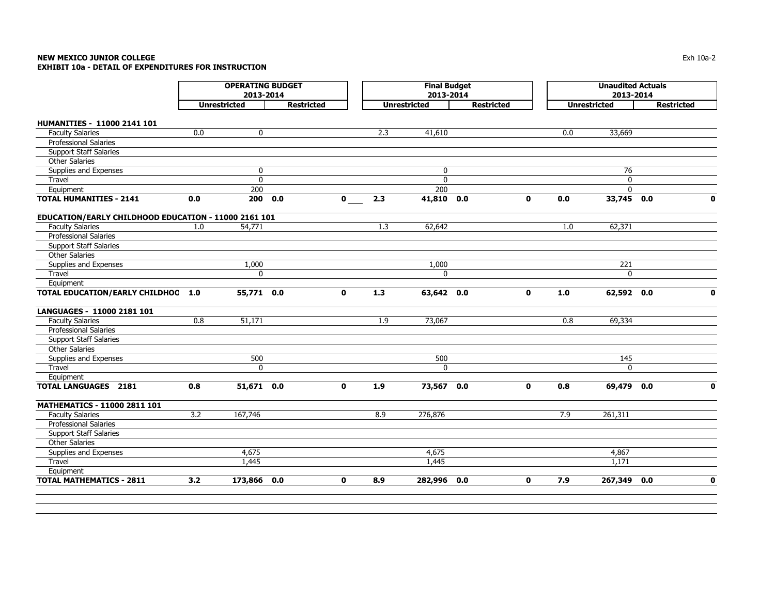# **NEW MEXICO JUNIOR COLLEGE** $\blacksquare$  Exh 10a-2 **EXHIBIT 10a - DETAIL OF EXPENDITURES FOR INSTRUCTION**

|                                                      | <b>OPERATING BUDGET</b><br>2013-2014 |                     |                   |              | <b>Final Budget</b><br>2013-2014 |                     |                   |              | <b>Unaudited Actuals</b><br>2013-2014 |                     |                   |              |
|------------------------------------------------------|--------------------------------------|---------------------|-------------------|--------------|----------------------------------|---------------------|-------------------|--------------|---------------------------------------|---------------------|-------------------|--------------|
|                                                      |                                      | <b>Unrestricted</b> | <b>Restricted</b> |              |                                  | <b>Unrestricted</b> | <b>Restricted</b> |              |                                       | <b>Unrestricted</b> | <b>Restricted</b> |              |
| <b>HUMANITIES - 11000 2141 101</b>                   |                                      |                     |                   |              |                                  |                     |                   |              |                                       |                     |                   |              |
| <b>Faculty Salaries</b>                              | 0.0                                  | $\mathbf 0$         |                   |              | 2.3                              | 41,610              |                   |              | 0.0                                   | 33,669              |                   |              |
| Professional Salaries                                |                                      |                     |                   |              |                                  |                     |                   |              |                                       |                     |                   |              |
| <b>Support Staff Salaries</b>                        |                                      |                     |                   |              |                                  |                     |                   |              |                                       |                     |                   |              |
| <b>Other Salaries</b>                                |                                      |                     |                   |              |                                  |                     |                   |              |                                       |                     |                   |              |
| Supplies and Expenses                                |                                      | $\mathbf 0$         |                   |              |                                  | $\mathbf{0}$        |                   |              |                                       | 76                  |                   |              |
| Travel                                               |                                      | $\mathbf 0$         |                   |              |                                  | $\mathbf{0}$        |                   |              |                                       | $\mathbf 0$         |                   |              |
| Equipment                                            |                                      | 200                 |                   |              |                                  | 200                 |                   |              |                                       | $\mathbf{0}$        |                   |              |
| <b>TOTAL HUMANITIES - 2141</b>                       | 0.0                                  | 200 0.0             |                   | $\mathbf 0$  | 2.3                              | 41,810 0.0          |                   | $\mathbf{0}$ | 0.0                                   | 33,745 0.0          |                   | $\mathbf{0}$ |
| EDUCATION/EARLY CHILDHOOD EDUCATION - 11000 2161 101 |                                      |                     |                   |              |                                  |                     |                   |              |                                       |                     |                   |              |
| <b>Faculty Salaries</b>                              | 1.0                                  | 54,771              |                   |              | 1.3                              | 62,642              |                   |              | 1.0                                   | 62,371              |                   |              |
| Professional Salaries                                |                                      |                     |                   |              |                                  |                     |                   |              |                                       |                     |                   |              |
| Support Staff Salaries                               |                                      |                     |                   |              |                                  |                     |                   |              |                                       |                     |                   |              |
| <b>Other Salaries</b>                                |                                      |                     |                   |              |                                  |                     |                   |              |                                       |                     |                   |              |
| Supplies and Expenses                                |                                      | 1,000               |                   |              |                                  | 1,000               |                   |              |                                       | 221                 |                   |              |
| Travel                                               |                                      | 0                   |                   |              |                                  | 0                   |                   |              |                                       | $\mathbf 0$         |                   |              |
| Equipment                                            |                                      |                     |                   |              |                                  |                     |                   |              |                                       |                     |                   |              |
| TOTAL EDUCATION/EARLY CHILDHOC 1.0                   |                                      | 55,771 0.0          |                   | $\mathbf{0}$ | 1.3                              | 63,642 0.0          |                   | $\mathbf{0}$ | 1.0                                   | 62,592 0.0          |                   | $\mathbf{0}$ |
| LANGUAGES - 11000 2181 101                           |                                      |                     |                   |              |                                  |                     |                   |              |                                       |                     |                   |              |
| <b>Faculty Salaries</b>                              | 0.8                                  | 51,171              |                   |              | 1.9                              | 73,067              |                   |              | 0.8                                   | 69,334              |                   |              |
| Professional Salaries                                |                                      |                     |                   |              |                                  |                     |                   |              |                                       |                     |                   |              |
| <b>Support Staff Salaries</b>                        |                                      |                     |                   |              |                                  |                     |                   |              |                                       |                     |                   |              |
| <b>Other Salaries</b>                                |                                      |                     |                   |              |                                  |                     |                   |              |                                       |                     |                   |              |
| Supplies and Expenses                                |                                      | 500                 |                   |              |                                  | 500                 |                   |              |                                       | 145                 |                   |              |
| Travel                                               |                                      | 0                   |                   |              |                                  | $\mathbf{0}$        |                   |              |                                       | $\mathbf{0}$        |                   |              |
| Equipment                                            |                                      |                     |                   |              |                                  |                     |                   |              |                                       |                     |                   |              |
| <b>TOTAL LANGUAGES 2181</b>                          | 0.8                                  | 51,671 0.0          |                   | $\mathbf{0}$ | 1.9                              | 73,567 0.0          |                   | $\mathbf{0}$ | 0.8                                   | 69,479 0.0          |                   | $\mathbf{0}$ |
| MATHEMATICS - 11000 2811 101                         |                                      |                     |                   |              |                                  |                     |                   |              |                                       |                     |                   |              |
| <b>Faculty Salaries</b>                              | 3.2                                  | 167,746             |                   |              | 8.9                              | 276,876             |                   |              | 7.9                                   | 261,311             |                   |              |
| Professional Salaries                                |                                      |                     |                   |              |                                  |                     |                   |              |                                       |                     |                   |              |
| <b>Support Staff Salaries</b>                        |                                      |                     |                   |              |                                  |                     |                   |              |                                       |                     |                   |              |
| <b>Other Salaries</b>                                |                                      |                     |                   |              |                                  |                     |                   |              |                                       |                     |                   |              |
| Supplies and Expenses                                |                                      | 4,675               |                   |              |                                  | 4,675               |                   |              |                                       | 4,867               |                   |              |
| Travel                                               |                                      | 1,445               |                   |              |                                  | 1,445               |                   |              |                                       | 1,171               |                   |              |
| Equipment                                            |                                      |                     |                   |              |                                  |                     |                   |              |                                       |                     |                   |              |
| <b>TOTAL MATHEMATICS - 2811</b>                      | 3.2                                  | 173,866             | 0.0               | $\mathbf{0}$ | 8.9                              | 282,996             | 0.0               | $\mathbf{0}$ | 7.9                                   | 267,349             | 0.0               | $\mathbf{0}$ |
|                                                      |                                      |                     |                   |              |                                  |                     |                   |              |                                       |                     |                   |              |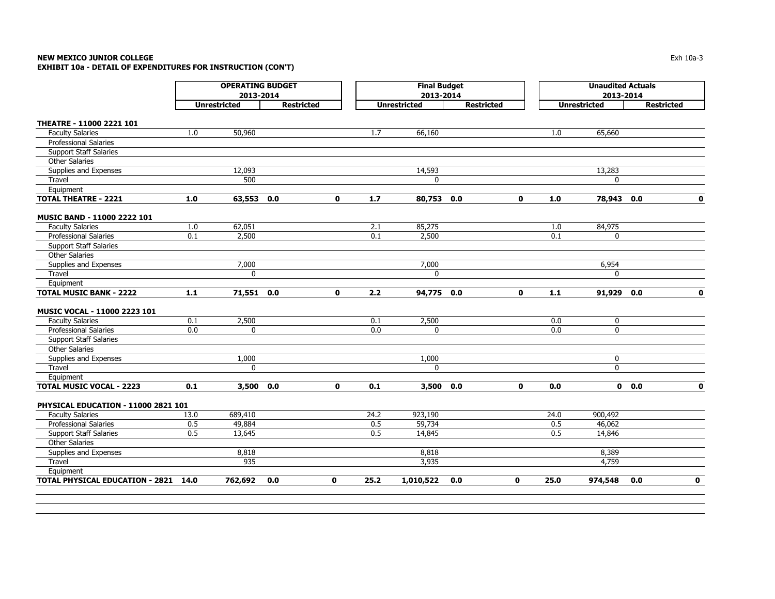# **NEW MEXICO JUNIOR COLLEGE** $\blacksquare$  Exh 10a-3 **EXHIBIT 10a - DETAIL OF EXPENDITURES FOR INSTRUCTION (CON'T)**

|                                             | <b>OPERATING BUDGET</b><br>2013-2014 |                     |                   |              | <b>Final Budget</b><br>2013-2014 |                     |                   |              | <b>Unaudited Actuals</b><br>2013-2014 |                     |                   |             |
|---------------------------------------------|--------------------------------------|---------------------|-------------------|--------------|----------------------------------|---------------------|-------------------|--------------|---------------------------------------|---------------------|-------------------|-------------|
|                                             |                                      | <b>Unrestricted</b> | <b>Restricted</b> |              |                                  | <b>Unrestricted</b> | <b>Restricted</b> |              |                                       | <b>Unrestricted</b> | <b>Restricted</b> |             |
| THEATRE - 11000 2221 101                    |                                      |                     |                   |              |                                  |                     |                   |              |                                       |                     |                   |             |
| <b>Faculty Salaries</b>                     | 1.0                                  | 50,960              |                   |              | 1.7                              | 66,160              |                   |              | 1.0                                   | 65,660              |                   |             |
| <b>Professional Salaries</b>                |                                      |                     |                   |              |                                  |                     |                   |              |                                       |                     |                   |             |
| <b>Support Staff Salaries</b>               |                                      |                     |                   |              |                                  |                     |                   |              |                                       |                     |                   |             |
| <b>Other Salaries</b>                       |                                      |                     |                   |              |                                  |                     |                   |              |                                       |                     |                   |             |
| Supplies and Expenses                       |                                      | 12,093              |                   |              |                                  | 14,593              |                   |              |                                       | 13,283              |                   |             |
| Travel                                      |                                      | 500                 |                   |              |                                  | $\Omega$            |                   |              |                                       | $\Omega$            |                   |             |
| Equipment                                   |                                      |                     |                   |              |                                  |                     |                   |              |                                       |                     |                   |             |
| <b>TOTAL THEATRE - 2221</b>                 | 1.0                                  | 63,553 0.0          |                   | $\mathbf{0}$ | 1.7                              | 80,753 0.0          |                   | 0            | $1.0\,$                               | 78,943 0.0          |                   | $\mathbf 0$ |
| MUSIC BAND - 11000 2222 101                 |                                      |                     |                   |              |                                  |                     |                   |              |                                       |                     |                   |             |
| <b>Faculty Salaries</b>                     | 1.0                                  | 62,051              |                   |              | 2.1                              | 85,275              |                   |              | 1.0                                   | 84,975              |                   |             |
| <b>Professional Salaries</b>                | 0.1                                  | 2,500               |                   |              | 0.1                              | 2,500               |                   |              | 0.1                                   | 0                   |                   |             |
| <b>Support Staff Salaries</b>               |                                      |                     |                   |              |                                  |                     |                   |              |                                       |                     |                   |             |
| <b>Other Salaries</b>                       |                                      |                     |                   |              |                                  |                     |                   |              |                                       |                     |                   |             |
| Supplies and Expenses                       |                                      | 7,000               |                   |              |                                  | 7,000               |                   |              |                                       | 6,954               |                   |             |
| Travel                                      |                                      | $\mathbf{0}$        |                   |              |                                  | $\mathbf{0}$        |                   |              |                                       | $\mathbf{0}$        |                   |             |
| Equipment                                   |                                      |                     |                   |              |                                  |                     |                   |              |                                       |                     |                   |             |
| <b>TOTAL MUSIC BANK - 2222</b>              | $1.1$                                | 71,551 0.0          |                   | $\mathbf 0$  | 2.2                              | 94,775 0.0          |                   | 0            | $1.1$                                 | $91,929$ 0.0        |                   | $\mathbf 0$ |
| MUSIC VOCAL - 11000 2223 101                |                                      |                     |                   |              |                                  |                     |                   |              |                                       |                     |                   |             |
| <b>Faculty Salaries</b>                     | 0.1                                  | 2,500               |                   |              | 0.1                              | 2,500               |                   |              | 0.0                                   | $\mathbf 0$         |                   |             |
| Professional Salaries                       | 0.0                                  | 0                   |                   |              | 0.0                              | 0                   |                   |              | 0.0                                   | 0                   |                   |             |
| <b>Support Staff Salaries</b>               |                                      |                     |                   |              |                                  |                     |                   |              |                                       |                     |                   |             |
| <b>Other Salaries</b>                       |                                      |                     |                   |              |                                  |                     |                   |              |                                       |                     |                   |             |
| Supplies and Expenses                       |                                      | 1,000               |                   |              |                                  | 1,000               |                   |              |                                       | 0                   |                   |             |
| Travel                                      |                                      | $\mathbf{0}$        |                   |              |                                  | $\mathbf{0}$        |                   |              |                                       | $\mathbf{0}$        |                   |             |
| Equipment                                   |                                      |                     |                   |              |                                  |                     |                   |              |                                       |                     |                   |             |
| <b>TOTAL MUSIC VOCAL - 2223</b>             | 0.1                                  | 3,500 0.0           |                   | $\mathbf 0$  | 0.1                              | 3,500 0.0           |                   | $\mathbf 0$  | 0.0                                   |                     | $0\quad 0.0$      | $\mathbf 0$ |
| PHYSICAL EDUCATION - 11000 2821 101         |                                      |                     |                   |              |                                  |                     |                   |              |                                       |                     |                   |             |
| <b>Faculty Salaries</b>                     | 13.0                                 | 689,410             |                   |              | 24.2                             | 923,190             |                   |              | 24.0                                  | 900,492             |                   |             |
| <b>Professional Salaries</b>                | 0.5                                  | 49,884              |                   |              | 0.5                              | 59,734              |                   |              | 0.5                                   | 46,062              |                   |             |
| <b>Support Staff Salaries</b>               | 0.5                                  | 13,645              |                   |              | 0.5                              | 14,845              |                   |              | 0.5                                   | 14,846              |                   |             |
| <b>Other Salaries</b>                       |                                      |                     |                   |              |                                  |                     |                   |              |                                       |                     |                   |             |
| Supplies and Expenses                       |                                      | 8,818               |                   |              |                                  | 8,818               |                   |              |                                       | 8,389               |                   |             |
| Travel                                      |                                      | 935                 |                   |              |                                  | 3,935               |                   |              |                                       | 4,759               |                   |             |
| Equipment                                   |                                      |                     |                   |              |                                  |                     |                   |              |                                       |                     |                   |             |
| <b>TOTAL PHYSICAL EDUCATION - 2821 14.0</b> |                                      | 762,692             | 0.0               | $\mathbf{0}$ | 25.2                             | 1,010,522           | 0.0               | $\mathbf{0}$ | 25.0                                  | 974,548             | 0.0               | $\mathbf 0$ |
|                                             |                                      |                     |                   |              |                                  |                     |                   |              |                                       |                     |                   |             |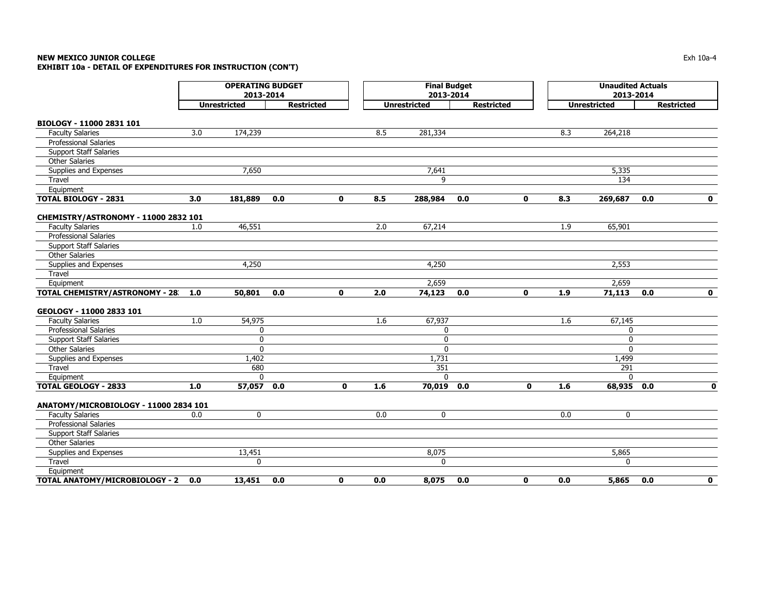### **NEW MEXICO JUNIOR COLLEGE** $\blacksquare$  Exh 10a-4  $\blacksquare$ **EXHIBIT 10a - DETAIL OF EXPENDITURES FOR INSTRUCTION (CON'T)**

**BIOLOGY - 11000 2831 101** Faculty Salaries 3.0 174,239 8.5 281,334 8.3 264,218 Professional Salaries Support Staff Salaries Other SalariesSupplies and Expenses and the state of the state of the 7,650  $\sigma$  7,641 5,335  $\sigma$  5,335 Travel 9 134 Equipment TOTAL BIOLOGY - 2831 3.0 181,889 0.0 0 8.5 288,984 0.0 0 8.3 269,687 0.0 0 **CHEMISTRY/ASTRONOMY - 11000 2832 101** Faculty Salaries 1.0 46,551 2.0 67,214 1.9 65,901 Professional Salaries Support Staff Salaries Other SalariesSupplies and Expenses and Expenses and Expenses and Expenses and Expenses and Expenses and Expenses and Expenses and Expenses and Expenses and Expenses and Expenses and Expenses and Expenses and Expenses and Expenses and E Travel Equipment 2,659 2,659 TOTAL CHEMISTRY/ASTRONOMY - 28: 1.0 50,801 0.0 0 2.0 74,123 0.0 0 1.9 71,113 0.0 0 **GEOLOGY - 11000 2833 101**Faculty Salaries 1.0 54,975 1.6 67,937 1.6 67,937 1.6 67,937 1.6 67,937 1.6 67,145 Professional Salaries 0 0 0 Support Staff Salaries 0 0 0 Other Salaries 0 0 0 Supplies and Expenses 1,402 1,402 1,402 1,731 1,499 Travel 680 351 291 Equipment 0 0 0 TOTAL GEOLOGY - 2833 1.0 57,057 0.0 0 1.6 70,019 0.0 0 1.6 68,935 0.0 0 **ANATOMY/MICROBIOLOGY - 11000 2834 101** Faculty Salaries 0.0 0 0.0 0 0.0 0 Professional Salaries Support Staff Salaries Other Salaries Supplies and Expenses and Expenses and Expenses and Expenses and Expenses and Expenses and Expenses and Expenses and Expenses and Expenses and Expenses and Expenses and Expenses and Expenses and Expenses and Expenses and E Travel 0 0 0 Equipment TOTAL ANATOMY/MICROBIOLOGY - 2 0.0 13,451 0.0 0.0 0.0 8,075 0.0 0.0 0.0 0.0 5,865 0.0 0 0 **Unrestricted Restricted Unrestricted Restricted Unrestricted Restricted OPERATING BUDGET Final Budget Unaudited Actuals 2013-2014 2013-2014 2013-2014**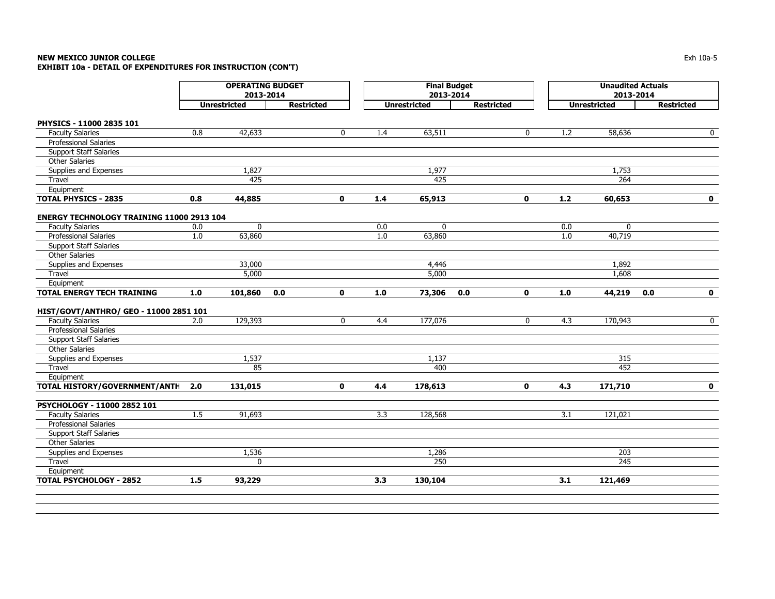# **NEW MEXICO JUNIOR COLLEGE** $\blacksquare$  Exh 10a-5 **EXHIBIT 10a - DETAIL OF EXPENDITURES FOR INSTRUCTION (CON'T)**

|                                                  | <b>OPERATING BUDGET</b><br>2013-2014 |                     |                    |       | <b>Final Budget</b><br>2013-2014 |                   |              |         | <b>Unaudited Actuals</b><br>2013-2014 |                    |
|--------------------------------------------------|--------------------------------------|---------------------|--------------------|-------|----------------------------------|-------------------|--------------|---------|---------------------------------------|--------------------|
|                                                  |                                      | <b>Unrestricted</b> | <b>Restricted</b>  |       | <b>Unrestricted</b>              | <b>Restricted</b> |              |         | <b>Unrestricted</b>                   | <b>Restricted</b>  |
| PHYSICS - 11000 2835 101                         |                                      |                     |                    |       |                                  |                   |              |         |                                       |                    |
| <b>Faculty Salaries</b>                          | 0.8                                  | 42,633              | $\mathbf{0}$       | 1.4   | 63,511                           |                   | $\mathbf{0}$ | 1.2     | 58,636                                | $\mathbf 0$        |
| <b>Professional Salaries</b>                     |                                      |                     |                    |       |                                  |                   |              |         |                                       |                    |
| <b>Support Staff Salaries</b>                    |                                      |                     |                    |       |                                  |                   |              |         |                                       |                    |
| <b>Other Salaries</b>                            |                                      |                     |                    |       |                                  |                   |              |         |                                       |                    |
| Supplies and Expenses                            |                                      | 1,827               |                    |       | 1,977                            |                   |              |         | 1,753                                 |                    |
| Travel                                           |                                      | 425                 |                    |       | 425                              |                   |              |         | 264                                   |                    |
| Equipment                                        |                                      |                     |                    |       |                                  |                   |              |         |                                       |                    |
| <b>TOTAL PHYSICS - 2835</b>                      | 0.8                                  | 44,885              | $\mathbf{0}$       | 1.4   | 65,913                           |                   | $\mathbf{0}$ | $1.2$   | 60,653                                | $\mathbf 0$        |
| <b>ENERGY TECHNOLOGY TRAINING 11000 2913 104</b> |                                      |                     |                    |       |                                  |                   |              |         |                                       |                    |
| <b>Faculty Salaries</b>                          | 0.0                                  | $\mathbf 0$         |                    | 0.0   | $\mathbf 0$                      |                   |              | 0.0     | $\mathbf 0$                           |                    |
| Professional Salaries                            | 1.0                                  | 63,860              |                    | 1.0   | 63,860                           |                   |              | $1.0\,$ | 40,719                                |                    |
| <b>Support Staff Salaries</b>                    |                                      |                     |                    |       |                                  |                   |              |         |                                       |                    |
| <b>Other Salaries</b>                            |                                      |                     |                    |       |                                  |                   |              |         |                                       |                    |
| Supplies and Expenses                            |                                      | 33,000              |                    |       | 4,446                            |                   |              |         | 1,892                                 |                    |
| Travel                                           |                                      | 5,000               |                    |       | 5,000                            |                   |              |         | 1,608                                 |                    |
| Equipment                                        |                                      |                     |                    |       |                                  |                   |              |         |                                       |                    |
| <b>TOTAL ENERGY TECH TRAINING</b>                | $1.0$                                | 101,860             | 0.0<br>$\mathbf 0$ | $1.0$ | 73,306                           | 0.0               | $\mathbf 0$  | 1.0     | 44,219                                | 0.0<br>$\mathbf 0$ |
| HIST/GOVT/ANTHRO/ GEO - 11000 2851 101           |                                      |                     |                    |       |                                  |                   |              |         |                                       |                    |
| <b>Faculty Salaries</b>                          | 2.0                                  | 129,393             | 0                  | 4.4   | 177,076                          |                   | $\mathbf{0}$ | 4.3     | 170,943                               | $\mathbf 0$        |
| <b>Professional Salaries</b>                     |                                      |                     |                    |       |                                  |                   |              |         |                                       |                    |
| <b>Support Staff Salaries</b>                    |                                      |                     |                    |       |                                  |                   |              |         |                                       |                    |
| <b>Other Salaries</b>                            |                                      |                     |                    |       |                                  |                   |              |         |                                       |                    |
| Supplies and Expenses                            |                                      | 1,537               |                    |       | 1,137                            |                   |              |         | 315                                   |                    |
| Travel                                           |                                      | 85                  |                    |       | 400                              |                   |              |         | 452                                   |                    |
| Equipment                                        |                                      |                     |                    |       |                                  |                   |              |         |                                       |                    |
| TOTAL HISTORY/GOVERNMENT/ANTH                    | 2.0                                  | 131,015             | $\mathbf 0$        | 4.4   | 178,613                          |                   | $\mathbf 0$  | 4.3     | 171,710                               | $\mathbf 0$        |
| PSYCHOLOGY - 11000 2852 101                      |                                      |                     |                    |       |                                  |                   |              |         |                                       |                    |
| <b>Faculty Salaries</b>                          | 1.5                                  | 91,693              |                    | 3.3   | 128,568                          |                   |              | 3.1     | 121,021                               |                    |
| Professional Salaries                            |                                      |                     |                    |       |                                  |                   |              |         |                                       |                    |
| <b>Support Staff Salaries</b>                    |                                      |                     |                    |       |                                  |                   |              |         |                                       |                    |
| <b>Other Salaries</b>                            |                                      |                     |                    |       |                                  |                   |              |         |                                       |                    |
| Supplies and Expenses                            |                                      | 1,536               |                    |       | 1,286                            |                   |              |         | 203                                   |                    |
| Travel                                           |                                      | $\mathbf{0}$        |                    |       | 250                              |                   |              |         | 245                                   |                    |
| Equipment                                        |                                      |                     |                    |       |                                  |                   |              |         |                                       |                    |
| <b>TOTAL PSYCHOLOGY - 2852</b>                   | 1.5                                  | 93,229              |                    | 3.3   | 130,104                          |                   |              | 3.1     | 121,469                               |                    |
|                                                  |                                      |                     |                    |       |                                  |                   |              |         |                                       |                    |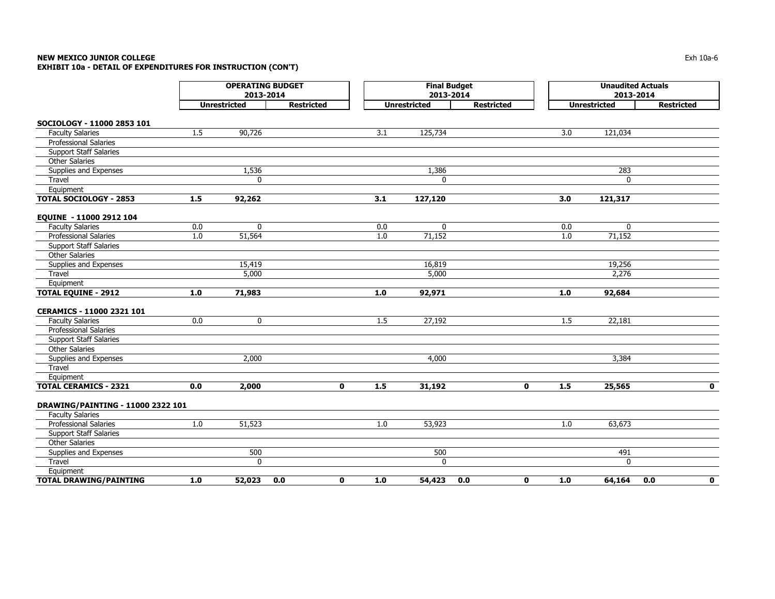# **NEW MEXICO JUNIOR COLLEGE** $\mathsf E$  the contract of the contract of the contract of the contract of the contract of the contract of the contract of the contract of the contract of the contract of the contract of the contract of the contract of the co **EXHIBIT 10a - DETAIL OF EXPENDITURES FOR INSTRUCTION (CON'T)**

|                                   |     | <b>OPERATING BUDGET</b><br>2013-2014 |                     |         | <b>Final Budget</b><br>2013-2014 |                    | <b>Unaudited Actuals</b><br>2013-2014 |                     |                    |
|-----------------------------------|-----|--------------------------------------|---------------------|---------|----------------------------------|--------------------|---------------------------------------|---------------------|--------------------|
|                                   |     | <b>Unrestricted</b>                  | <b>Restricted</b>   |         | <b>Unrestricted</b>              | <b>Restricted</b>  |                                       | <b>Unrestricted</b> | <b>Restricted</b>  |
| SOCIOLOGY - 11000 2853 101        |     |                                      |                     |         |                                  |                    |                                       |                     |                    |
| <b>Faculty Salaries</b>           | 1.5 | 90,726                               |                     | 3.1     | 125,734                          |                    | 3.0                                   | 121,034             |                    |
| <b>Professional Salaries</b>      |     |                                      |                     |         |                                  |                    |                                       |                     |                    |
| <b>Support Staff Salaries</b>     |     |                                      |                     |         |                                  |                    |                                       |                     |                    |
| <b>Other Salaries</b>             |     |                                      |                     |         |                                  |                    |                                       |                     |                    |
| Supplies and Expenses             |     | 1,536                                |                     |         | 1,386                            |                    |                                       | 283                 |                    |
| Travel                            |     | 0                                    |                     |         | 0                                |                    |                                       | 0                   |                    |
| Equipment                         |     |                                      |                     |         |                                  |                    |                                       |                     |                    |
| <b>TOTAL SOCIOLOGY - 2853</b>     | 1.5 | 92,262                               |                     | 3.1     | 127,120                          |                    | 3.0                                   | 121,317             |                    |
| EQUINE - 11000 2912 104           |     |                                      |                     |         |                                  |                    |                                       |                     |                    |
| <b>Faculty Salaries</b>           | 0.0 | 0                                    |                     | 0.0     | $\mathbf 0$                      |                    | 0.0                                   | $\mathbf 0$         |                    |
| Professional Salaries             | 1.0 | 51,564                               |                     | $1.0\,$ | 71,152                           |                    | 1.0                                   | 71,152              |                    |
| <b>Support Staff Salaries</b>     |     |                                      |                     |         |                                  |                    |                                       |                     |                    |
| <b>Other Salaries</b>             |     |                                      |                     |         |                                  |                    |                                       |                     |                    |
| Supplies and Expenses             |     | 15,419                               |                     |         | 16,819                           |                    |                                       | 19,256              |                    |
| Travel                            |     | 5,000                                |                     |         | 5,000                            |                    |                                       | 2,276               |                    |
| Equipment                         |     |                                      |                     |         |                                  |                    |                                       |                     |                    |
| <b>TOTAL EQUINE - 2912</b>        | 1.0 | 71,983                               |                     | $1.0\,$ | 92,971                           |                    | $1.0$                                 | 92,684              |                    |
| CERAMICS - 11000 2321 101         |     |                                      |                     |         |                                  |                    |                                       |                     |                    |
| <b>Faculty Salaries</b>           | 0.0 | 0                                    |                     | 1.5     | 27,192                           |                    | 1.5                                   | 22,181              |                    |
| <b>Professional Salaries</b>      |     |                                      |                     |         |                                  |                    |                                       |                     |                    |
| <b>Support Staff Salaries</b>     |     |                                      |                     |         |                                  |                    |                                       |                     |                    |
| <b>Other Salaries</b>             |     |                                      |                     |         |                                  |                    |                                       |                     |                    |
| Supplies and Expenses             |     | 2,000                                |                     |         | 4,000                            |                    |                                       | 3,384               |                    |
| Travel                            |     |                                      |                     |         |                                  |                    |                                       |                     |                    |
| Equipment                         |     |                                      |                     |         |                                  |                    |                                       |                     |                    |
| <b>TOTAL CERAMICS - 2321</b>      | 0.0 | 2,000                                | $\mathbf{0}$        | 1.5     | 31,192                           | $\mathbf 0$        | 1.5                                   | 25,565              | $\mathbf{0}$       |
| DRAWING/PAINTING - 11000 2322 101 |     |                                      |                     |         |                                  |                    |                                       |                     |                    |
| <b>Faculty Salaries</b>           |     |                                      |                     |         |                                  |                    |                                       |                     |                    |
| Professional Salaries             | 1.0 | 51,523                               |                     | 1.0     | 53,923                           |                    | 1.0                                   | 63,673              |                    |
| <b>Support Staff Salaries</b>     |     |                                      |                     |         |                                  |                    |                                       |                     |                    |
| <b>Other Salaries</b>             |     |                                      |                     |         |                                  |                    |                                       |                     |                    |
| Supplies and Expenses             |     | 500                                  |                     |         | 500                              |                    |                                       | 491                 |                    |
| Travel                            |     | $\mathbf 0$                          |                     |         | 0                                |                    |                                       | 0                   |                    |
| Equipment                         |     |                                      |                     |         |                                  |                    |                                       |                     |                    |
| <b>TOTAL DRAWING/PAINTING</b>     | 1.0 | 52,023                               | $\mathbf{0}$<br>0.0 | 1.0     | 54,423                           | $\mathbf 0$<br>0.0 | 1.0                                   | 64,164              | 0.0<br>$\mathbf 0$ |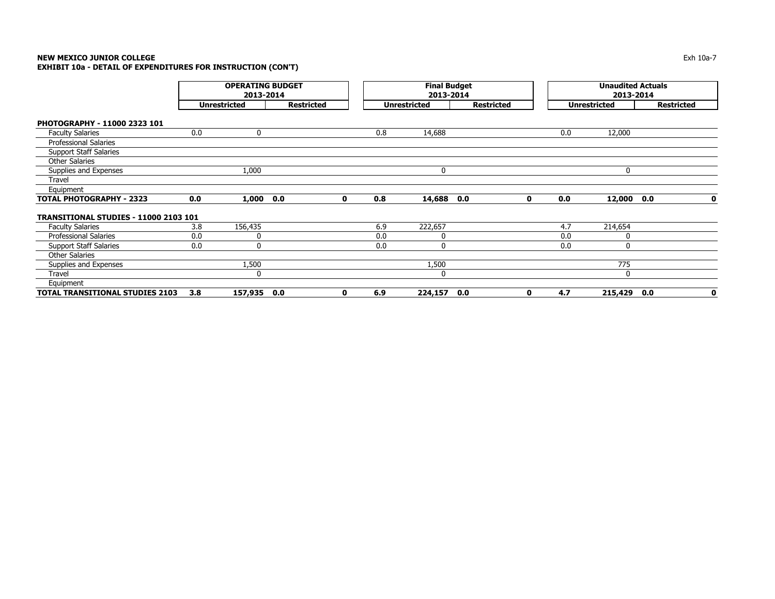# **NEW MEXICO JUNIOR COLLEGE**

**EXHIBIT 10a - DETAIL OF EXPENDITURES FOR INSTRUCTION (CON'T)**

|                                              | <b>OPERATING BUDGET</b><br>2013-2014 |                     |                   |              |     | <b>Final Budget</b><br>2013-2014 |                   |             |     | <b>Unaudited Actuals</b><br>2013-2014 |                   |             |
|----------------------------------------------|--------------------------------------|---------------------|-------------------|--------------|-----|----------------------------------|-------------------|-------------|-----|---------------------------------------|-------------------|-------------|
|                                              |                                      | <b>Unrestricted</b> | <b>Restricted</b> |              |     | <b>Unrestricted</b>              | <b>Restricted</b> |             |     | <b>Unrestricted</b>                   | <b>Restricted</b> |             |
| PHOTOGRAPHY - 11000 2323 101                 |                                      |                     |                   |              |     |                                  |                   |             |     |                                       |                   |             |
| <b>Faculty Salaries</b>                      | 0.0                                  | $\mathbf{0}$        |                   |              | 0.8 | 14,688                           |                   |             | 0.0 | 12,000                                |                   |             |
| <b>Professional Salaries</b>                 |                                      |                     |                   |              |     |                                  |                   |             |     |                                       |                   |             |
| <b>Support Staff Salaries</b>                |                                      |                     |                   |              |     |                                  |                   |             |     |                                       |                   |             |
| <b>Other Salaries</b>                        |                                      |                     |                   |              |     |                                  |                   |             |     |                                       |                   |             |
| Supplies and Expenses                        |                                      | 1,000               |                   |              |     | $\mathbf{0}$                     |                   |             |     | $\mathbf{0}$                          |                   |             |
| Travel                                       |                                      |                     |                   |              |     |                                  |                   |             |     |                                       |                   |             |
| Equipment                                    |                                      |                     |                   |              |     |                                  |                   |             |     |                                       |                   |             |
| <b>TOTAL PHOTOGRAPHY - 2323</b>              | 0.0                                  | 1,000               | 0.0               | $\mathbf{0}$ | 0.8 | 14,688                           | 0.0               | $\mathbf 0$ | 0.0 | 12,000                                | 0.0               | $\mathbf 0$ |
| <b>TRANSITIONAL STUDIES - 11000 2103 101</b> |                                      |                     |                   |              |     |                                  |                   |             |     |                                       |                   |             |
| <b>Faculty Salaries</b>                      | 3.8                                  | 156,435             |                   |              | 6.9 | 222,657                          |                   |             | 4.7 | 214,654                               |                   |             |
| <b>Professional Salaries</b>                 | 0.0                                  | 0                   |                   |              | 0.0 | $\Omega$                         |                   |             | 0.0 | 0                                     |                   |             |
| <b>Support Staff Salaries</b>                | 0.0                                  | 0                   |                   |              | 0.0 | $\mathbf{0}$                     |                   |             | 0.0 | $\mathbf{0}$                          |                   |             |
| <b>Other Salaries</b>                        |                                      |                     |                   |              |     |                                  |                   |             |     |                                       |                   |             |
| Supplies and Expenses                        |                                      | 1,500               |                   |              |     | 1,500                            |                   |             |     | 775                                   |                   |             |
| <b>Travel</b>                                |                                      | 0                   |                   |              |     | $\Omega$                         |                   |             |     | $\mathbf{0}$                          |                   |             |
| Equipment                                    |                                      |                     |                   |              |     |                                  |                   |             |     |                                       |                   |             |
| <b>TOTAL TRANSITIONAL STUDIES 2103</b>       | 3.8                                  | 157,935 0.0         |                   | 0            | 6.9 | 224,157                          | 0.0               | 0           | 4.7 | 215,429                               | 0.0               | 0           |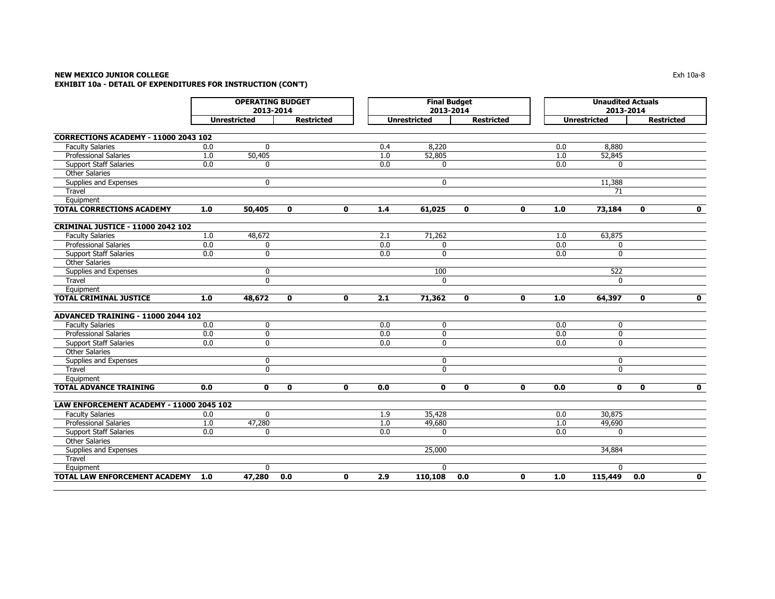# **NEW MEXICO JUNIOR COLLEGE** $\blacksquare$  Exh 10a-8 **EXHIBIT 10a - DETAIL OF EXPENDITURES FOR INSTRUCTION (CON'T)**

|                                          | <b>OPERATING BUDGET</b><br>2013-2014 |                     |              |                   |                  | <b>Final Budget</b><br>2013-2014 |              |                   |                  | <b>Unaudited Actuals</b><br>2013-2014 |                   |             |
|------------------------------------------|--------------------------------------|---------------------|--------------|-------------------|------------------|----------------------------------|--------------|-------------------|------------------|---------------------------------------|-------------------|-------------|
|                                          |                                      | <b>Unrestricted</b> |              | <b>Restricted</b> |                  | <b>Unrestricted</b>              |              | <b>Restricted</b> |                  | <b>Unrestricted</b>                   | <b>Restricted</b> |             |
| CORRECTIONS ACADEMY - 11000 2043 102     |                                      |                     |              |                   |                  |                                  |              |                   |                  |                                       |                   |             |
| <b>Faculty Salaries</b>                  | 0.0                                  | $\mathbf{0}$        |              |                   | 0.4              | 8,220                            |              |                   | 0.0              | 8,880                                 |                   |             |
| <b>Professional Salaries</b>             | 1.0                                  | 50,405              |              |                   | 1.0              | 52,805                           |              |                   | 1.0              | 52,845                                |                   |             |
| <b>Support Staff Salaries</b>            | 0.0                                  | 0                   |              |                   | 0.0              | $\mathbf{0}$                     |              |                   | 0.0              | $\Omega$                              |                   |             |
| <b>Other Salaries</b>                    |                                      |                     |              |                   |                  |                                  |              |                   |                  |                                       |                   |             |
| Supplies and Expenses                    |                                      | $\mathbf 0$         |              |                   |                  | $\mathbf{0}$                     |              |                   |                  | 11,388                                |                   |             |
| Travel                                   |                                      |                     |              |                   |                  |                                  |              |                   |                  | 71                                    |                   |             |
| Equipment                                |                                      |                     |              |                   |                  |                                  |              |                   |                  |                                       |                   |             |
| <b>TOTAL CORRECTIONS ACADEMY</b>         | 1.0                                  | 50,405              | $\mathbf{0}$ | $\mathbf{0}$      | 1.4              | 61,025                           | $\mathbf{0}$ | $\bf{0}$          | 1.0              | 73,184                                | $\mathbf{0}$      | $\mathbf 0$ |
| <b>CRIMINAL JUSTICE - 11000 2042 102</b> |                                      |                     |              |                   |                  |                                  |              |                   |                  |                                       |                   |             |
| <b>Faculty Salaries</b>                  | 1.0                                  | 48,672              |              |                   | 2.1              | 71,262                           |              |                   | 1.0              | 63,875                                |                   |             |
| <b>Professional Salaries</b>             | 0.0                                  | $\mathbf 0$         |              |                   | $\overline{0.0}$ | $\mathbf{0}$                     |              |                   | $\overline{0.0}$ | $\mathbf{0}$                          |                   |             |
| <b>Support Staff Salaries</b>            | 0.0                                  | $\mathbf 0$         |              |                   | 0.0              | $\mathbf{0}$                     |              |                   | 0.0              | $\mathbf{0}$                          |                   |             |
| <b>Other Salaries</b>                    |                                      |                     |              |                   |                  |                                  |              |                   |                  |                                       |                   |             |
| Supplies and Expenses                    |                                      | 0                   |              |                   |                  | 100                              |              |                   |                  | 522                                   |                   |             |
| Travel                                   |                                      | $\mathbf{0}$        |              |                   |                  | $\mathbf{0}$                     |              |                   |                  | $\Omega$                              |                   |             |
| Equipment                                |                                      |                     |              |                   |                  |                                  |              |                   |                  |                                       |                   |             |
| <b>TOTAL CRIMINAL JUSTICE</b>            | 1.0                                  | 48,672              | $\mathbf{0}$ | $\mathbf{0}$      | 2.1              | 71,362                           | 0            | $\mathbf 0$       | 1.0              | 64,397                                | 0                 | $\mathbf 0$ |
|                                          |                                      |                     |              |                   |                  |                                  |              |                   |                  |                                       |                   |             |
| ADVANCED TRAINING - 11000 2044 102       |                                      |                     |              |                   |                  |                                  |              |                   |                  |                                       |                   |             |
| <b>Faculty Salaries</b>                  | 0.0                                  | $\mathbf 0$         |              |                   | 0.0              | $\mathbf 0$                      |              |                   | 0.0              | $\mathbf 0$                           |                   |             |
| <b>Professional Salaries</b>             | 0.0                                  | 0                   |              |                   | $\overline{0.0}$ | $\mathbf 0$                      |              |                   | $\overline{0.0}$ | $\mathbf{0}$                          |                   |             |
| <b>Support Staff Salaries</b>            | 0.0                                  | $\mathbf 0$         |              |                   | 0.0              | $\mathbf 0$                      |              |                   | 0.0              | $\mathbf{0}$                          |                   |             |
| <b>Other Salaries</b>                    |                                      |                     |              |                   |                  |                                  |              |                   |                  |                                       |                   |             |
| Supplies and Expenses                    |                                      | 0                   |              |                   |                  | 0                                |              |                   |                  | $\mathbf 0$                           |                   |             |
| Travel                                   |                                      | $\mathbf 0$         |              |                   |                  | $\mathbf 0$                      |              |                   |                  | $\mathbf{0}$                          |                   |             |
| Equipment                                |                                      |                     |              |                   |                  |                                  |              |                   |                  |                                       |                   |             |
| <b>TOTAL ADVANCE TRAINING</b>            | 0.0                                  | $\mathbf 0$         | 0            | 0                 | 0.0              | $\mathbf 0$                      | 0            | $\mathbf 0$       | 0.0              | $\mathbf 0$                           | $\mathbf 0$       | $\mathbf 0$ |
| LAW ENFORCEMENT ACADEMY - 11000 2045 102 |                                      |                     |              |                   |                  |                                  |              |                   |                  |                                       |                   |             |
| <b>Faculty Salaries</b>                  | 0.0                                  | $\mathbf{0}$        |              |                   | 1.9              | 35,428                           |              |                   | 0.0              | 30,875                                |                   |             |
| <b>Professional Salaries</b>             | 1.0                                  | 47,280              |              |                   | 1.0              | 49,680                           |              |                   | 1.0              | 49,690                                |                   |             |
| <b>Support Staff Salaries</b>            | $\overline{0.0}$                     | $\mathbf{0}$        |              |                   | $\overline{0.0}$ | $\Omega$                         |              |                   | $\overline{0.0}$ | $\Omega$                              |                   |             |
| <b>Other Salaries</b>                    |                                      |                     |              |                   |                  |                                  |              |                   |                  |                                       |                   |             |
| Supplies and Expenses                    |                                      |                     |              |                   |                  | 25,000                           |              |                   |                  | 34,884                                |                   |             |
| Travel                                   |                                      |                     |              |                   |                  |                                  |              |                   |                  |                                       |                   |             |
| Equipment                                |                                      | $\mathbf{0}$        |              |                   |                  | $\mathbf{0}$                     |              |                   |                  | $\Omega$                              |                   |             |
| <b>TOTAL LAW ENFORCEMENT ACADEMY</b>     | 1.0                                  | 47,280              | 0.0          | 0                 | 2.9              | 110, 108                         | 0.0          | $\mathbf 0$       | 1.0              | 115,449                               | 0.0               | $\mathbf 0$ |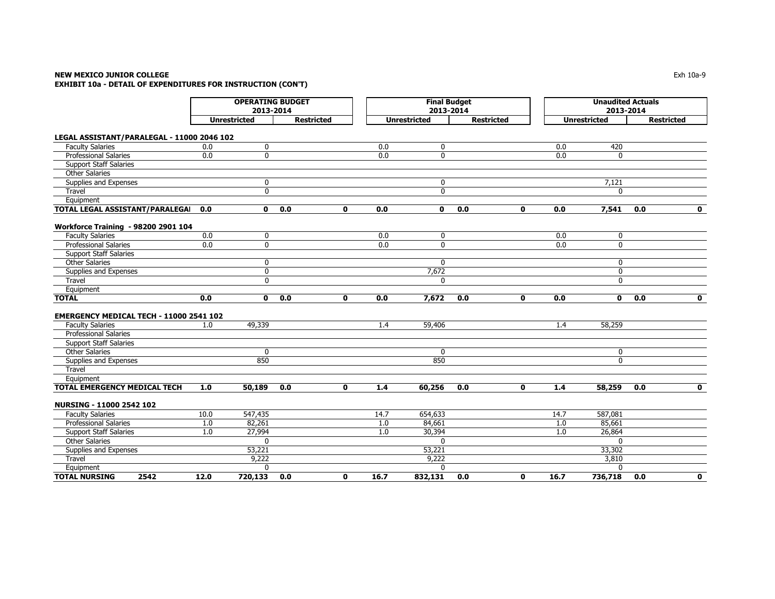# **NEW MEXICO JUNIOR COLLEGE** Exh 10a-9 **EXHIBIT 10a - DETAIL OF EXPENDITURES FOR INSTRUCTION (CON'T)**

|                                            | <b>OPERATING BUDGET</b><br>2013-2014 |                     |                   |              | <b>Final Budget</b><br>2013-2014 |                     |                   |              | <b>Unaudited Actuals</b><br>2013-2014 |                     |                   |              |
|--------------------------------------------|--------------------------------------|---------------------|-------------------|--------------|----------------------------------|---------------------|-------------------|--------------|---------------------------------------|---------------------|-------------------|--------------|
|                                            |                                      | <b>Unrestricted</b> | <b>Restricted</b> |              |                                  | <b>Unrestricted</b> | <b>Restricted</b> |              |                                       | <b>Unrestricted</b> | <b>Restricted</b> |              |
| LEGAL ASSISTANT/PARALEGAL - 11000 2046 102 |                                      |                     |                   |              |                                  |                     |                   |              |                                       |                     |                   |              |
| <b>Faculty Salaries</b>                    | 0.0                                  | 0                   |                   |              | 0.0                              | $\mathbf 0$         |                   |              | 0.0                                   | 420                 |                   |              |
| <b>Professional Salaries</b>               | 0.0                                  | $\mathbf 0$         |                   |              | $\overline{0.0}$                 | $\mathbf 0$         |                   |              | 0.0                                   | $\mathbf{0}$        |                   |              |
| <b>Support Staff Salaries</b>              |                                      |                     |                   |              |                                  |                     |                   |              |                                       |                     |                   |              |
| <b>Other Salaries</b>                      |                                      |                     |                   |              |                                  |                     |                   |              |                                       |                     |                   |              |
| Supplies and Expenses                      |                                      | $\mathbf 0$         |                   |              |                                  | 0                   |                   |              |                                       | 7,121               |                   |              |
| Travel                                     |                                      | $\mathbf 0$         |                   |              |                                  | $\mathbf 0$         |                   |              |                                       | $\Omega$            |                   |              |
| Equipment                                  |                                      |                     |                   |              |                                  |                     |                   |              |                                       |                     |                   |              |
| TOTAL LEGAL ASSISTANT/PARALEGAI            | 0.0                                  | 0                   | 0.0               | 0            | 0.0                              | 0                   | 0.0               | 0            | 0.0                                   | 7,541               | 0.0               | $\mathbf 0$  |
| <b>Workforce Training - 98200 2901 104</b> |                                      |                     |                   |              |                                  |                     |                   |              |                                       |                     |                   |              |
| <b>Faculty Salaries</b>                    | 0.0                                  | 0                   |                   |              | 0.0                              | 0                   |                   |              | 0.0                                   | 0                   |                   |              |
| <b>Professional Salaries</b>               | 0.0                                  | $\mathbf 0$         |                   |              | 0.0                              | 0                   |                   |              | 0.0                                   | $\mathbf{0}$        |                   |              |
| <b>Support Staff Salaries</b>              |                                      |                     |                   |              |                                  |                     |                   |              |                                       |                     |                   |              |
| <b>Other Salaries</b>                      |                                      | $\mathbf 0$         |                   |              |                                  | $\mathbf{0}$        |                   |              |                                       | $\mathbf{0}$        |                   |              |
| Supplies and Expenses                      |                                      | $\mathbf 0$         |                   |              |                                  | 7,672               |                   |              |                                       | $\mathbf{0}$        |                   |              |
| Travel                                     |                                      | $\mathbf 0$         |                   |              |                                  | $\mathbf 0$         |                   |              |                                       | $\mathbf 0$         |                   |              |
| Equipment                                  |                                      |                     |                   |              |                                  |                     |                   |              |                                       |                     |                   |              |
| <b>TOTAL</b>                               | 0.0                                  | 0                   | $\overline{0.0}$  | 0            | 0.0                              | 7,672               | 0.0               | $\mathbf 0$  | 0.0                                   | $\mathbf 0$         | 0.0               | $\mathbf 0$  |
|                                            |                                      |                     |                   |              |                                  |                     |                   |              |                                       |                     |                   |              |
| EMERGENCY MEDICAL TECH - 11000 2541 102    |                                      |                     |                   |              |                                  |                     |                   |              |                                       |                     |                   |              |
| <b>Faculty Salaries</b>                    | 1.0                                  | 49,339              |                   |              | 1.4                              | 59,406              |                   |              | 1.4                                   | 58,259              |                   |              |
| Professional Salaries                      |                                      |                     |                   |              |                                  |                     |                   |              |                                       |                     |                   |              |
| <b>Support Staff Salaries</b>              |                                      |                     |                   |              |                                  |                     |                   |              |                                       |                     |                   |              |
| <b>Other Salaries</b>                      |                                      | $\mathbf{0}$        |                   |              |                                  | $\mathbf{0}$        |                   |              |                                       | 0                   |                   |              |
| Supplies and Expenses                      |                                      | 850                 |                   |              |                                  | 850                 |                   |              |                                       | $\mathbf{0}$        |                   |              |
| Travel                                     |                                      |                     |                   |              |                                  |                     |                   |              |                                       |                     |                   |              |
| Equipment                                  |                                      |                     |                   |              |                                  |                     |                   |              |                                       |                     |                   |              |
| <b>TOTAL EMERGENCY MEDICAL TECH</b>        | 1.0                                  | 50,189              | 0.0               | $\mathbf{0}$ | 1.4                              | 60,256              | 0.0               | $\mathbf{0}$ | 1.4                                   | 58,259              | 0.0               | $\mathbf{0}$ |
| NURSING - 11000 2542 102                   |                                      |                     |                   |              |                                  |                     |                   |              |                                       |                     |                   |              |
| <b>Faculty Salaries</b>                    | 10.0                                 | 547,435             |                   |              | 14.7                             | 654,633             |                   |              | 14.7                                  | 587,081             |                   |              |
| <b>Professional Salaries</b>               | 1.0                                  | 82,261              |                   |              | 1.0                              | 84,661              |                   |              | 1.0                                   | 85,661              |                   |              |
| <b>Support Staff Salaries</b>              | 1.0                                  | 27,994              |                   |              | 1.0                              | 30,394              |                   |              | 1.0                                   | 26,864              |                   |              |
| <b>Other Salaries</b>                      |                                      | $\Omega$            |                   |              |                                  | $\Omega$            |                   |              |                                       | $\Omega$            |                   |              |
| Supplies and Expenses                      |                                      | 53,221              |                   |              |                                  | 53,221              |                   |              |                                       | 33,302              |                   |              |
| Travel                                     |                                      | 9,222               |                   |              |                                  | 9,222               |                   |              |                                       | 3,810               |                   |              |
| Equipment                                  |                                      | $\mathbf{0}$        |                   |              |                                  | $\mathbf{0}$        |                   |              |                                       | $\Omega$            |                   |              |
| <b>TOTAL NURSING</b><br>2542               | 12.0                                 | 720,133             | 0.0               | $\mathbf{0}$ | 16.7                             | 832,131             | 0.0               | $\mathbf{0}$ | 16.7                                  | 736,718             | 0.0               | $\mathbf{0}$ |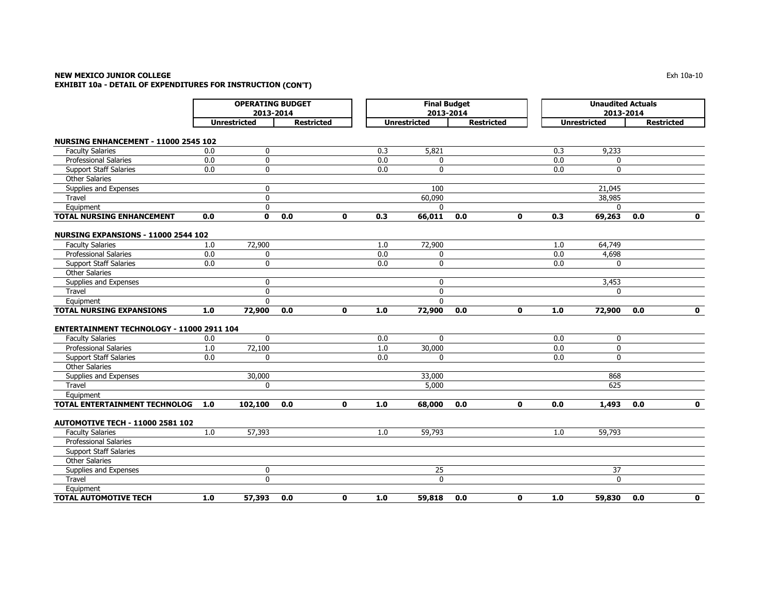# **NEW MEXICO JUNIOR COLLEGE**

**EXHIBIT 10a - DETAIL OF EXPENDITURES FOR INSTRUCTION (CON'T)**

|                                             | <b>OPERATING BUDGET</b><br>2013-2014     |              |     |              |                     | <b>Final Budget</b><br>2013-2014 |     |             | <b>Unaudited Actuals</b><br>2013-2014 |                   |     |             |  |
|---------------------------------------------|------------------------------------------|--------------|-----|--------------|---------------------|----------------------------------|-----|-------------|---------------------------------------|-------------------|-----|-------------|--|
|                                             | <b>Unrestricted</b><br><b>Restricted</b> |              |     |              | <b>Unrestricted</b> | <b>Restricted</b>                |     |             | <b>Unrestricted</b>                   | <b>Restricted</b> |     |             |  |
| <b>NURSING ENHANCEMENT - 11000 2545 102</b> |                                          |              |     |              |                     |                                  |     |             |                                       |                   |     |             |  |
| <b>Faculty Salaries</b>                     | 0.0                                      | 0            |     |              | 0.3                 | 5,821                            |     |             | 0.3                                   | 9,233             |     |             |  |
| <b>Professional Salaries</b>                | 0.0                                      | $\mathbf 0$  |     |              | 0.0                 | $\mathbf{0}$                     |     |             | 0.0                                   | $\mathbf{0}$      |     |             |  |
| <b>Support Staff Salaries</b>               | 0.0                                      | $\mathbf 0$  |     |              | 0.0                 | $\mathbf 0$                      |     |             | 0.0                                   | 0                 |     |             |  |
| <b>Other Salaries</b>                       |                                          |              |     |              |                     |                                  |     |             |                                       |                   |     |             |  |
| Supplies and Expenses                       |                                          | $\mathbf 0$  |     |              |                     | 100                              |     |             |                                       | 21,045            |     |             |  |
| Travel                                      |                                          | $\mathbf 0$  |     |              |                     | 60,090                           |     |             |                                       | 38,985            |     |             |  |
| Equipment                                   |                                          | $\mathbf 0$  |     |              |                     | $\Omega$                         |     |             |                                       | $\mathbf{0}$      |     |             |  |
| <b>TOTAL NURSING ENHANCEMENT</b>            | 0.0                                      | $\mathbf 0$  | 0.0 | $\mathbf 0$  | 0.3                 | 66,011                           | 0.0 | $\mathbf 0$ | 0.3                                   | 69,263            | 0.0 | $\mathbf 0$ |  |
| NURSING EXPANSIONS - 11000 2544 102         |                                          |              |     |              |                     |                                  |     |             |                                       |                   |     |             |  |
| <b>Faculty Salaries</b>                     | 1.0                                      | 72,900       |     |              | 1.0                 | 72,900                           |     |             | 1.0                                   | 64,749            |     |             |  |
| <b>Professional Salaries</b>                | 0.0                                      | 0            |     |              | 0.0                 | $\mathbf 0$                      |     |             | 0.0                                   | 4,698             |     |             |  |
| <b>Support Staff Salaries</b>               | 0.0                                      | $\mathbf 0$  |     |              | 0.0                 | $\mathbf 0$                      |     |             | 0.0                                   | 0                 |     |             |  |
| <b>Other Salaries</b>                       |                                          |              |     |              |                     |                                  |     |             |                                       |                   |     |             |  |
| Supplies and Expenses                       |                                          | $\mathbf 0$  |     |              |                     | $\mathbf 0$                      |     |             |                                       | 3,453             |     |             |  |
| Travel                                      |                                          | $\mathbf 0$  |     |              |                     | $\mathbf 0$                      |     |             |                                       | 0                 |     |             |  |
| Equipment                                   |                                          | $\Omega$     |     |              |                     | $\Omega$                         |     |             |                                       |                   |     |             |  |
| <b>TOTAL NURSING EXPANSIONS</b>             | 1.0                                      | 72,900       | 0.0 | $\mathbf{0}$ | 1.0                 | 72,900                           | 0.0 | $\mathbf 0$ | 1.0                                   | 72,900            | 0.0 | $\mathbf 0$ |  |
|                                             |                                          |              |     |              |                     |                                  |     |             |                                       |                   |     |             |  |
| ENTERTAINMENT TECHNOLOGY - 11000 2911 104   |                                          |              |     |              |                     |                                  |     |             |                                       |                   |     |             |  |
| <b>Faculty Salaries</b>                     | 0.0                                      | $\mathbf{0}$ |     |              | 0.0                 | $\mathbf{0}$                     |     |             | 0.0                                   | 0                 |     |             |  |
| Professional Salaries                       | 1.0                                      | 72,100       |     |              | 1.0                 | 30,000                           |     |             | 0.0                                   | 0                 |     |             |  |
| <b>Support Staff Salaries</b>               | 0.0                                      | 0            |     |              | 0.0                 | $\mathbf{0}$                     |     |             | 0.0                                   | 0                 |     |             |  |
| <b>Other Salaries</b>                       |                                          |              |     |              |                     |                                  |     |             |                                       |                   |     |             |  |
| Supplies and Expenses                       |                                          | 30,000       |     |              |                     | 33,000                           |     |             |                                       | 868               |     |             |  |
| Travel                                      |                                          | $\mathbf{0}$ |     |              |                     | 5,000                            |     |             |                                       | 625               |     |             |  |
| Equipment                                   |                                          |              |     |              |                     |                                  |     |             |                                       |                   |     |             |  |
| <b>TOTAL ENTERTAINMENT TECHNOLOG</b>        | 1.0                                      | 102,100      | 0.0 | $\mathbf 0$  | 1.0                 | 68,000                           | 0.0 | 0           | 0.0                                   | 1,493             | 0.0 | $\mathbf 0$ |  |
| <b>AUTOMOTIVE TECH - 11000 2581 102</b>     |                                          |              |     |              |                     |                                  |     |             |                                       |                   |     |             |  |
| <b>Faculty Salaries</b>                     | 1.0                                      | 57,393       |     |              | 1.0                 | 59,793                           |     |             | 1.0                                   | 59,793            |     |             |  |
| <b>Professional Salaries</b>                |                                          |              |     |              |                     |                                  |     |             |                                       |                   |     |             |  |
| <b>Support Staff Salaries</b>               |                                          |              |     |              |                     |                                  |     |             |                                       |                   |     |             |  |
| <b>Other Salaries</b>                       |                                          |              |     |              |                     |                                  |     |             |                                       |                   |     |             |  |
| Supplies and Expenses                       |                                          | $\bf{0}$     |     |              |                     | 25                               |     |             |                                       | 37                |     |             |  |
| Travel                                      |                                          | $\mathbf 0$  |     |              |                     | $\mathbf 0$                      |     |             |                                       | $\mathbf 0$       |     |             |  |
| Equipment                                   |                                          |              |     |              |                     |                                  |     |             |                                       |                   |     |             |  |
| <b>TOTAL AUTOMOTIVE TECH</b>                | 1.0                                      | 57,393       | 0.0 | 0            | 1.0                 | 59,818                           | 0.0 | 0           | 1.0                                   | 59,830            | 0.0 | $\mathbf 0$ |  |

 $\mathsf E$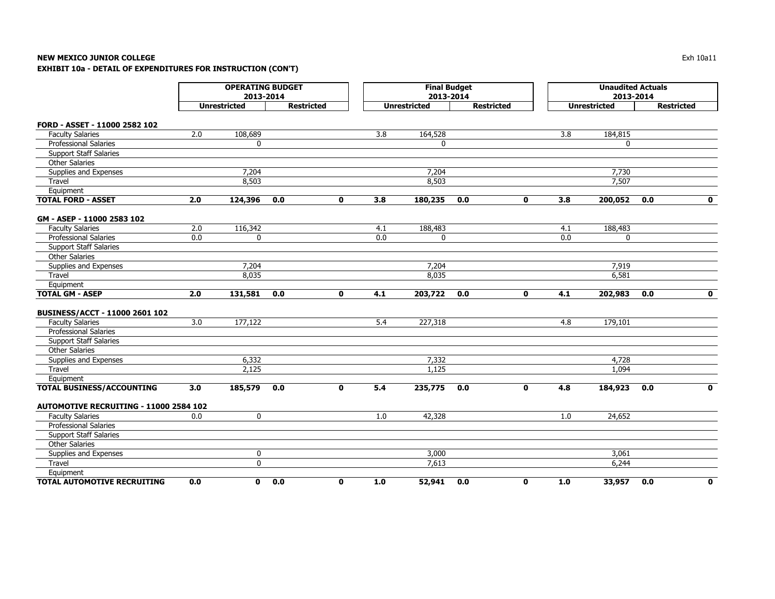# **NEW MEXICO JUNIOR COLLEGE**

**EXHIBIT 10a - DETAIL OF EXPENDITURES FOR INSTRUCTION (CON'T)**

|                                               | <b>OPERATING BUDGET</b><br>2013-2014<br><b>Unrestricted</b><br><b>Restricted</b> |             |     |              |     | <b>Final Budget</b><br>2013-2014 |                   |              | <b>Unaudited Actuals</b><br>2013-2014 |                     |                   |              |  |
|-----------------------------------------------|----------------------------------------------------------------------------------|-------------|-----|--------------|-----|----------------------------------|-------------------|--------------|---------------------------------------|---------------------|-------------------|--------------|--|
|                                               |                                                                                  |             |     |              |     | <b>Unrestricted</b>              | <b>Restricted</b> |              |                                       | <b>Unrestricted</b> | <b>Restricted</b> |              |  |
| FORD - ASSET - 11000 2582 102                 |                                                                                  |             |     |              |     |                                  |                   |              |                                       |                     |                   |              |  |
| <b>Faculty Salaries</b>                       | 2.0                                                                              | 108,689     |     |              | 3.8 | 164,528                          |                   |              | 3.8                                   | 184,815             |                   |              |  |
| <b>Professional Salaries</b>                  |                                                                                  | 0           |     |              |     | 0                                |                   |              |                                       | 0                   |                   |              |  |
| <b>Support Staff Salaries</b>                 |                                                                                  |             |     |              |     |                                  |                   |              |                                       |                     |                   |              |  |
| <b>Other Salaries</b>                         |                                                                                  |             |     |              |     |                                  |                   |              |                                       |                     |                   |              |  |
| Supplies and Expenses                         |                                                                                  | 7,204       |     |              |     | 7,204                            |                   |              |                                       | 7,730               |                   |              |  |
| Travel                                        |                                                                                  | 8,503       |     |              |     | 8,503                            |                   |              |                                       | 7.507               |                   |              |  |
| Equipment                                     |                                                                                  |             |     |              |     |                                  |                   |              |                                       |                     |                   |              |  |
| <b>TOTAL FORD - ASSET</b>                     | 2.0                                                                              | 124,396     | 0.0 | 0            | 3.8 | 180,235                          | 0.0               | 0            | 3.8                                   | 200,052             | 0.0               | $\mathbf 0$  |  |
| GM - ASEP - 11000 2583 102                    |                                                                                  |             |     |              |     |                                  |                   |              |                                       |                     |                   |              |  |
| <b>Faculty Salaries</b>                       | 2.0                                                                              | 116,342     |     |              | 4.1 | 188,483                          |                   |              | 4.1                                   | 188,483             |                   |              |  |
| Professional Salaries                         | 0.0                                                                              | 0           |     |              | 0.0 | 0                                |                   |              | 0.0                                   | 0                   |                   |              |  |
| <b>Support Staff Salaries</b>                 |                                                                                  |             |     |              |     |                                  |                   |              |                                       |                     |                   |              |  |
| <b>Other Salaries</b>                         |                                                                                  |             |     |              |     |                                  |                   |              |                                       |                     |                   |              |  |
| Supplies and Expenses                         |                                                                                  | 7,204       |     |              |     | 7,204                            |                   |              |                                       | 7,919               |                   |              |  |
| Travel                                        |                                                                                  | 8,035       |     |              |     | 8,035                            |                   |              |                                       | 6,581               |                   |              |  |
| Equipment                                     |                                                                                  |             |     |              |     |                                  |                   |              |                                       |                     |                   |              |  |
| <b>TOTAL GM - ASEP</b>                        | 2.0                                                                              | 131,581     | 0.0 | $\mathbf 0$  | 4.1 | 203,722                          | 0.0               | $\mathbf 0$  | 4.1                                   | 202,983             | 0.0               | $\mathbf 0$  |  |
|                                               |                                                                                  |             |     |              |     |                                  |                   |              |                                       |                     |                   |              |  |
| BUSINESS/ACCT - 11000 2601 102                |                                                                                  |             |     |              |     |                                  |                   |              |                                       |                     |                   |              |  |
| <b>Faculty Salaries</b>                       | 3.0                                                                              | 177,122     |     |              | 5.4 | 227,318                          |                   |              | 4.8                                   | 179,101             |                   |              |  |
| <b>Professional Salaries</b>                  |                                                                                  |             |     |              |     |                                  |                   |              |                                       |                     |                   |              |  |
| <b>Support Staff Salaries</b>                 |                                                                                  |             |     |              |     |                                  |                   |              |                                       |                     |                   |              |  |
| <b>Other Salaries</b>                         |                                                                                  |             |     |              |     |                                  |                   |              |                                       |                     |                   |              |  |
| Supplies and Expenses                         |                                                                                  | 6,332       |     |              |     | 7,332                            |                   |              |                                       | 4,728               |                   |              |  |
| Travel                                        |                                                                                  | 2,125       |     |              |     | 1,125                            |                   |              |                                       | 1,094               |                   |              |  |
| Equipment                                     |                                                                                  |             |     |              |     |                                  |                   |              |                                       |                     |                   |              |  |
| <b>TOTAL BUSINESS/ACCOUNTING</b>              | 3.0                                                                              | 185,579     | 0.0 | $\mathbf{0}$ | 5.4 | 235,775                          | 0.0               | $\mathbf{0}$ | 4.8                                   | 184,923             | 0.0               | $\mathbf{0}$ |  |
| <b>AUTOMOTIVE RECRUITING - 11000 2584 102</b> |                                                                                  |             |     |              |     |                                  |                   |              |                                       |                     |                   |              |  |
| <b>Faculty Salaries</b>                       | 0.0                                                                              | $\mathbf 0$ |     |              | 1.0 | 42,328                           |                   |              | 1.0                                   | 24,652              |                   |              |  |
| <b>Professional Salaries</b>                  |                                                                                  |             |     |              |     |                                  |                   |              |                                       |                     |                   |              |  |
| <b>Support Staff Salaries</b>                 |                                                                                  |             |     |              |     |                                  |                   |              |                                       |                     |                   |              |  |
| <b>Other Salaries</b>                         |                                                                                  |             |     |              |     |                                  |                   |              |                                       |                     |                   |              |  |
| Supplies and Expenses                         |                                                                                  | 0           |     |              |     | 3,000                            |                   |              |                                       | 3,061               |                   |              |  |
| Travel                                        |                                                                                  | 0           |     |              |     | 7,613                            |                   |              |                                       | 6,244               |                   |              |  |
| Equipment                                     |                                                                                  |             |     |              |     |                                  |                   |              |                                       |                     |                   |              |  |
| <b>TOTAL AUTOMOTIVE RECRUITING</b>            | 0.0                                                                              | 0           | 0.0 | $\mathbf 0$  | 1.0 | 52,941                           | 0.0               | $\mathbf 0$  | 1.0                                   | 33,957              | 0.0               | $\mathbf 0$  |  |

Exh 10a11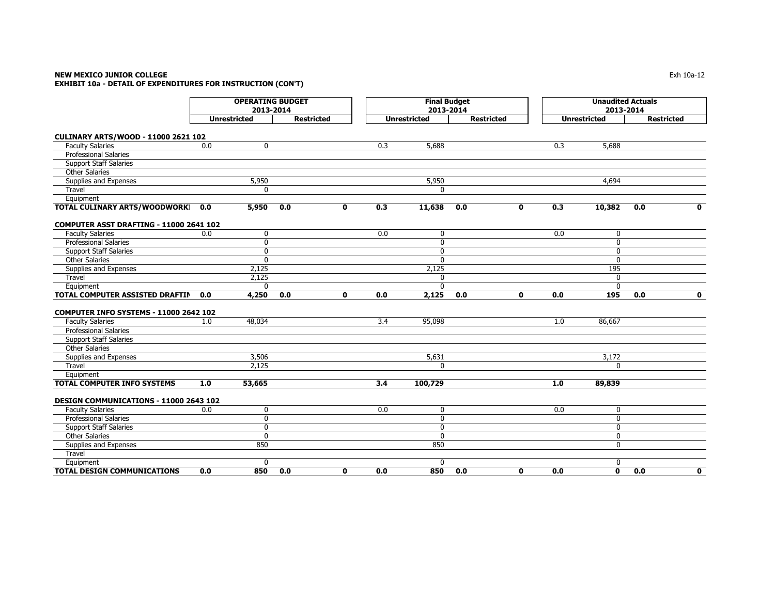# **NEW MEXICO JUNIOR COLLEGE** $\mathsf E$  the contract of the contract of the contract of the contract of the contract of the contract of the contract of the contract of the contract of the contract of the contract of the contract of the contract of the co **EXHIBIT 10a - DETAIL OF EXPENDITURES FOR INSTRUCTION (CON'T)**

|                                               | <b>OPERATING BUDGET</b><br>2013-2014<br><b>Unrestricted</b> |              |     |              | <b>Final Budget</b><br>2013-2014 |                     |     |                   |     | <b>Unaudited Actuals</b><br>2013-2014 |                   |              |  |  |
|-----------------------------------------------|-------------------------------------------------------------|--------------|-----|--------------|----------------------------------|---------------------|-----|-------------------|-----|---------------------------------------|-------------------|--------------|--|--|
|                                               | <b>Restricted</b>                                           |              |     |              |                                  | <b>Unrestricted</b> |     | <b>Restricted</b> |     | <b>Unrestricted</b>                   | <b>Restricted</b> |              |  |  |
| <b>CULINARY ARTS/WOOD - 11000 2621 102</b>    |                                                             |              |     |              |                                  |                     |     |                   |     |                                       |                   |              |  |  |
| <b>Faculty Salaries</b>                       | 0.0                                                         | 0            |     |              | 0.3                              | 5,688               |     |                   | 0.3 | 5,688                                 |                   |              |  |  |
| <b>Professional Salaries</b>                  |                                                             |              |     |              |                                  |                     |     |                   |     |                                       |                   |              |  |  |
| <b>Support Staff Salaries</b>                 |                                                             |              |     |              |                                  |                     |     |                   |     |                                       |                   |              |  |  |
| <b>Other Salaries</b>                         |                                                             |              |     |              |                                  |                     |     |                   |     |                                       |                   |              |  |  |
| Supplies and Expenses                         |                                                             | 5,950        |     |              |                                  | 5,950               |     |                   |     | 4,694                                 |                   |              |  |  |
| Travel                                        |                                                             | $\Omega$     |     |              |                                  | $\mathbf{0}$        |     |                   |     |                                       |                   |              |  |  |
| Equipment                                     |                                                             |              |     |              |                                  |                     |     |                   |     |                                       |                   |              |  |  |
| TOTAL CULINARY ARTS/WOODWORKI                 | 0.0                                                         | 5,950        | 0.0 | 0            | 0.3                              | 11,638              | 0.0 | $\mathbf{0}$      | 0.3 | 10,382                                | 0.0               | $\mathbf{0}$ |  |  |
| COMPUTER ASST DRAFTING - 11000 2641 102       |                                                             |              |     |              |                                  |                     |     |                   |     |                                       |                   |              |  |  |
| <b>Faculty Salaries</b>                       | 0.0                                                         | $\mathbf 0$  |     |              | 0.0                              | $\mathbf 0$         |     |                   | 0.0 | $\mathbf 0$                           |                   |              |  |  |
| <b>Professional Salaries</b>                  |                                                             | 0            |     |              |                                  | 0                   |     |                   |     | $\mathbf 0$                           |                   |              |  |  |
| <b>Support Staff Salaries</b>                 |                                                             | $\mathbf{0}$ |     |              |                                  | $\mathbf 0$         |     |                   |     | $\mathbf{0}$                          |                   |              |  |  |
| <b>Other Salaries</b>                         |                                                             | $\mathbf 0$  |     |              |                                  | $\mathbf 0$         |     |                   |     | $\mathbf 0$                           |                   |              |  |  |
| Supplies and Expenses                         |                                                             | 2,125        |     |              |                                  | 2,125               |     |                   |     | 195                                   |                   |              |  |  |
| Travel                                        |                                                             | 2,125        |     |              |                                  | $\Omega$            |     |                   |     | $\mathbf 0$                           |                   |              |  |  |
| Equipment                                     |                                                             | 0            |     |              |                                  | $\Omega$            |     |                   |     | $\mathbf{0}$                          |                   |              |  |  |
| TOTAL COMPUTER ASSISTED DRAFTIN               | 0.0                                                         | 4,250        | 0.0 | $\mathbf{0}$ | 0.0                              | 2,125               | 0.0 | $\mathbf{0}$      | 0.0 | 195                                   | 0.0               | $\mathbf 0$  |  |  |
| <b>COMPUTER INFO SYSTEMS - 11000 2642 102</b> |                                                             |              |     |              |                                  |                     |     |                   |     |                                       |                   |              |  |  |
| <b>Faculty Salaries</b>                       | 1.0                                                         | 48,034       |     |              | 3.4                              | 95,098              |     |                   | 1.0 | 86,667                                |                   |              |  |  |
| <b>Professional Salaries</b>                  |                                                             |              |     |              |                                  |                     |     |                   |     |                                       |                   |              |  |  |
| <b>Support Staff Salaries</b>                 |                                                             |              |     |              |                                  |                     |     |                   |     |                                       |                   |              |  |  |
| <b>Other Salaries</b>                         |                                                             |              |     |              |                                  |                     |     |                   |     |                                       |                   |              |  |  |
| Supplies and Expenses                         |                                                             | 3,506        |     |              |                                  | 5,631               |     |                   |     | 3,172                                 |                   |              |  |  |
| Travel                                        |                                                             | 2,125        |     |              |                                  | $\mathbf{0}$        |     |                   |     | $\Omega$                              |                   |              |  |  |
| Equipment                                     |                                                             |              |     |              |                                  |                     |     |                   |     |                                       |                   |              |  |  |
| TOTAL COMPUTER INFO SYSTEMS                   | 1.0                                                         | 53,665       |     |              | 3.4                              | 100,729             |     |                   | 1.0 | 89,839                                |                   |              |  |  |
| DESIGN COMMUNICATIONS - 11000 2643 102        |                                                             |              |     |              |                                  |                     |     |                   |     |                                       |                   |              |  |  |
| <b>Faculty Salaries</b>                       | 0.0                                                         | 0            |     |              | 0.0                              | $\mathbf 0$         |     |                   | 0.0 | $\mathbf 0$                           |                   |              |  |  |
| <b>Professional Salaries</b>                  |                                                             | $\mathbf 0$  |     |              |                                  | $\mathbf 0$         |     |                   |     | $\mathbf 0$                           |                   |              |  |  |
| <b>Support Staff Salaries</b>                 |                                                             | 0            |     |              |                                  | $\mathbf 0$         |     |                   |     | $\mathbf 0$                           |                   |              |  |  |
| <b>Other Salaries</b>                         |                                                             | $\Omega$     |     |              |                                  | $\mathbf{0}$        |     |                   |     | 0                                     |                   |              |  |  |
| Supplies and Expenses                         |                                                             | 850          |     |              |                                  | 850                 |     |                   |     | $\mathbf 0$                           |                   |              |  |  |
| Travel                                        |                                                             |              |     |              |                                  |                     |     |                   |     |                                       |                   |              |  |  |
| Equipment                                     |                                                             | 0            |     |              |                                  | 0                   |     |                   |     | 0                                     |                   |              |  |  |
| <b>TOTAL DESIGN COMMUNICATIONS</b>            | 0.0                                                         | 850          | 0.0 | O            | 0.0                              | 850                 | 0.0 | $\mathbf{0}$      | 0.0 | $\mathbf{0}$                          | 0.0               | $\mathbf 0$  |  |  |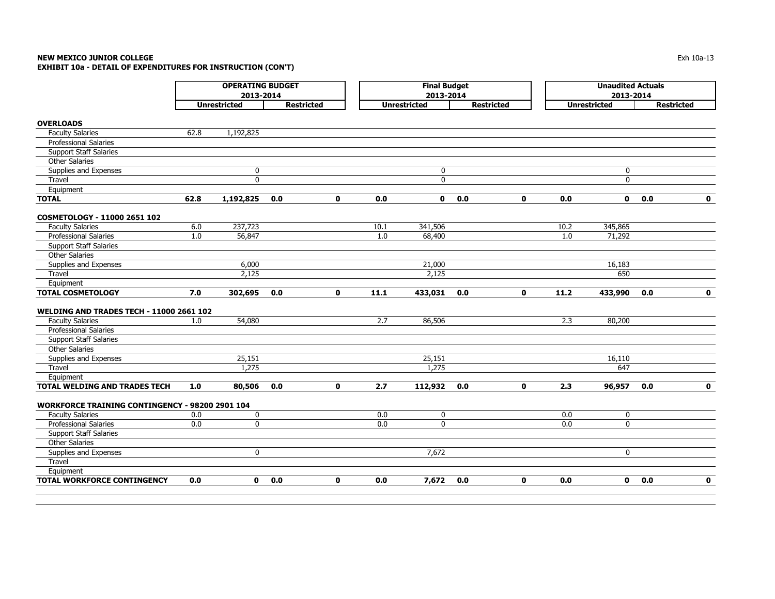# **NEW MEXICO JUNIOR COLLEGE** $\blacksquare$ Exh 10a-13 **EXHIBIT 10a - DETAIL OF EXPENDITURES FOR INSTRUCTION (CON'T)**

|                                                 |      | <b>OPERATING BUDGET</b><br>2013-2014 |     |                   |      | <b>Final Budget</b><br>2013-2014 |     |                   | <b>Unaudited Actuals</b><br>2013-2014 |                     |     |                   |
|-------------------------------------------------|------|--------------------------------------|-----|-------------------|------|----------------------------------|-----|-------------------|---------------------------------------|---------------------|-----|-------------------|
|                                                 |      | <b>Unrestricted</b>                  |     | <b>Restricted</b> |      | <b>Unrestricted</b>              |     | <b>Restricted</b> |                                       | <b>Unrestricted</b> |     | <b>Restricted</b> |
| <b>OVERLOADS</b>                                |      |                                      |     |                   |      |                                  |     |                   |                                       |                     |     |                   |
| <b>Faculty Salaries</b>                         | 62.8 | 1,192,825                            |     |                   |      |                                  |     |                   |                                       |                     |     |                   |
| <b>Professional Salaries</b>                    |      |                                      |     |                   |      |                                  |     |                   |                                       |                     |     |                   |
| <b>Support Staff Salaries</b>                   |      |                                      |     |                   |      |                                  |     |                   |                                       |                     |     |                   |
| <b>Other Salaries</b>                           |      |                                      |     |                   |      |                                  |     |                   |                                       |                     |     |                   |
| Supplies and Expenses                           |      | 0                                    |     |                   |      | $\mathbf 0$                      |     |                   |                                       | $\mathbf 0$         |     |                   |
| Travel                                          |      | 0                                    |     |                   |      | $\mathbf 0$                      |     |                   |                                       | $\mathbf 0$         |     |                   |
| Equipment                                       |      |                                      |     |                   |      |                                  |     |                   |                                       |                     |     |                   |
| <b>TOTAL</b>                                    | 62.8 | 1,192,825                            | 0.0 | $\mathbf{o}$      | 0.0  | $\mathbf{0}$                     | 0.0 | $\mathbf{0}$      | 0.0                                   | $\mathbf 0$         | 0.0 | $\mathbf 0$       |
|                                                 |      |                                      |     |                   |      |                                  |     |                   |                                       |                     |     |                   |
| COSMETOLOGY - 11000 2651 102                    |      |                                      |     |                   |      |                                  |     |                   |                                       |                     |     |                   |
| <b>Faculty Salaries</b>                         | 6.0  | 237,723                              |     |                   | 10.1 | 341,506                          |     |                   | 10.2                                  | 345,865             |     |                   |
| <b>Professional Salaries</b>                    | 1.0  | 56,847                               |     |                   | 1.0  | 68,400                           |     |                   | 1.0                                   | 71,292              |     |                   |
| <b>Support Staff Salaries</b>                   |      |                                      |     |                   |      |                                  |     |                   |                                       |                     |     |                   |
| <b>Other Salaries</b>                           |      |                                      |     |                   |      |                                  |     |                   |                                       |                     |     |                   |
| Supplies and Expenses                           |      | 6,000                                |     |                   |      | 21,000                           |     |                   |                                       | 16,183              |     |                   |
| Travel                                          |      | 2.125                                |     |                   |      | 2,125                            |     |                   |                                       | 650                 |     |                   |
| Equipment                                       |      |                                      |     |                   |      |                                  |     |                   |                                       |                     |     |                   |
| <b>TOTAL COSMETOLOGY</b>                        | 7.0  | 302,695                              | 0.0 | $\mathbf 0$       | 11.1 | 433,031                          | 0.0 | $\mathbf{0}$      | 11.2                                  | 433,990             | 0.0 | $\mathbf{0}$      |
|                                                 |      |                                      |     |                   |      |                                  |     |                   |                                       |                     |     |                   |
| <b>WELDING AND TRADES TECH - 11000 2661 102</b> |      |                                      |     |                   |      |                                  |     |                   |                                       |                     |     |                   |
| <b>Faculty Salaries</b>                         | 1.0  | 54,080                               |     |                   | 2.7  | 86,506                           |     |                   | 2.3                                   | 80,200              |     |                   |
| <b>Professional Salaries</b>                    |      |                                      |     |                   |      |                                  |     |                   |                                       |                     |     |                   |
| <b>Support Staff Salaries</b>                   |      |                                      |     |                   |      |                                  |     |                   |                                       |                     |     |                   |
| <b>Other Salaries</b>                           |      |                                      |     |                   |      |                                  |     |                   |                                       |                     |     |                   |
| Supplies and Expenses                           |      | 25,151                               |     |                   |      | 25,151                           |     |                   |                                       | 16,110              |     |                   |
| Travel                                          |      | 1,275                                |     |                   |      | 1,275                            |     |                   |                                       | 647                 |     |                   |
| Equipment                                       |      |                                      |     |                   |      |                                  |     |                   |                                       |                     |     |                   |
| TOTAL WELDING AND TRADES TECH                   | 1.0  | 80,506                               | 0.0 | $\mathbf 0$       | 2.7  | 112,932                          | 0.0 | $\mathbf 0$       | 2.3                                   | 96,957              | 0.0 | $\mathbf 0$       |
| WORKFORCE TRAINING CONTINGENCY - 98200 2901 104 |      |                                      |     |                   |      |                                  |     |                   |                                       |                     |     |                   |
| <b>Faculty Salaries</b>                         | 0.0  | 0                                    |     |                   | 0.0  | $\mathbf 0$                      |     |                   | 0.0                                   | 0                   |     |                   |
| <b>Professional Salaries</b>                    | 0.0  | $\mathbf 0$                          |     |                   | 0.0  | $\mathbf{0}$                     |     |                   | 0.0                                   | $\mathbf{0}$        |     |                   |
| <b>Support Staff Salaries</b>                   |      |                                      |     |                   |      |                                  |     |                   |                                       |                     |     |                   |
| <b>Other Salaries</b>                           |      |                                      |     |                   |      |                                  |     |                   |                                       |                     |     |                   |
| Supplies and Expenses                           |      | 0                                    |     |                   |      | 7,672                            |     |                   |                                       | $\mathbf 0$         |     |                   |
| Travel                                          |      |                                      |     |                   |      |                                  |     |                   |                                       |                     |     |                   |
| Equipment                                       |      |                                      |     |                   |      |                                  |     |                   |                                       |                     |     |                   |
| <b>TOTAL WORKFORCE CONTINGENCY</b>              | 0.0  | $\mathbf{0}$                         | 0.0 | $\mathbf{o}$      | 0.0  | 7,672                            | 0.0 | $\mathbf{0}$      | 0.0                                   | 0                   | 0.0 | $\mathbf{0}$      |
|                                                 |      |                                      |     |                   |      |                                  |     |                   |                                       |                     |     |                   |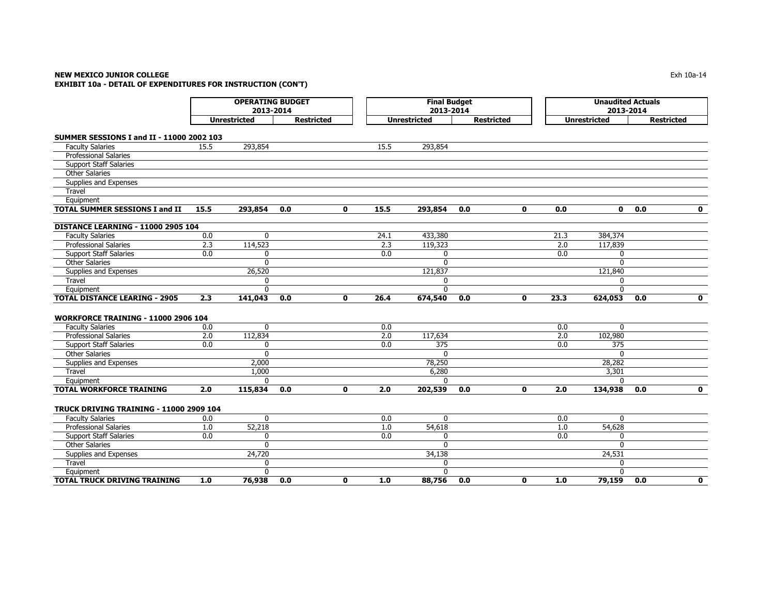# **NEW MEXICO JUNIOR COLLEGE** Exh 10a-14 **EXHIBIT 10a - DETAIL OF EXPENDITURES FOR INSTRUCTION (CON'T)**

|                                            | <b>OPERATING BUDGET</b><br>2013-2014 |                     |                   |              |                  | <b>Final Budget</b><br>2013-2014 |                   |   | <b>Unaudited Actuals</b><br>2013-2014 |                     |                   |              |
|--------------------------------------------|--------------------------------------|---------------------|-------------------|--------------|------------------|----------------------------------|-------------------|---|---------------------------------------|---------------------|-------------------|--------------|
|                                            |                                      | <b>Unrestricted</b> | <b>Restricted</b> |              |                  | <b>Unrestricted</b>              | <b>Restricted</b> |   |                                       | <b>Unrestricted</b> | <b>Restricted</b> |              |
| SUMMER SESSIONS I and II - 11000 2002 103  |                                      |                     |                   |              |                  |                                  |                   |   |                                       |                     |                   |              |
| <b>Faculty Salaries</b>                    | 15.5                                 | 293,854             |                   |              | 15.5             | 293,854                          |                   |   |                                       |                     |                   |              |
| <b>Professional Salaries</b>               |                                      |                     |                   |              |                  |                                  |                   |   |                                       |                     |                   |              |
| <b>Support Staff Salaries</b>              |                                      |                     |                   |              |                  |                                  |                   |   |                                       |                     |                   |              |
| <b>Other Salaries</b>                      |                                      |                     |                   |              |                  |                                  |                   |   |                                       |                     |                   |              |
| Supplies and Expenses                      |                                      |                     |                   |              |                  |                                  |                   |   |                                       |                     |                   |              |
| Travel                                     |                                      |                     |                   |              |                  |                                  |                   |   |                                       |                     |                   |              |
| Equipment                                  |                                      |                     |                   |              |                  |                                  |                   |   |                                       |                     |                   |              |
| <b>TOTAL SUMMER SESSIONS I and II</b>      | 15.5                                 | 293,854             | 0.0               | $\mathbf{0}$ | 15.5             | 293,854                          | 0.0               | 0 | 0.0                                   | $\mathbf{0}$        | 0.0               | 0            |
|                                            |                                      |                     |                   |              |                  |                                  |                   |   |                                       |                     |                   |              |
| <b>DISTANCE LEARNING - 11000 2905 104</b>  |                                      |                     |                   |              |                  |                                  |                   |   |                                       |                     |                   |              |
| <b>Faculty Salaries</b>                    | 0.0                                  | $\mathbf{0}$        |                   |              | 24.1             | 433,380                          |                   |   | 21.3                                  | 384,374             |                   |              |
| <b>Professional Salaries</b>               | 2.3                                  | 114,523             |                   |              | $\overline{2.3}$ | 119,323                          |                   |   | 2.0                                   | 117,839             |                   |              |
| <b>Support Staff Salaries</b>              | 0.0                                  | $\mathbf{0}$        |                   |              | 0.0              | $\Omega$                         |                   |   | 0.0                                   | 0                   |                   |              |
| <b>Other Salaries</b>                      |                                      | $\Omega$            |                   |              |                  | $\Omega$                         |                   |   |                                       | $\Omega$            |                   |              |
| Supplies and Expenses                      |                                      | 26,520              |                   |              |                  | 121,837                          |                   |   |                                       | 121,840             |                   |              |
| Travel                                     |                                      | $\mathbf{0}$        |                   |              |                  | $\mathbf{0}$                     |                   |   |                                       | $\mathbf{0}$        |                   |              |
| Equipment                                  |                                      | $\mathbf{0}$        |                   |              |                  | $\Omega$                         |                   |   |                                       | $\Omega$            |                   |              |
| <b>TOTAL DISTANCE LEARING - 2905</b>       | 2.3                                  | 141,043             | 0.0               | $\mathbf{0}$ | 26.4             | 674,540                          | 0.0               | 0 | 23.3                                  | 624,053             | 0.0               | 0            |
|                                            |                                      |                     |                   |              |                  |                                  |                   |   |                                       |                     |                   |              |
| <b>WORKFORCE TRAINING - 11000 2906 104</b> |                                      |                     |                   |              |                  |                                  |                   |   |                                       |                     |                   |              |
| <b>Faculty Salaries</b>                    | 0.0                                  | $\mathbf{0}$        |                   |              | 0.0              |                                  |                   |   | 0.0                                   | $\mathbf{0}$        |                   |              |
| <b>Professional Salaries</b>               | 2.0                                  | 112,834             |                   |              | 2.0              | 117,634                          |                   |   | 2.0                                   | 102,980             |                   |              |
| <b>Support Staff Salaries</b>              | $\overline{0.0}$                     | $\mathbf{0}$        |                   |              | 0.0              | $\overline{375}$                 |                   |   | 0.0                                   | 375                 |                   |              |
| <b>Other Salaries</b>                      |                                      | $\mathbf{0}$        |                   |              |                  | $\mathbf{0}$                     |                   |   |                                       | $\Omega$            |                   |              |
| Supplies and Expenses                      |                                      | 2,000               |                   |              |                  | 78,250                           |                   |   |                                       | 28,282              |                   |              |
| Travel                                     |                                      | 1,000               |                   |              |                  | 6,280                            |                   |   |                                       | 3,301               |                   |              |
| Equipment                                  |                                      | $\Omega$            |                   |              |                  | $\Omega$                         |                   |   |                                       | $\Omega$            |                   |              |
| <b>TOTAL WORKFORCE TRAINING</b>            | 2.0                                  | 115,834             | 0.0               | $\mathbf 0$  | 2.0              | 202,539                          | 0.0               | 0 | 2.0                                   | 134,938             | 0.0               | $\mathbf{o}$ |
|                                            |                                      |                     |                   |              |                  |                                  |                   |   |                                       |                     |                   |              |
| TRUCK DRIVING TRAINING - 11000 2909 104    |                                      |                     |                   |              |                  |                                  |                   |   |                                       |                     |                   |              |
| <b>Faculty Salaries</b>                    | 0.0                                  | $\Omega$            |                   |              | 0.0              | $\Omega$                         |                   |   | 0.0                                   | $\Omega$            |                   |              |
| <b>Professional Salaries</b>               | 1.0                                  | 52,218              |                   |              | 1.0              | 54,618                           |                   |   | 1.0                                   | 54,628              |                   |              |
| <b>Support Staff Salaries</b>              | 0.0                                  | $\mathbf 0$         |                   |              | 0.0              | $\mathbf{0}$                     |                   |   | 0.0                                   | $\mathbf{0}$        |                   |              |
| <b>Other Salaries</b>                      |                                      | $\Omega$            |                   |              |                  | $\Omega$                         |                   |   |                                       | $\Omega$            |                   |              |
| Supplies and Expenses                      |                                      | 24,720              |                   |              |                  | 34,138                           |                   |   |                                       | 24,531              |                   |              |
| Travel                                     |                                      | $\mathbf 0$         |                   |              |                  | $\mathbf{0}$                     |                   |   |                                       | $\mathbf{0}$        |                   |              |
| Equipment                                  |                                      | $\mathbf 0$         |                   |              |                  | <sup>0</sup>                     |                   |   |                                       | <sup>0</sup>        |                   |              |
| <b>TOTAL TRUCK DRIVING TRAINING</b>        | 1.0                                  | 76,938              | 0.0               | 0            | 1.0              | 88,756                           | 0.0               | 0 | 1.0                                   | 79,159              | 0.0               | 0            |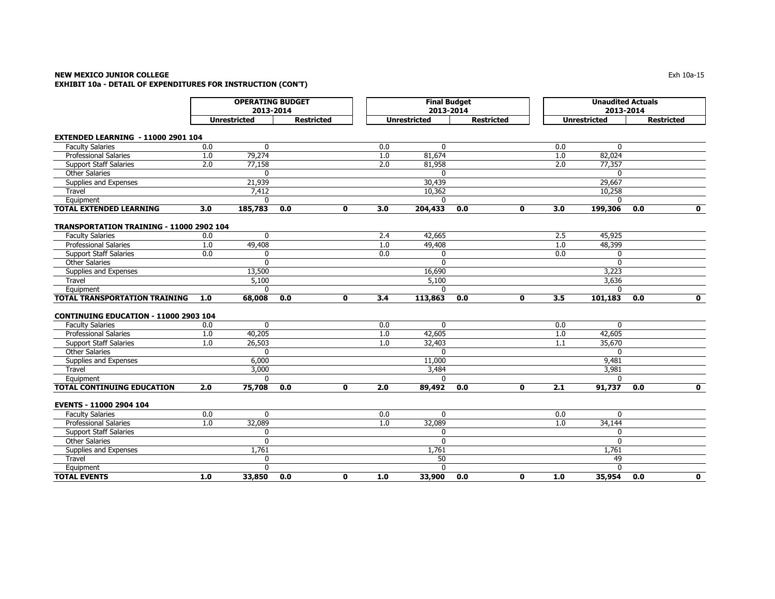# **NEW MEXICO JUNIOR COLLEGE** $\mathsf E$  and the set of the set of the set of the set of the set of the set of the set of the set of the set of the set of the set of the set of the set of the set of the set of the set of the set of the set of the set of t **EXHIBIT 10a - DETAIL OF EXPENDITURES FOR INSTRUCTION (CON'T)**

|                                                 | <b>OPERATING BUDGET</b><br>2013-2014     |              |     |              |     | <b>Final Budget</b><br>2013-2014 |                   |              | <b>Unaudited Actuals</b><br>2013-2014 |                     |                   |                         |  |
|-------------------------------------------------|------------------------------------------|--------------|-----|--------------|-----|----------------------------------|-------------------|--------------|---------------------------------------|---------------------|-------------------|-------------------------|--|
|                                                 | <b>Unrestricted</b><br><b>Restricted</b> |              |     |              |     | <b>Unrestricted</b>              | <b>Restricted</b> |              |                                       | <b>Unrestricted</b> | <b>Restricted</b> |                         |  |
| <b>EXTENDED LEARNING - 11000 2901 104</b>       |                                          |              |     |              |     |                                  |                   |              |                                       |                     |                   |                         |  |
| <b>Faculty Salaries</b>                         | 0.0                                      | $\mathbf 0$  |     |              | 0.0 | $\mathbf{0}$                     |                   |              | 0.0                                   | $\mathbf 0$         |                   |                         |  |
| <b>Professional Salaries</b>                    | 1.0                                      | 79,274       |     |              | 1.0 | 81,674                           |                   |              | 1.0                                   | 82,024              |                   |                         |  |
| <b>Support Staff Salaries</b>                   | 2.0                                      | 77,158       |     |              | 2.0 | 81,958                           |                   |              | 2.0                                   | 77,357              |                   |                         |  |
| <b>Other Salaries</b>                           |                                          | $\Omega$     |     |              |     | $\Omega$                         |                   |              |                                       | $\Omega$            |                   |                         |  |
| Supplies and Expenses                           |                                          | 21,939       |     |              |     | 30,439                           |                   |              |                                       | 29,667              |                   |                         |  |
| Travel                                          |                                          | 7,412        |     |              |     | 10,362                           |                   |              |                                       | 10,258              |                   |                         |  |
| Equipment                                       |                                          | $\mathbf{0}$ |     |              |     | $\mathbf{0}$                     |                   |              |                                       | $\mathbf{0}$        |                   |                         |  |
| <b>TOTAL EXTENDED LEARNING</b>                  | 3.0                                      | 185,783      | 0.0 | 0            | 3.0 | 204,433                          | 0.0               | $\mathbf{0}$ | 3.0                                   | 199,306             | 0.0               | $\mathbf 0$             |  |
| <b>TRANSPORTATION TRAINING - 11000 2902 104</b> |                                          |              |     |              |     |                                  |                   |              |                                       |                     |                   |                         |  |
| <b>Faculty Salaries</b>                         | 0.0                                      | $\mathbf{0}$ |     |              | 2.4 | 42,665                           |                   |              | 2.5                                   | 45,925              |                   |                         |  |
| <b>Professional Salaries</b>                    | 1.0                                      | 49,408       |     |              | 1.0 | 49,408                           |                   |              | 1.0                                   | 48,399              |                   |                         |  |
| <b>Support Staff Salaries</b>                   | 0.0                                      | $\mathbf{0}$ |     |              | 0.0 | $\mathbf{0}$                     |                   |              | 0.0                                   | $\mathbf 0$         |                   |                         |  |
| <b>Other Salaries</b>                           |                                          | 0            |     |              |     | $\Omega$                         |                   |              |                                       | $\mathbf{0}$        |                   |                         |  |
| Supplies and Expenses                           |                                          | 13,500       |     |              |     | 16,690                           |                   |              |                                       | 3,223               |                   |                         |  |
| Travel                                          |                                          | 5,100        |     |              |     | 5,100                            |                   |              |                                       | 3,636               |                   |                         |  |
| Equipment                                       |                                          | $\Omega$     |     |              |     | $\mathbf{0}$                     |                   |              |                                       | $\Omega$            |                   |                         |  |
| <b>TOTAL TRANSPORTATION TRAINING</b>            | 1.0                                      | 68,008       | 0.0 | 0            | 3.4 | 113,863                          | $\overline{0.0}$  | 0            | 3.5                                   | 101,183             | 0.0               | $\overline{\mathbf{0}}$ |  |
|                                                 |                                          |              |     |              |     |                                  |                   |              |                                       |                     |                   |                         |  |
| CONTINUING EDUCATION - 11000 2903 104           |                                          |              |     |              |     |                                  |                   |              |                                       |                     |                   |                         |  |
| <b>Faculty Salaries</b>                         | 0.0                                      | $\Omega$     |     |              | 0.0 | $\Omega$                         |                   |              | 0.0                                   | $\mathbf{0}$        |                   |                         |  |
| <b>Professional Salaries</b>                    | 1.0                                      | 40,205       |     |              | 1.0 | 42,605                           |                   |              | 1.0                                   | 42,605              |                   |                         |  |
| <b>Support Staff Salaries</b>                   | 1.0                                      | 26,503       |     |              | 1.0 | 32,403                           |                   |              | 1.1                                   | 35,670              |                   |                         |  |
| <b>Other Salaries</b>                           |                                          | $\Omega$     |     |              |     | $\Omega$                         |                   |              |                                       | $\Omega$            |                   |                         |  |
| Supplies and Expenses                           |                                          | 6,000        |     |              |     | 11,000                           |                   |              |                                       | 9,481               |                   |                         |  |
| <b>Travel</b>                                   |                                          | 3,000        |     |              |     | 3,484                            |                   |              |                                       | 3,981               |                   |                         |  |
| Equipment                                       |                                          | $\mathbf{0}$ |     |              |     | $\Omega$                         |                   |              |                                       | $\mathbf{0}$        |                   |                         |  |
| <b>TOTAL CONTINUING EDUCATION</b>               | 2.0                                      | 75,708       | 0.0 | 0            | 2.0 | 89,492                           | 0.0               | $\mathbf{0}$ | 2.1                                   | 91,737              | 0.0               | $\mathbf{0}$            |  |
| <b>EVENTS - 11000 2904 104</b>                  |                                          |              |     |              |     |                                  |                   |              |                                       |                     |                   |                         |  |
| <b>Faculty Salaries</b>                         | 0.0                                      | $\mathbf 0$  |     |              | 0.0 | $\mathbf{0}$                     |                   |              | 0.0                                   | $\mathbf{0}$        |                   |                         |  |
| <b>Professional Salaries</b>                    | 1.0                                      | 32,089       |     |              | 1.0 | 32,089                           |                   |              | 1.0                                   | 34,144              |                   |                         |  |
| <b>Support Staff Salaries</b>                   |                                          | $\mathbf 0$  |     |              |     | $\mathbf{0}$                     |                   |              |                                       | $\mathbf{0}$        |                   |                         |  |
| <b>Other Salaries</b>                           |                                          | $\mathbf 0$  |     |              |     | $\mathbf 0$                      |                   |              |                                       | $\mathbf 0$         |                   |                         |  |
| Supplies and Expenses                           |                                          | 1,761        |     |              |     | 1,761                            |                   |              |                                       | 1,761               |                   |                         |  |
| Travel                                          |                                          | $\mathbf{0}$ |     |              |     | 50                               |                   |              |                                       | 49                  |                   |                         |  |
| Equipment                                       |                                          | $\Omega$     |     |              |     | $\mathbf{0}$                     |                   |              |                                       | $\Omega$            |                   |                         |  |
| <b>TOTAL EVENTS</b>                             | 1.0                                      | 33,850       | 0.0 | $\mathbf{0}$ | 1.0 | 33,900                           | 0.0               | $\mathbf{0}$ | 1.0                                   | 35,954              | 0.0               | $\mathbf{0}$            |  |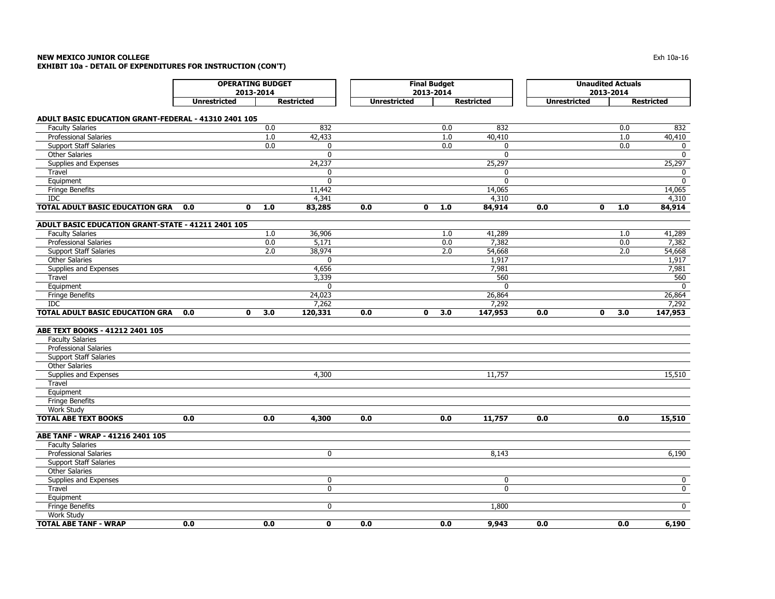## **NEW MEXICO JUNIOR COLLEGE** $\mathsf E$  the contract of the contract of the contract of the contract of the contract of the contract of the contract of the contract of the contract of the contract of the contract of the contract of the contract of the co **EXHIBIT 10a - DETAIL OF EXPENDITURES FOR INSTRUCTION (CON'T)**

|                                                      |                                      | <b>Final Budget</b> |                   |                     |              | <b>Unaudited Actuals</b> |                   |                     |              |     |                   |
|------------------------------------------------------|--------------------------------------|---------------------|-------------------|---------------------|--------------|--------------------------|-------------------|---------------------|--------------|-----|-------------------|
|                                                      | <b>OPERATING BUDGET</b><br>2013-2014 |                     |                   |                     | 2013-2014    |                          |                   |                     | 2013-2014    |     |                   |
|                                                      | <b>Unrestricted</b>                  |                     | <b>Restricted</b> | <b>Unrestricted</b> |              |                          |                   | <b>Unrestricted</b> |              |     |                   |
|                                                      |                                      |                     |                   |                     |              |                          | <b>Restricted</b> |                     |              |     | <b>Restricted</b> |
| ADULT BASIC EDUCATION GRANT-FEDERAL - 41310 2401 105 |                                      |                     |                   |                     |              |                          |                   |                     |              |     |                   |
| <b>Faculty Salaries</b>                              |                                      | 0.0                 | 832               |                     |              | 0.0                      | 832               |                     |              | 0.0 | 832               |
| Professional Salaries                                |                                      | 1.0                 | 42,433            |                     |              | 1.0                      | 40,410            |                     |              | 1.0 | 40,410            |
| <b>Support Staff Salaries</b>                        |                                      | 0.0                 | $\mathbf 0$       |                     |              | 0.0                      | $\Omega$          |                     |              | 0.0 | 0                 |
| <b>Other Salaries</b>                                |                                      |                     | $\mathbf{0}$      |                     |              |                          | $\Omega$          |                     |              |     | $\mathbf 0$       |
| Supplies and Expenses                                |                                      |                     | 24,237            |                     |              |                          | 25,297            |                     |              |     | 25,297            |
| Travel                                               |                                      |                     | 0                 |                     |              |                          | $\mathbf 0$       |                     |              |     | 0                 |
| Equipment                                            |                                      |                     | $\mathbf 0$       |                     |              |                          | $\mathbf{0}$      |                     |              |     | $\mathbf 0$       |
| <b>Fringe Benefits</b>                               |                                      |                     | 11,442            |                     |              |                          | 14,065            |                     |              |     | 14,065            |
| <b>IDC</b>                                           |                                      |                     | 4,341             |                     |              |                          | 4,310             |                     |              |     | 4,310             |
| <b>TOTAL ADULT BASIC EDUCATION GRA</b>               | 0<br>0.0                             | 1.0                 | 83,285            | 0.0                 | $\mathbf 0$  | 1.0                      | 84,914            | 0.0                 | 0            | 1.0 | 84,914            |
| ADULT BASIC EDUCATION GRANT-STATE - 41211 2401 105   |                                      |                     |                   |                     |              |                          |                   |                     |              |     |                   |
| <b>Faculty Salaries</b>                              |                                      | 1.0                 | 36,906            |                     |              | 1.0                      | 41,289            |                     |              | 1.0 | 41,289            |
| <b>Professional Salaries</b>                         |                                      | 0.0                 | 5,171             |                     |              | 0.0                      | 7,382             |                     |              | 0.0 | 7,382             |
| <b>Support Staff Salaries</b>                        |                                      | 2.0                 | 38,974            |                     |              | 2.0                      | 54,668            |                     |              | 2.0 | 54,668            |
| <b>Other Salaries</b>                                |                                      |                     | $\mathbf 0$       |                     |              |                          | 1,917             |                     |              |     | 1,917             |
| Supplies and Expenses                                |                                      |                     | 4,656             |                     |              |                          | 7,981             |                     |              |     | 7,981             |
| Travel                                               |                                      |                     | 3,339             |                     |              |                          | 560               |                     |              |     | 560               |
| Equipment                                            |                                      |                     | $\Omega$          |                     |              |                          | $\Omega$          |                     |              |     | $\mathbf{0}$      |
| <b>Fringe Benefits</b>                               |                                      |                     | 24,023            |                     |              |                          | 26,864            |                     |              |     | 26,864            |
| <b>IDC</b>                                           |                                      |                     | 7,262             |                     |              |                          | 7,292             |                     |              |     | 7,292             |
| <b>TOTAL ADULT BASIC EDUCATION GRA</b>               | 0.0<br>$\mathbf{0}$                  | 3.0                 | 120,331           | 0.0                 | $\mathbf{0}$ | 3.0                      | 147,953           | 0.0                 | $\mathbf{0}$ | 3.0 | 147,953           |
|                                                      |                                      |                     |                   |                     |              |                          |                   |                     |              |     |                   |
| ABE TEXT BOOKS - 41212 2401 105                      |                                      |                     |                   |                     |              |                          |                   |                     |              |     |                   |
| <b>Faculty Salaries</b>                              |                                      |                     |                   |                     |              |                          |                   |                     |              |     |                   |
| <b>Professional Salaries</b>                         |                                      |                     |                   |                     |              |                          |                   |                     |              |     |                   |
| <b>Support Staff Salaries</b>                        |                                      |                     |                   |                     |              |                          |                   |                     |              |     |                   |
| <b>Other Salaries</b>                                |                                      |                     |                   |                     |              |                          |                   |                     |              |     |                   |
| Supplies and Expenses                                |                                      |                     | 4,300             |                     |              |                          | 11,757            |                     |              |     | 15,510            |
| Travel                                               |                                      |                     |                   |                     |              |                          |                   |                     |              |     |                   |
| Equipment                                            |                                      |                     |                   |                     |              |                          |                   |                     |              |     |                   |
| <b>Fringe Benefits</b>                               |                                      |                     |                   |                     |              |                          |                   |                     |              |     |                   |
| Work Study                                           |                                      |                     |                   |                     |              |                          |                   |                     |              |     |                   |
| <b>TOTAL ABE TEXT BOOKS</b>                          | 0.0                                  | 0.0                 | 4,300             | 0.0                 |              | 0.0                      | 11,757            | 0.0                 |              | 0.0 | 15,510            |
| ABE TANF - WRAP - 41216 2401 105                     |                                      |                     |                   |                     |              |                          |                   |                     |              |     |                   |
| <b>Faculty Salaries</b>                              |                                      |                     |                   |                     |              |                          |                   |                     |              |     |                   |
| <b>Professional Salaries</b>                         |                                      |                     | $\mathbf 0$       |                     |              |                          | 8,143             |                     |              |     | 6,190             |
| <b>Support Staff Salaries</b>                        |                                      |                     |                   |                     |              |                          |                   |                     |              |     |                   |
| <b>Other Salaries</b>                                |                                      |                     |                   |                     |              |                          |                   |                     |              |     |                   |
| Supplies and Expenses                                |                                      |                     | $\pmb{0}$         |                     |              |                          | $\pmb{0}$         |                     |              |     | $\overline{0}$    |
| Travel                                               |                                      |                     | $\mathbf{0}$      |                     |              |                          | $\mathbf{0}$      |                     |              |     | $\overline{0}$    |
| Equipment                                            |                                      |                     |                   |                     |              |                          |                   |                     |              |     |                   |
| <b>Fringe Benefits</b>                               |                                      |                     | $\mathbf 0$       |                     |              |                          | 1,800             |                     |              |     | $\mathbf 0$       |
| Work Study                                           |                                      |                     |                   |                     |              |                          |                   |                     |              |     |                   |
| <b>TOTAL ABE TANF - WRAP</b>                         | 0.0                                  | 0.0                 | $\mathbf{0}$      | 0.0                 |              | 0.0                      | 9,943             | 0.0                 |              | 0.0 | 6,190             |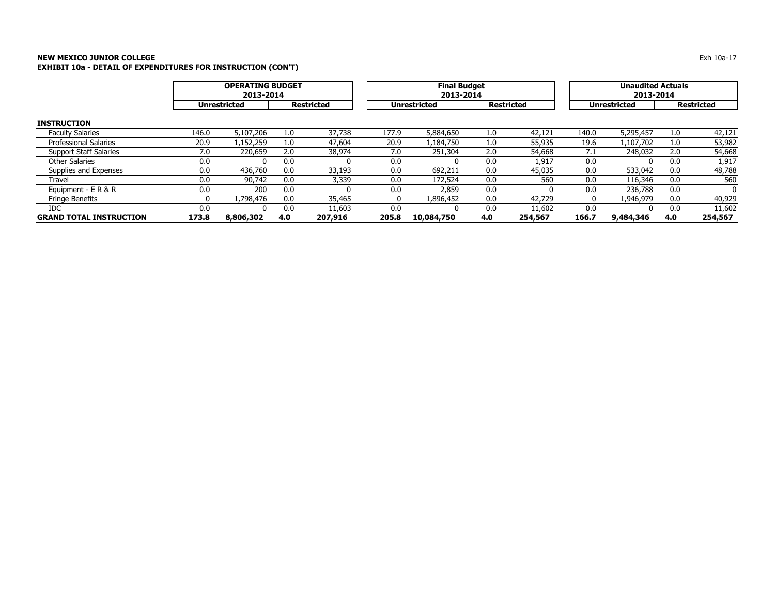# **NEW MEXICO JUNIOR COLLEGE** Exh 10a-17 **EXHIBIT 10a - DETAIL OF EXPENDITURES FOR INSTRUCTION (CON'T)**

|                                |       | <b>OPERATING BUDGET</b><br>2013-2014 |     |                   |       | <b>Final Budget</b><br>2013-2014 |     | <b>Unaudited Actuals</b><br>2013-2014 |       |                     |     |                   |
|--------------------------------|-------|--------------------------------------|-----|-------------------|-------|----------------------------------|-----|---------------------------------------|-------|---------------------|-----|-------------------|
|                                |       | <b>Unrestricted</b>                  |     | <b>Restricted</b> |       | <b>Unrestricted</b>              |     | <b>Restricted</b>                     |       | <b>Unrestricted</b> |     | <b>Restricted</b> |
| <b>INSTRUCTION</b>             |       |                                      |     |                   |       |                                  |     |                                       |       |                     |     |                   |
| <b>Faculty Salaries</b>        | 146.0 | 5,107,206                            | 1.0 | 37,738            | 177.9 | 5,884,650                        | 1.0 | 42,121                                | 140.0 | 5,295,457           | 1.0 | 42,121            |
| <b>Professional Salaries</b>   | 20.9  | 1,152,259                            | 1.0 | 47,604            | 20.9  | 1,184,750                        | 1.0 | 55,935                                | 19.6  | 1,107,702           | 1.0 | 53,982            |
| <b>Support Staff Salaries</b>  | 7.0   | 220,659                              | 2.0 | 38,974            | 7.0   | 251,304                          | 2.0 | 54,668                                | 7.1   | 248,032             | 2.0 | 54,668            |
| <b>Other Salaries</b>          | 0.0   | $\Omega$                             | 0.0 |                   | 0.0   | n                                | 0.0 | 1,917                                 | 0.0   | <sup>0</sup>        | 0.0 | 1,917             |
| Supplies and Expenses          | 0.0   | 436,760                              | 0.0 | 33,193            | 0.0   | 692,211                          | 0.0 | 45,035                                | 0.0   | 533,042             | 0.0 | 48,788            |
| Travel                         | 0.0   | 90,742                               | 0.0 | 3,339             | 0.0   | 172,524                          | 0.0 | 560                                   | 0.0   | 116,346             | 0.0 | 560               |
| Equipment - E R & R            | 0.0   | 200                                  | 0.0 |                   | 0.0   | 2,859                            | 0.0 |                                       | 0.0   | 236,788             | 0.0 |                   |
| <b>Fringe Benefits</b>         | 0     | 1,798,476                            | 0.0 | 35,465            | 0     | 1,896,452                        | 0.0 | 42,729                                | 0     | 1,946,979           | 0.0 | 40,929            |
| IDC.                           | 0.0   | 0                                    | 0.0 | 11,603            | 0.0   |                                  | 0.0 | 11,602                                | 0.0   |                     | 0.0 | 11,602            |
| <b>GRAND TOTAL INSTRUCTION</b> | 173.8 | 8,806,302                            | 4.0 | 207,916           | 205.8 | 10,084,750                       | 4.0 | 254,567                               | 166.7 | 9,484,346           | 4.0 | 254,567           |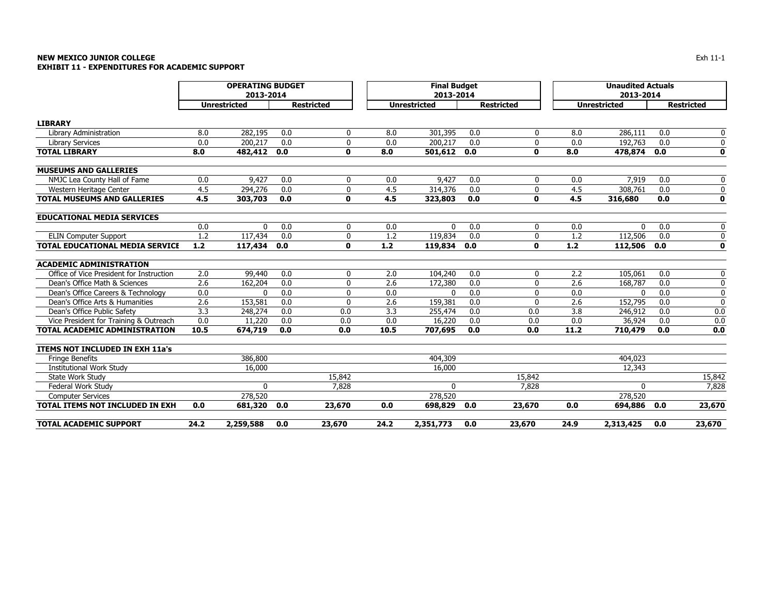# **NEW MEXICO JUNIOR COLLEGE** $\mathsf E$ **EXHIBIT 11 - EXPENDITURES FOR ACADEMIC SUPPORT**

|                                          | <b>OPERATING BUDGET</b> |                     |     |                   | <b>Final Budget</b> |                     |     |                   | <b>Unaudited Actuals</b> |                     |     |                   |
|------------------------------------------|-------------------------|---------------------|-----|-------------------|---------------------|---------------------|-----|-------------------|--------------------------|---------------------|-----|-------------------|
|                                          | 2013-2014               |                     |     |                   |                     | 2013-2014           |     |                   |                          | 2013-2014           |     |                   |
|                                          |                         | <b>Unrestricted</b> |     | <b>Restricted</b> |                     | <b>Unrestricted</b> |     | <b>Restricted</b> |                          | <b>Unrestricted</b> |     | <b>Restricted</b> |
| <b>LIBRARY</b>                           |                         |                     |     |                   |                     |                     |     |                   |                          |                     |     |                   |
| Library Administration                   | 8.0                     | 282,195             | 0.0 | 0                 | 8.0                 | 301,395             | 0.0 | 0                 | 8.0                      | 286,111             | 0.0 | 0                 |
| <b>Library Services</b>                  | 0.0                     | 200,217             | 0.0 | 0                 | 0.0                 | 200,217             | 0.0 | $\mathbf 0$       | 0.0                      | 192,763             | 0.0 | $\mathbf 0$       |
| <b>TOTAL LIBRARY</b>                     | 8.0                     | 482,412             | 0.0 | $\mathbf{0}$      | 8.0                 | 501,612 0.0         |     | $\mathbf 0$       | 8.0                      | 478,874             | 0.0 | 0                 |
| <b>MUSEUMS AND GALLERIES</b>             |                         |                     |     |                   |                     |                     |     |                   |                          |                     |     |                   |
| NMJC Lea County Hall of Fame             | 0.0                     | 9,427               | 0.0 | 0                 | 0.0                 | 9,427               | 0.0 | $\mathbf 0$       | 0.0                      | 7,919               | 0.0 | 0                 |
| Western Heritage Center                  | 4.5                     | 294,276             | 0.0 | 0                 | 4.5                 | 314,376             | 0.0 | 0                 | 4.5                      | 308,761             | 0.0 | $\mathbf 0$       |
| <b>TOTAL MUSEUMS AND GALLERIES</b>       | 4.5                     | 303,703             | 0.0 | $\mathbf{0}$      | 4.5                 | 323,803             | 0.0 | $\mathbf 0$       | 4.5                      | 316,680             | 0.0 | $\mathbf 0$       |
| <b>EDUCATIONAL MEDIA SERVICES</b>        |                         |                     |     |                   |                     |                     |     |                   |                          |                     |     |                   |
|                                          | 0.0                     | $\Omega$            | 0.0 | 0                 | 0.0                 | $\Omega$            | 0.0 | 0                 | 0.0                      | $\Omega$            | 0.0 | 0                 |
| <b>ELIN Computer Support</b>             | 1.2                     | 117,434             | 0.0 | 0                 | 1.2                 | 119,834             | 0.0 | 0                 | 1.2                      | 112,506             | 0.0 | 0                 |
| <b>TOTAL EDUCATIONAL MEDIA SERVICE</b>   | $1.2$                   | 117,434             | 0.0 | $\mathbf{0}$      | $1.2$               | 119,834             | 0.0 | $\mathbf 0$       | $1.2$                    | 112,506             | 0.0 | $\mathbf 0$       |
| <b>ACADEMIC ADMINISTRATION</b>           |                         |                     |     |                   |                     |                     |     |                   |                          |                     |     |                   |
| Office of Vice President for Instruction | 2.0                     | 99,440              | 0.0 | 0                 | 2.0                 | 104,240             | 0.0 | 0                 | 2.2                      | 105,061             | 0.0 | 0                 |
| Dean's Office Math & Sciences            | 2.6                     | 162,204             | 0.0 | 0                 | 2.6                 | 172,380             | 0.0 | $\mathbf 0$       | 2.6                      | 168,787             | 0.0 | 0                 |
| Dean's Office Careers & Technology       | 0.0                     | n                   | 0.0 | $\Omega$          | 0.0                 | $\Omega$            | 0.0 | $\mathbf 0$       | 0.0                      | $\Omega$            | 0.0 | 0                 |
| Dean's Office Arts & Humanities          | 2.6                     | 153,581             | 0.0 | 0                 | 2.6                 | 159,381             | 0.0 | $\mathbf{0}$      | 2.6                      | 152,795             | 0.0 | $\mathbf 0$       |
| Dean's Office Public Safety              | 3.3                     | 248,274             | 0.0 | 0.0               | 3.3                 | 255,474             | 0.0 | 0.0               | 3.8                      | 246,912             | 0.0 | 0.0               |
| Vice President for Training & Outreach   | 0.0                     | 11,220              | 0.0 | 0.0               | 0.0                 | 16,220              | 0.0 | 0.0               | 0.0                      | 36,924              | 0.0 | 0.0               |
| TOTAL ACADEMIC ADMINISTRATION            | 10.5                    | 674,719             | 0.0 | 0.0               | 10.5                | 707,695             | 0.0 | 0.0               | 11.2                     | 710,479             | 0.0 | 0.0               |
| ITEMS NOT INCLUDED IN EXH 11a's          |                         |                     |     |                   |                     |                     |     |                   |                          |                     |     |                   |
| <b>Fringe Benefits</b>                   |                         | 386,800             |     |                   |                     | 404,309             |     |                   |                          | 404,023             |     |                   |
| <b>Institutional Work Study</b>          |                         | 16,000              |     |                   |                     | 16,000              |     |                   |                          | 12,343              |     |                   |
| State Work Study                         |                         |                     |     | 15,842            |                     |                     |     | 15,842            |                          |                     |     | 15,842            |
| Federal Work Study                       |                         | $\Omega$            |     | 7,828             |                     | $\mathbf{0}$        |     | 7,828             |                          | $\mathbf{0}$        |     | 7,828             |
| <b>Computer Services</b>                 |                         | 278,520             |     |                   |                     | 278,520             |     |                   |                          | 278,520             |     |                   |
| <b>TOTAL ITEMS NOT INCLUDED IN EXH</b>   | 0.0                     | 681,320             | 0.0 | 23,670            | 0.0                 | 698,829 0.0         |     | 23,670            | 0.0                      | 694,886             | 0.0 | 23,670            |
| TOTAL ACADEMIC SUPPORT                   | 24.2                    | 2,259,588           | 0.0 | 23,670            | 24.2                | 2,351,773           | 0.0 | 23,670            | 24.9                     | 2,313,425           | 0.0 | 23,670            |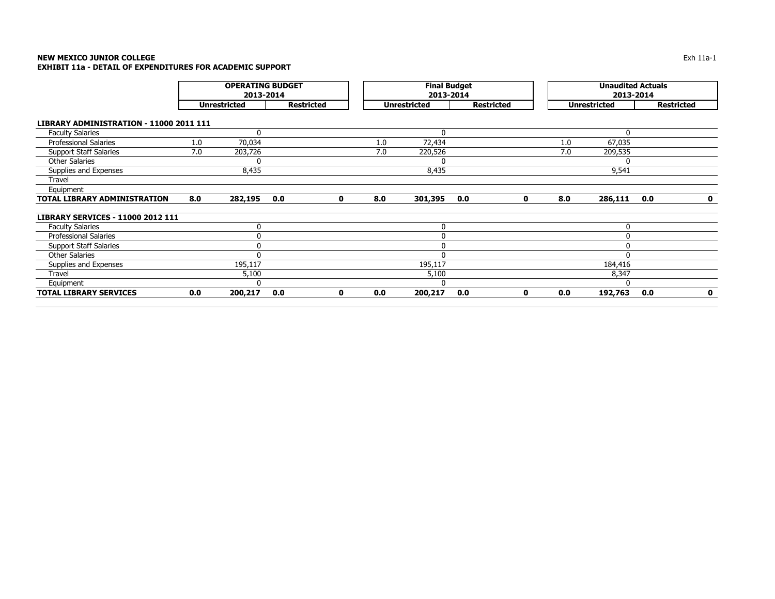# **NEW MEXICO JUNIOR COLLEGE** Exh 11a-1 **EXHIBIT 11a - DETAIL OF EXPENDITURES FOR ACADEMIC SUPPORT**

|                                                |     | <b>OPERATING BUDGET</b><br>2013-2014 |                   |   |     | <b>Final Budget</b><br>2013-2014 |                   |   | <b>Unaudited Actuals</b><br>2013-2014 |                     |     |                   |
|------------------------------------------------|-----|--------------------------------------|-------------------|---|-----|----------------------------------|-------------------|---|---------------------------------------|---------------------|-----|-------------------|
|                                                |     | <b>Unrestricted</b>                  | <b>Restricted</b> |   |     | <b>Unrestricted</b>              | <b>Restricted</b> |   |                                       | <b>Unrestricted</b> |     | <b>Restricted</b> |
| <b>LIBRARY ADMINISTRATION - 11000 2011 111</b> |     |                                      |                   |   |     |                                  |                   |   |                                       |                     |     |                   |
| <b>Faculty Salaries</b>                        |     | $\mathbf{0}$                         |                   |   |     | 0                                |                   |   |                                       | O                   |     |                   |
| <b>Professional Salaries</b>                   | 1.0 | 70,034                               |                   |   | 1.0 | 72,434                           |                   |   | 1.0                                   | 67,035              |     |                   |
| <b>Support Staff Salaries</b>                  | 7.0 | 203,726                              |                   |   | 7.0 | 220,526                          |                   |   | 7.0                                   | 209,535             |     |                   |
| <b>Other Salaries</b>                          |     | 0                                    |                   |   |     | 0                                |                   |   |                                       |                     |     |                   |
| Supplies and Expenses                          |     | 8,435                                |                   |   |     | 8,435                            |                   |   |                                       | 9,541               |     |                   |
| Travel                                         |     |                                      |                   |   |     |                                  |                   |   |                                       |                     |     |                   |
| Equipment                                      |     |                                      |                   |   |     |                                  |                   |   |                                       |                     |     |                   |
| TOTAL LIBRARY ADMINISTRATION                   | 8.0 | 282,195                              | 0.0               | 0 | 8.0 | 301,395                          | 0.0               | 0 | 8.0                                   | 286,111             | 0.0 | $\mathbf 0$       |
| <b>LIBRARY SERVICES - 11000 2012 111</b>       |     |                                      |                   |   |     |                                  |                   |   |                                       |                     |     |                   |
| <b>Faculty Salaries</b>                        |     | 0                                    |                   |   |     | 0                                |                   |   |                                       | $\Omega$            |     |                   |
| <b>Professional Salaries</b>                   |     | 0                                    |                   |   |     | 0                                |                   |   |                                       | 0                   |     |                   |
| <b>Support Staff Salaries</b>                  |     | $\mathbf 0$                          |                   |   |     | 0                                |                   |   |                                       |                     |     |                   |
| <b>Other Salaries</b>                          |     | 0                                    |                   |   |     | $\mathbf 0$                      |                   |   |                                       | $\Omega$            |     |                   |
| Supplies and Expenses                          |     | 195,117                              |                   |   |     | 195,117                          |                   |   |                                       | 184,416             |     |                   |
| Travel                                         |     | 5,100                                |                   |   |     | 5,100                            |                   |   |                                       | 8,347               |     |                   |
| Equipment                                      |     | $\mathbf{0}$                         |                   |   |     | 0                                |                   |   |                                       |                     |     |                   |
| <b>TOTAL LIBRARY SERVICES</b>                  | 0.0 | 200,217                              | 0.0               | 0 | 0.0 | 200,217                          | 0.0               | 0 | 0.0                                   | 192,763             | 0.0 | $\mathbf 0$       |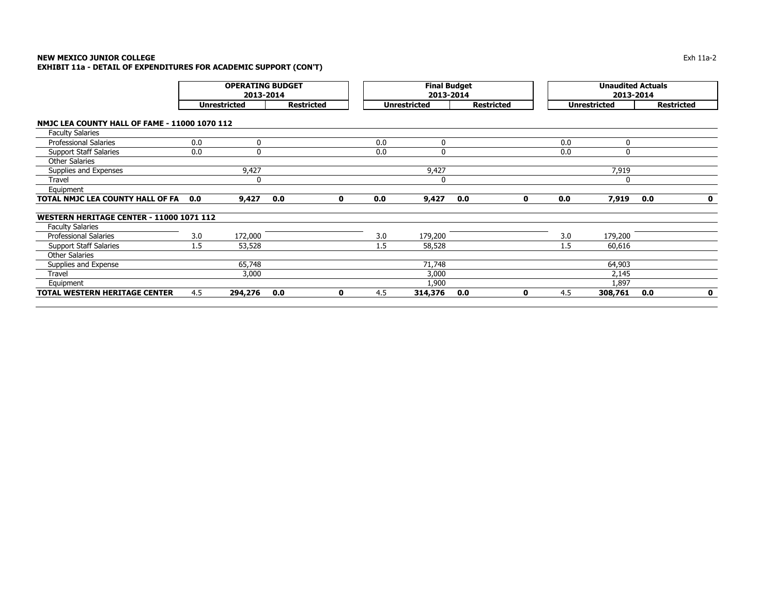|                                                      |     | <b>OPERATING BUDGET</b><br>2013-2014 |                   |             |     | <b>Final Budget</b><br>2013-2014 |     |                   |     | <b>Unaudited Actuals</b><br>2013-2014 |                   |             |
|------------------------------------------------------|-----|--------------------------------------|-------------------|-------------|-----|----------------------------------|-----|-------------------|-----|---------------------------------------|-------------------|-------------|
|                                                      |     | <b>Unrestricted</b>                  | <b>Restricted</b> |             |     | <b>Unrestricted</b>              |     | <b>Restricted</b> |     | <b>Unrestricted</b>                   | <b>Restricted</b> |             |
| <b>NMJC LEA COUNTY HALL OF FAME - 11000 1070 112</b> |     |                                      |                   |             |     |                                  |     |                   |     |                                       |                   |             |
| <b>Faculty Salaries</b>                              |     |                                      |                   |             |     |                                  |     |                   |     |                                       |                   |             |
| <b>Professional Salaries</b>                         | 0.0 | 0                                    |                   |             | 0.0 | 0                                |     |                   | 0.0 | $\Omega$                              |                   |             |
| <b>Support Staff Salaries</b>                        | 0.0 | $\mathbf 0$                          |                   |             | 0.0 | 0                                |     |                   | 0.0 | $\Omega$                              |                   |             |
| <b>Other Salaries</b>                                |     |                                      |                   |             |     |                                  |     |                   |     |                                       |                   |             |
| Supplies and Expenses                                |     | 9,427                                |                   |             |     | 9,427                            |     |                   |     | 7,919                                 |                   |             |
| Travel                                               |     | 0                                    |                   |             |     | 0                                |     |                   |     | 0                                     |                   |             |
| Equipment                                            |     |                                      |                   |             |     |                                  |     |                   |     |                                       |                   |             |
| TOTAL NMJC LEA COUNTY HALL OF FA                     | 0.0 | 9,427                                | 0.0               | $\mathbf 0$ | 0.0 | 9,427                            | 0.0 | 0                 | 0.0 | 7,919                                 | 0.0               | $\mathbf 0$ |
| <b>WESTERN HERITAGE CENTER - 11000 1071 112</b>      |     |                                      |                   |             |     |                                  |     |                   |     |                                       |                   |             |
| <b>Faculty Salaries</b>                              |     |                                      |                   |             |     |                                  |     |                   |     |                                       |                   |             |
| <b>Professional Salaries</b>                         | 3.0 | 172,000                              |                   |             | 3.0 | 179,200                          |     |                   | 3.0 | 179,200                               |                   |             |
| <b>Support Staff Salaries</b>                        | 1.5 | 53,528                               |                   |             | 1.5 | 58,528                           |     |                   | 1.5 | 60,616                                |                   |             |
| <b>Other Salaries</b>                                |     |                                      |                   |             |     |                                  |     |                   |     |                                       |                   |             |
| Supplies and Expense                                 |     | 65,748                               |                   |             |     | 71,748                           |     |                   |     | 64,903                                |                   |             |
| Travel                                               |     | 3,000                                |                   |             |     | 3,000                            |     |                   |     | 2,145                                 |                   |             |
| Equipment                                            |     |                                      |                   |             |     | 1,900                            |     |                   |     | 1,897                                 |                   |             |
| TOTAL WESTERN HERITAGE CENTER                        | 4.5 | 294,276                              | 0.0               | $\mathbf 0$ | 4.5 | 314,376                          | 0.0 | 0                 | 4.5 | 308,761                               | 0.0               | $\mathbf 0$ |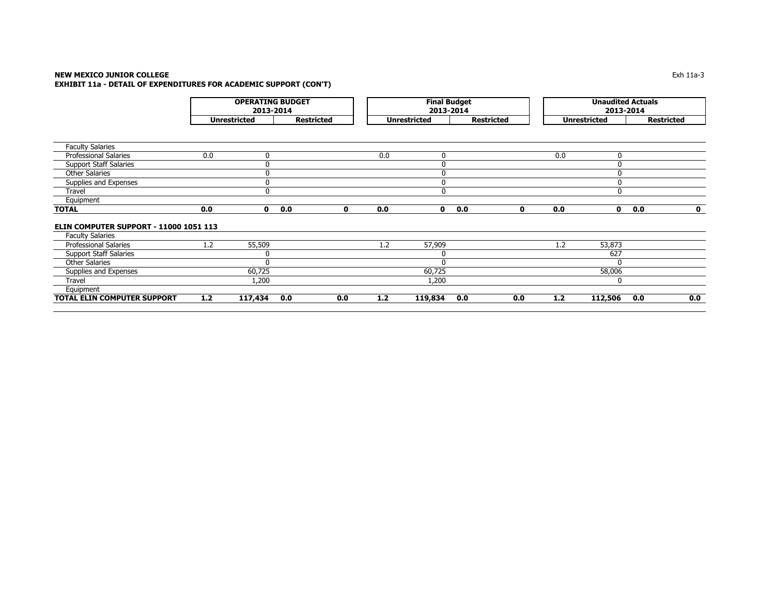### **NEW MEXICO JUNIOR COLLEGE** $\blacksquare$  Exh 11a-3 **EXHIBIT 11a - DETAIL OF EXPENDITURES FOR ACADEMIC SUPPORT (CON'T)**

|                                        |     | <b>OPERATING BUDGET</b><br>2013-2014<br><b>Restricted</b><br><b>Unrestricted</b> |     |              |     | <b>Final Budget</b><br>2013-2014 |                   |     |     |                     | <b>Unaudited Actuals</b><br>2013-2014 |                   |
|----------------------------------------|-----|----------------------------------------------------------------------------------|-----|--------------|-----|----------------------------------|-------------------|-----|-----|---------------------|---------------------------------------|-------------------|
|                                        |     |                                                                                  |     |              |     | <b>Unrestricted</b>              | <b>Restricted</b> |     |     | <b>Unrestricted</b> |                                       | <b>Restricted</b> |
|                                        |     |                                                                                  |     |              |     |                                  |                   |     |     |                     |                                       |                   |
| <b>Faculty Salaries</b>                |     |                                                                                  |     |              |     |                                  |                   |     |     |                     |                                       |                   |
| <b>Professional Salaries</b>           | 0.0 | 0                                                                                |     |              | 0.0 | 0                                |                   |     | 0.0 | $\Omega$            |                                       |                   |
| <b>Support Staff Salaries</b>          |     | 0                                                                                |     |              |     | 0                                |                   |     |     |                     |                                       |                   |
| <b>Other Salaries</b>                  |     | $\Omega$                                                                         |     |              |     | 0                                |                   |     |     | $\Omega$            |                                       |                   |
| Supplies and Expenses                  |     | $\mathbf 0$                                                                      |     |              |     | 0                                |                   |     |     | $\Omega$            |                                       |                   |
| Travel                                 |     | $\mathbf{0}$                                                                     |     |              |     | 0                                |                   |     |     | $\Omega$            |                                       |                   |
| Equipment                              |     |                                                                                  |     |              |     |                                  |                   |     |     |                     |                                       |                   |
| <b>TOTAL</b>                           | 0.0 | $\mathbf 0$                                                                      | 0.0 | $\mathbf{0}$ | 0.0 | $\mathbf 0$                      | 0.0               | 0   | 0.0 | $\mathbf{0}$        | 0.0                                   | $\mathbf{o}$      |
| ELIN COMPUTER SUPPORT - 11000 1051 113 |     |                                                                                  |     |              |     |                                  |                   |     |     |                     |                                       |                   |
| <b>Faculty Salaries</b>                |     |                                                                                  |     |              |     |                                  |                   |     |     |                     |                                       |                   |
| <b>Professional Salaries</b>           | 1.2 | 55,509                                                                           |     |              | 1.2 | 57,909                           |                   |     | 1.2 | 53,873              |                                       |                   |
| <b>Support Staff Salaries</b>          |     | 0                                                                                |     |              |     | 0                                |                   |     |     | 627                 |                                       |                   |
| <b>Other Salaries</b>                  |     | $\Omega$                                                                         |     |              |     | $\mathbf{0}$                     |                   |     |     |                     |                                       |                   |
| Supplies and Expenses                  |     | 60,725                                                                           |     |              |     | 60,725                           |                   |     |     | 58,006              |                                       |                   |
| Travel                                 |     | 1,200                                                                            |     |              |     | 1,200                            |                   |     |     | $\Omega$            |                                       |                   |
| Equipment                              |     |                                                                                  |     |              |     |                                  |                   |     |     |                     |                                       |                   |
| TOTAL ELIN COMPUTER SUPPORT            | 1.2 | 117,434                                                                          | 0.0 | 0.0          | 1.2 | 119,834                          | 0.0               | 0.0 | 1.2 | 112,506             | 0.0                                   | 0.0               |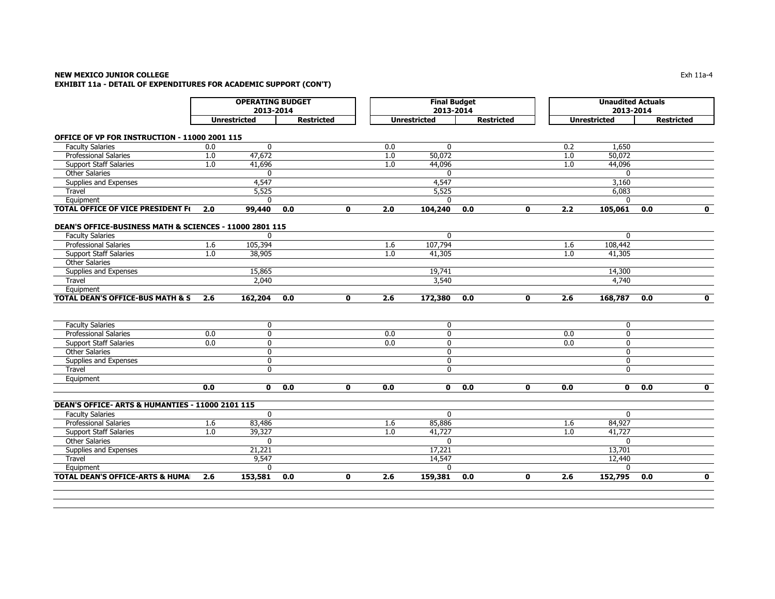### **NEW MEXICO JUNIOR COLLEGE** Exh 11a-4 **EXHIBIT 11a - DETAIL OF EXPENDITURES FOR ACADEMIC SUPPORT (CON'T)**

|                                                         |     | <b>OPERATING BUDGET</b><br>2013-2014 |                   |              |                  | <b>Final Budget</b><br>2013-2014 |                   |              |                  | <b>Unaudited Actuals</b><br>2013-2014 |                   |                         |
|---------------------------------------------------------|-----|--------------------------------------|-------------------|--------------|------------------|----------------------------------|-------------------|--------------|------------------|---------------------------------------|-------------------|-------------------------|
|                                                         |     | <b>Unrestricted</b>                  | <b>Restricted</b> |              |                  | <b>Unrestricted</b>              | <b>Restricted</b> |              |                  | <b>Unrestricted</b>                   | <b>Restricted</b> |                         |
| OFFICE OF VP FOR INSTRUCTION - 11000 2001 115           |     |                                      |                   |              |                  |                                  |                   |              |                  |                                       |                   |                         |
| <b>Faculty Salaries</b>                                 | 0.0 | $\mathbf{0}$                         |                   |              | 0.0              | $\mathbf{0}$                     |                   |              | 0.2              | 1,650                                 |                   |                         |
| <b>Professional Salaries</b>                            | 1.0 | 47,672                               |                   |              | 1.0              | 50,072                           |                   |              | 1.0              | 50,072                                |                   |                         |
| <b>Support Staff Salaries</b>                           | 1.0 | 41,696                               |                   |              | 1.0              | 44,096                           |                   |              | 1.0              | 44,096                                |                   |                         |
| <b>Other Salaries</b>                                   |     | $\mathbf{0}$                         |                   |              |                  | $\mathbf{0}$                     |                   |              |                  | $\mathbf{0}$                          |                   |                         |
| Supplies and Expenses                                   |     | 4,547                                |                   |              |                  | 4,547                            |                   |              |                  | 3,160                                 |                   |                         |
| Travel                                                  |     | 5,525                                |                   |              |                  | 5,525                            |                   |              |                  | 6,083                                 |                   |                         |
| Equipment                                               |     | $\mathbf{0}$                         |                   |              |                  | $\Omega$                         |                   |              |                  | $\Omega$                              |                   |                         |
| <b>TOTAL OFFICE OF VICE PRESIDENT F(</b>                | 2.0 | 99,440                               | 0.0               | 0            | 2.0              | 104,240                          | 0.0               | 0            | 2.2              | 105,061                               | 0.0               | $\mathbf 0$             |
|                                                         |     |                                      |                   |              |                  |                                  |                   |              |                  |                                       |                   |                         |
| DEAN'S OFFICE-BUSINESS MATH & SCIENCES - 11000 2801 115 |     |                                      |                   |              |                  |                                  |                   |              |                  |                                       |                   |                         |
| <b>Faculty Salaries</b>                                 |     | $\Omega$                             |                   |              |                  | $\mathbf{0}$                     |                   |              |                  | $\mathbf{0}$                          |                   |                         |
| <b>Professional Salaries</b>                            | 1.6 | 105,394                              |                   |              | 1.6              | 107,794                          |                   |              | 1.6              | 108,442                               |                   |                         |
| <b>Support Staff Salaries</b>                           | 1.0 | 38,905                               |                   |              | 1.0              | 41,305                           |                   |              | 1.0              | 41,305                                |                   |                         |
| <b>Other Salaries</b>                                   |     |                                      |                   |              |                  |                                  |                   |              |                  |                                       |                   |                         |
| Supplies and Expenses                                   |     | 15,865                               |                   |              |                  | 19,741                           |                   |              |                  | 14,300                                |                   |                         |
| Travel                                                  |     | 2,040                                |                   |              |                  | 3,540                            |                   |              |                  | 4,740                                 |                   |                         |
| Equipment                                               |     |                                      |                   |              |                  |                                  |                   |              |                  |                                       |                   |                         |
| <b>TOTAL DEAN'S OFFICE-BUS MATH &amp; S</b>             | 2.6 | 162,204                              | 0.0               | $\mathbf{0}$ | $\overline{2.6}$ | 172,380                          | 0.0               | $\mathbf{0}$ | $\overline{2.6}$ | 168,787                               | 0.0               | $\mathbf{0}$            |
|                                                         |     |                                      |                   |              |                  |                                  |                   |              |                  |                                       |                   |                         |
| <b>Faculty Salaries</b>                                 |     | 0                                    |                   |              |                  | 0                                |                   |              |                  | 0                                     |                   |                         |
| <b>Professional Salaries</b>                            | 0.0 | $\mathbf{0}$                         |                   |              | 0.0              | $\mathbf{0}$                     |                   |              | $\overline{0.0}$ | $\mathbf{0}$                          |                   |                         |
| <b>Support Staff Salaries</b>                           | 0.0 | 0                                    |                   |              | 0.0              | $\mathbf 0$                      |                   |              | 0.0              | $\mathbf 0$                           |                   |                         |
| <b>Other Salaries</b>                                   |     | $\mathbf 0$                          |                   |              |                  | $\mathbf{0}$                     |                   |              |                  | $\mathbf{0}$                          |                   |                         |
| Supplies and Expenses                                   |     | 0                                    |                   |              |                  | $\Omega$                         |                   |              |                  | $\Omega$                              |                   |                         |
| Travel                                                  |     | $\mathbf 0$                          |                   |              |                  | $\mathbf 0$                      |                   |              |                  | $\mathbf{0}$                          |                   |                         |
| Equipment                                               |     |                                      |                   |              |                  |                                  |                   |              |                  |                                       |                   |                         |
|                                                         | 0.0 | $\mathbf{0}$                         | 0.0               | $\mathbf{0}$ | 0.0              | $\mathbf{0}$                     | 0.0               | $\mathbf{0}$ | 0.0              | $\mathbf{0}$                          | 0.0               | $\mathbf{o}$            |
| DEAN'S OFFICE- ARTS & HUMANTIES - 11000 2101 115        |     |                                      |                   |              |                  |                                  |                   |              |                  |                                       |                   |                         |
| <b>Faculty Salaries</b>                                 |     | $\Omega$                             |                   |              |                  | $\Omega$                         |                   |              |                  | $\Omega$                              |                   |                         |
| <b>Professional Salaries</b>                            | 1.6 | 83,486                               |                   |              | 1.6              | 85,886                           |                   |              | 1.6              | 84,927                                |                   |                         |
| <b>Support Staff Salaries</b>                           | 1.0 | 39,327                               |                   |              | 1.0              | 41,727                           |                   |              | 1.0              | 41,727                                |                   |                         |
| <b>Other Salaries</b>                                   |     | $\Omega$                             |                   |              |                  | $\Omega$                         |                   |              |                  | $\Omega$                              |                   |                         |
| Supplies and Expenses                                   |     | 21,221                               |                   |              |                  | 17,221                           |                   |              |                  | 13,701                                |                   |                         |
| Travel                                                  |     | 9,547                                |                   |              |                  | 14,547                           |                   |              |                  | 12,440                                |                   |                         |
| Equipment                                               |     | $\Omega$                             |                   |              |                  | $\Omega$                         |                   |              |                  | $\Omega$                              |                   |                         |
| <b>TOTAL DEAN'S OFFICE-ARTS &amp; HUMAL</b>             | 2.6 | 153,581                              | 0.0               | $\mathbf{0}$ | 2.6              | 159,381                          | 0.0               | $\mathbf{0}$ | 2.6              | 152,795                               | 0.0               | $\overline{\mathbf{0}}$ |
|                                                         |     |                                      |                   |              |                  |                                  |                   |              |                  |                                       |                   |                         |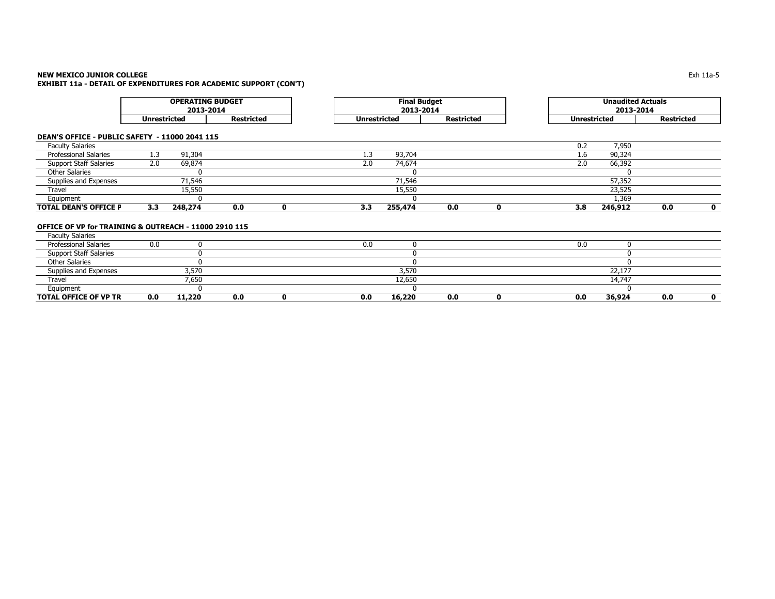# **NEW MEXICO JUNIOR COLLEGE**

**EXHIBIT 11a - DETAIL OF EXPENDITURES FOR ACADEMIC SUPPORT (CON'T)**

|                                                       |                     | <b>OPERATING BUDGET</b><br>2013-2014 |                   |             |                     | <b>Final Budget</b><br>2013-2014 |                   |             |                     | <b>Unaudited Actuals</b><br>2013-2014 |                   |             |
|-------------------------------------------------------|---------------------|--------------------------------------|-------------------|-------------|---------------------|----------------------------------|-------------------|-------------|---------------------|---------------------------------------|-------------------|-------------|
|                                                       | <b>Unrestricted</b> |                                      | <b>Restricted</b> |             | <b>Unrestricted</b> |                                  | <b>Restricted</b> |             | <b>Unrestricted</b> |                                       | <b>Restricted</b> |             |
| DEAN'S OFFICE - PUBLIC SAFETY - 11000 2041 115        |                     |                                      |                   |             |                     |                                  |                   |             |                     |                                       |                   |             |
| <b>Faculty Salaries</b>                               |                     |                                      |                   |             |                     |                                  |                   |             | 0.2                 | 7,950                                 |                   |             |
| Professional Salaries                                 | 1.3                 | 91,304                               |                   |             | 1.3                 | 93,704                           |                   |             | 1.6                 | 90,324                                |                   |             |
| <b>Support Staff Salaries</b>                         | 2.0                 | 69,874                               |                   |             | 2.0                 | 74,674                           |                   |             | 2.0                 | 66,392                                |                   |             |
| <b>Other Salaries</b>                                 |                     |                                      |                   |             |                     | $\Omega$                         |                   |             |                     |                                       |                   |             |
| Supplies and Expenses                                 |                     | 71,546                               |                   |             |                     | 71,546                           |                   |             |                     | 57,352                                |                   |             |
| Travel                                                |                     | 15,550                               |                   |             |                     | 15,550                           |                   |             |                     | 23,525                                |                   |             |
| Equipment                                             |                     |                                      |                   |             |                     |                                  |                   |             |                     | 1,369                                 |                   |             |
| <b>TOTAL DEAN'S OFFICE P</b>                          | 3.3 <sub>2</sub>    | 248,274                              | 0.0               | 0           | 3.3                 | 255,474                          | 0.0               | $\mathbf 0$ | 3.8                 | 246,912                               | 0.0               | 0           |
| OFFICE OF VP for TRAINING & OUTREACH - 11000 2910 115 |                     |                                      |                   |             |                     |                                  |                   |             |                     |                                       |                   |             |
| <b>Faculty Salaries</b>                               |                     |                                      |                   |             |                     |                                  |                   |             |                     |                                       |                   |             |
| <b>Professional Salaries</b>                          | 0.0                 |                                      |                   |             | 0.0                 | 0                                |                   |             | 0.0                 | 0                                     |                   |             |
| <b>Support Staff Salaries</b>                         |                     |                                      |                   |             |                     | $\Omega$                         |                   |             |                     | $\Omega$                              |                   |             |
| <b>Other Salaries</b>                                 |                     |                                      |                   |             |                     | 0                                |                   |             |                     | $\Omega$                              |                   |             |
| Supplies and Expenses                                 |                     | 3,570                                |                   |             |                     | 3,570                            |                   |             |                     | 22,177                                |                   |             |
| Travel                                                |                     | 7,650                                |                   |             |                     | 12,650                           |                   |             |                     | 14,747                                |                   |             |
| Equipment                                             |                     |                                      |                   |             |                     | $\Omega$                         |                   |             |                     |                                       |                   |             |
| <b>TOTAL OFFICE OF VP TR</b>                          | 0.0                 | 11,220                               | 0.0               | $\mathbf 0$ | 0.0                 | 16,220                           | 0.0               | 0           | 0.0                 | 36,924                                | 0.0               | $\mathbf 0$ |

 $\mathsf E$  the contract of the contract of the contract of the contract of the contract of the contract of the contract of the contract of the contract of the contract of the contract of the contract of the contract of the co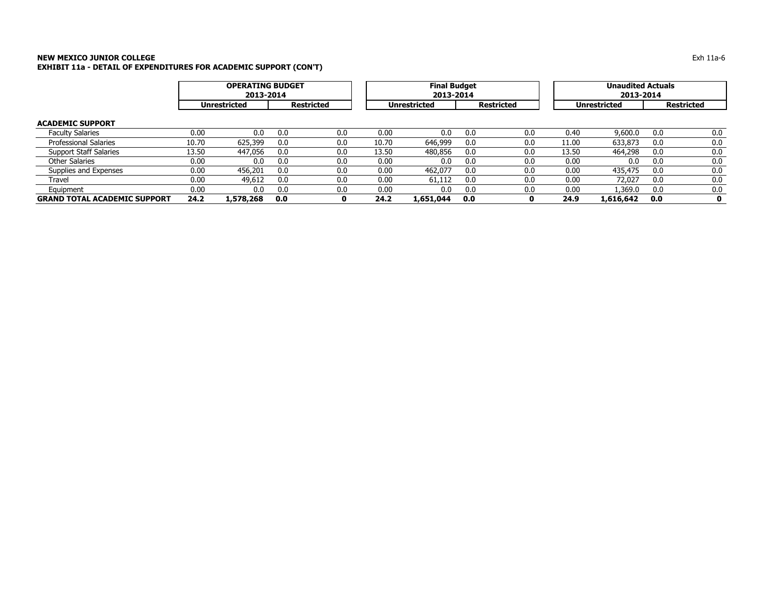|                                     |       | <b>OPERATING BUDGET</b><br>2013-2014 |     |                   |       | <b>Final Budget</b><br>2013-2014 |     |                   |       | <b>Unaudited Actuals</b><br>2013-2014 |     |                   |
|-------------------------------------|-------|--------------------------------------|-----|-------------------|-------|----------------------------------|-----|-------------------|-------|---------------------------------------|-----|-------------------|
|                                     |       | <b>Unrestricted</b>                  |     | <b>Restricted</b> |       | <b>Unrestricted</b>              |     | <b>Restricted</b> |       | <b>Unrestricted</b>                   |     | <b>Restricted</b> |
| <b>ACADEMIC SUPPORT</b>             |       |                                      |     |                   |       |                                  |     |                   |       |                                       |     |                   |
| <b>Faculty Salaries</b>             | 0.00  | 0.0                                  | 0.0 | 0.0               | 0.00  | 0.0                              | 0.0 | 0.0               | 0.40  | 9,600.0                               | 0.0 | 0.0               |
| <b>Professional Salaries</b>        | 10.70 | 625,399                              | 0.0 | 0.0               | 10.70 | 646,999                          | 0.0 | 0.0               | 11.00 | 633,873                               | 0.0 | 0.0               |
| <b>Support Staff Salaries</b>       | 13.50 | 447,056                              | 0.0 | 0.0               | 13.50 | 480,856                          | 0.0 | 0.0               | 13.50 | 464,298                               | 0.0 | 0.0               |
| Other Salaries                      | 0.00  | 0.0                                  | 0.0 | 0.0               | 0.00  | 0.0                              | 0.0 | 0.0               | 0.00  | 0.0                                   | 0.0 | 0.0               |
| Supplies and Expenses               | 0.00  | 456,201                              | 0.0 | 0.0               | 0.00  | 462,077                          | 0.0 | 0.0               | 0.00  | 435,475                               | 0.0 | 0.0               |
| Travel                              | 0.00  | 49,612                               | 0.0 | 0.0               | 0.00  | 61,112                           | 0.0 | 0.0               | 0.00  | 72,027                                | 0.0 | 0.0               |
| Equipment                           | 0.00  | 0.0                                  | 0.0 | 0.0               | 0.00  | 0.0                              | 0.0 | 0.0               | 0.00  | .369.0                                | 0.0 | 0.0               |
| <b>GRAND TOTAL ACADEMIC SUPPORT</b> | 24.2  | 1,578,268                            | 0.0 |                   | 24.2  | 1,651,044                        | 0.0 | o                 | 24.9  | 1,616,642                             | 0.0 | $\mathbf o$       |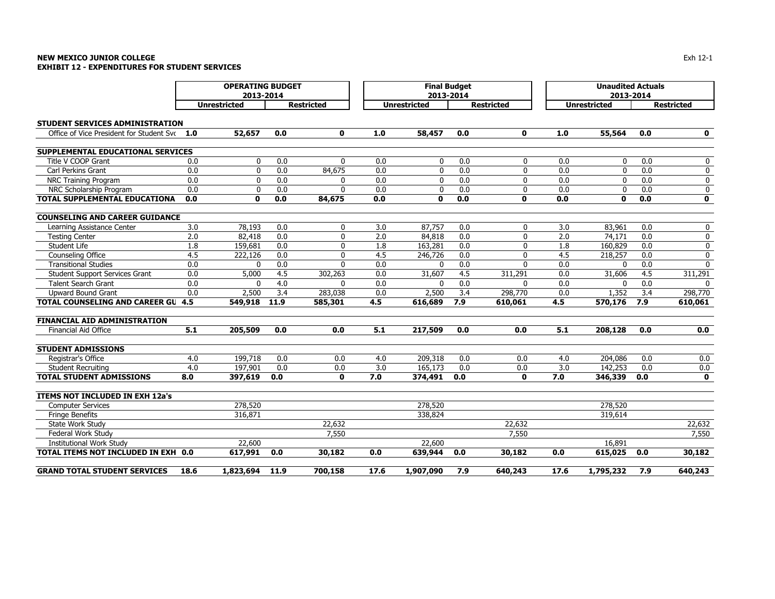### **NEW MEXICO JUNIOR COLLEGE** $\mathsf E$ **EXHIBIT 12 - EXPENDITURES FOR STUDENT SERVICES**

|                                              | <b>OPERATING BUDGET</b><br>2013-2014 |                     |      |                   |      | <b>Final Budget</b> | 2013-2014 |                   |      | <b>Unaudited Actuals</b><br>2013-2014 |     |                   |
|----------------------------------------------|--------------------------------------|---------------------|------|-------------------|------|---------------------|-----------|-------------------|------|---------------------------------------|-----|-------------------|
|                                              |                                      | <b>Unrestricted</b> |      | <b>Restricted</b> |      | <b>Unrestricted</b> |           | <b>Restricted</b> |      | <b>Unrestricted</b>                   |     | <b>Restricted</b> |
| <b>STUDENT SERVICES ADMINISTRATION</b>       |                                      |                     |      |                   |      |                     |           |                   |      |                                       |     |                   |
| Office of Vice President for Student Svt 1.0 |                                      | 52,657              | 0.0  | $\mathbf{0}$      | 1.0  | 58,457              | 0.0       | 0                 | 1.0  | 55,564                                | 0.0 | $\mathbf 0$       |
| SUPPLEMENTAL EDUCATIONAL SERVICES            |                                      |                     |      |                   |      |                     |           |                   |      |                                       |     |                   |
| Title V COOP Grant                           | 0.0                                  | 0                   | 0.0  | $\mathbf{0}$      | 0.0  | 0                   | 0.0       | 0                 | 0.0  | $\mathbf{0}$                          | 0.0 | 0                 |
| Carl Perkins Grant                           | 0.0                                  | 0                   | 0.0  | 84,675            | 0.0  | 0                   | 0.0       | 0                 | 0.0  | 0                                     | 0.0 | 0                 |
| NRC Training Program                         | 0.0                                  | $\mathbf 0$         | 0.0  | 0                 | 0.0  | $\mathbf 0$         | 0.0       | 0                 | 0.0  | $\mathbf 0$                           | 0.0 | 0                 |
| NRC Scholarship Program                      | 0.0                                  | $\mathbf 0$         | 0.0  | $\Omega$          | 0.0  | 0                   | 0.0       | $\mathbf 0$       | 0.0  | $\mathbf{0}$                          | 0.0 | 0                 |
| <b>TOTAL SUPPLEMENTAL EDUCATIONA</b>         | 0.0                                  | $\mathbf{0}$        | 0.0  | 84,675            | 0.0  | $\mathbf 0$         | 0.0       | 0                 | 0.0  | $\mathbf{0}$                          | 0.0 | $\mathbf 0$       |
| <b>COUNSELING AND CAREER GUIDANCE</b>        |                                      |                     |      |                   |      |                     |           |                   |      |                                       |     |                   |
| Learning Assistance Center                   | 3.0                                  | 78,193              | 0.0  | 0                 | 3.0  | 87,757              | 0.0       | 0                 | 3.0  | 83,961                                | 0.0 | 0                 |
| <b>Testing Center</b>                        | 2.0                                  | 82,418              | 0.0  | $\mathbf{0}$      | 2.0  | 84,818              | 0.0       | 0                 | 2.0  | 74,171                                | 0.0 | 0                 |
| Student Life                                 | 1.8                                  | 159,681             | 0.0  | $\Omega$          | 1.8  | 163,281             | 0.0       | U                 | 1.8  | 160,829                               | 0.0 | 0                 |
| Counseling Office                            | 4.5                                  | 222,126             | 0.0  | $\Omega$          | 4.5  | 246,726             | 0.0       | 0                 | 4.5  | 218,257                               | 0.0 | 0                 |
| <b>Transitional Studies</b>                  | 0.0                                  | $\Omega$            | 0.0  | $\Omega$          | 0.0  | 0                   | 0.0       | O                 | 0.0  | $\Omega$                              | 0.0 | $\Omega$          |
| <b>Student Support Services Grant</b>        | 0.0                                  | 5,000               | 4.5  | 302,263           | 0.0  | 31,607              | 4.5       | 311,291           | 0.0  | 31,606                                | 4.5 | 311,291           |
| <b>Talent Search Grant</b>                   | 0.0                                  | $\Omega$            | 4.0  | $\Omega$          | 0.0  | $\mathbf{0}$        | 0.0       | $\Omega$          | 0.0  | $\Omega$                              | 0.0 | 0                 |
| <b>Upward Bound Grant</b>                    | 0.0                                  | 2,500               | 3.4  | 283,038           | 0.0  | 2,500               | 3.4       | 298,770           | 0.0  | 1,352                                 | 3.4 | 298,770           |
| <b>TOTAL COUNSELING AND CAREER GU 4.5</b>    |                                      | 549,918             | 11.9 | 585,301           | 4.5  | 616,689             | 7.9       | 610,061           | 4.5  | 570,176                               | 7.9 | 610,061           |
| <b>FINANCIAL AID ADMINISTRATION</b>          |                                      |                     |      |                   |      |                     |           |                   |      |                                       |     |                   |
| <b>Financial Aid Office</b>                  | 5.1                                  | 205,509             | 0.0  | 0.0               | 5.1  | 217,509             | 0.0       | 0.0               | 5.1  | 208,128                               | 0.0 | 0.0               |
| <b>STUDENT ADMISSIONS</b>                    |                                      |                     |      |                   |      |                     |           |                   |      |                                       |     |                   |
| Registrar's Office                           | 4.0                                  | 199,718             | 0.0  | 0.0               | 4.0  | 209,318             | 0.0       | 0.0               | 4.0  | 204,086                               | 0.0 | 0.0               |
| <b>Student Recruiting</b>                    | 4.0                                  | 197,901             | 0.0  | 0.0               | 3.0  | 165,173             | 0.0       | 0.0               | 3.0  | 142,253                               | 0.0 | 0.0               |
| <b>TOTAL STUDENT ADMISSIONS</b>              | 8.0                                  | 397,619             | 0.0  | $\mathbf{0}$      | 7.0  | 374,491             | 0.0       | 0                 | 7.0  | 346,339                               | 0.0 | $\mathbf 0$       |
| ITEMS NOT INCLUDED IN EXH 12a's              |                                      |                     |      |                   |      |                     |           |                   |      |                                       |     |                   |
| <b>Computer Services</b>                     |                                      | 278,520             |      |                   |      | 278,520             |           |                   |      | 278,520                               |     |                   |
| <b>Fringe Benefits</b>                       |                                      | 316,871             |      |                   |      | 338,824             |           |                   |      | 319,614                               |     |                   |
| State Work Study                             |                                      |                     |      | 22,632            |      |                     |           | 22,632            |      |                                       |     | 22,632            |
| Federal Work Study                           |                                      |                     |      | 7,550             |      |                     |           | 7,550             |      |                                       |     | 7,550             |
| <b>Institutional Work Study</b>              |                                      | 22,600              |      |                   |      | 22,600              |           |                   |      | 16,891                                |     |                   |
| TOTAL ITEMS NOT INCLUDED IN EXH 0.0          |                                      | 617,991             | 0.0  | 30,182            | 0.0  | 639,944             | 0.0       | 30,182            | 0.0  | 615,025                               | 0.0 | 30,182            |
| <b>GRAND TOTAL STUDENT SERVICES</b>          | 18.6                                 | 1,823,694           | 11.9 | 700,158           | 17.6 | 1,907,090           | 7.9       | 640,243           | 17.6 | 1,795,232                             | 7.9 | 640,243           |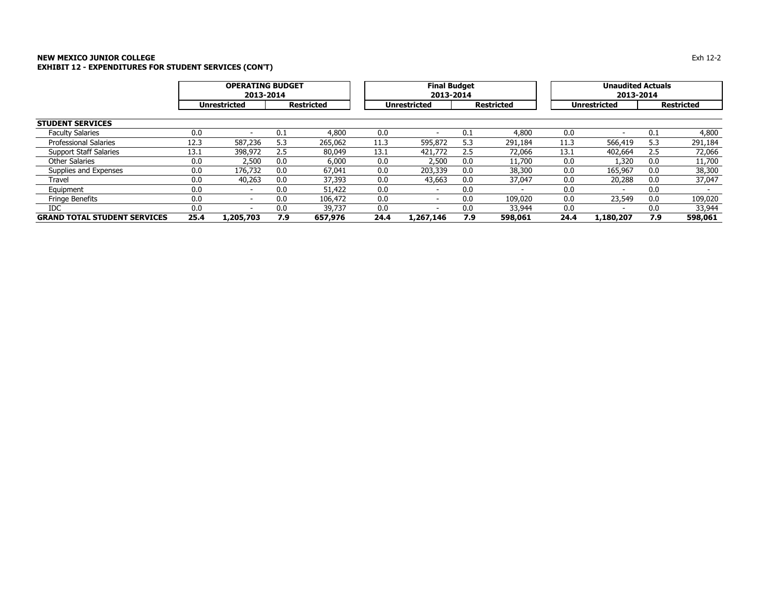### **NEW MEXICO JUNIOR COLLEGE** $\mathsf E$ **EXHIBIT 12 - EXPENDITURES FOR STUDENT SERVICES (CON'T)**

|                                     |      | <b>OPERATING BUDGET</b><br>2013-2014 |     |                   |      | <b>Final Budget</b><br>2013-2014 |     |                   |      | <b>Unaudited Actuals</b><br>2013-2014 |     |                   |
|-------------------------------------|------|--------------------------------------|-----|-------------------|------|----------------------------------|-----|-------------------|------|---------------------------------------|-----|-------------------|
|                                     |      | <b>Unrestricted</b>                  |     | <b>Restricted</b> |      | <b>Unrestricted</b>              |     | <b>Restricted</b> |      | <b>Unrestricted</b>                   |     | <b>Restricted</b> |
| <b>STUDENT SERVICES</b>             |      |                                      |     |                   |      |                                  |     |                   |      |                                       |     |                   |
| <b>Faculty Salaries</b>             | 0.0  |                                      | 0.1 | 4,800             | 0.0  |                                  | 0.1 | 4,800             | 0.0  |                                       | 0.1 | 4,800             |
| <b>Professional Salaries</b>        | 12.3 | 587,236                              | 5.3 | 265,062           | 11.3 | 595,872                          | 5.3 | 291,184           | 11.3 | 566,419                               | 5.3 | 291,184           |
| <b>Support Staff Salaries</b>       | 13.1 | 398,972                              | 2.5 | 80,049            | 13.1 | 421,772                          | 2.5 | 72,066            | 13.1 | 402,664                               | 2.5 | 72,066            |
| <b>Other Salaries</b>               | 0.0  | 2,500                                | 0.0 | 6,000             | 0.0  | 2,500                            | 0.0 | 11,700            | 0.0  | 1,320                                 | 0.0 | 11,700            |
| Supplies and Expenses               | 0.0  | 176,732                              | 0.0 | 67,041            | 0.0  | 203,339                          | 0.0 | 38,300            | 0.0  | 165,967                               | 0.0 | 38,300            |
| Travel                              | 0.0  | 40,263                               | 0.0 | 37,393            | 0.0  | 43,663                           | 0.0 | 37,047            | 0.0  | 20,288                                | 0.0 | 37,047            |
| Equipment                           | 0.0  |                                      | 0.0 | 51,422            | 0.0  |                                  | 0.0 |                   | 0.0  | $\overline{\phantom{0}}$              | 0.0 |                   |
| <b>Fringe Benefits</b>              | 0.0  |                                      | 0.0 | 106,472           | 0.0  |                                  | 0.0 | 109,020           | 0.0  | 23,549                                | 0.0 | 109,020           |
| <b>IDC</b>                          | 0.0  |                                      | 0.0 | 39,737            | 0.0  |                                  | 0.0 | 33,944            | 0.0  |                                       | 0.0 | 33,944            |
| <b>GRAND TOTAL STUDENT SERVICES</b> | 25.4 | L,205,703                            | 7.9 | 657,976           | 24.4 | 1,267,146                        | 7.9 | 598,061           | 24.4 | 1,180,207                             | 7.9 | 598,061           |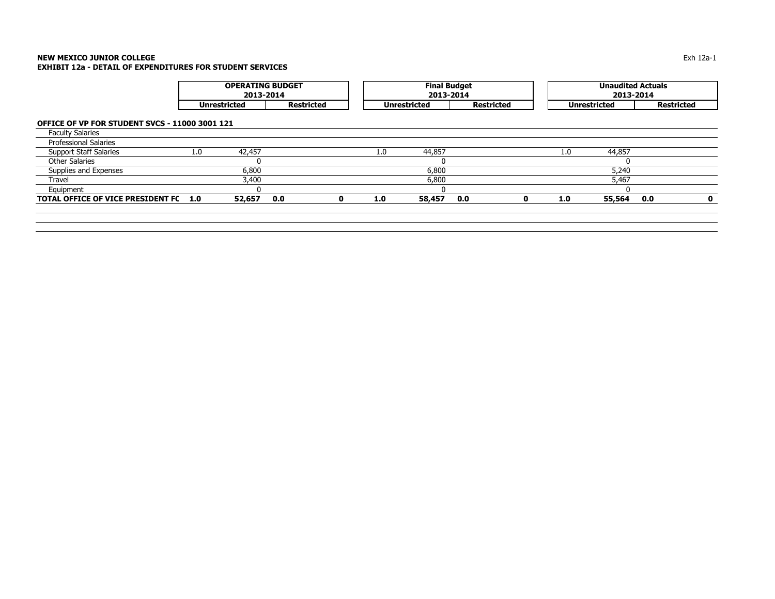|                                                |     | <b>OPERATING BUDGET</b><br>2013-2014 |                   |   |     | <b>Final Budget</b><br>2013-2014 |                   |   |     | <b>Unaudited Actuals</b><br>2013-2014 |                   |              |
|------------------------------------------------|-----|--------------------------------------|-------------------|---|-----|----------------------------------|-------------------|---|-----|---------------------------------------|-------------------|--------------|
|                                                |     | <b>Unrestricted</b>                  | <b>Restricted</b> |   |     | <b>Unrestricted</b>              | <b>Restricted</b> |   |     | <b>Unrestricted</b>                   | <b>Restricted</b> |              |
| OFFICE OF VP FOR STUDENT SVCS - 11000 3001 121 |     |                                      |                   |   |     |                                  |                   |   |     |                                       |                   |              |
| <b>Faculty Salaries</b>                        |     |                                      |                   |   |     |                                  |                   |   |     |                                       |                   |              |
| <b>Professional Salaries</b>                   |     |                                      |                   |   |     |                                  |                   |   |     |                                       |                   |              |
| <b>Support Staff Salaries</b>                  | 1.0 | 42,457                               |                   |   | 1.0 | 44,857                           |                   |   | 1.0 | 44,857                                |                   |              |
| Other Salaries                                 |     | U                                    |                   |   |     | -0                               |                   |   |     | <sup>0</sup>                          |                   |              |
| Supplies and Expenses                          |     | 6,800                                |                   |   |     | 6,800                            |                   |   |     | 5,240                                 |                   |              |
| Travel                                         |     | 3,400                                |                   |   |     | 6,800                            |                   |   |     | 5,467                                 |                   |              |
| Equipment                                      |     |                                      |                   |   |     |                                  |                   |   |     | <sup>n</sup>                          |                   |              |
| <b>TOTAL OFFICE OF VICE PRESIDENT FC</b>       | 1.0 | 52,657                               | 0.0               | 0 | 1.0 | 58,457                           | 0.0               | 0 | 1.0 | 55,564                                | 0.0               | $\mathbf{0}$ |
|                                                |     |                                      |                   |   |     |                                  |                   |   |     |                                       |                   |              |
|                                                |     |                                      |                   |   |     |                                  |                   |   |     |                                       |                   |              |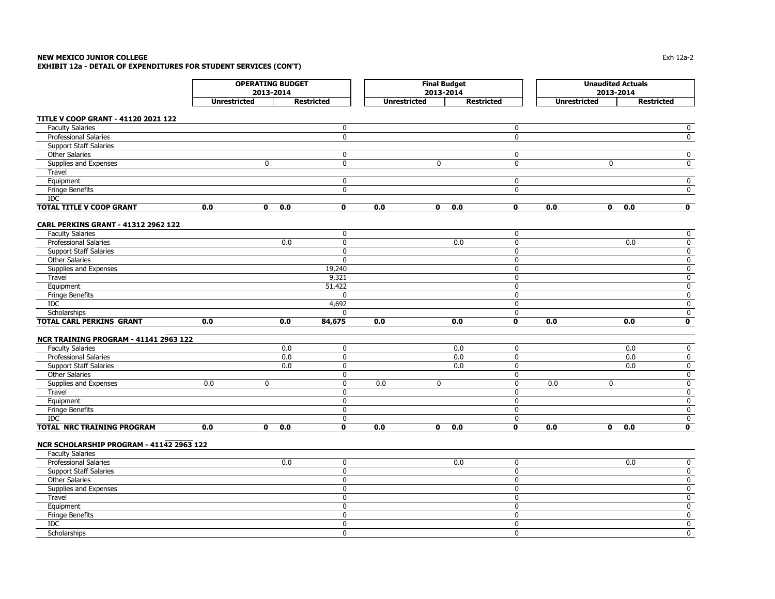# **NEW MEXICO JUNIOR COLLEGE**

**EXHIBIT 12a - DETAIL OF EXPENDITURES FOR STUDENT SERVICES (CON'T)**

|                                            | <b>OPERATING BUDGET</b> |                     |                   |                     | <b>Final Budget</b> |                                |                     |              | <b>Unaudited Actuals</b> |                         |
|--------------------------------------------|-------------------------|---------------------|-------------------|---------------------|---------------------|--------------------------------|---------------------|--------------|--------------------------|-------------------------|
|                                            |                         | 2013-2014           |                   |                     | 2013-2014           |                                |                     |              | 2013-2014                |                         |
|                                            | <b>Unrestricted</b>     |                     | <b>Restricted</b> | <b>Unrestricted</b> |                     | <b>Restricted</b>              | <b>Unrestricted</b> |              | <b>Restricted</b>        |                         |
| TITLE V COOP GRANT - 41120 2021 122        |                         |                     |                   |                     |                     |                                |                     |              |                          |                         |
| <b>Faculty Salaries</b>                    |                         |                     | $\mathbf 0$       |                     |                     | 0                              |                     |              |                          | 0                       |
| <b>Professional Salaries</b>               |                         |                     | 0                 |                     |                     | $\mathbf{0}$                   |                     |              |                          | $\mathbf 0$             |
| <b>Support Staff Salaries</b>              |                         |                     |                   |                     |                     |                                |                     |              |                          |                         |
| <b>Other Salaries</b>                      |                         |                     | $\mathbf 0$       |                     |                     | 0                              |                     |              |                          | $\overline{0}$          |
| Supplies and Expenses                      |                         | $\mathbf 0$         | $\mathbf 0$       |                     | $\mathbf 0$         | $\pmb{0}$                      |                     | $\mathbf 0$  |                          | 0                       |
| Travel                                     |                         |                     |                   |                     |                     |                                |                     |              |                          |                         |
| Equipment                                  |                         |                     | $\mathbf 0$       |                     |                     | $\mathbf 0$                    |                     |              |                          | $\overline{0}$          |
| <b>Fringe Benefits</b>                     |                         |                     | $\mathbf 0$       |                     |                     | $\pmb{0}$                      |                     |              |                          | $\overline{0}$          |
| <b>IDC</b>                                 |                         |                     |                   |                     |                     |                                |                     |              |                          |                         |
| <b>TOTAL TITLE V COOP GRANT</b>            | 0.0                     | $\mathbf 0$<br>0.0  | $\mathbf 0$       | 0.0                 | $\mathbf{0}$        | 0.0<br>$\mathbf 0$             | 0.0                 | $\mathbf{0}$ | 0.0                      | $\overline{\mathbf{0}}$ |
|                                            |                         |                     |                   |                     |                     |                                |                     |              |                          |                         |
| <b>CARL PERKINS GRANT - 41312 2962 122</b> |                         |                     |                   |                     |                     |                                |                     |              |                          |                         |
| <b>Faculty Salaries</b>                    |                         |                     | $\mathbf 0$       |                     |                     | $\mathbf 0$                    |                     |              |                          | $\mathbf 0$             |
| <b>Professional Salaries</b>               |                         | 0.0                 | $\mathbf 0$       |                     |                     | 0.0<br>$\mathbf 0$             |                     |              | 0.0                      | $\overline{0}$          |
| <b>Support Staff Salaries</b>              |                         |                     | $\mathbf 0$       |                     |                     | 0                              |                     |              |                          | $\mathbf 0$             |
| <b>Other Salaries</b>                      |                         |                     | $\mathbf 0$       |                     |                     | $\mathbf 0$                    |                     |              |                          | 0                       |
| Supplies and Expenses                      |                         |                     | 19,240            |                     |                     | $\mathbf 0$                    |                     |              |                          | $\overline{0}$          |
| Travel                                     |                         |                     | 9,321             |                     |                     | $\mathbf 0$                    |                     |              |                          | 0                       |
| Equipment                                  |                         |                     | 51,422            |                     |                     | $\mathbf 0$                    |                     |              |                          | 0                       |
| <b>Fringe Benefits</b>                     |                         |                     | $\mathbf{0}$      |                     |                     | $\mathbf 0$                    |                     |              |                          | $\overline{0}$          |
| <b>IDC</b>                                 |                         |                     | 4,692             |                     |                     | $\mathbf 0$                    |                     |              |                          | 0                       |
| Scholarships                               |                         |                     | $\mathbf 0$       |                     |                     | 0                              |                     |              |                          | $\mathbf 0$             |
| <b>TOTAL CARL PERKINS GRANT</b>            | 0.0                     | 0.0                 | 84,675            | 0.0                 |                     | 0.0<br>$\overline{\mathbf{0}}$ | 0.0                 |              | 0.0                      | 0                       |
| NCR TRAINING PROGRAM - 41141 2963 122      |                         |                     |                   |                     |                     |                                |                     |              |                          |                         |
| <b>Faculty Salaries</b>                    |                         | 0.0                 | $\mathbf 0$       |                     |                     | 0.0<br>$\mathbf 0$             |                     |              | 0.0                      | $\overline{0}$          |
| Professional Salaries                      |                         | 0.0                 | $\mathbf 0$       |                     |                     | 0.0<br>0                       |                     |              | 0.0                      | $\overline{0}$          |
| <b>Support Staff Salaries</b>              |                         | 0.0                 | $\mathbf 0$       |                     |                     | 0.0<br>$\mathbf 0$             |                     |              | 0.0                      | $\mathbf 0$             |
| <b>Other Salaries</b>                      |                         |                     | $\overline{0}$    |                     |                     | $\pmb{0}$                      |                     |              |                          | $\mathbf 0$             |
| Supplies and Expenses                      | 0.0                     | $\mathbf 0$         | $\mathbf 0$       | 0.0                 | $\mathbf 0$         | $\mathbf{0}$                   | 0.0                 | $\mathbf 0$  |                          | 0                       |
| Travel                                     |                         |                     | $\mathbf 0$       |                     |                     | $\mathbf 0$                    |                     |              |                          | 0                       |
| Equipment                                  |                         |                     | $\mathbf 0$       |                     |                     | $\mathbf 0$                    |                     |              |                          | $\overline{0}$          |
| Fringe Benefits                            |                         |                     | $\mathbf 0$       |                     |                     | $\mathbf{0}$                   |                     |              |                          | $\mathbf 0$             |
| <b>IDC</b>                                 |                         |                     | $\mathbf 0$       |                     |                     | 0                              |                     |              |                          | $\mathbf 0$             |
| TOTAL NRC TRAINING PROGRAM                 | 0.0                     | $\mathbf{0}$<br>0.0 | $\mathbf 0$       | 0.0                 | $\mathbf 0$         | 0.0<br>$\mathbf 0$             | 0.0                 | $\mathbf 0$  | 0.0                      | 0                       |
|                                            |                         |                     |                   |                     |                     |                                |                     |              |                          |                         |
| NCR SCHOLARSHIP PROGRAM - 41142 2963 122   |                         |                     |                   |                     |                     |                                |                     |              |                          |                         |
| <b>Faculty Salaries</b>                    |                         |                     |                   |                     |                     |                                |                     |              |                          |                         |
| <b>Professional Salaries</b>               |                         | 0.0                 | $\mathbf 0$       |                     |                     | 0.0<br>$\pmb{0}$               |                     |              | 0.0                      | $\mathbf 0$             |
| <b>Support Staff Salaries</b>              |                         |                     | $\mathbf 0$       |                     |                     | $\mathbf 0$                    |                     |              |                          | $\mathbf 0$             |
| <b>Other Salaries</b>                      |                         |                     | $\mathbf 0$       |                     |                     | 0                              |                     |              |                          | $\overline{0}$          |
| Supplies and Expenses                      |                         |                     | $\mathbf 0$       |                     |                     | $\mathbf 0$                    |                     |              |                          | 0                       |
| Travel                                     |                         |                     | $\mathbf 0$       |                     |                     | $\mathbf 0$                    |                     |              |                          | 0                       |
| Equipment                                  |                         |                     | $\mathbf 0$       |                     |                     | $\pmb{0}$                      |                     |              |                          | $\mathbf 0$             |
| <b>Fringe Benefits</b>                     |                         |                     | $\mathbf 0$       |                     |                     | $\mathbf 0$                    |                     |              |                          | $\overline{0}$          |
| <b>IDC</b>                                 |                         |                     | $\mathbf 0$       |                     |                     | $\mathbf 0$                    |                     |              |                          | $\mathbf 0$             |
| Scholarships                               |                         |                     | $\mathbf 0$       |                     |                     | $\mathbf 0$                    |                     |              |                          | 0                       |
|                                            |                         |                     |                   |                     |                     |                                |                     |              |                          |                         |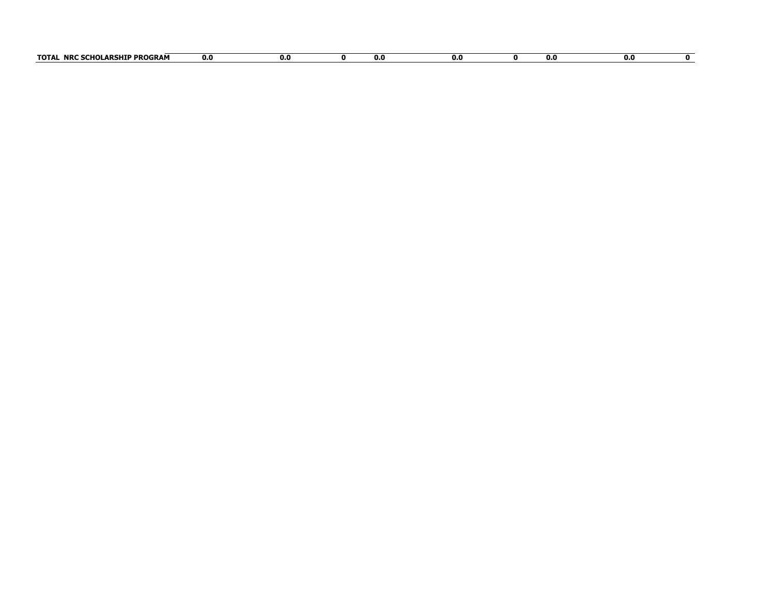| ADCUTD DDACT<br><b>TOTA</b><br><b>NRC</b><br>ו הווחי<br>.∕ROGRAM<br>икэпц<br>лvі | 0.0 | n.c | U. | v.v | v.u | 0.0 |  |
|----------------------------------------------------------------------------------|-----|-----|----|-----|-----|-----|--|
|                                                                                  |     |     |    |     |     |     |  |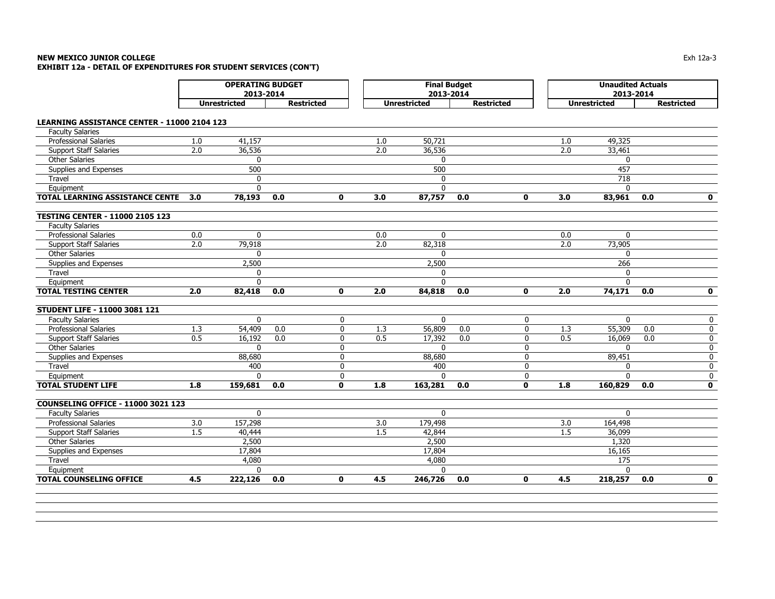|                                                    | <b>OPERATING BUDGET</b><br>2013-2014 |                     |                   |              | <b>Final Budget</b><br>2013-2014 |                     |                   |              | <b>Unaudited Actuals</b><br>2013-2014 |                     |                   |              |
|----------------------------------------------------|--------------------------------------|---------------------|-------------------|--------------|----------------------------------|---------------------|-------------------|--------------|---------------------------------------|---------------------|-------------------|--------------|
|                                                    |                                      | <b>Unrestricted</b> | <b>Restricted</b> |              |                                  | <b>Unrestricted</b> | <b>Restricted</b> |              |                                       | <b>Unrestricted</b> | <b>Restricted</b> |              |
| <b>LEARNING ASSISTANCE CENTER - 11000 2104 123</b> |                                      |                     |                   |              |                                  |                     |                   |              |                                       |                     |                   |              |
| <b>Faculty Salaries</b>                            |                                      |                     |                   |              |                                  |                     |                   |              |                                       |                     |                   |              |
| <b>Professional Salaries</b>                       | 1.0                                  | 41,157              |                   |              | 1.0                              | 50,721              |                   |              | 1.0                                   | 49,325              |                   |              |
| <b>Support Staff Salaries</b>                      | 2.0                                  | 36,536              |                   |              | 2.0                              | 36,536              |                   |              | 2.0                                   | 33,461              |                   |              |
| <b>Other Salaries</b>                              |                                      | $\mathbf{0}$        |                   |              |                                  | $\Omega$            |                   |              |                                       | $\mathbf{0}$        |                   |              |
| Supplies and Expenses                              |                                      | 500                 |                   |              |                                  | 500                 |                   |              |                                       | 457                 |                   |              |
| Travel                                             |                                      | $\mathbf 0$         |                   |              |                                  | $\mathbf{0}$        |                   |              |                                       | 718                 |                   |              |
| Equipment                                          |                                      | $\Omega$            |                   |              |                                  | $\Omega$            |                   |              |                                       | $\Omega$            |                   |              |
| TOTAL LEARNING ASSISTANCE CENTE                    | 3.0                                  | 78,193              | 0.0               | $\mathbf 0$  | 3.0                              | 87,757              | 0.0               | $\mathbf 0$  | 3.0                                   | 83,961              | 0.0               | $\mathbf 0$  |
|                                                    |                                      |                     |                   |              |                                  |                     |                   |              |                                       |                     |                   |              |
| <b>TESTING CENTER - 11000 2105 123</b>             |                                      |                     |                   |              |                                  |                     |                   |              |                                       |                     |                   |              |
| <b>Faculty Salaries</b>                            |                                      |                     |                   |              |                                  |                     |                   |              |                                       |                     |                   |              |
| <b>Professional Salaries</b>                       | 0.0                                  | $\mathbf 0$         |                   |              | 0.0                              | $\mathbf{0}$        |                   |              | 0.0                                   | 0                   |                   |              |
| <b>Support Staff Salaries</b>                      | $\overline{2.0}$                     | 79,918              |                   |              | $\overline{2.0}$                 | 82,318              |                   |              | 2.0                                   | 73,905              |                   |              |
| <b>Other Salaries</b>                              |                                      | 0                   |                   |              |                                  | $\Omega$            |                   |              |                                       | $\mathbf{0}$        |                   |              |
| Supplies and Expenses                              |                                      | 2,500               |                   |              |                                  | 2,500               |                   |              |                                       | 266                 |                   |              |
| Travel                                             |                                      | $\mathbf{0}$        |                   |              |                                  | $\Omega$            |                   |              |                                       | $\Omega$            |                   |              |
| Equipment                                          |                                      | $\mathbf{0}$        |                   |              |                                  | $\mathbf{0}$        |                   |              |                                       | $\Omega$            |                   |              |
| <b>TOTAL TESTING CENTER</b>                        | 2.0                                  | 82,418              | 0.0               | $\mathbf 0$  | 2.0                              | 84,818              | 0.0               | $\mathbf 0$  | 2.0                                   | 74,171              | 0.0               | $\mathbf 0$  |
| STUDENT LIFE - 11000 3081 121                      |                                      |                     |                   |              |                                  |                     |                   |              |                                       |                     |                   |              |
| <b>Faculty Salaries</b>                            |                                      | $\mathbf 0$         |                   | 0            |                                  | $\Omega$            |                   | 0            |                                       | $\mathbf{0}$        |                   | 0            |
| <b>Professional Salaries</b>                       | 1.3                                  | 54,409              | 0.0               | $\mathbf 0$  | 1.3                              | 56,809              | 0.0               | 0            | 1.3                                   | 55,309              | 0.0               | $\pmb{0}$    |
| <b>Support Staff Salaries</b>                      | 0.5                                  | 16,192              | 0.0               | 0            | 0.5                              | 17,392              | 0.0               | 0            | 0.5                                   | 16,069              | 0.0               | 0            |
| <b>Other Salaries</b>                              |                                      | $\mathbf{0}$        |                   | 0            |                                  | $\Omega$            |                   | 0            |                                       | $\mathbf 0$         |                   | $\pmb{0}$    |
| Supplies and Expenses                              |                                      | 88,680              |                   | 0            |                                  | 88,680              |                   | 0            |                                       | 89,451              |                   | 0            |
| Travel                                             |                                      | 400                 |                   | $\Omega$     |                                  | 400                 |                   | $\Omega$     |                                       | $\Omega$            |                   | 0            |
| Equipment                                          |                                      | $\Omega$            |                   | $\mathbf 0$  |                                  | $\Omega$            |                   | $\mathbf 0$  |                                       | $\Omega$            |                   | 0            |
| <b>TOTAL STUDENT LIFE</b>                          | 1.8                                  | 159,681             | 0.0               | $\mathbf{0}$ | 1.8                              | 163,281             | 0.0               | $\mathbf{0}$ | 1.8                                   | 160,829             | 0.0               | $\mathbf 0$  |
|                                                    |                                      |                     |                   |              |                                  |                     |                   |              |                                       |                     |                   |              |
| <b>COUNSELING OFFICE - 11000 3021 123</b>          |                                      |                     |                   |              |                                  |                     |                   |              |                                       |                     |                   |              |
| <b>Faculty Salaries</b>                            |                                      | $\mathbf 0$         |                   |              |                                  | $\mathbf 0$         |                   |              |                                       | $\mathbf{0}$        |                   |              |
| <b>Professional Salaries</b>                       | 3.0                                  | 157,298             |                   |              | 3.0                              | 179,498             |                   |              | 3.0                                   | 164,498             |                   |              |
| <b>Support Staff Salaries</b>                      | 1.5                                  | 40,444              |                   |              | 1.5                              | 42,844              |                   |              | 1.5                                   | 36,099              |                   |              |
| <b>Other Salaries</b>                              |                                      | 2,500               |                   |              |                                  | 2,500               |                   |              |                                       | 1,320               |                   |              |
| Supplies and Expenses                              |                                      | 17,804              |                   |              |                                  | 17,804              |                   |              |                                       | 16,165              |                   |              |
| Travel                                             |                                      | 4,080               |                   |              |                                  | 4,080               |                   |              |                                       | 175                 |                   |              |
| Equipment                                          |                                      | 0                   |                   |              |                                  | $\mathbf 0$         |                   |              |                                       | $\mathbf 0$         |                   |              |
| <b>TOTAL COUNSELING OFFICE</b>                     | 4.5                                  | 222,126             | 0.0               | $\mathbf{0}$ | 4.5                              | 246,726             | 0.0               | $\mathbf{0}$ | 4.5                                   | 218,257             | 0.0               | $\mathbf{0}$ |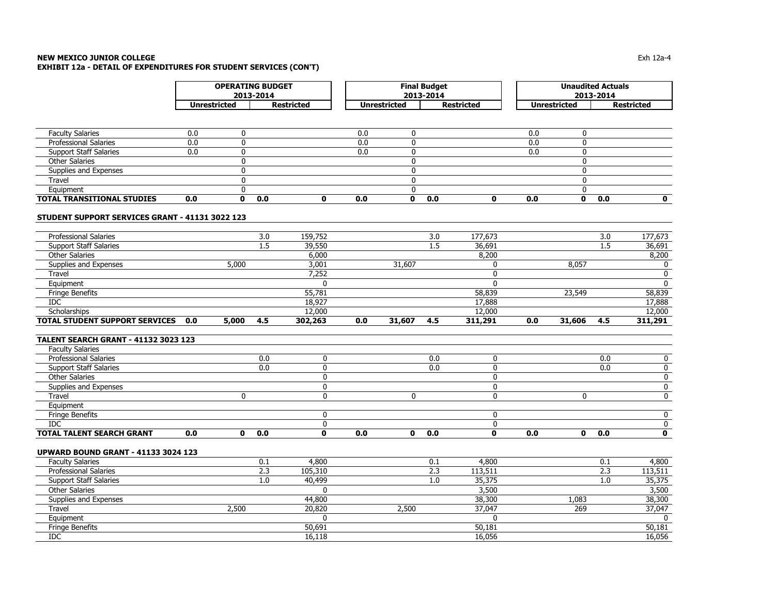|                                                 |     | <b>OPERATING BUDGET</b> |           |                   |     |                     | <b>Final Budget</b> |                   |     | <b>Unaudited Actuals</b> |           |                         |
|-------------------------------------------------|-----|-------------------------|-----------|-------------------|-----|---------------------|---------------------|-------------------|-----|--------------------------|-----------|-------------------------|
|                                                 |     |                         | 2013-2014 |                   |     |                     | 2013-2014           |                   |     |                          | 2013-2014 |                         |
|                                                 |     | <b>Unrestricted</b>     |           | <b>Restricted</b> |     | <b>Unrestricted</b> |                     | <b>Restricted</b> |     | <b>Unrestricted</b>      |           | <b>Restricted</b>       |
|                                                 |     |                         |           |                   |     |                     |                     |                   |     |                          |           |                         |
| <b>Faculty Salaries</b>                         | 0.0 | $\mathbf 0$             |           |                   | 0.0 | $\mathbf 0$         |                     |                   | 0.0 | $\mathbf 0$              |           |                         |
| Professional Salaries                           | 0.0 | $\mathbf 0$             |           |                   | 0.0 | $\mathbf 0$         |                     |                   | 0.0 | $\mathbf 0$              |           |                         |
| <b>Support Staff Salaries</b>                   | 0.0 | $\Omega$                |           |                   | 0.0 | $\mathbf{0}$        |                     |                   | 0.0 | $\mathbf{0}$             |           |                         |
| <b>Other Salaries</b>                           |     | 0                       |           |                   |     | 0                   |                     |                   |     | $\mathbf 0$              |           |                         |
| Supplies and Expenses                           |     | $\mathbf{0}$            |           |                   |     | $\mathbf{0}$        |                     |                   |     | $\mathbf{0}$             |           |                         |
| Travel                                          |     | $\Omega$                |           |                   |     | $\mathbf{0}$        |                     |                   |     | $\mathbf{0}$             |           |                         |
| Equipment                                       |     | $\Omega$                |           |                   |     | $\mathbf{0}$        |                     |                   |     | $\mathbf{0}$             |           |                         |
| <b>TOTAL TRANSITIONAL STUDIES</b>               | 0.0 | 0                       | 0.0       | $\mathbf{0}$      | 0.0 | $\mathbf 0$         | 0.0                 | $\mathbf 0$       | 0.0 | $\mathbf 0$              | 0.0       | $\mathbf 0$             |
|                                                 |     |                         |           |                   |     |                     |                     |                   |     |                          |           |                         |
| STUDENT SUPPORT SERVICES GRANT - 41131 3022 123 |     |                         |           |                   |     |                     |                     |                   |     |                          |           |                         |
| Professional Salaries                           |     |                         | 3.0       | 159,752           |     |                     | 3.0                 | 177,673           |     |                          | 3.0       | 177,673                 |
| <b>Support Staff Salaries</b>                   |     |                         | 1.5       | 39,550            |     |                     | 1.5                 | 36,691            |     |                          | 1.5       | 36,691                  |
| Other Salaries                                  |     |                         |           | 6,000             |     |                     |                     | 8,200             |     |                          |           | 8,200                   |
| Supplies and Expenses                           |     | 5,000                   |           | 3,001             |     | 31,607              |                     | $\mathbf{0}$      |     | 8,057                    |           | 0                       |
| Travel                                          |     |                         |           | 7,252             |     |                     |                     | 0                 |     |                          |           | $\mathbf 0$             |
| Equipment                                       |     |                         |           | $\mathbf{0}$      |     |                     |                     | $\Omega$          |     |                          |           | $\mathbf 0$             |
| <b>Fringe Benefits</b>                          |     |                         |           | 55,781            |     |                     |                     | 58,839            |     | 23,549                   |           | 58,839                  |
| <b>IDC</b>                                      |     |                         |           | 18,927            |     |                     |                     | 17,888            |     |                          |           | 17,888                  |
| Scholarships                                    |     |                         |           | 12,000            |     |                     |                     | 12,000            |     |                          |           | 12,000                  |
| TOTAL STUDENT SUPPORT SERVICES                  | 0.0 | 5,000                   | 4.5       | 302,263           | 0.0 | 31,607              | 4.5                 | 311,291           | 0.0 | 31,606                   | 4.5       | 311,291                 |
|                                                 |     |                         |           |                   |     |                     |                     |                   |     |                          |           |                         |
| <b>TALENT SEARCH GRANT - 41132 3023 123</b>     |     |                         |           |                   |     |                     |                     |                   |     |                          |           |                         |
| <b>Faculty Salaries</b>                         |     |                         |           |                   |     |                     |                     |                   |     |                          |           |                         |
| Professional Salaries                           |     |                         | 0.0       | $\mathbf 0$       |     |                     | 0.0                 | $\mathbf 0$       |     |                          | 0.0       | $\mathbf 0$             |
| <b>Support Staff Salaries</b>                   |     |                         | 0.0       | $\mathbf 0$       |     |                     | 0.0                 | $\mathbf 0$       |     |                          | 0.0       | $\pmb{0}$               |
| Other Salaries                                  |     |                         |           | $\mathbf 0$       |     |                     |                     | 0                 |     |                          |           | $\overline{0}$          |
| Supplies and Expenses                           |     |                         |           | $\mathbf{0}$      |     |                     |                     | $\mathbf{0}$      |     |                          |           | $\overline{\mathbf{0}}$ |
| Travel                                          |     | 0                       |           | 0                 |     | 0                   |                     | 0                 |     | 0                        |           | $\pmb{0}$               |
| Equipment                                       |     |                         |           |                   |     |                     |                     |                   |     |                          |           |                         |
| <b>Fringe Benefits</b>                          |     |                         |           | $\mathbf{0}$      |     |                     |                     | $\mathbf{0}$      |     |                          |           | $\mathbf 0$             |
| <b>IDC</b>                                      |     |                         |           | $\mathbf 0$       |     |                     |                     | $\mathbf 0$       |     |                          |           | 0                       |
| <b>TOTAL TALENT SEARCH GRANT</b>                | 0.0 | $\mathbf{0}$            | 0.0       | $\mathbf{0}$      | 0.0 | $\mathbf 0$         | 0.0                 | $\mathbf{0}$      | 0.0 | $\mathbf 0$              | 0.0       | $\mathbf 0$             |
| <b>UPWARD BOUND GRANT - 41133 3024 123</b>      |     |                         |           |                   |     |                     |                     |                   |     |                          |           |                         |
| <b>Faculty Salaries</b>                         |     |                         | 0.1       | 4,800             |     |                     | 0.1                 | 4,800             |     |                          | 0.1       | 4,800                   |
| Professional Salaries                           |     |                         | 2.3       | 105,310           |     |                     | 2.3                 | 113,511           |     |                          | 2.3       | 113,511                 |
| <b>Support Staff Salaries</b>                   |     |                         | 1.0       | 40,499            |     |                     | 1.0                 | 35,375            |     |                          | 1.0       | 35,375                  |
| Other Salaries                                  |     |                         |           | $\mathbf{0}$      |     |                     |                     | 3,500             |     |                          |           | 3,500                   |
| Supplies and Expenses                           |     |                         |           | 44,800            |     |                     |                     | 38,300            |     | 1,083                    |           | 38,300                  |
| Travel                                          |     | 2,500                   |           | 20,820            |     | 2,500               |                     | 37,047            |     | 269                      |           | 37,047                  |
| Equipment                                       |     |                         |           | $\mathbf{0}$      |     |                     |                     | $\Omega$          |     |                          |           | $\mathbf{0}$            |
| <b>Fringe Benefits</b>                          |     |                         |           | 50,691            |     |                     |                     | 50,181            |     |                          |           | 50,181                  |
| <b>IDC</b>                                      |     |                         |           | 16,118            |     |                     |                     | 16,056            |     |                          |           | 16,056                  |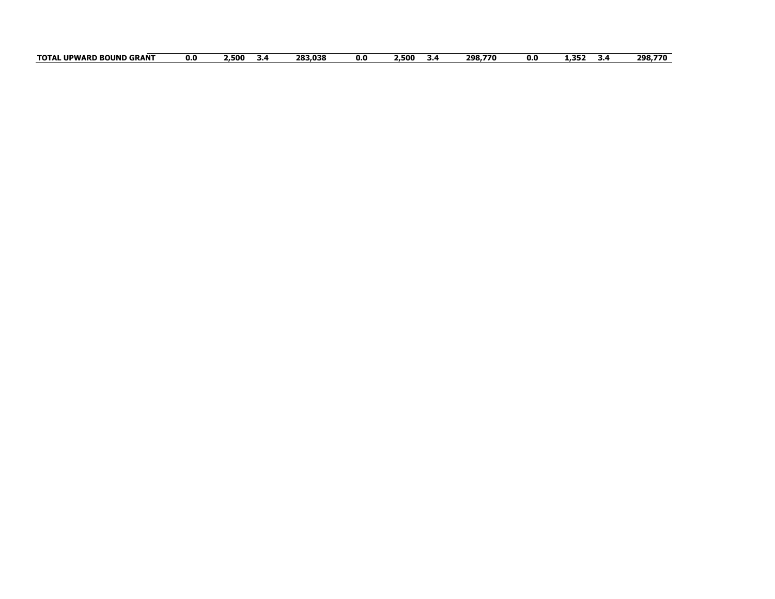| <b>GRANT</b><br>. UPWARD<br>J BOUND<br><b>TOTAL</b> | 0.0 | −500∠<br>-5.4 | 283,038 | 0.0 | -.500<br>م.د | 298.770 | 0.0 | 1,352 | 298,770 |
|-----------------------------------------------------|-----|---------------|---------|-----|--------------|---------|-----|-------|---------|
|-----------------------------------------------------|-----|---------------|---------|-----|--------------|---------|-----|-------|---------|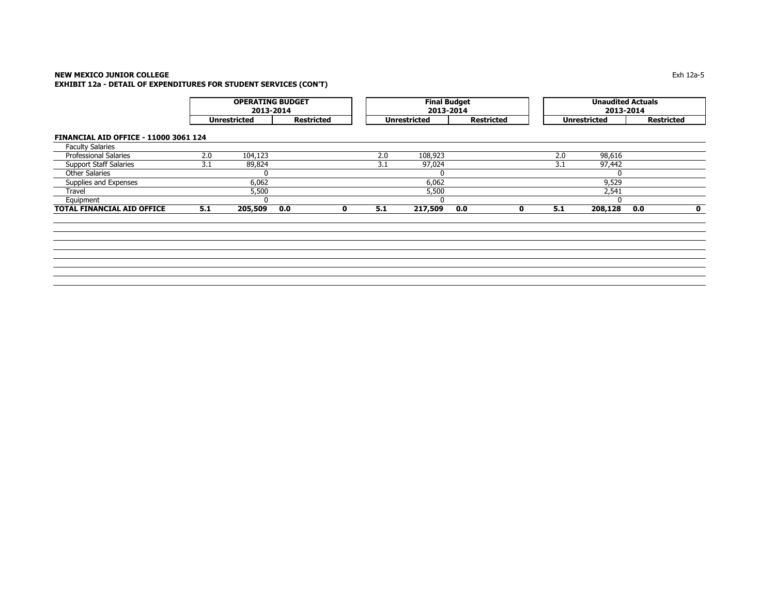| <b>OPERATING BUDGET</b> | 2013-2014         |              | Final Budget<br>2013-2014 |              | <b>Unaudited Actuals</b><br>2013-2014 |
|-------------------------|-------------------|--------------|---------------------------|--------------|---------------------------------------|
| Unrestricted            | <b>Restricted</b> | Unrestricted | <b>Restricted</b>         | Unrestricted | Restricted                            |

**FINANCIAL AID OFFICE - 11000 3061 124**

| <b>TOTAL FINANCIAL AID OFFICE</b> | 5.1 | 205,509<br>0.0 | -5.1 | 217,509<br>0.0 | 208,128<br>5.1 | 0.0 |
|-----------------------------------|-----|----------------|------|----------------|----------------|-----|
| Equipment                         |     |                |      |                |                |     |
| Travel                            |     | 5,500          |      | 5,500          | 2,541          |     |
| Supplies and Expenses             |     | 6.062          |      | 6,062          | 9,529          |     |
| <b>Other Salaries</b>             |     |                |      |                |                |     |
| <b>Support Staff Salaries</b>     | ـ د | 89,824         | ے .  | 97,024         | 97,442<br>3.1  |     |
| <b>Professional Salaries</b>      | 2.0 | 104,123        | 2.0  | 108,923        | 98,616<br>2.0  |     |
| <b>Faculty Salaries</b>           |     |                |      |                |                |     |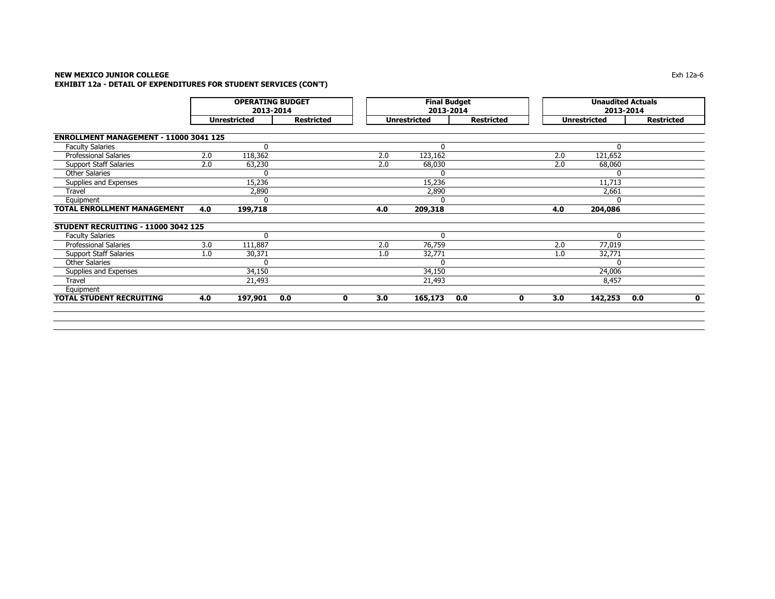| <b>Restricted</b>  | 2.0<br>2.0<br>4.0 | <b>Unrestricted</b><br>121,652<br>68,060<br>11,713<br>2,661<br>204,086 | <b>Restricted</b>   |
|--------------------|-------------------|------------------------------------------------------------------------|---------------------|
|                    |                   |                                                                        |                     |
|                    |                   |                                                                        |                     |
|                    |                   |                                                                        |                     |
|                    |                   |                                                                        |                     |
|                    |                   |                                                                        |                     |
|                    |                   |                                                                        |                     |
|                    |                   |                                                                        |                     |
|                    |                   |                                                                        |                     |
|                    |                   |                                                                        |                     |
|                    |                   |                                                                        |                     |
|                    |                   |                                                                        |                     |
|                    |                   | $\Omega$                                                               |                     |
|                    | 2.0               | 77,019                                                                 |                     |
|                    | 1.0               | 32,771                                                                 |                     |
|                    |                   |                                                                        |                     |
|                    |                   | 24,006                                                                 |                     |
|                    |                   | 8,457                                                                  |                     |
|                    |                   |                                                                        |                     |
| 0.0<br>$\mathbf 0$ | 3.0               | 142,253                                                                | 0.0<br>$\mathbf{0}$ |
|                    |                   |                                                                        |                     |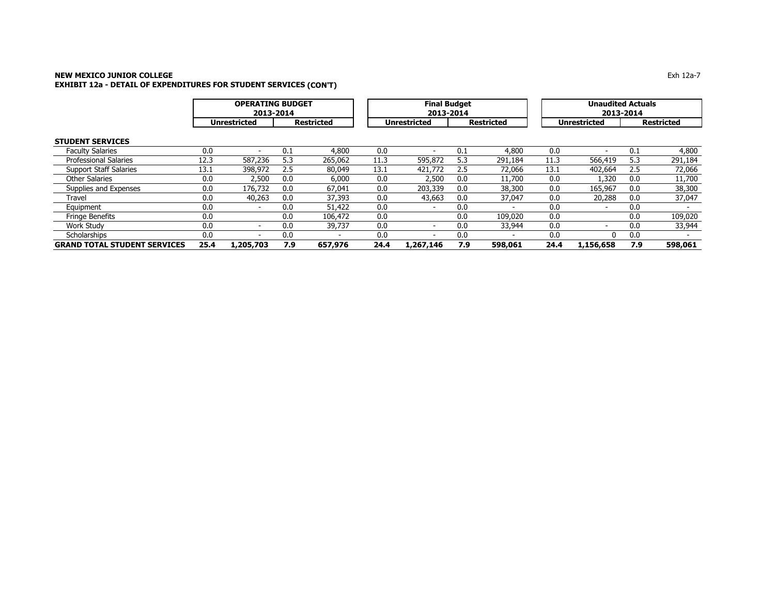|                                     |      | <b>OPERATING BUDGET</b><br>2013-2014 |                   |         | <b>Final Budget</b><br>2013-2014 |                          |     |                   | <b>Unaudited Actuals</b><br>2013-2014 |                          |     |                   |  |
|-------------------------------------|------|--------------------------------------|-------------------|---------|----------------------------------|--------------------------|-----|-------------------|---------------------------------------|--------------------------|-----|-------------------|--|
|                                     |      | <b>Unrestricted</b>                  | <b>Restricted</b> |         |                                  | <b>Unrestricted</b>      |     | <b>Restricted</b> | <b>Unrestricted</b>                   |                          |     | <b>Restricted</b> |  |
| <b>STUDENT SERVICES</b>             |      |                                      |                   |         |                                  |                          |     |                   |                                       |                          |     |                   |  |
| <b>Faculty Salaries</b>             | 0.0  |                                      | 0.1               | 4,800   | 0.0                              |                          | 0.1 | 4,800             | 0.0                                   |                          | 0.1 | 4,800             |  |
| <b>Professional Salaries</b>        | 12.3 | 587,236                              | 5.3               | 265,062 | 11.3                             | 595,872                  | 5.3 | 291,184           | 11.3                                  | 566,419                  | 5.3 | 291,184           |  |
| <b>Support Staff Salaries</b>       | 13.1 | 398,972                              | 2.5               | 80,049  | 13.1                             | 421,772                  | 2.5 | 72,066            | 13.1                                  | 402,664                  | 2.5 | 72,066            |  |
| <b>Other Salaries</b>               | 0.0  | 2,500                                | 0.0               | 6,000   | 0.0                              | 2,500                    | 0.0 | 11,700            | 0.0                                   | 1,320                    | 0.0 | 11,700            |  |
| Supplies and Expenses               | 0.0  | 176,732                              | 0.0               | 67,041  | 0.0                              | 203,339                  | 0.0 | 38,300            | 0.0                                   | 165,967                  | 0.0 | 38,300            |  |
| Travel                              | 0.0  | 40,263                               | 0.0               | 37,393  | 0.0                              | 43,663                   | 0.0 | 37,047            | 0.0                                   | 20,288                   | 0.0 | 37,047            |  |
| Equipment                           | 0.0  | $\overline{\phantom{a}}$             | 0.0               | 51,422  | 0.0                              | $\overline{\phantom{a}}$ | 0.0 |                   | 0.0                                   | $\overline{\phantom{0}}$ | 0.0 |                   |  |
| <b>Fringe Benefits</b>              | 0.0  |                                      | 0.0               | 106,472 | 0.0                              |                          | 0.0 | 109,020           | 0.0                                   |                          | 0.0 | 109,020           |  |
| Work Study                          | 0.0  | $\overline{\phantom{a}}$             | 0.0               | 39,737  | 0.0                              |                          | 0.0 | 33,944            | 0.0                                   |                          | 0.0 | 33,944            |  |
| Scholarships                        | 0.0  |                                      | 0.0               |         | 0.0                              |                          | 0.0 |                   | 0.0                                   | 0                        | 0.0 |                   |  |
| <b>GRAND TOTAL STUDENT SERVICES</b> | 25.4 | 1,205,703                            | 7.9               | 657,976 | 24.4                             | 1,267,146                | 7.9 | 598,061           | 24.4                                  | 1,156,658                | 7.9 | 598,061           |  |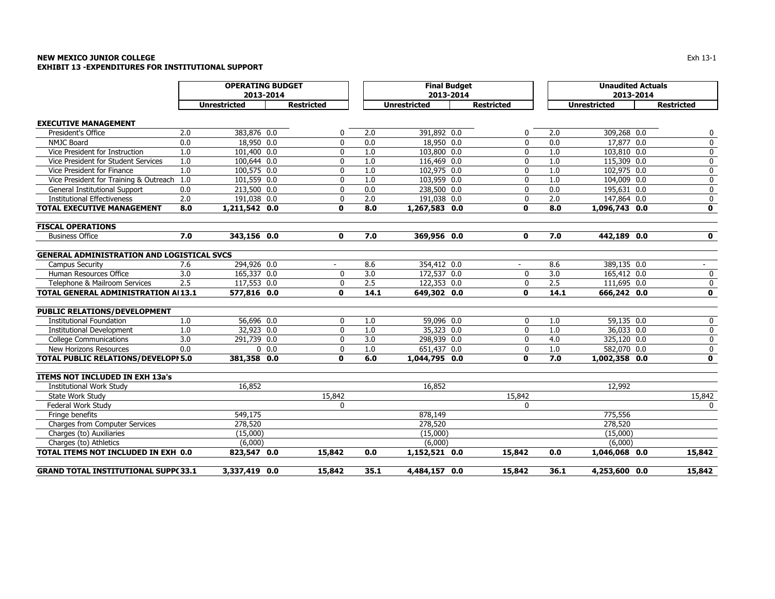### **NEW MEXICO JUNIOR COLLEGE** $\mathsf E$ **EXHIBIT 13 -EXPENDITURES FOR INSTITUTIONAL SUPPORT**

|                                                   |     | <b>OPERATING BUDGET</b> |                   |      | <b>Final Budget</b> |                   |      | <b>Unaudited Actuals</b> |                   |
|---------------------------------------------------|-----|-------------------------|-------------------|------|---------------------|-------------------|------|--------------------------|-------------------|
|                                                   |     | 2013-2014               |                   |      | 2013-2014           |                   |      | 2013-2014                |                   |
|                                                   |     | <b>Unrestricted</b>     | <b>Restricted</b> |      | <b>Unrestricted</b> | <b>Restricted</b> |      | <b>Unrestricted</b>      | <b>Restricted</b> |
| <b>EXECUTIVE MANAGEMENT</b>                       |     |                         |                   |      |                     |                   |      |                          |                   |
| President's Office                                | 2.0 | 383,876 0.0             | 0                 | 2.0  | 391,892 0.0         | 0                 | 2.0  | 309,268 0.0              | 0                 |
| <b>NMJC Board</b>                                 | 0.0 | 18,950 0.0              | $\mathbf{0}$      | 0.0  | 18,950 0.0          | $\mathbf{0}$      | 0.0  | 17,877 0.0               | 0                 |
| Vice President for Instruction                    | 1.0 | 101,400 0.0             | 0                 | 1.0  | 103,800 0.0         | 0                 | 1.0  | 103,810 0.0              | 0                 |
| Vice President for Student Services               | 1.0 | 100,644 0.0             | 0                 | 1.0  | 116,469 0.0         | 0                 | 1.0  | 115,309 0.0              | 0                 |
| Vice President for Finance                        | 1.0 | 100,575 0.0             | 0                 | 1.0  | 102,975 0.0         | 0                 | 1.0  | 102,975 0.0              | $\pmb{0}$         |
| Vice President for Training & Outreach 1.0        |     | 101,559 0.0             | 0                 | 1.0  | 103,959 0.0         | 0                 | 1.0  | 104,009 0.0              | 0                 |
| General Institutional Support                     | 0.0 | 213,500 0.0             | $\mathbf{0}$      | 0.0  | 238,500 0.0         | 0                 | 0.0  | 195,631 0.0              | 0                 |
| <b>Institutional Effectiveness</b>                | 2.0 | 191,038 0.0             | 0                 | 2.0  | 191,038 0.0         | 0                 | 2.0  | 147,864 0.0              | 0                 |
| <b>TOTAL EXECUTIVE MANAGEMENT</b>                 | 8.0 | 1,211,542 0.0           | $\mathbf 0$       | 8.0  | 1,267,583 0.0       | 0                 | 8.0  | 1,096,743 0.0            | $\mathbf 0$       |
| <b>FISCAL OPERATIONS</b>                          |     |                         |                   |      |                     |                   |      |                          |                   |
| <b>Business Office</b>                            | 7.0 | 343,156 0.0             | $\mathbf 0$       | 7.0  | 369,956 0.0         | 0                 | 7.0  | 442,189 0.0              | $\mathbf 0$       |
| <b>GENERAL ADMINISTRATION AND LOGISTICAL SVCS</b> |     |                         |                   |      |                     |                   |      |                          |                   |
| <b>Campus Security</b>                            | 7.6 | 294,926 0.0             |                   | 8.6  | 354,412 0.0         |                   | 8.6  | 389,135 0.0              |                   |
| Human Resources Office                            | 3.0 | 165,337 0.0             | 0                 | 3.0  | 172,537 0.0         | 0                 | 3.0  | 165,412 0.0              | 0                 |
| Telephone & Mailroom Services                     | 2.5 | 117,553 0.0             | 0                 | 2.5  | 122,353 0.0         | 0                 | 2.5  | 111,695 0.0              | 0                 |
| TOTAL GENERAL ADMINISTRATION AI13.1               |     | 577,816 0.0             | 0                 | 14.1 | 649,302 0.0         | 0                 | 14.1 | 666,242 0.0              | $\mathbf 0$       |
| PUBLIC RELATIONS/DEVELOPMENT                      |     |                         |                   |      |                     |                   |      |                          |                   |
| <b>Institutional Foundation</b>                   | 1.0 | 56,696 0.0              | $\mathbf{0}$      | 1.0  | 59,096 0.0          | $\mathbf{0}$      | 1.0  | 59,135 0.0               | 0                 |
| <b>Institutional Development</b>                  | 1.0 | 32,923 0.0              | 0                 | 1.0  | 35,323 0.0          | 0                 | 1.0  | 36,033 0.0               | 0                 |
| <b>College Communications</b>                     | 3.0 | 291,739 0.0             | 0                 | 3.0  | 298,939 0.0         | 0                 | 4.0  | 325,120 0.0              | 0                 |
| New Horizons Resources                            | 0.0 | 0.0                     | 0                 | 1.0  | 651,437 0.0         | 0                 | 1.0  | 582,070 0.0              | 0                 |
| TOTAL PUBLIC RELATIONS/DEVELOPI 5.0               |     | 381,358 0.0             | $\mathbf 0$       | 6.0  | 1,044,795 0.0       | 0                 | 7.0  | 1,002,358 0.0            | 0                 |
| <b>ITEMS NOT INCLUDED IN EXH 13a's</b>            |     |                         |                   |      |                     |                   |      |                          |                   |
| <b>Institutional Work Study</b>                   |     | 16,852                  |                   |      | 16,852              |                   |      | 12,992                   |                   |
| State Work Study                                  |     |                         | 15,842            |      |                     | 15,842            |      |                          | 15,842            |
| Federal Work Study                                |     |                         | 0                 |      |                     | 0                 |      |                          | 0                 |
| Fringe benefits                                   |     | 549,175                 |                   |      | 878,149             |                   |      | 775,556                  |                   |
| Charges from Computer Services                    |     | 278,520                 |                   |      | 278,520             |                   |      | 278,520                  |                   |
| Charges (to) Auxiliaries                          |     | (15,000)                |                   |      | (15,000)            |                   |      | (15,000)                 |                   |
| Charges (to) Athletics                            |     | (6,000)                 |                   |      | (6,000)             |                   |      | (6,000)                  |                   |
| TOTAL ITEMS NOT INCLUDED IN EXH 0.0               |     | 823,547 0.0             | 15,842            | 0.0  | 1,152,521 0.0       | 15,842            | 0.0  | 1,046,068 0.0            | 15,842            |
| <b>GRAND TOTAL INSTITUTIONAL SUPP(33.1)</b>       |     | 3,337,419 0.0           | 15,842            | 35.1 | 4,484,157 0.0       | 15,842            | 36.1 | 4,253,600 0.0            | 15,842            |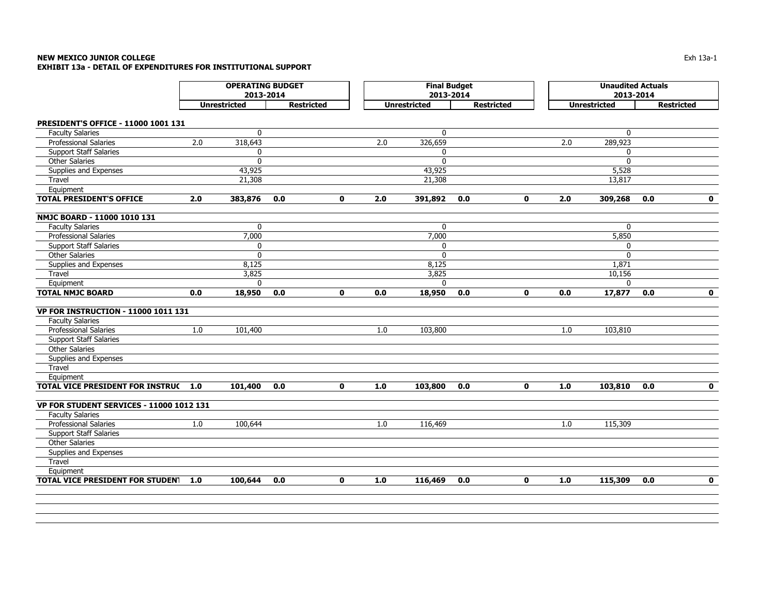### **NEW MEXICO JUNIOR COLLEGE** Exh 13a-1 **EXHIBIT 13a - DETAIL OF EXPENDITURES FOR INSTITUTIONAL SUPPORT**

|                                                                | <b>OPERATING BUDGET</b><br>2013-2014 |                     |                   |              |       | <b>Final Budget</b><br>2013-2014 |                   |             | <b>Unaudited Actuals</b><br>2013-2014 |                     |                   |              |
|----------------------------------------------------------------|--------------------------------------|---------------------|-------------------|--------------|-------|----------------------------------|-------------------|-------------|---------------------------------------|---------------------|-------------------|--------------|
|                                                                |                                      | <b>Unrestricted</b> | <b>Restricted</b> |              |       | <b>Unrestricted</b>              | <b>Restricted</b> |             |                                       | <b>Unrestricted</b> | <b>Restricted</b> |              |
|                                                                |                                      |                     |                   |              |       |                                  |                   |             |                                       |                     |                   |              |
| PRESIDENT'S OFFICE - 11000 1001 131<br><b>Faculty Salaries</b> |                                      | $\mathbf{0}$        |                   |              |       | $\mathbf{0}$                     |                   |             |                                       | $\mathbf 0$         |                   |              |
| <b>Professional Salaries</b>                                   | 2.0                                  | 318,643             |                   |              | 2.0   | 326,659                          |                   |             | 2.0                                   | 289,923             |                   |              |
| <b>Support Staff Salaries</b>                                  |                                      | $\mathbf{0}$        |                   |              |       | $\mathbf{0}$                     |                   |             |                                       | 0                   |                   |              |
| Other Salaries                                                 |                                      | $\mathbf{0}$        |                   |              |       | $\mathbf{0}$                     |                   |             |                                       | $\mathbf{0}$        |                   |              |
| Supplies and Expenses                                          |                                      | 43,925              |                   |              |       | 43,925                           |                   |             |                                       | 5,528               |                   |              |
| Travel                                                         |                                      | 21,308              |                   |              |       | 21,308                           |                   |             |                                       | 13,817              |                   |              |
| Equipment                                                      |                                      |                     |                   |              |       |                                  |                   |             |                                       |                     |                   |              |
| <b>TOTAL PRESIDENT'S OFFICE</b>                                | 2.0                                  | 383,876             | 0.0               | $\mathbf{0}$ | 2.0   | 391,892                          | 0.0               | $\mathbf 0$ | 2.0                                   | 309,268             | 0.0               | $\mathbf{0}$ |
| NMJC BOARD - 11000 1010 131                                    |                                      |                     |                   |              |       |                                  |                   |             |                                       |                     |                   |              |
| <b>Faculty Salaries</b>                                        |                                      | $\mathbf 0$         |                   |              |       | $\mathbf{0}$                     |                   |             |                                       | $\mathbf{0}$        |                   |              |
| Professional Salaries                                          |                                      | 7,000               |                   |              |       | 7,000                            |                   |             |                                       | 5,850               |                   |              |
| <b>Support Staff Salaries</b>                                  |                                      | $\mathbf{0}$        |                   |              |       | $\mathbf{0}$                     |                   |             |                                       | 0                   |                   |              |
| Other Salaries                                                 |                                      | $\mathbf 0$         |                   |              |       | $\mathbf 0$                      |                   |             |                                       | $\mathbf{0}$        |                   |              |
| Supplies and Expenses                                          |                                      | 8,125               |                   |              |       | 8,125                            |                   |             |                                       | 1,871               |                   |              |
| Travel                                                         |                                      | 3,825               |                   |              |       | 3,825                            |                   |             |                                       | 10,156              |                   |              |
| Equipment                                                      |                                      | $\Omega$            |                   |              |       | $\Omega$                         |                   |             |                                       | $\Omega$            |                   |              |
| <b>TOTAL NMJC BOARD</b>                                        | 0.0                                  | 18,950              | 0.0               | $\mathbf 0$  | 0.0   | 18,950                           | 0.0               | $\mathbf 0$ | 0.0                                   | 17,877              | 0.0               | $\mathbf 0$  |
| VP FOR INSTRUCTION - 11000 1011 131                            |                                      |                     |                   |              |       |                                  |                   |             |                                       |                     |                   |              |
| <b>Faculty Salaries</b>                                        |                                      |                     |                   |              |       |                                  |                   |             |                                       |                     |                   |              |
| <b>Professional Salaries</b>                                   | 1.0                                  | 101,400             |                   |              | 1.0   | 103,800                          |                   |             | 1.0                                   | 103,810             |                   |              |
| <b>Support Staff Salaries</b>                                  |                                      |                     |                   |              |       |                                  |                   |             |                                       |                     |                   |              |
| <b>Other Salaries</b>                                          |                                      |                     |                   |              |       |                                  |                   |             |                                       |                     |                   |              |
| Supplies and Expenses                                          |                                      |                     |                   |              |       |                                  |                   |             |                                       |                     |                   |              |
| Travel                                                         |                                      |                     |                   |              |       |                                  |                   |             |                                       |                     |                   |              |
| Equipment                                                      |                                      |                     |                   |              |       |                                  |                   |             |                                       |                     |                   |              |
| <b>TOTAL VICE PRESIDENT FOR INSTRUC</b>                        | 1.0                                  | 101,400             | 0.0               | $\mathbf{0}$ | $1.0$ | 103,800                          | 0.0               | $\mathbf 0$ | 1.0                                   | 103,810             | 0.0               | $\mathbf 0$  |
| VP FOR STUDENT SERVICES - 11000 1012 131                       |                                      |                     |                   |              |       |                                  |                   |             |                                       |                     |                   |              |
| <b>Faculty Salaries</b>                                        |                                      |                     |                   |              |       |                                  |                   |             |                                       |                     |                   |              |
| <b>Professional Salaries</b>                                   | $1.0\,$                              | 100,644             |                   |              | 1.0   | 116,469                          |                   |             | 1.0                                   | 115,309             |                   |              |
| <b>Support Staff Salaries</b>                                  |                                      |                     |                   |              |       |                                  |                   |             |                                       |                     |                   |              |
| <b>Other Salaries</b>                                          |                                      |                     |                   |              |       |                                  |                   |             |                                       |                     |                   |              |
| Supplies and Expenses                                          |                                      |                     |                   |              |       |                                  |                   |             |                                       |                     |                   |              |
| Travel                                                         |                                      |                     |                   |              |       |                                  |                   |             |                                       |                     |                   |              |
| Equipment                                                      |                                      |                     |                   |              |       |                                  |                   |             |                                       |                     |                   |              |
| <b>TOTAL VICE PRESIDENT FOR STUDENT</b>                        | 1.0                                  | 100,644             | 0.0               | $\mathbf 0$  | 1.0   | 116,469                          | 0.0               | $\mathbf 0$ | 1.0                                   | 115,309             | 0.0               | $\mathbf 0$  |
|                                                                |                                      |                     |                   |              |       |                                  |                   |             |                                       |                     |                   |              |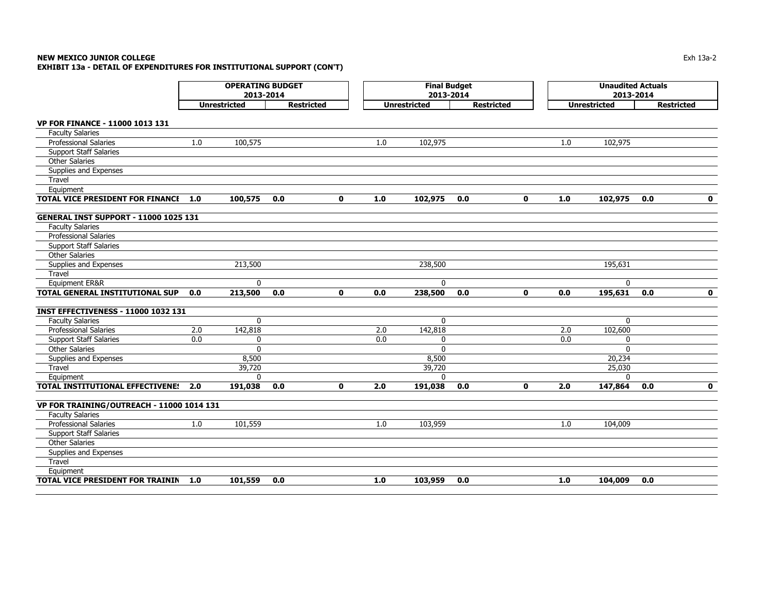# **NEW MEXICO JUNIOR COLLEGE**

**EXHIBIT 13a - DETAIL OF EXPENDITURES FOR INSTITUTIONAL SUPPORT (CON'T)**

|                                              | <b>OPERATING BUDGET</b><br>2013-2014<br><b>Unrestricted</b><br><b>Restricted</b> |              |     |  |              |     | <b>Final Budget</b><br>2013-2014 |     |                   | <b>Unaudited Actuals</b><br>2013-2014 |                     |     |                   |
|----------------------------------------------|----------------------------------------------------------------------------------|--------------|-----|--|--------------|-----|----------------------------------|-----|-------------------|---------------------------------------|---------------------|-----|-------------------|
|                                              |                                                                                  |              |     |  |              |     | <b>Unrestricted</b>              |     | <b>Restricted</b> |                                       | <b>Unrestricted</b> |     | <b>Restricted</b> |
| VP FOR FINANCE - 11000 1013 131              |                                                                                  |              |     |  |              |     |                                  |     |                   |                                       |                     |     |                   |
| <b>Faculty Salaries</b>                      |                                                                                  |              |     |  |              |     |                                  |     |                   |                                       |                     |     |                   |
| <b>Professional Salaries</b>                 | 1.0                                                                              | 100,575      |     |  |              | 1.0 | 102,975                          |     |                   | 1.0                                   | 102,975             |     |                   |
| <b>Support Staff Salaries</b>                |                                                                                  |              |     |  |              |     |                                  |     |                   |                                       |                     |     |                   |
| <b>Other Salaries</b>                        |                                                                                  |              |     |  |              |     |                                  |     |                   |                                       |                     |     |                   |
| Supplies and Expenses                        |                                                                                  |              |     |  |              |     |                                  |     |                   |                                       |                     |     |                   |
| Travel                                       |                                                                                  |              |     |  |              |     |                                  |     |                   |                                       |                     |     |                   |
| Equipment                                    |                                                                                  |              |     |  |              |     |                                  |     |                   |                                       |                     |     |                   |
| <b>TOTAL VICE PRESIDENT FOR FINANCE</b>      | 1.0                                                                              | 100,575      | 0.0 |  | $\mathbf{0}$ | 1.0 | 102,975                          | 0.0 | $\mathbf 0$       | 1.0                                   | 102,975             | 0.0 | 0                 |
| <b>GENERAL INST SUPPORT - 11000 1025 131</b> |                                                                                  |              |     |  |              |     |                                  |     |                   |                                       |                     |     |                   |
| <b>Faculty Salaries</b>                      |                                                                                  |              |     |  |              |     |                                  |     |                   |                                       |                     |     |                   |
| Professional Salaries                        |                                                                                  |              |     |  |              |     |                                  |     |                   |                                       |                     |     |                   |
| <b>Support Staff Salaries</b>                |                                                                                  |              |     |  |              |     |                                  |     |                   |                                       |                     |     |                   |
| <b>Other Salaries</b>                        |                                                                                  |              |     |  |              |     |                                  |     |                   |                                       |                     |     |                   |
| Supplies and Expenses                        |                                                                                  | 213,500      |     |  |              |     | 238,500                          |     |                   |                                       | 195,631             |     |                   |
| Travel                                       |                                                                                  |              |     |  |              |     |                                  |     |                   |                                       |                     |     |                   |
| Equipment ER&R                               |                                                                                  | $\mathbf{0}$ |     |  |              |     | $\mathbf{0}$                     |     |                   |                                       | $\mathbf{0}$        |     |                   |
| TOTAL GENERAL INSTITUTIONAL SUP              | 0.0                                                                              | 213,500      | 0.0 |  | $\mathbf{0}$ | 0.0 | 238,500                          | 0.0 | $\mathbf{0}$      | 0.0                                   | 195,631             | 0.0 | $\mathbf 0$       |
| <b>INST EFFECTIVENESS - 11000 1032 131</b>   |                                                                                  |              |     |  |              |     |                                  |     |                   |                                       |                     |     |                   |
| <b>Faculty Salaries</b>                      |                                                                                  | $\mathbf{0}$ |     |  |              |     | $\mathbf{0}$                     |     |                   |                                       | 0                   |     |                   |
| <b>Professional Salaries</b>                 | 2.0                                                                              | 142,818      |     |  |              | 2.0 | 142,818                          |     |                   | 2.0                                   | 102,600             |     |                   |
| <b>Support Staff Salaries</b>                | 0.0                                                                              | 0            |     |  |              | 0.0 | 0                                |     |                   | 0.0                                   | 0                   |     |                   |
| <b>Other Salaries</b>                        |                                                                                  | $\mathbf{0}$ |     |  |              |     | $\mathbf{0}$                     |     |                   |                                       | $\mathbf{0}$        |     |                   |
| Supplies and Expenses                        |                                                                                  | 8,500        |     |  |              |     | 8,500                            |     |                   |                                       | 20,234              |     |                   |
| Travel                                       |                                                                                  | 39,720       |     |  |              |     | 39,720                           |     |                   |                                       | 25,030              |     |                   |
| Equipment                                    |                                                                                  | $\Omega$     |     |  |              |     | $\Omega$                         |     |                   |                                       | $\Omega$            |     |                   |
| TOTAL INSTITUTIONAL EFFECTIVENE!             | 2.0                                                                              | 191,038      | 0.0 |  | $\mathbf 0$  | 2.0 | 191,038                          | 0.0 | $\mathbf 0$       | 2.0                                   | 147,864             | 0.0 | $\mathbf 0$       |
| VP FOR TRAINING/OUTREACH - 11000 1014 131    |                                                                                  |              |     |  |              |     |                                  |     |                   |                                       |                     |     |                   |
| <b>Faculty Salaries</b>                      |                                                                                  |              |     |  |              |     |                                  |     |                   |                                       |                     |     |                   |
| Professional Salaries                        | 1.0                                                                              | 101,559      |     |  |              | 1.0 | 103,959                          |     |                   | 1.0                                   | 104,009             |     |                   |
| <b>Support Staff Salaries</b>                |                                                                                  |              |     |  |              |     |                                  |     |                   |                                       |                     |     |                   |
| <b>Other Salaries</b>                        |                                                                                  |              |     |  |              |     |                                  |     |                   |                                       |                     |     |                   |
| Supplies and Expenses                        |                                                                                  |              |     |  |              |     |                                  |     |                   |                                       |                     |     |                   |
| Travel                                       |                                                                                  |              |     |  |              |     |                                  |     |                   |                                       |                     |     |                   |
| Equipment                                    |                                                                                  |              |     |  |              |     |                                  |     |                   |                                       |                     |     |                   |
| TOTAL VICE PRESIDENT FOR TRAININ             | 1.0                                                                              | 101,559      | 0.0 |  |              | 1.0 | 103,959                          | 0.0 |                   | 1.0                                   | 104,009             | 0.0 |                   |

 $\mathsf E$  the contract of the contract of the contract of the contract of the contract of the contract of the contract of the contract of the contract of the contract of the contract of the contract of the contract of the co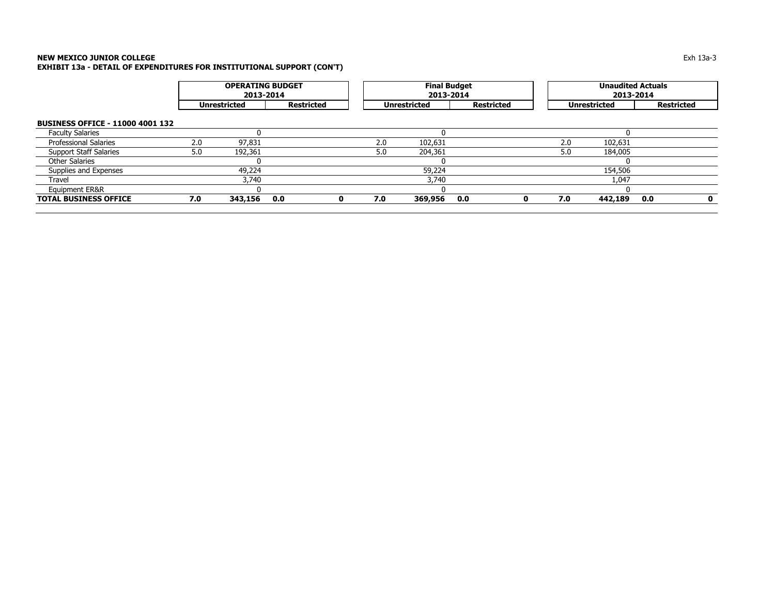| <b>OPERATING BUDGET</b><br>2013-2014 |         |     |   |     |         |                     |                                  | <b>Unaudited Actuals</b><br>2013-2014 |         |                     |   |  |
|--------------------------------------|---------|-----|---|-----|---------|---------------------|----------------------------------|---------------------------------------|---------|---------------------|---|--|
| Restricted<br><b>Unrestricted</b>    |         |     |   |     |         |                     |                                  |                                       |         | <b>Restricted</b>   |   |  |
|                                      |         |     |   |     |         |                     |                                  |                                       |         |                     |   |  |
|                                      |         |     |   |     |         |                     |                                  |                                       |         |                     |   |  |
| 2.0                                  | 97.831  |     |   | 2.0 | 102,631 |                     |                                  | 2.0                                   | 102,631 |                     |   |  |
| 5.0                                  | 192,361 |     |   | 5.0 | 204,361 |                     |                                  | 5.0                                   | 184,005 |                     |   |  |
|                                      |         |     |   |     |         |                     |                                  |                                       |         |                     |   |  |
|                                      | 49,224  |     |   |     | 59,224  |                     |                                  |                                       | 154,506 |                     |   |  |
|                                      | 3,740   |     |   |     | 3,740   |                     |                                  |                                       | 1,047   |                     |   |  |
|                                      |         |     |   |     |         |                     |                                  |                                       |         |                     |   |  |
| 7.0                                  | 343,156 | 0.0 | 0 | 7.0 | 369,956 | 0.0                 | n                                | 7.0                                   | 442,189 | 0.0                 | 0 |  |
|                                      |         |     |   |     |         | <b>Unrestricted</b> | <b>Final Budget</b><br>2013-2014 | <b>Restricted</b>                     |         | <b>Unrestricted</b> |   |  |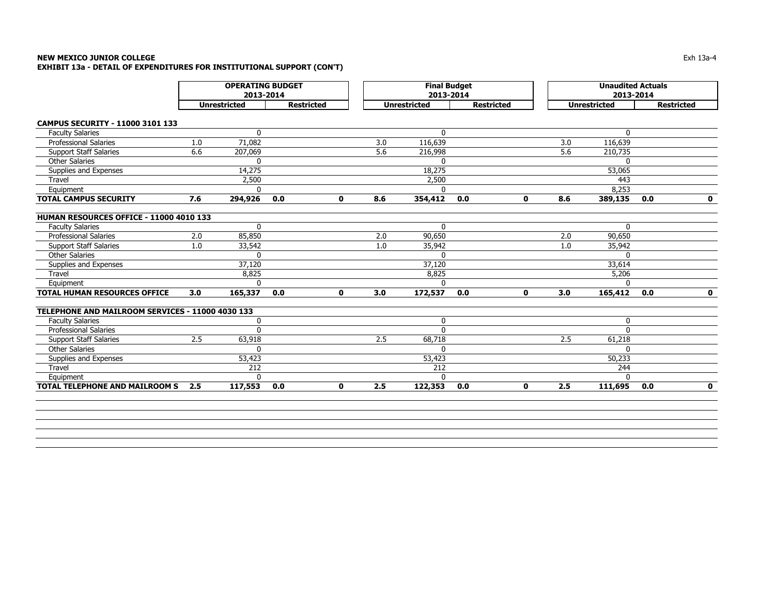|                                                  | <b>OPERATING BUDGET</b><br>2013-2014<br><b>Unrestricted</b> |              |                   |             |     | <b>Final Budget</b><br>2013-2014 |                   |              |     | <b>Unaudited Actuals</b><br>2013-2014 |                   |              |
|--------------------------------------------------|-------------------------------------------------------------|--------------|-------------------|-------------|-----|----------------------------------|-------------------|--------------|-----|---------------------------------------|-------------------|--------------|
|                                                  |                                                             |              | <b>Restricted</b> |             |     | <b>Unrestricted</b>              | <b>Restricted</b> |              |     | <b>Unrestricted</b>                   | <b>Restricted</b> |              |
| CAMPUS SECURITY - 11000 3101 133                 |                                                             |              |                   |             |     |                                  |                   |              |     |                                       |                   |              |
| <b>Faculty Salaries</b>                          |                                                             | $\Omega$     |                   |             |     | $\Omega$                         |                   |              |     | $\Omega$                              |                   |              |
| <b>Professional Salaries</b>                     | 1.0                                                         | 71,082       |                   |             | 3.0 | 116,639                          |                   |              | 3.0 | 116,639                               |                   |              |
| <b>Support Staff Salaries</b>                    | 6.6                                                         | 207,069      |                   |             | 5.6 | 216,998                          |                   |              | 5.6 | 210,735                               |                   |              |
| <b>Other Salaries</b>                            |                                                             | $\mathbf{0}$ |                   |             |     | $\mathbf{0}$                     |                   |              |     | 0                                     |                   |              |
| Supplies and Expenses                            |                                                             | 14,275       |                   |             |     | 18,275                           |                   |              |     | 53,065                                |                   |              |
| Travel                                           |                                                             | 2,500        |                   |             |     | 2,500                            |                   |              |     | 443                                   |                   |              |
| Equipment                                        |                                                             | $\Omega$     |                   |             |     | $\Omega$                         |                   |              |     | 8,253                                 |                   |              |
| <b>TOTAL CAMPUS SECURITY</b>                     | 7.6                                                         | 294,926      | 0.0               | $\mathbf 0$ | 8.6 | 354,412                          | 0.0               | $\mathbf 0$  | 8.6 | 389,135                               | 0.0               | $\mathbf 0$  |
| HUMAN RESOURCES OFFICE - 11000 4010 133          |                                                             |              |                   |             |     |                                  |                   |              |     |                                       |                   |              |
| <b>Faculty Salaries</b>                          |                                                             | $\mathbf{0}$ |                   |             |     | $\mathbf{0}$                     |                   |              |     | $\Omega$                              |                   |              |
| Professional Salaries                            | 2.0                                                         | 85,850       |                   |             | 2.0 | 90,650                           |                   |              | 2.0 | 90,650                                |                   |              |
| <b>Support Staff Salaries</b>                    | 1.0                                                         | 33,542       |                   |             | 1.0 | 35,942                           |                   |              | 1.0 | 35,942                                |                   |              |
| <b>Other Salaries</b>                            |                                                             | $\Omega$     |                   |             |     | $\Omega$                         |                   |              |     | $\Omega$                              |                   |              |
| Supplies and Expenses                            |                                                             | 37,120       |                   |             |     | 37,120                           |                   |              |     | 33,614                                |                   |              |
| Travel                                           |                                                             | 8,825        |                   |             |     | 8,825                            |                   |              |     | 5,206                                 |                   |              |
| Equipment                                        |                                                             | $\Omega$     |                   |             |     | $\Omega$                         |                   |              |     | $\Omega$                              |                   |              |
| <b>TOTAL HUMAN RESOURCES OFFICE</b>              | 3.0                                                         | 165,337      | 0.0               | $\mathbf 0$ | 3.0 | 172,537                          | 0.0               | $\mathbf{0}$ | 3.0 | 165,412                               | 0.0               | $\mathbf{0}$ |
| TELEPHONE AND MAILROOM SERVICES - 11000 4030 133 |                                                             |              |                   |             |     |                                  |                   |              |     |                                       |                   |              |
| <b>Faculty Salaries</b>                          |                                                             | 0            |                   |             |     | $\mathbf 0$                      |                   |              |     | $\mathbf{0}$                          |                   |              |
| <b>Professional Salaries</b>                     |                                                             | $\mathbf 0$  |                   |             |     | $\Omega$                         |                   |              |     | $\Omega$                              |                   |              |
| <b>Support Staff Salaries</b>                    | 2.5                                                         | 63,918       |                   |             | 2.5 | 68,718                           |                   |              | 2.5 | 61,218                                |                   |              |
| <b>Other Salaries</b>                            |                                                             | $\mathbf{0}$ |                   |             |     | $\Omega$                         |                   |              |     | $\Omega$                              |                   |              |
| Supplies and Expenses                            |                                                             | 53,423       |                   |             |     | 53,423                           |                   |              |     | 50,233                                |                   |              |
| Travel                                           |                                                             | 212          |                   |             |     | 212                              |                   |              |     | 244                                   |                   |              |
| Equipment                                        |                                                             | $\mathbf{0}$ |                   |             |     | $\mathbf{0}$                     |                   |              |     | $\Omega$                              |                   |              |
| <b>TOTAL TELEPHONE AND MAILROOM S</b>            | 2.5                                                         | 117,553      | 0.0               | $\mathbf 0$ | 2.5 | 122,353                          | 0.0               | 0            | 2.5 | 111,695                               | 0.0               | $\mathbf 0$  |
|                                                  |                                                             |              |                   |             |     |                                  |                   |              |     |                                       |                   |              |
|                                                  |                                                             |              |                   |             |     |                                  |                   |              |     |                                       |                   |              |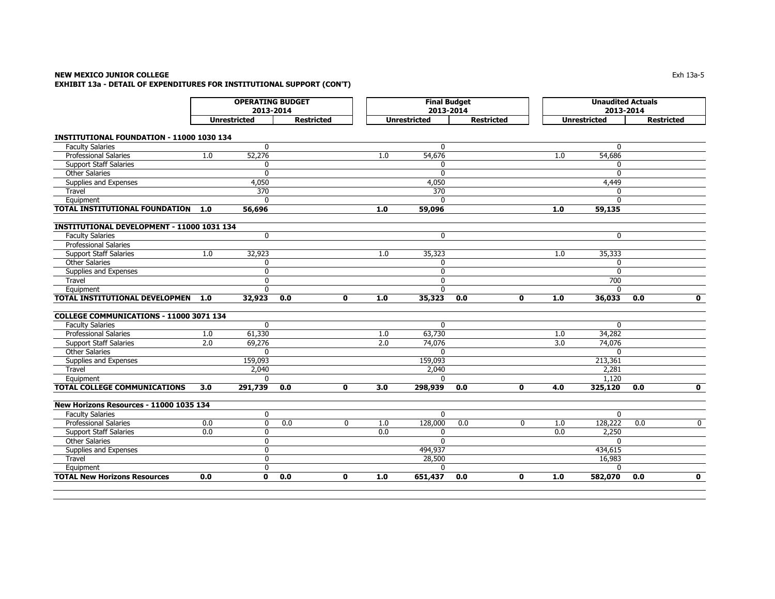### **NEW MEXICO JUNIOR COLLEGE** Exh 13a-5 **EXHIBIT 13a - DETAIL OF EXPENDITURES FOR INSTITUTIONAL SUPPORT (CON'T)**

|                                                  | <b>OPERATING BUDGET</b><br>2013-2014<br><b>Unrestricted</b> |                  |                   |              |     | <b>Final Budget</b><br>2013-2014 |                   |              |     | <b>Unaudited Actuals</b><br>2013-2014 |                                |
|--------------------------------------------------|-------------------------------------------------------------|------------------|-------------------|--------------|-----|----------------------------------|-------------------|--------------|-----|---------------------------------------|--------------------------------|
|                                                  |                                                             |                  | <b>Restricted</b> |              |     | <b>Unrestricted</b>              | <b>Restricted</b> |              |     | <b>Unrestricted</b>                   | <b>Restricted</b>              |
| <b>INSTITUTIONAL FOUNDATION - 11000 1030 134</b> |                                                             |                  |                   |              |     |                                  |                   |              |     |                                       |                                |
| <b>Faculty Salaries</b>                          |                                                             | $\mathbf{0}$     |                   |              |     | $\mathbf{0}$                     |                   |              |     | $\mathbf{0}$                          |                                |
| <b>Professional Salaries</b>                     | 1.0                                                         | 52,276           |                   |              | 1.0 | 54,676                           |                   |              | 1.0 | 54,686                                |                                |
| <b>Support Staff Salaries</b>                    |                                                             | $\mathbf 0$      |                   |              |     | 0                                |                   |              |     | $\mathbf{0}$                          |                                |
| <b>Other Salaries</b>                            |                                                             | $\mathbf{0}$     |                   |              |     | $\mathbf{0}$                     |                   |              |     | $\Omega$                              |                                |
| Supplies and Expenses                            |                                                             | 4,050            |                   |              |     | 4,050                            |                   |              |     | 4,449                                 |                                |
| Travel                                           |                                                             | $\overline{370}$ |                   |              |     | $\overline{370}$                 |                   |              |     | $\Omega$                              |                                |
| Equipment                                        |                                                             | $\Omega$         |                   |              |     | $\mathbf{0}$                     |                   |              |     | $\Omega$                              |                                |
| TOTAL INSTITUTIONAL FOUNDATION                   | 1.0                                                         | 56,696           |                   |              | 1.0 | 59,096                           |                   |              | 1.0 | 59,135                                |                                |
| INSTITUTIONAL DEVELOPMENT - 11000 1031 134       |                                                             |                  |                   |              |     |                                  |                   |              |     |                                       |                                |
| <b>Faculty Salaries</b>                          |                                                             | $\mathbf 0$      |                   |              |     | 0                                |                   |              |     | $\mathbf{0}$                          |                                |
| <b>Professional Salaries</b>                     |                                                             |                  |                   |              |     |                                  |                   |              |     |                                       |                                |
| <b>Support Staff Salaries</b>                    | 1.0                                                         | 32,923           |                   |              | 1.0 | 35,323                           |                   |              | 1.0 | 35,333                                |                                |
| <b>Other Salaries</b>                            |                                                             | $\mathbf 0$      |                   |              |     | 0                                |                   |              |     | $\Omega$                              |                                |
| Supplies and Expenses                            |                                                             | $\mathbf{0}$     |                   |              |     | 0                                |                   |              |     | $\Omega$                              |                                |
| Travel                                           |                                                             | $\mathbf 0$      |                   |              |     | 0                                |                   |              |     | 700                                   |                                |
| Equipment                                        |                                                             | $\mathbf{0}$     |                   |              |     | $\mathbf{0}$                     |                   |              |     | $\Omega$                              |                                |
| <b>TOTAL INSTITUTIONAL DEVELOPMEN</b>            | 1.0                                                         | 32,923           | 0.0               | $\mathbf{0}$ | 1.0 | 35,323                           | 0.0               | $\mathbf{0}$ | 1.0 | 36,033                                | $\overline{\mathbf{0}}$<br>0.0 |
| COLLEGE COMMUNICATIONS - 11000 3071 134          |                                                             |                  |                   |              |     |                                  |                   |              |     |                                       |                                |
| <b>Faculty Salaries</b>                          |                                                             | $\mathbf{0}$     |                   |              |     | $\mathbf{0}$                     |                   |              |     | $\mathbf{0}$                          |                                |
| <b>Professional Salaries</b>                     | 1.0                                                         | 61,330           |                   |              | 1.0 | 63,730                           |                   |              | 1.0 | 34,282                                |                                |
| <b>Support Staff Salaries</b>                    | 2.0                                                         | 69,276           |                   |              | 2.0 | 74,076                           |                   |              | 3.0 | 74,076                                |                                |
| <b>Other Salaries</b>                            |                                                             | $\Omega$         |                   |              |     | $\Omega$                         |                   |              |     | $\Omega$                              |                                |
| Supplies and Expenses                            |                                                             | 159,093          |                   |              |     | 159,093                          |                   |              |     | 213,361                               |                                |
| Travel                                           |                                                             | 2,040            |                   |              |     | 2,040                            |                   |              |     | 2,281                                 |                                |
| Equipment                                        |                                                             | $\mathbf{0}$     |                   |              |     | $\mathbf{0}$                     |                   |              |     | 1.120                                 |                                |
| TOTAL COLLEGE COMMUNICATIONS                     | 3.0                                                         | 291,739          | 0.0               | 0            | 3.0 | 298,939                          | 0.0               | $\mathbf 0$  | 4.0 | 325,120                               | $\mathbf 0$<br>0.0             |
| New Horizons Resources - 11000 1035 134          |                                                             |                  |                   |              |     |                                  |                   |              |     |                                       |                                |
| <b>Faculty Salaries</b>                          |                                                             | $\mathbf 0$      |                   |              |     | $\mathbf{0}$                     |                   |              |     | $\mathbf{0}$                          |                                |
| Professional Salaries                            | 0.0                                                         | $\mathbf 0$      | 0.0               | $\mathbf{0}$ | 1.0 | 128,000                          | 0.0               | $\mathbf{0}$ | 1.0 | 128,222                               | $\mathbf{0}$<br>0.0            |
| <b>Support Staff Salaries</b>                    | 0.0                                                         | $\mathbf 0$      |                   |              | 0.0 | 0                                |                   |              | 0.0 | 2,250                                 |                                |
| <b>Other Salaries</b>                            |                                                             | $\mathbf 0$      |                   |              |     | $\Omega$                         |                   |              |     | $\Omega$                              |                                |
| Supplies and Expenses                            |                                                             | $\mathbf{0}$     |                   |              |     | 494,937                          |                   |              |     | 434,615                               |                                |
| Travel                                           |                                                             | 0                |                   |              |     | 28,500                           |                   |              |     | 16,983                                |                                |
| Equipment                                        |                                                             | $\mathbf 0$      |                   |              |     | $\Omega$                         |                   |              |     | $\Omega$                              |                                |
| <b>TOTAL New Horizons Resources</b>              | 0.0                                                         | $\mathbf{0}$     | 0.0               | $\mathbf{0}$ | 1.0 | 651,437                          | 0.0               | $\mathbf{0}$ | 1.0 | 582,070                               | 0.0<br>$\mathbf{0}$            |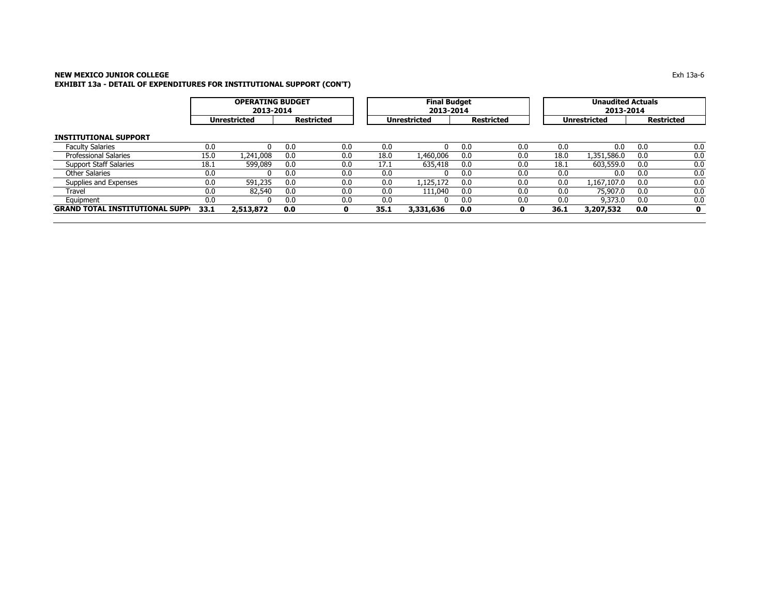$\overline{a}$ 

|                                        |      | <b>OPERATING BUDGET</b><br>2013-2014 |     |                   |      | <b>Final Budget</b><br>2013-2014 |     |                   | <b>Unaudited Actuals</b><br>2013-2014 |                     |     |                   |  |
|----------------------------------------|------|--------------------------------------|-----|-------------------|------|----------------------------------|-----|-------------------|---------------------------------------|---------------------|-----|-------------------|--|
|                                        |      | <b>Unrestricted</b>                  |     | <b>Restricted</b> |      | <b>Unrestricted</b>              |     | <b>Restricted</b> |                                       | <b>Unrestricted</b> |     | <b>Restricted</b> |  |
| <b>INSTITUTIONAL SUPPORT</b>           |      |                                      |     |                   |      |                                  |     |                   |                                       |                     |     |                   |  |
| <b>Faculty Salaries</b>                | 0.0  | n                                    | 0.0 | 0.0               | 0.0  | 0                                | 0.0 | 0.0               | 0.0                                   | 0.0                 | 0.0 | 0.0               |  |
| Professional Salaries                  | 15.0 | 1,241,008                            | 0.0 | 0.0               | 18.0 | 1,460,006                        | 0.0 | 0.0               | 18.0                                  | 1,351,586.0         | 0.0 | 0.0               |  |
| <b>Support Staff Salaries</b>          | 18.1 | 599,089                              | 0.0 | 0.0               | 17.1 | 635,418                          | 0.0 | 0.0               | 18.1                                  | 603,559.0           | 0.0 | 0.0               |  |
| Other Salaries                         | 0.0  | $\Omega$                             | 0.0 | 0.0               | 0.0  | 0                                | 0.0 | 0.0               | 0.0                                   | 0.0                 | 0.0 | 0.0               |  |
| Supplies and Expenses                  | 0.0  | 591,235                              | 0.0 | 0.0               | 0.0  | 1,125,172                        | 0.0 | 0.0               | 0.0                                   | 1,167,107.0         | 0.0 | 0.0               |  |
| Travel                                 | 0.0  | 82,540                               | 0.0 | 0.0               | 0.0  | 111,040                          | 0.0 | 0.0               | 0.0                                   | 75,907.0            | 0.0 | 0.0               |  |
| Equipment                              | 0.0  | 0                                    | 0.0 | 0.0               | 0.0  | <sup>0</sup>                     | 0.0 | 0.0               | 0.0                                   | 9,373.0             | 0.0 | 0.0               |  |
| <b>GRAND TOTAL INSTITUTIONAL SUPP(</b> | 33.1 | 2,513,872                            | 0.0 | 0                 | 35.1 | 3,331,636                        | 0.0 | $\mathbf o$       | 36.1                                  | 3,207,532           | 0.0 | 0                 |  |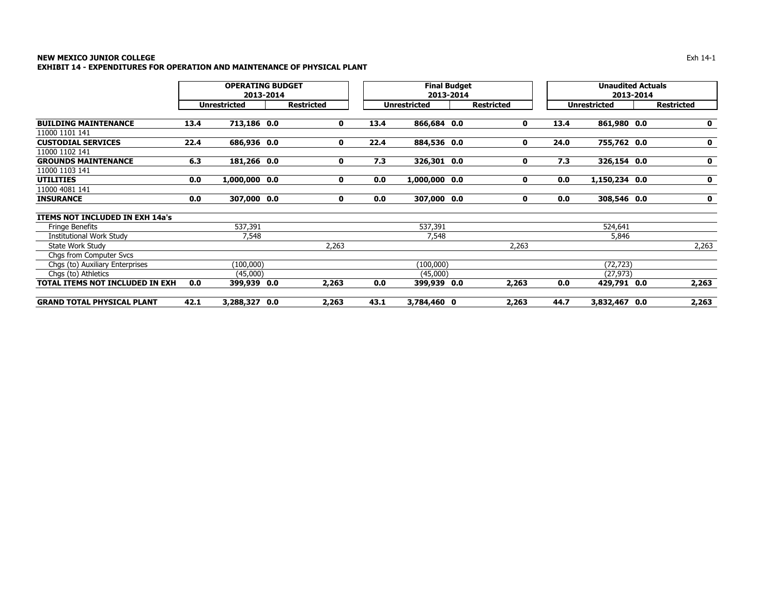### **NEW MEXICO JUNIOR COLLEGE** Exh 14-1 **EXHIBIT 14 - EXPENDITURES FOR OPERATION AND MAINTENANCE OF PHYSICAL PLANT**

|                                        |      | <b>OPERATING BUDGET</b><br>2013-2014 |  | <b>Final Budget</b><br>2013-2014 |      |                     |  | <b>Unaudited Actuals</b><br>2013-2014 |      |                     |  |                   |
|----------------------------------------|------|--------------------------------------|--|----------------------------------|------|---------------------|--|---------------------------------------|------|---------------------|--|-------------------|
|                                        |      | <b>Unrestricted</b>                  |  | <b>Restricted</b>                |      | <b>Unrestricted</b> |  | <b>Restricted</b>                     |      | <b>Unrestricted</b> |  | <b>Restricted</b> |
| <b>BUILDING MAINTENANCE</b>            | 13.4 | 713,186 0.0                          |  | $\mathbf 0$                      | 13.4 | 866,684 0.0         |  | 0                                     | 13.4 | 861,980 0.0         |  | $\mathbf 0$       |
| 11000 1101 141                         |      |                                      |  |                                  |      |                     |  |                                       |      |                     |  |                   |
| <b>CUSTODIAL SERVICES</b>              | 22.4 | 686,936 0.0                          |  | 0                                | 22.4 | 884,536 0.0         |  | 0                                     | 24.0 | 755,762 0.0         |  | $\mathbf 0$       |
| 11000 1102 141                         |      |                                      |  |                                  |      |                     |  |                                       |      |                     |  |                   |
| <b>GROUNDS MAINTENANCE</b>             | 6.3  | 181,266 0.0                          |  | 0                                | 7.3  | 326,301 0.0         |  | 0                                     | 7.3  | 326,154 0.0         |  | $\mathbf 0$       |
| 11000 1103 141                         |      |                                      |  |                                  |      |                     |  |                                       |      |                     |  |                   |
| <b>UTILITIES</b>                       | 0.0  | 1,000,000 0.0                        |  | 0                                | 0.0  | 1,000,000 0.0       |  | 0                                     | 0.0  | 1,150,234 0.0       |  | $\mathbf 0$       |
| 11000 4081 141                         |      |                                      |  |                                  |      |                     |  |                                       |      |                     |  |                   |
| <b>INSURANCE</b>                       | 0.0  | 307,000 0.0                          |  | 0                                | 0.0  | 307,000 0.0         |  | 0                                     | 0.0  | 308,546 0.0         |  | $\mathbf 0$       |
| <b>ITEMS NOT INCLUDED IN EXH 14a's</b> |      |                                      |  |                                  |      |                     |  |                                       |      |                     |  |                   |
| <b>Fringe Benefits</b>                 |      | 537,391                              |  |                                  |      | 537,391             |  |                                       |      | 524,641             |  |                   |
| Institutional Work Study               |      | 7,548                                |  |                                  |      | 7,548               |  |                                       |      | 5,846               |  |                   |
| State Work Study                       |      |                                      |  | 2,263                            |      |                     |  | 2,263                                 |      |                     |  | 2,263             |
| Chas from Computer Svcs                |      |                                      |  |                                  |      |                     |  |                                       |      |                     |  |                   |
| Chgs (to) Auxiliary Enterprises        |      | (100,000)                            |  |                                  |      | (100,000)           |  |                                       |      | (72, 723)           |  |                   |
| Chas (to) Athletics                    |      | (45,000)                             |  |                                  |      | (45,000)            |  |                                       |      | (27, 973)           |  |                   |
| TOTAL ITEMS NOT INCLUDED IN EXH        | 0.0  | 399,939 0.0                          |  | 2,263                            | 0.0  | 399,939 0.0         |  | 2,263                                 | 0.0  | 429,791 0.0         |  | 2,263             |
| <b>GRAND TOTAL PHYSICAL PLANT</b>      | 42.1 | 3,288,327 0.0                        |  | 2,263                            | 43.1 | 3,784,460 0         |  | 2,263                                 | 44.7 | 3,832,467 0.0       |  | 2,263             |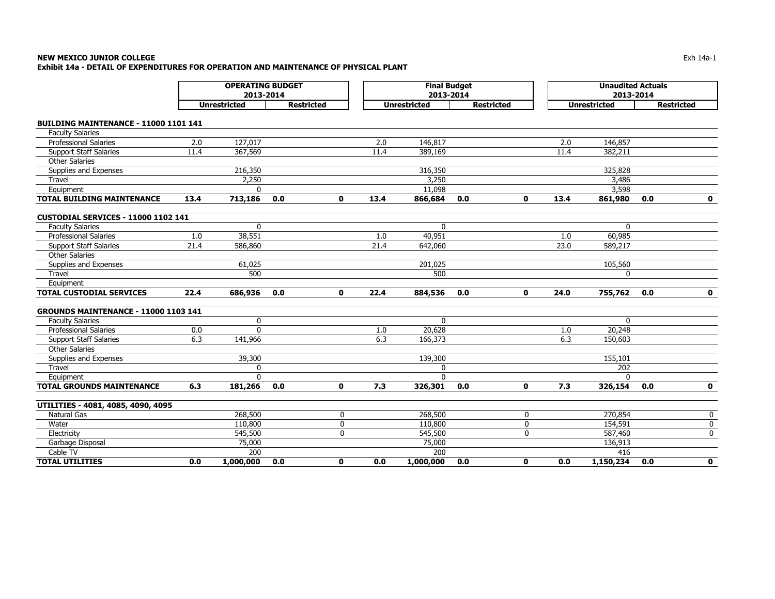### **NEW MEXICO JUNIOR COLLEGE** Exh 14a-1 **Exhibit 14a - DETAIL OF EXPENDITURES FOR OPERATION AND MAINTENANCE OF PHYSICAL PLANT**

|                                            | <b>OPERATING BUDGET</b><br>2013-2014<br><b>Unrestricted</b><br><b>Restricted</b> |              |     |              | <b>Final Budget</b><br>2013-2014 |                     |                   | <b>Unaudited Actuals</b><br>2013-2014 |      |                     |                   |              |
|--------------------------------------------|----------------------------------------------------------------------------------|--------------|-----|--------------|----------------------------------|---------------------|-------------------|---------------------------------------|------|---------------------|-------------------|--------------|
|                                            |                                                                                  |              |     |              |                                  | <b>Unrestricted</b> | <b>Restricted</b> |                                       |      | <b>Unrestricted</b> | <b>Restricted</b> |              |
| BUILDING MAINTENANCE - 11000 1101 141      |                                                                                  |              |     |              |                                  |                     |                   |                                       |      |                     |                   |              |
| <b>Faculty Salaries</b>                    |                                                                                  |              |     |              |                                  |                     |                   |                                       |      |                     |                   |              |
| <b>Professional Salaries</b>               | 2.0                                                                              | 127,017      |     |              | 2.0                              | 146,817             |                   |                                       | 2.0  | 146,857             |                   |              |
| <b>Support Staff Salaries</b>              | 11.4                                                                             | 367,569      |     |              | 11.4                             | 389,169             |                   |                                       | 11.4 | 382,211             |                   |              |
| <b>Other Salaries</b>                      |                                                                                  |              |     |              |                                  |                     |                   |                                       |      |                     |                   |              |
| Supplies and Expenses                      |                                                                                  | 216,350      |     |              |                                  | 316,350             |                   |                                       |      | 325,828             |                   |              |
| Travel                                     |                                                                                  | 2,250        |     |              |                                  | 3,250               |                   |                                       |      | 3,486               |                   |              |
| Equipment                                  |                                                                                  | $\Omega$     |     |              |                                  | 11,098              |                   |                                       |      | 3,598               |                   |              |
| <b>TOTAL BUILDING MAINTENANCE</b>          | 13.4                                                                             | 713,186      | 0.0 | $\mathbf{0}$ | 13.4                             | 866,684             | 0.0               | $\mathbf 0$                           | 13.4 | 861,980             | 0.0               | $\mathbf 0$  |
| <b>CUSTODIAL SERVICES - 11000 1102 141</b> |                                                                                  |              |     |              |                                  |                     |                   |                                       |      |                     |                   |              |
| <b>Faculty Salaries</b>                    |                                                                                  | $\Omega$     |     |              |                                  | 0                   |                   |                                       |      | $\Omega$            |                   |              |
| <b>Professional Salaries</b>               | 1.0                                                                              | 38,551       |     |              | 1.0                              | 40,951              |                   |                                       | 1.0  | 60,985              |                   |              |
| <b>Support Staff Salaries</b>              | 21.4                                                                             | 586,860      |     |              | 21.4                             | 642,060             |                   |                                       | 23.0 | 589,217             |                   |              |
| <b>Other Salaries</b>                      |                                                                                  |              |     |              |                                  |                     |                   |                                       |      |                     |                   |              |
| Supplies and Expenses                      |                                                                                  | 61,025       |     |              |                                  | 201,025             |                   |                                       |      | 105,560             |                   |              |
| Travel                                     |                                                                                  | 500          |     |              |                                  | 500                 |                   |                                       |      | $\mathbf{0}$        |                   |              |
| Equipment                                  |                                                                                  |              |     |              |                                  |                     |                   |                                       |      |                     |                   |              |
| <b>TOTAL CUSTODIAL SERVICES</b>            | 22.4                                                                             | 686,936      | 0.0 | 0            | 22.4                             | 884,536             | 0.0               | 0                                     | 24.0 | 755,762             | 0.0               | $\mathbf 0$  |
| GROUNDS MAINTENANCE - 11000 1103 141       |                                                                                  |              |     |              |                                  |                     |                   |                                       |      |                     |                   |              |
| <b>Faculty Salaries</b>                    |                                                                                  | $\mathbf{0}$ |     |              |                                  | $\mathbf{0}$        |                   |                                       |      | $\mathbf{0}$        |                   |              |
| Professional Salaries                      | 0.0                                                                              | $\Omega$     |     |              | 1.0                              | 20,628              |                   |                                       | 1.0  | 20,248              |                   |              |
| <b>Support Staff Salaries</b>              | 6.3                                                                              | 141,966      |     |              | 6.3                              | 166,373             |                   |                                       | 6.3  | 150,603             |                   |              |
| Other Salaries                             |                                                                                  |              |     |              |                                  |                     |                   |                                       |      |                     |                   |              |
| Supplies and Expenses                      |                                                                                  | 39,300       |     |              |                                  | 139,300             |                   |                                       |      | 155,101             |                   |              |
| Travel                                     |                                                                                  | $\mathbf{0}$ |     |              |                                  | $\mathbf{0}$        |                   |                                       |      | 202                 |                   |              |
| Equipment                                  |                                                                                  | $\Omega$     |     |              |                                  | $\Omega$            |                   |                                       |      | $\Omega$            |                   |              |
| <b>TOTAL GROUNDS MAINTENANCE</b>           | 6.3                                                                              | 181,266      | 0.0 | $\mathbf 0$  | 7.3                              | 326,301             | 0.0               | $\mathbf 0$                           | 7.3  | 326,154             | 0.0               | $\mathbf 0$  |
| UTILITIES - 4081, 4085, 4090, 4095         |                                                                                  |              |     |              |                                  |                     |                   |                                       |      |                     |                   |              |
| <b>Natural Gas</b>                         |                                                                                  | 268,500      |     | 0            |                                  | 268,500             |                   | $\mathbf 0$                           |      | 270,854             |                   | 0            |
| Water                                      |                                                                                  | 110,800      |     | $\mathbf 0$  |                                  | 110,800             |                   | $\mathbf 0$                           |      | 154,591             |                   | 0            |
| Electricity                                |                                                                                  | 545,500      |     | 0            |                                  | 545,500             |                   | 0                                     |      | 587,460             |                   | 0            |
| Garbage Disposal                           |                                                                                  | 75,000       |     |              |                                  | 75,000              |                   |                                       |      | 136,913             |                   |              |
| Cable TV                                   |                                                                                  | 200          |     |              |                                  | 200                 |                   |                                       |      | 416                 |                   |              |
| <b>TOTAL UTILITIES</b>                     | 0.0                                                                              | 1,000,000    | 0.0 | 0            | 0.0                              | 1,000,000           | 0.0               | $\mathbf{0}$                          | 0.0  | 1,150,234           | 0.0               | $\mathbf{0}$ |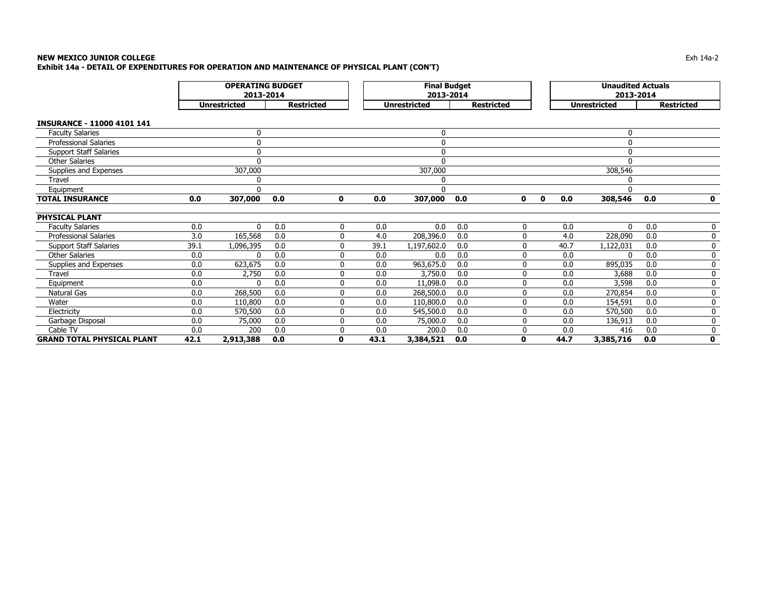### **NEW MEXICO JUNIOR COLLEGE** Exh 14a-2 **Exhibit 14a - DETAIL OF EXPENDITURES FOR OPERATION AND MAINTENANCE OF PHYSICAL PLANT (CON'T)**

|                                   | <b>OPERATING BUDGET</b><br>2013-2014 |                     |     |                   |      | <b>Final Budget</b><br>2013-2014 |     |                   |   |              | <b>Unaudited Actuals</b><br>2013-2014 |              |     |                   |
|-----------------------------------|--------------------------------------|---------------------|-----|-------------------|------|----------------------------------|-----|-------------------|---|--------------|---------------------------------------|--------------|-----|-------------------|
|                                   |                                      | <b>Unrestricted</b> |     | <b>Restricted</b> |      | <b>Unrestricted</b>              |     | <b>Restricted</b> |   |              | <b>Unrestricted</b>                   |              |     | <b>Restricted</b> |
| <b>INSURANCE - 11000 4101 141</b> |                                      |                     |     |                   |      |                                  |     |                   |   |              |                                       |              |     |                   |
| <b>Faculty Salaries</b>           |                                      | $\mathbf 0$         |     |                   |      | $\mathbf 0$                      |     |                   |   |              |                                       | $\mathbf{0}$ |     |                   |
| <b>Professional Salaries</b>      |                                      | $\mathbf{0}$        |     |                   |      | $\mathbf 0$                      |     |                   |   |              |                                       | $\Omega$     |     |                   |
| <b>Support Staff Salaries</b>     |                                      | $\Omega$            |     |                   |      | $\mathbf 0$                      |     |                   |   |              |                                       | O            |     |                   |
| <b>Other Salaries</b>             |                                      | $\Omega$            |     |                   |      | $\Omega$                         |     |                   |   |              |                                       |              |     |                   |
| Supplies and Expenses             |                                      | 307,000             |     |                   |      | 307,000                          |     |                   |   |              |                                       | 308,546      |     |                   |
| Travel                            |                                      | 0                   |     |                   |      | 0                                |     |                   |   |              |                                       |              |     |                   |
| Equipment                         |                                      | $\Omega$            |     |                   |      | $\Omega$                         |     |                   |   |              |                                       | O            |     |                   |
| <b>TOTAL INSURANCE</b>            | 0.0                                  | 307,000             | 0.0 | 0                 | 0.0  | 307,000                          | 0.0 |                   | 0 | $\mathbf{0}$ | 0.0                                   | 308,546      | 0.0 | 0                 |
|                                   |                                      |                     |     |                   |      |                                  |     |                   |   |              |                                       |              |     |                   |
| <b>PHYSICAL PLANT</b>             |                                      |                     |     |                   |      |                                  |     |                   |   |              |                                       |              |     |                   |
| <b>Faculty Salaries</b>           | 0.0                                  | $\mathbf{0}$        | 0.0 | 0                 | 0.0  | 0.0                              | 0.0 |                   | 0 |              | 0.0                                   | $\Omega$     | 0.0 | 0                 |
| <b>Professional Salaries</b>      | 3.0                                  | 165,568             | 0.0 | 0                 | 4.0  | 208,396.0                        | 0.0 |                   | 0 |              | 4.0                                   | 228,090      | 0.0 | 0                 |
| <b>Support Staff Salaries</b>     | 39.1                                 | 1,096,395           | 0.0 | 0                 | 39.1 | 1,197,602.0                      | 0.0 |                   | 0 |              | 40.7                                  | 1,122,031    | 0.0 | 0                 |
| <b>Other Salaries</b>             | 0.0                                  | $\Omega$            | 0.0 | 0                 | 0.0  | 0.0                              | 0.0 |                   | 0 |              | 0.0                                   |              | 0.0 | 0                 |
| Supplies and Expenses             | 0.0                                  | 623,675             | 0.0 | 0                 | 0.0  | 963,675.0                        | 0.0 |                   | 0 |              | 0.0                                   | 895,035      | 0.0 | 0                 |
| <b>Travel</b>                     | 0.0                                  | 2,750               | 0.0 | 0                 | 0.0  | 3,750.0                          | 0.0 |                   | 0 |              | 0.0                                   | 3,688        | 0.0 | 0                 |
| Equipment                         | 0.0                                  | $\Omega$            | 0.0 | 0                 | 0.0  | 11,098.0                         | 0.0 |                   | 0 |              | 0.0                                   | 3,598        | 0.0 | 0                 |
| Natural Gas                       | 0.0                                  | 268,500             | 0.0 | 0                 | 0.0  | 268,500.0                        | 0.0 |                   | 0 |              | 0.0                                   | 270,854      | 0.0 | 0                 |
| Water                             | 0.0                                  | 110,800             | 0.0 | 0                 | 0.0  | 110,800.0                        | 0.0 |                   | 0 |              | 0.0                                   | 154,591      | 0.0 | 0                 |
| Electricity                       | 0.0                                  | 570,500             | 0.0 | 0                 | 0.0  | 545,500.0                        | 0.0 |                   | 0 |              | 0.0                                   | 570,500      | 0.0 | 0                 |
| Garbage Disposal                  | 0.0                                  | 75,000              | 0.0 | 0                 | 0.0  | 75,000.0                         | 0.0 |                   | 0 |              | 0.0                                   | 136,913      | 0.0 | 0                 |
| Cable TV                          | 0.0                                  | 200                 | 0.0 | 0                 | 0.0  | 200.0                            | 0.0 |                   | 0 |              | 0.0                                   | 416          | 0.0 | 0                 |
| <b>GRAND TOTAL PHYSICAL PLANT</b> | 42.1                                 | 2,913,388           | 0.0 | O                 | 43.1 | 3,384,521                        | 0.0 | $\mathbf 0$       |   |              | 44.7                                  | 3,385,716    | 0.0 | $\mathbf 0$       |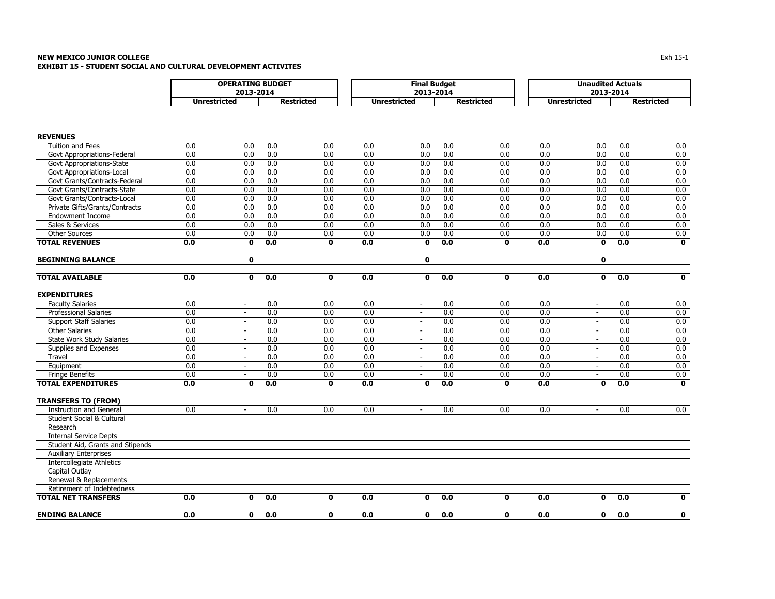### **NEW MEXICO JUNIOR COLLEGE** $\mathsf E$ **EXHIBIT 15 - STUDENT SOCIAL AND CULTURAL DEVELOPMENT ACTIVITES**

|                                                          |                     | <b>OPERATING BUDGET</b> |            |                   |                     | <b>Final Budget</b> |                   |                     |                     | <b>Unaudited Actuals</b> |            |                         |
|----------------------------------------------------------|---------------------|-------------------------|------------|-------------------|---------------------|---------------------|-------------------|---------------------|---------------------|--------------------------|------------|-------------------------|
|                                                          |                     | 2013-2014               |            |                   |                     | 2013-2014           |                   |                     |                     | 2013-2014                |            |                         |
|                                                          | <b>Unrestricted</b> |                         |            | <b>Restricted</b> | <b>Unrestricted</b> |                     | <b>Restricted</b> |                     | <b>Unrestricted</b> |                          |            | <b>Restricted</b>       |
|                                                          |                     |                         |            |                   |                     |                     |                   |                     |                     |                          |            |                         |
| <b>REVENUES</b>                                          |                     |                         |            |                   |                     |                     |                   |                     |                     |                          |            |                         |
| <b>Tuition and Fees</b>                                  | 0.0                 | 0.0                     | 0.0        | 0.0               | 0.0                 | 0.0                 | 0.0               | 0.0                 | 0.0                 | 0.0                      | 0.0        | 0.0                     |
| Govt Appropriations-Federal                              | 0.0                 | 0.0                     | 0.0        | 0.0               | 0.0                 | 0.0                 | 0.0               | 0.0                 | 0.0                 | 0.0                      | 0.0        | 0.0                     |
| Govt Appropriations-State                                | 0.0                 | 0.0                     | 0.0        | 0.0               | 0.0                 | 0.0                 | 0.0               | 0.0                 | 0.0                 | 0.0                      | 0.0        | 0.0                     |
| Govt Appropriations-Local                                | 0.0                 | 0.0                     | 0.0        | 0.0               | 0.0                 | 0.0                 | 0.0               | 0.0                 | 0.0                 | 0.0                      | 0.0        | 0.0                     |
| Govt Grants/Contracts-Federal                            | 0.0                 | 0.0                     | 0.0        | 0.0               | 0.0                 | 0.0                 | 0.0               | 0.0                 | 0.0                 | 0.0                      | 0.0        | 0.0                     |
| Govt Grants/Contracts-State                              | 0.0                 | 0.0                     | 0.0        | 0.0               | 0.0                 | 0.0                 | 0.0               | 0.0                 | 0.0<br>0.0          | 0.0                      | 0.0        | 0.0                     |
| Govt Grants/Contracts-Local                              | 0.0                 | 0.0                     | 0.0        | 0.0               | 0.0                 | 0.0                 | 0.0               | 0.0                 |                     | 0.0                      | 0.0        | 0.0                     |
| Private Gifts/Grants/Contracts                           | 0.0<br>0.0          | 0.0<br>0.0              | 0.0<br>0.0 | 0.0<br>0.0        | 0.0<br>0.0          | 0.0<br>0.0          | 0.0<br>0.0        | 0.0<br>0.0          | 0.0<br>0.0          | 0.0                      | 0.0<br>0.0 | 0.0<br>0.0              |
| <b>Endowment Income</b>                                  |                     |                         |            |                   | 0.0                 |                     |                   |                     |                     | 0.0                      |            | 0.0                     |
| Sales & Services<br><b>Other Sources</b>                 | 0.0<br>0.0          | 0.0                     | 0.0<br>0.0 | 0.0<br>0.0        | 0.0                 | 0.0                 | 0.0<br>0.0        | 0.0                 | 0.0<br>0.0          | 0.0                      | 0.0<br>0.0 |                         |
| <b>TOTAL REVENUES</b>                                    |                     | 0.0<br>$\mathbf 0$      | 0.0        |                   | 0.0                 | 0.0<br>$\mathbf 0$  | 0.0               | 0.0<br>$\mathbf{0}$ | 0.0                 | 0.0<br>$\mathbf 0$       | 0.0        | 0.0<br>$\mathbf 0$      |
|                                                          | 0.0                 |                         |            | 0                 |                     |                     |                   |                     |                     |                          |            |                         |
| <b>BEGINNING BALANCE</b>                                 |                     | $\mathbf 0$             |            |                   |                     | $\mathbf 0$         |                   |                     |                     | $\mathbf 0$              |            |                         |
| <b>TOTAL AVAILABLE</b>                                   | 0.0                 | 0                       | 0.0        | $\mathbf{0}$      | 0.0                 | $\mathbf 0$         | 0.0               | $\mathbf{0}$        | 0.0                 | $\mathbf{0}$             | 0.0        | $\overline{\mathbf{0}}$ |
| <b>EXPENDITURES</b>                                      |                     |                         |            |                   |                     |                     |                   |                     |                     |                          |            |                         |
| <b>Faculty Salaries</b>                                  | 0.0                 | $\sim$                  | 0.0        | 0.0               | 0.0                 | $\sim$              | 0.0               | 0.0                 | 0.0                 | $\blacksquare$           | 0.0        | 0.0                     |
| <b>Professional Salaries</b>                             | 0.0                 | $\sim$                  | 0.0        | 0.0               | 0.0                 | $\blacksquare$      | 0.0               | 0.0                 | 0.0                 | $\sim$                   | 0.0        | 0.0                     |
| <b>Support Staff Salaries</b>                            | 0.0                 | $\sim$                  | 0.0        | 0.0               | 0.0                 | $\sim$              | 0.0               | 0.0                 | 0.0                 | $\blacksquare$           | 0.0        | 0.0                     |
| <b>Other Salaries</b>                                    | 0.0                 | $\sim$                  | 0.0        | 0.0               | 0.0                 | $\sim$              | 0.0               | 0.0                 | 0.0                 | $\sim$                   | 0.0        | 0.0                     |
| State Work Study Salaries                                | 0.0                 | $\sim$                  | 0.0        | 0.0               | 0.0                 | $\sim$              | 0.0               | 0.0                 | 0.0                 | $\blacksquare$           | 0.0        | 0.0                     |
| Supplies and Expenses                                    | 0.0                 | $\sim$                  | 0.0        | 0.0               | 0.0                 | $\sim$              | 0.0               | 0.0                 | 0.0                 | $\sim$                   | 0.0        | 0.0                     |
| Travel                                                   | 0.0                 | $\sim$                  | 0.0        | 0.0               | 0.0                 | $\blacksquare$      | 0.0               | 0.0                 | 0.0                 | $\blacksquare$           | 0.0        | 0.0                     |
| Equipment                                                | 0.0                 | $\omega$                | 0.0        | 0.0               | 0.0                 | $\overline{a}$      | 0.0               | 0.0                 | 0.0                 | $\sim$                   | 0.0        | 0.0                     |
| <b>Fringe Benefits</b>                                   | 0.0                 | $\sim$                  | 0.0        | 0.0               | 0.0                 | $\blacksquare$      | 0.0               | 0.0                 | 0.0                 | $\blacksquare$           | 0.0        | 0.0                     |
| <b>TOTAL EXPENDITURES</b>                                | 0.0                 | 0                       | 0.0        | $\mathbf 0$       | 0.0                 | $\mathbf 0$         | 0.0               | $\mathbf{0}$        | 0.0                 | $\mathbf 0$              | 0.0        | 0                       |
| <b>TRANSFERS TO (FROM)</b>                               |                     |                         |            |                   |                     |                     |                   |                     |                     |                          |            |                         |
| <b>Instruction and General</b>                           | 0.0                 | $\sim$                  | 0.0        | 0.0               | 0.0                 | $\blacksquare$      | 0.0               | 0.0                 | 0.0                 | $\blacksquare$           | 0.0        | 0.0                     |
| Student Social & Cultural                                |                     |                         |            |                   |                     |                     |                   |                     |                     |                          |            |                         |
| Research                                                 |                     |                         |            |                   |                     |                     |                   |                     |                     |                          |            |                         |
| <b>Internal Service Depts</b>                            |                     |                         |            |                   |                     |                     |                   |                     |                     |                          |            |                         |
| Student Aid, Grants and Stipends                         |                     |                         |            |                   |                     |                     |                   |                     |                     |                          |            |                         |
| <b>Auxiliary Enterprises</b>                             |                     |                         |            |                   |                     |                     |                   |                     |                     |                          |            |                         |
| <b>Intercollegiate Athletics</b>                         |                     |                         |            |                   |                     |                     |                   |                     |                     |                          |            |                         |
| Capital Outlay                                           |                     |                         |            |                   |                     |                     |                   |                     |                     |                          |            |                         |
| Renewal & Replacements                                   |                     |                         |            |                   |                     |                     |                   |                     |                     |                          |            |                         |
| Retirement of Indebtedness<br><b>TOTAL NET TRANSFERS</b> |                     | 0                       |            | $\mathbf 0$       |                     | $\mathbf{0}$        |                   | $\mathbf{0}$        |                     | $\mathbf{0}$             |            |                         |
|                                                          | 0.0                 |                         | 0.0        |                   | 0.0                 |                     | 0.0               |                     | 0.0                 |                          | 0.0        | $\mathbf 0$             |
| <b>ENDING BALANCE</b>                                    | 0.0                 | 0                       | 0.0        | $\mathbf{0}$      | 0.0                 | $\mathbf{0}$        | 0.0               | $\mathbf{0}$        | 0.0                 | $\mathbf{0}$             | 0.0        | 0                       |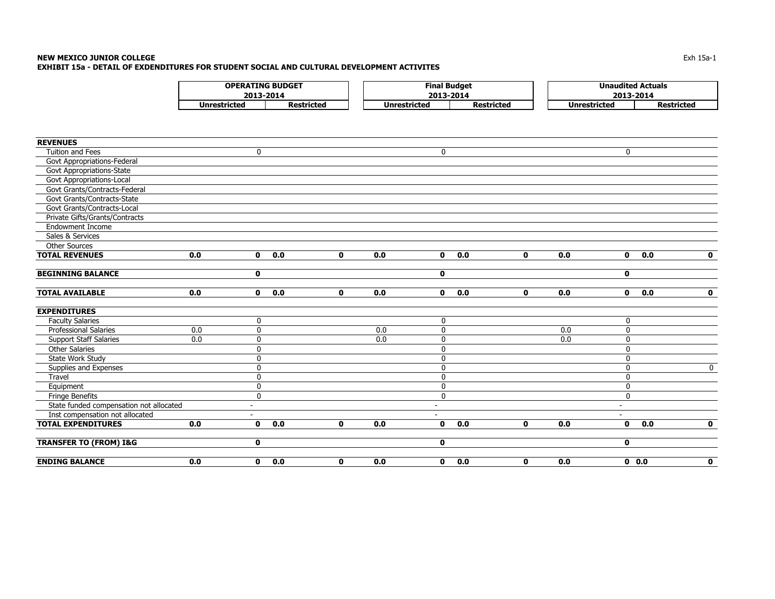| <b>OPERATING BUDGET</b> |                   |              | Final Budget      | <b>Unaudited Actuals</b> |                   |  |  |  |
|-------------------------|-------------------|--------------|-------------------|--------------------------|-------------------|--|--|--|
| 2013-2014               |                   |              | 2013-2014         | 2013-2014                |                   |  |  |  |
| Unrestricted            | <b>Restricted</b> | Jnrestricted | <b>Restricted</b> | Unrestricted             | <b>Restricted</b> |  |  |  |

| <b>REVENUES</b>                         |     |                          |     |              |     |                          |     |              |     |                          |                     |
|-----------------------------------------|-----|--------------------------|-----|--------------|-----|--------------------------|-----|--------------|-----|--------------------------|---------------------|
| <b>Tuition and Fees</b>                 |     | $\mathbf 0$              |     |              |     | $\mathbf 0$              |     |              |     | $\mathbf 0$              |                     |
| Govt Appropriations-Federal             |     |                          |     |              |     |                          |     |              |     |                          |                     |
| Govt Appropriations-State               |     |                          |     |              |     |                          |     |              |     |                          |                     |
| Govt Appropriations-Local               |     |                          |     |              |     |                          |     |              |     |                          |                     |
| Govt Grants/Contracts-Federal           |     |                          |     |              |     |                          |     |              |     |                          |                     |
| Govt Grants/Contracts-State             |     |                          |     |              |     |                          |     |              |     |                          |                     |
| Govt Grants/Contracts-Local             |     |                          |     |              |     |                          |     |              |     |                          |                     |
| Private Gifts/Grants/Contracts          |     |                          |     |              |     |                          |     |              |     |                          |                     |
| <b>Endowment Income</b>                 |     |                          |     |              |     |                          |     |              |     |                          |                     |
| Sales & Services                        |     |                          |     |              |     |                          |     |              |     |                          |                     |
| <b>Other Sources</b>                    |     |                          |     |              |     |                          |     |              |     |                          |                     |
| <b>TOTAL REVENUES</b>                   | 0.0 | $\mathbf{0}$             | 0.0 | $\mathbf{0}$ | 0.0 | $\mathbf{0}$             | 0.0 | $\mathbf{0}$ | 0.0 | $\mathbf{0}$             | 0.0<br>$\mathbf{0}$ |
| <b>BEGINNING BALANCE</b>                |     | $\mathbf 0$              |     |              |     | $\mathbf 0$              |     |              |     | $\mathbf{0}$             |                     |
| <b>TOTAL AVAILABLE</b>                  | 0.0 | $\mathbf 0$              | 0.0 | $\mathbf 0$  | 0.0 | $\mathbf{0}$             | 0.0 | $\mathbf 0$  | 0.0 | $\mathbf 0$              | $\mathbf 0$<br>0.0  |
| <b>EXPENDITURES</b>                     |     |                          |     |              |     |                          |     |              |     |                          |                     |
| <b>Faculty Salaries</b>                 |     | $\mathbf 0$              |     |              |     | $\mathbf 0$              |     |              |     | $\mathbf{0}$             |                     |
| <b>Professional Salaries</b>            | 0.0 | $\mathbf 0$              |     |              | 0.0 | $\mathbf 0$              |     |              | 0.0 | $\mathbf{0}$             |                     |
| <b>Support Staff Salaries</b>           | 0.0 | 0                        |     |              | 0.0 | $\mathbf 0$              |     |              | 0.0 | $\mathbf{0}$             |                     |
| <b>Other Salaries</b>                   |     | 0                        |     |              |     | 0                        |     |              |     | $\mathbf 0$              |                     |
| State Work Study                        |     | $\pmb{0}$                |     |              |     | $\mathbf 0$              |     |              |     | $\mathbf{0}$             |                     |
| Supplies and Expenses                   |     | $\pmb{0}$                |     |              |     | 0                        |     |              |     | 0                        | $\mathbf 0$         |
| Travel                                  |     | $\mathbf 0$              |     |              |     | $\mathbf 0$              |     |              |     | $\mathbf{0}$             |                     |
| Equipment                               |     | $\pmb{0}$                |     |              |     | 0                        |     |              |     | $\mathbf 0$              |                     |
| <b>Fringe Benefits</b>                  |     | $\mathbf 0$              |     |              |     | $\mathbf 0$              |     |              |     | $\mathbf{0}$             |                     |
| State funded compensation not allocated |     | $\overline{\phantom{a}}$ |     |              |     | $\overline{\phantom{a}}$ |     |              |     | $\overline{\phantom{a}}$ |                     |
| Inst compensation not allocated         |     |                          |     |              |     | -                        |     |              |     |                          |                     |
| <b>TOTAL EXPENDITURES</b>               | 0.0 | $\mathbf 0$              | 0.0 | $\mathbf 0$  | 0.0 | $\mathbf{0}$             | 0.0 | $\mathbf{0}$ | 0.0 | $\mathbf{0}$             | 0.0<br>$\mathbf 0$  |
| <b>TRANSFER TO (FROM) I&amp;G</b>       |     | $\mathbf 0$              |     |              |     | $\mathbf 0$              |     |              |     | $\mathbf 0$              |                     |
| <b>ENDING BALANCE</b>                   | 0.0 | $\mathbf{0}$             | 0.0 | 0            | 0.0 | $\mathbf 0$              | 0.0 | $\mathbf 0$  | 0.0 | 0.0                      | $\mathbf 0$         |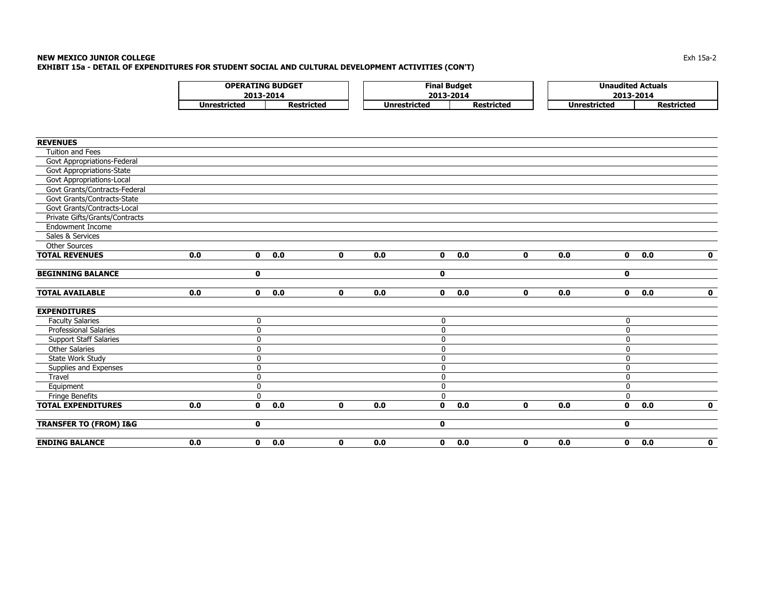### **NEW MEXICO JUNIOR COLLEGE** $\blacksquare$  Exh 15a-2  $\blacksquare$ **EXHIBIT 15a - DETAIL OF EXPENDITURES FOR STUDENT SOCIAL AND CULTURAL DEVELOPMENT ACTIVITIES (CON'T)**

| <b>OPERATING BUDGET</b> |            |              | Final Budget      | <b>Unaudited Actuals</b> |            |
|-------------------------|------------|--------------|-------------------|--------------------------|------------|
| 2013-2014               |            |              | 2013-2014         | 2013-2014                |            |
| Unrestricted            | Restricted | Unrestricted | <b>Restricted</b> | Unrestricted             | Restricted |

| <b>REVENUES</b>                   |     |              |     |              |     |                     |              |     |                     |              |
|-----------------------------------|-----|--------------|-----|--------------|-----|---------------------|--------------|-----|---------------------|--------------|
| Tuition and Fees                  |     |              |     |              |     |                     |              |     |                     |              |
| Govt Appropriations-Federal       |     |              |     |              |     |                     |              |     |                     |              |
| Govt Appropriations-State         |     |              |     |              |     |                     |              |     |                     |              |
| Govt Appropriations-Local         |     |              |     |              |     |                     |              |     |                     |              |
| Govt Grants/Contracts-Federal     |     |              |     |              |     |                     |              |     |                     |              |
| Govt Grants/Contracts-State       |     |              |     |              |     |                     |              |     |                     |              |
| Govt Grants/Contracts-Local       |     |              |     |              |     |                     |              |     |                     |              |
| Private Gifts/Grants/Contracts    |     |              |     |              |     |                     |              |     |                     |              |
| <b>Endowment Income</b>           |     |              |     |              |     |                     |              |     |                     |              |
| Sales & Services                  |     |              |     |              |     |                     |              |     |                     |              |
| <b>Other Sources</b>              |     |              |     |              |     |                     |              |     |                     |              |
| <b>TOTAL REVENUES</b>             | 0.0 | $\mathbf{0}$ | 0.0 | $\mathbf{0}$ | 0.0 | 0.0<br>$\mathbf{0}$ | $\mathbf{0}$ | 0.0 | 0.0<br>$\mathbf{0}$ | $\mathbf{0}$ |
| <b>BEGINNING BALANCE</b>          |     | $\mathbf 0$  |     |              |     | 0                   |              |     | $\mathbf 0$         |              |
| <b>TOTAL AVAILABLE</b>            | 0.0 | $\mathbf 0$  | 0.0 | $\mathbf 0$  | 0.0 | 0.0<br>$\mathbf{0}$ | $\mathbf{0}$ | 0.0 | $\mathbf 0$<br>0.0  | $\mathbf 0$  |
| <b>EXPENDITURES</b>               |     |              |     |              |     |                     |              |     |                     |              |
| <b>Faculty Salaries</b>           |     | 0            |     |              |     | 0                   |              |     | 0                   |              |
| <b>Professional Salaries</b>      |     | 0            |     |              |     | $\mathbf 0$         |              |     | $\mathbf{0}$        |              |
| <b>Support Staff Salaries</b>     |     | $\mathbf 0$  |     |              |     | $\mathbf 0$         |              |     | $\mathbf 0$         |              |
| <b>Other Salaries</b>             |     | 0            |     |              |     | 0                   |              |     | $\mathbf{0}$        |              |
| State Work Study                  |     | $\mathbf 0$  |     |              |     | $\mathbf 0$         |              |     | $\mathbf{0}$        |              |
| Supplies and Expenses             |     | 0            |     |              |     | $\mathbf 0$         |              |     | $\mathbf 0$         |              |
| Travel                            |     | $\pmb{0}$    |     |              |     | $\pmb{0}$           |              |     | $\mathbf 0$         |              |
| Equipment                         |     | $\pmb{0}$    |     |              |     | 0                   |              |     | $\mathbf 0$         |              |
| Fringe Benefits                   |     | $\mathbf 0$  |     |              |     | $\mathbf 0$         |              |     | $\Omega$            |              |
| <b>TOTAL EXPENDITURES</b>         | 0.0 | $\mathbf 0$  | 0.0 | $\mathbf 0$  | 0.0 | 0.0<br>$\mathbf 0$  | $\mathbf 0$  | 0.0 | 0.0<br>$\mathbf 0$  | $\mathbf 0$  |
| <b>TRANSFER TO (FROM) I&amp;G</b> |     | $\mathbf 0$  |     |              |     | 0                   |              |     | $\mathbf 0$         |              |
| <b>ENDING BALANCE</b>             | 0.0 | $\mathbf 0$  | 0.0 | $\mathbf 0$  | 0.0 | 0.0<br>$\mathbf 0$  | $\mathbf 0$  | 0.0 | $\mathbf 0$<br>0.0  | $\mathbf 0$  |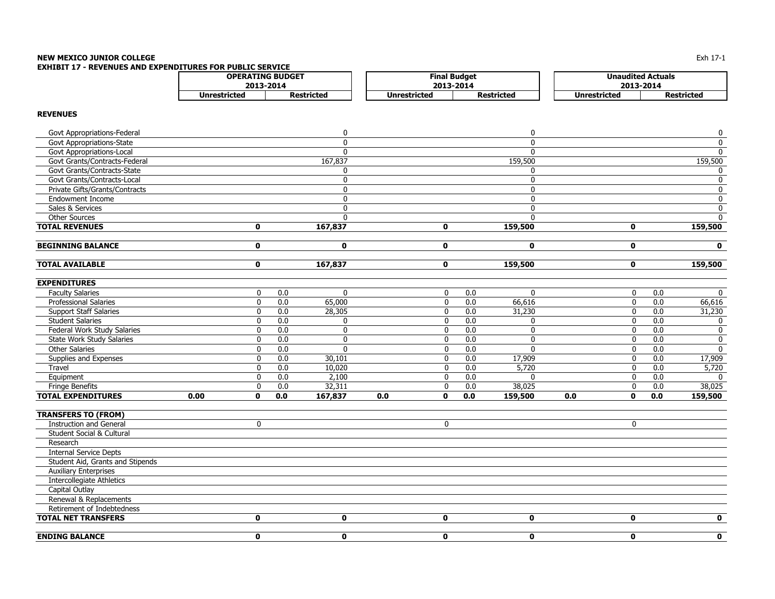# **NEW MEXICO JUNIOR COLLEGE**

**EXHIBIT 17 - REVENUES AND EXPENDITURES FOR PUBLIC SERVICE** 

| <b>OPERATING BUDGET</b> |            |                     | <b>Final Budget</b> |                                   | <b>Unaudited Actuals</b> |  |
|-------------------------|------------|---------------------|---------------------|-----------------------------------|--------------------------|--|
|                         | 2013-2014  |                     | 2013-2014           | 2013-2014                         |                          |  |
| <b>Unrestricted</b>     | Restricted | <b>Unrestricted</b> | <b>Restricted</b>   | Unrestricted<br><b>Restricted</b> |                          |  |

## **REVENUES**

| Govt Appropriations-Federal      |      |             |     | 0            |     |              |     | 0            |     |              |     | $\pmb{0}$    |
|----------------------------------|------|-------------|-----|--------------|-----|--------------|-----|--------------|-----|--------------|-----|--------------|
| <b>Govt Appropriations-State</b> |      |             |     | $\mathbf{0}$ |     |              |     | $\mathbf{0}$ |     |              |     | $\mathbf 0$  |
| Govt Appropriations-Local        |      |             |     | $\Omega$     |     |              |     | $\Omega$     |     |              |     | $\mathbf{0}$ |
| Govt Grants/Contracts-Federal    |      |             |     | 167,837      |     |              |     | 159,500      |     |              |     | 159,500      |
| Govt Grants/Contracts-State      |      |             |     | 0            |     |              |     | $\mathbf{0}$ |     |              |     | 0            |
| Govt Grants/Contracts-Local      |      |             |     | $\mathbf{0}$ |     |              |     | $\mathbf{0}$ |     |              |     | $\mathbf 0$  |
| Private Gifts/Grants/Contracts   |      |             |     | 0            |     |              |     | $\mathbf 0$  |     |              |     | 0            |
| <b>Endowment Income</b>          |      |             |     | $\mathbf{0}$ |     |              |     | $\mathbf{0}$ |     |              |     | $\mathbf 0$  |
| Sales & Services                 |      |             |     | 0            |     |              |     | $\mathbf 0$  |     |              |     | $\mathbf 0$  |
| Other Sources                    |      |             |     | $\Omega$     |     |              |     | $\Omega$     |     |              |     | $\mathbf{0}$ |
| <b>TOTAL REVENUES</b>            |      | 0           |     | 167,837      |     | $\mathbf 0$  |     | 159,500      |     | $\mathbf 0$  |     | 159,500      |
| <b>BEGINNING BALANCE</b>         |      | $\mathbf 0$ |     | $\mathbf{0}$ |     | $\mathbf 0$  |     | $\mathbf 0$  |     | $\mathbf 0$  |     | $\mathbf{0}$ |
| <b>TOTAL AVAILABLE</b>           |      | 0           |     | 167,837      |     | $\mathbf 0$  |     | 159,500      |     | $\mathbf 0$  |     | 159,500      |
| <b>EXPENDITURES</b>              |      |             |     |              |     |              |     |              |     |              |     |              |
| <b>Faculty Salaries</b>          |      | 0           | 0.0 | $\mathbf 0$  |     | $\mathbf 0$  | 0.0 | $\mathbf 0$  |     | $\mathbf 0$  | 0.0 | $\mathbf 0$  |
| <b>Professional Salaries</b>     |      | $\mathbf 0$ | 0.0 | 65,000       |     | $\mathbf 0$  | 0.0 | 66,616       |     | $\mathbf 0$  | 0.0 | 66,616       |
| <b>Support Staff Salaries</b>    |      | 0           | 0.0 | 28,305       |     | 0            | 0.0 | 31,230       |     | 0            | 0.0 | 31,230       |
| <b>Student Salaries</b>          |      | $\mathbf 0$ | 0.0 | 0            |     | $\mathbf 0$  | 0.0 | $\mathbf{0}$ |     | $\mathbf 0$  | 0.0 | 0            |
| Federal Work Study Salaries      |      | $\mathbf 0$ | 0.0 | $\mathbf 0$  |     | $\mathbf 0$  | 0.0 | $\mathbf 0$  |     | $\mathbf 0$  | 0.0 | $\mathbf 0$  |
| State Work Study Salaries        |      | 0           | 0.0 | 0            |     | $\mathbf 0$  | 0.0 | $\mathbf 0$  |     | 0            | 0.0 | 0            |
| <b>Other Salaries</b>            |      | 0           | 0.0 | $\mathbf 0$  |     | 0            | 0.0 | $\mathbf{0}$ |     | $\mathbf 0$  | 0.0 | $\mathbf 0$  |
| Supplies and Expenses            |      | 0           | 0.0 | 30,101       |     | 0            | 0.0 | 17,909       |     | 0            | 0.0 | 17,909       |
| Travel                           |      | 0           | 0.0 | 10,020       |     | 0            | 0.0 | 5,720        |     | 0            | 0.0 | 5,720        |
| Equipment                        |      | $\mathbf 0$ | 0.0 | 2,100        |     | $\mathbf 0$  | 0.0 | $\Omega$     |     | $\mathbf 0$  | 0.0 |              |
| Fringe Benefits                  |      | 0           | 0.0 | 32,311       |     | 0            | 0.0 | 38,025       |     | 0            | 0.0 | 38,025       |
| <b>TOTAL EXPENDITURES</b>        | 0.00 | O           | 0.0 | 167,837      | 0.0 | $\mathbf{0}$ | 0.0 | 159,500      | 0.0 | $\mathbf{0}$ | 0.0 | 159,500      |
| <b>TRANSFERS TO (FROM)</b>       |      |             |     |              |     |              |     |              |     |              |     |              |
| <b>Instruction and General</b>   |      | $\mathbf 0$ |     |              |     | 0            |     |              |     | 0            |     |              |
| Student Social & Cultural        |      |             |     |              |     |              |     |              |     |              |     |              |
| Research                         |      |             |     |              |     |              |     |              |     |              |     |              |
| <b>Internal Service Depts</b>    |      |             |     |              |     |              |     |              |     |              |     |              |
| Student Aid, Grants and Stipends |      |             |     |              |     |              |     |              |     |              |     |              |
| <b>Auxiliary Enterprises</b>     |      |             |     |              |     |              |     |              |     |              |     |              |
| <b>Intercollegiate Athletics</b> |      |             |     |              |     |              |     |              |     |              |     |              |
| Capital Outlay                   |      |             |     |              |     |              |     |              |     |              |     |              |
| Renewal & Replacements           |      |             |     |              |     |              |     |              |     |              |     |              |
| Retirement of Indebtedness       |      |             |     |              |     |              |     |              |     |              |     |              |
| <b>TOTAL NET TRANSFERS</b>       |      | 0           |     | $\mathbf 0$  |     | 0            |     | $\mathbf 0$  |     | $\mathbf 0$  |     | 0            |
| <b>ENDING BALANCE</b>            |      | $\mathbf 0$ |     | $\mathbf 0$  |     | $\mathbf 0$  |     | $\mathbf 0$  |     | $\mathbf 0$  |     | 0            |

Exh 17-1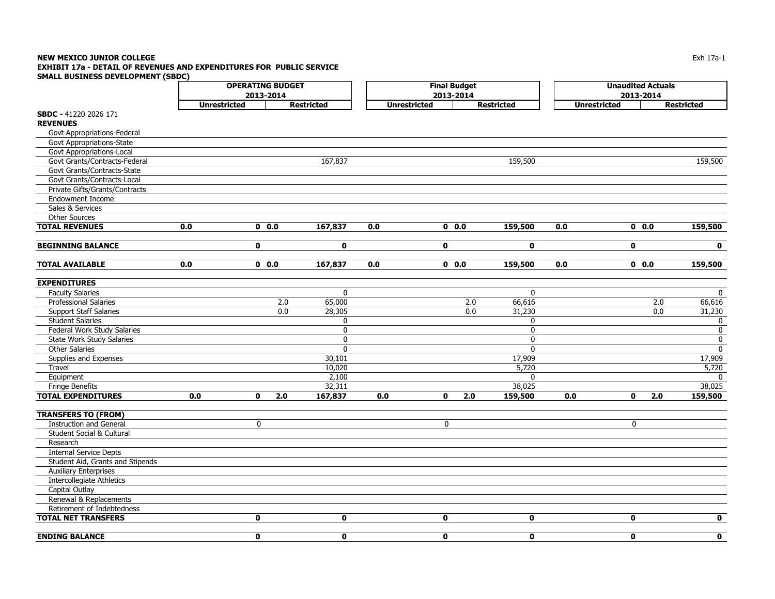### **NEW MEXICO JUNIOR COLLEGE** Exh 17a-1 **EXHIBIT 17a - DETAIL OF REVENUES AND EXPENDITURES FOR PUBLIC SERVICE SMALL BUSINESS DEVELOPMENT (SBDC)**

|                                  | <b>OPERATING BUDGET</b> |                     |                   | <b>Final Budget</b> |              | <b>Unaudited Actuals</b> |     |                     |                   |
|----------------------------------|-------------------------|---------------------|-------------------|---------------------|--------------|--------------------------|-----|---------------------|-------------------|
|                                  |                         | 2013-2014           |                   |                     | 2013-2014    |                          |     | 2013-2014           |                   |
|                                  | <b>Unrestricted</b>     |                     | <b>Restricted</b> | <b>Unrestricted</b> |              | <b>Restricted</b>        |     | <b>Unrestricted</b> | <b>Restricted</b> |
| SBDC - 41220 2026 171            |                         |                     |                   |                     |              |                          |     |                     |                   |
| <b>REVENUES</b>                  |                         |                     |                   |                     |              |                          |     |                     |                   |
| Govt Appropriations-Federal      |                         |                     |                   |                     |              |                          |     |                     |                   |
| Govt Appropriations-State        |                         |                     |                   |                     |              |                          |     |                     |                   |
| Govt Appropriations-Local        |                         |                     |                   |                     |              |                          |     |                     |                   |
| Govt Grants/Contracts-Federal    |                         |                     | 167,837           |                     |              | 159,500                  |     |                     | 159,500           |
| Govt Grants/Contracts-State      |                         |                     |                   |                     |              |                          |     |                     |                   |
| Govt Grants/Contracts-Local      |                         |                     |                   |                     |              |                          |     |                     |                   |
| Private Gifts/Grants/Contracts   |                         |                     |                   |                     |              |                          |     |                     |                   |
| Endowment Income                 |                         |                     |                   |                     |              |                          |     |                     |                   |
| Sales & Services                 |                         |                     |                   |                     |              |                          |     |                     |                   |
| <b>Other Sources</b>             |                         |                     |                   |                     |              |                          |     |                     |                   |
| <b>TOTAL REVENUES</b>            | 0.0                     | 0.0                 | 167,837           | 0.0                 | 0.0          | 159,500                  | 0.0 | 0.0                 | 159,500           |
| <b>BEGINNING BALANCE</b>         |                         | $\mathbf 0$         | $\mathbf 0$       |                     | $\mathbf 0$  | $\mathbf{0}$             |     | $\mathbf 0$         | $\mathbf 0$       |
| <b>TOTAL AVAILABLE</b>           | 0.0                     | 0.0                 | 167,837           | 0.0                 | 0.0          | 159,500                  | 0.0 | 0.0                 | 159,500           |
|                                  |                         |                     |                   |                     |              |                          |     |                     |                   |
| <b>EXPENDITURES</b>              |                         |                     |                   |                     |              |                          |     |                     |                   |
| <b>Faculty Salaries</b>          |                         |                     | 0                 |                     |              | 0                        |     |                     | $\mathbf{0}$      |
| <b>Professional Salaries</b>     |                         | 2.0                 | 65,000            |                     |              | 2.0<br>66,616            |     | 2.0                 | 66,616            |
| <b>Support Staff Salaries</b>    |                         | 0.0                 | 28,305            |                     |              | 0.0<br>31,230            |     | 0.0                 | 31,230            |
| <b>Student Salaries</b>          |                         |                     | 0                 |                     |              | 0                        |     |                     | $\mathbf{0}$      |
| Federal Work Study Salaries      |                         |                     | $\mathbf 0$       |                     |              | $\mathbf 0$              |     |                     | $\mathbf 0$       |
| State Work Study Salaries        |                         |                     | 0                 |                     |              | 0                        |     |                     | $\mathbf 0$       |
| <b>Other Salaries</b>            |                         |                     | $\mathbf 0$       |                     |              | 0                        |     |                     | $\mathbf 0$       |
| Supplies and Expenses            |                         |                     | 30,101            |                     |              | 17,909                   |     |                     | 17,909            |
| <b>Travel</b>                    |                         |                     | 10,020            |                     |              | 5,720                    |     |                     | 5,720             |
| Equipment                        |                         |                     | 2,100             |                     |              | $\mathbf{0}$             |     |                     | 0                 |
| Fringe Benefits                  |                         |                     | 32,311            |                     |              | 38,025                   |     |                     | 38,025            |
| <b>TOTAL EXPENDITURES</b>        | 0.0                     | $\mathbf{0}$<br>2.0 | 167,837           | 0.0                 | $\mathbf 0$  | 2.0<br>159,500           | 0.0 | $\mathbf{0}$<br>2.0 | 159,500           |
| <b>TRANSFERS TO (FROM)</b>       |                         |                     |                   |                     |              |                          |     |                     |                   |
| <b>Instruction and General</b>   |                         | 0                   |                   |                     | 0            |                          |     | 0                   |                   |
| Student Social & Cultural        |                         |                     |                   |                     |              |                          |     |                     |                   |
| Research                         |                         |                     |                   |                     |              |                          |     |                     |                   |
| <b>Internal Service Depts</b>    |                         |                     |                   |                     |              |                          |     |                     |                   |
| Student Aid, Grants and Stipends |                         |                     |                   |                     |              |                          |     |                     |                   |
| <b>Auxiliary Enterprises</b>     |                         |                     |                   |                     |              |                          |     |                     |                   |
| Intercollegiate Athletics        |                         |                     |                   |                     |              |                          |     |                     |                   |
| Capital Outlay                   |                         |                     |                   |                     |              |                          |     |                     |                   |
| Renewal & Replacements           |                         |                     |                   |                     |              |                          |     |                     |                   |
| Retirement of Indebtedness       |                         |                     |                   |                     |              |                          |     |                     |                   |
| <b>TOTAL NET TRANSFERS</b>       |                         | $\mathbf 0$         | $\mathbf 0$       |                     | 0            | $\mathbf 0$              |     | $\mathbf 0$         | $\mathbf 0$       |
| <b>ENDING BALANCE</b>            |                         | $\mathbf{0}$        | $\mathbf{0}$      |                     | $\mathbf{0}$ | $\mathbf{0}$             |     | $\mathbf{0}$        | $\mathbf{0}$      |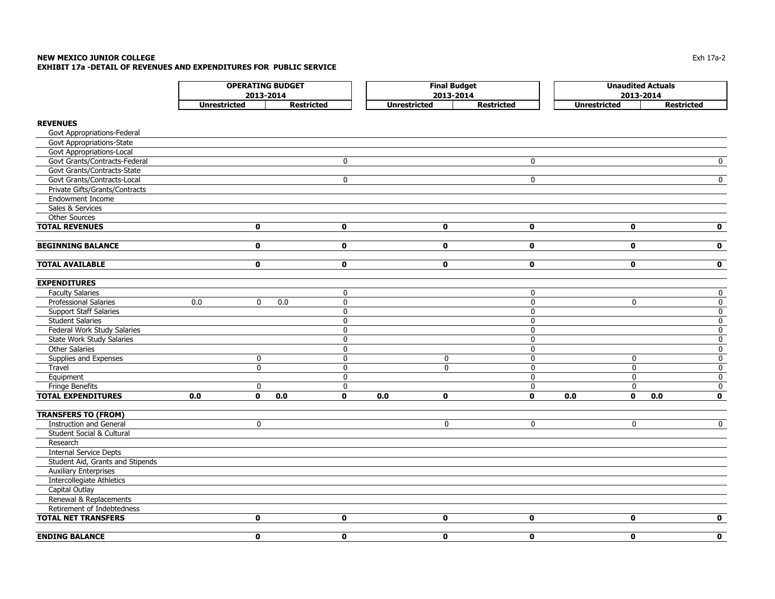|                                  | <b>OPERATING BUDGET</b><br>2013-2014 |              |                    |     | <b>Final Budget</b><br>2013-2014 |                   |              | <b>Unaudited Actuals</b><br>2013-2014 |              |                   |                         |
|----------------------------------|--------------------------------------|--------------|--------------------|-----|----------------------------------|-------------------|--------------|---------------------------------------|--------------|-------------------|-------------------------|
|                                  | <b>Unrestricted</b>                  |              | <b>Restricted</b>  |     | <b>Unrestricted</b>              | <b>Restricted</b> |              | <b>Unrestricted</b>                   |              | <b>Restricted</b> |                         |
|                                  |                                      |              |                    |     |                                  |                   |              |                                       |              |                   |                         |
| <b>REVENUES</b>                  |                                      |              |                    |     |                                  |                   |              |                                       |              |                   |                         |
| Govt Appropriations-Federal      |                                      |              |                    |     |                                  |                   |              |                                       |              |                   |                         |
| Govt Appropriations-State        |                                      |              |                    |     |                                  |                   |              |                                       |              |                   |                         |
| Govt Appropriations-Local        |                                      |              |                    |     |                                  |                   |              |                                       |              |                   |                         |
| Govt Grants/Contracts-Federal    |                                      |              | 0                  |     |                                  |                   | $\mathbf 0$  |                                       |              |                   | $\overline{0}$          |
| Govt Grants/Contracts-State      |                                      |              |                    |     |                                  |                   |              |                                       |              |                   |                         |
| Govt Grants/Contracts-Local      |                                      |              | $\mathbf 0$        |     |                                  |                   | $\mathbf 0$  |                                       |              |                   | $\overline{0}$          |
| Private Gifts/Grants/Contracts   |                                      |              |                    |     |                                  |                   |              |                                       |              |                   |                         |
| Endowment Income                 |                                      |              |                    |     |                                  |                   |              |                                       |              |                   |                         |
| Sales & Services                 |                                      |              |                    |     |                                  |                   |              |                                       |              |                   |                         |
| Other Sources                    |                                      |              |                    |     |                                  |                   |              |                                       |              |                   |                         |
| <b>TOTAL REVENUES</b>            |                                      | 0            | $\mathbf 0$        |     | $\mathbf 0$                      |                   | $\mathbf 0$  |                                       | $\mathbf 0$  |                   | $\mathbf 0$             |
|                                  |                                      |              |                    |     |                                  |                   |              |                                       |              |                   |                         |
| <b>BEGINNING BALANCE</b>         |                                      | 0            | $\mathbf 0$        |     | $\mathbf 0$                      |                   | $\mathbf{0}$ |                                       | $\mathbf 0$  |                   | $\mathbf 0$             |
| <b>TOTAL AVAILABLE</b>           |                                      | 0            | $\mathbf 0$        |     | $\mathbf 0$                      |                   | $\mathbf 0$  |                                       | $\mathbf 0$  |                   | $\mathbf 0$             |
| <b>EXPENDITURES</b>              |                                      |              |                    |     |                                  |                   |              |                                       |              |                   |                         |
| <b>Faculty Salaries</b>          |                                      |              | $\mathbf 0$        |     |                                  |                   | $\mathbf 0$  |                                       |              |                   | $\mathbf 0$             |
| <b>Professional Salaries</b>     | 0.0                                  | $\mathbf 0$  | 0.0<br>$\mathbf 0$ |     |                                  |                   | 0            |                                       | $\mathbf 0$  |                   | $\mathbf 0$             |
| <b>Support Staff Salaries</b>    |                                      |              | 0                  |     |                                  |                   | 0            |                                       |              |                   | $\overline{\mathbf{0}}$ |
| <b>Student Salaries</b>          |                                      |              | 0                  |     |                                  |                   | 0            |                                       |              |                   | $\pmb{0}$               |
| Federal Work Study Salaries      |                                      |              | 0                  |     |                                  |                   | 0            |                                       |              |                   | $\overline{\mathbf{0}}$ |
| <b>State Work Study Salaries</b> |                                      |              | 0                  |     |                                  |                   | $\mathbf{0}$ |                                       |              |                   | $\pmb{0}$               |
| Other Salaries                   |                                      |              | 0                  |     |                                  |                   | $\mathbf 0$  |                                       |              |                   | $\overline{\mathbf{0}}$ |
| Supplies and Expenses            |                                      | $\pmb{0}$    | 0                  |     | $\pmb{0}$                        |                   | $\mathbf 0$  |                                       | $\mathbf 0$  |                   | $\mathbf 0$             |
| Travel                           |                                      | $\mathbf 0$  | $\mathbf{0}$       |     | $\mathbf 0$                      |                   | 0            |                                       | $\mathbf 0$  |                   | $\pmb{0}$               |
| Equipment                        |                                      |              | $\Omega$           |     |                                  |                   | $\Omega$     |                                       | $\mathbf{0}$ |                   | $\mathbf 0$             |
| <b>Fringe Benefits</b>           |                                      | 0            | 0                  |     |                                  |                   | $\mathbf 0$  |                                       | $\mathbf 0$  |                   | $\mathbf 0$             |
| <b>TOTAL EXPENDITURES</b>        | 0.0                                  | $\mathbf{0}$ | 0.0<br>$\mathbf 0$ | 0.0 | $\mathbf 0$                      |                   | $\mathbf{0}$ | 0.0                                   | $\mathbf 0$  | 0.0               | $\mathbf 0$             |
| <b>TRANSFERS TO (FROM)</b>       |                                      |              |                    |     |                                  |                   |              |                                       |              |                   |                         |
| <b>Instruction and General</b>   |                                      | 0            |                    |     | $\mathbf 0$                      |                   | 0            |                                       | $\mathbf 0$  |                   | $\mathbf 0$             |
| Student Social & Cultural        |                                      |              |                    |     |                                  |                   |              |                                       |              |                   |                         |
| Research                         |                                      |              |                    |     |                                  |                   |              |                                       |              |                   |                         |
| <b>Internal Service Depts</b>    |                                      |              |                    |     |                                  |                   |              |                                       |              |                   |                         |
| Student Aid, Grants and Stipends |                                      |              |                    |     |                                  |                   |              |                                       |              |                   |                         |
| <b>Auxiliary Enterprises</b>     |                                      |              |                    |     |                                  |                   |              |                                       |              |                   |                         |
| <b>Intercollegiate Athletics</b> |                                      |              |                    |     |                                  |                   |              |                                       |              |                   |                         |
| Capital Outlay                   |                                      |              |                    |     |                                  |                   |              |                                       |              |                   |                         |
| Renewal & Replacements           |                                      |              |                    |     |                                  |                   |              |                                       |              |                   |                         |
| Retirement of Indebtedness       |                                      |              |                    |     |                                  |                   |              |                                       |              |                   |                         |
| <b>TOTAL NET TRANSFERS</b>       |                                      | 0            | $\mathbf 0$        |     | $\mathbf 0$                      |                   | $\mathbf 0$  |                                       | $\mathbf 0$  |                   | $\mathbf 0$             |
| <b>ENDING BALANCE</b>            |                                      | $\mathbf{0}$ | $\mathbf 0$        |     | $\mathbf{0}$                     |                   | $\mathbf{0}$ |                                       | $\mathbf{0}$ |                   | $\mathbf 0$             |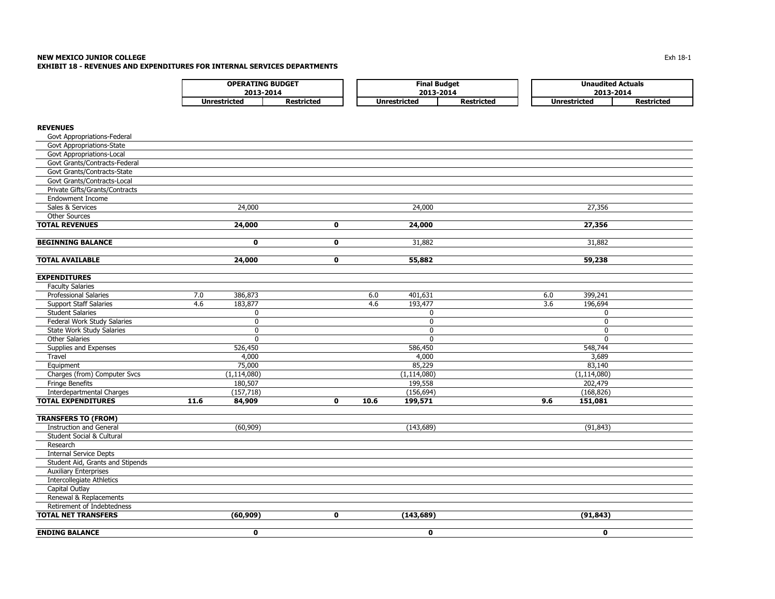### **NEW MEXICO JUNIOR COLLEGE** $\mathsf E$ **EXHIBIT 18 - REVENUES AND EXPENDITURES FOR INTERNAL SERVICES DEPARTMENTS**

|              | <b>OPERATING BUDGET</b>  | <b>Final Budget</b> |                   |  | <b>Unaudited Actuals</b> |                   |  |
|--------------|--------------------------|---------------------|-------------------|--|--------------------------|-------------------|--|
|              | 2013-2014                |                     | 2013-2014         |  |                          | 2013-2014         |  |
| Unrestricted | <i><b>Restricted</b></i> | Unrestricted        | <b>Restricted</b> |  | Unrestricted             | <b>Restricted</b> |  |

## **REVENUES**

| <b>ENDING BALANCE</b>                     |      | $\mathbf 0$   |             |      | $\mathbf 0$   |     | $\mathbf{0}$  |  |
|-------------------------------------------|------|---------------|-------------|------|---------------|-----|---------------|--|
|                                           |      | (60, 909)     |             |      | (143, 689)    |     | (91, 843)     |  |
| <b>TOTAL NET TRANSFERS</b>                |      |               | $\mathbf 0$ |      |               |     |               |  |
| Retirement of Indebtedness                |      |               |             |      |               |     |               |  |
| Renewal & Replacements                    |      |               |             |      |               |     |               |  |
| Capital Outlay                            |      |               |             |      |               |     |               |  |
| <b>Intercollegiate Athletics</b>          |      |               |             |      |               |     |               |  |
| <b>Auxiliary Enterprises</b>              |      |               |             |      |               |     |               |  |
| Student Aid, Grants and Stipends          |      |               |             |      |               |     |               |  |
| Research<br><b>Internal Service Depts</b> |      |               |             |      |               |     |               |  |
| Student Social & Cultural                 |      |               |             |      |               |     |               |  |
| <b>Instruction and General</b>            |      | (60, 909)     |             |      | (143, 689)    |     | (91, 843)     |  |
| <b>TRANSFERS TO (FROM)</b>                |      |               |             |      |               |     |               |  |
|                                           |      |               |             |      |               |     |               |  |
| <b>TOTAL EXPENDITURES</b>                 | 11.6 | 84,909        | $\mathbf 0$ | 10.6 | 199,571       | 9.6 | 151,081       |  |
| <b>Interdepartmental Charges</b>          |      | (157, 718)    |             |      | (156, 694)    |     | (168, 826)    |  |
| Fringe Benefits                           |      | 180,507       |             |      | 199,558       |     | 202,479       |  |
| Charges (from) Computer Svcs              |      | (1, 114, 080) |             |      | (1, 114, 080) |     | (1, 114, 080) |  |
| Equipment                                 |      | 75,000        |             |      | 85,229        |     | 83,140        |  |
| Travel                                    |      | 4,000         |             |      | 4,000         |     | 3,689         |  |
| Supplies and Expenses                     |      | 526,450       |             |      | 586,450       |     | 548,744       |  |
| <b>Other Salaries</b>                     |      | $\mathbf{0}$  |             |      | $\mathbf{0}$  |     | $\mathbf{0}$  |  |
| State Work Study Salaries                 |      | $\Omega$      |             |      | $\mathbf{0}$  |     | $\mathbf{0}$  |  |
| Federal Work Study Salaries               |      | 0             |             |      | 0             |     | $\mathbf{0}$  |  |
| <b>Student Salaries</b>                   |      | $\mathbf 0$   |             |      | 0             |     | 0             |  |
| <b>Support Staff Salaries</b>             | 4.6  | 183,877       |             | 4.6  | 193,477       | 3.6 | 196,694       |  |
| <b>Professional Salaries</b>              | 7.0  | 386,873       |             | 6.0  | 401,631       | 6.0 | 399,241       |  |
| <b>Faculty Salaries</b>                   |      |               |             |      |               |     |               |  |
| <b>EXPENDITURES</b>                       |      |               |             |      |               |     |               |  |
|                                           |      |               |             |      |               |     |               |  |
| <b>TOTAL AVAILABLE</b>                    |      | 24,000        | $\mathbf 0$ |      | 55,882        |     | 59,238        |  |
|                                           |      |               |             |      |               |     |               |  |
| <b>BEGINNING BALANCE</b>                  |      | 0             | $\mathbf 0$ |      | 31,882        |     | 31,882        |  |
| <b>TOTAL REVENUES</b>                     |      | 24,000        | $\mathbf 0$ |      | 24,000        |     | 27,356        |  |
| <b>Other Sources</b>                      |      |               |             |      |               |     |               |  |
| Sales & Services                          |      | 24,000        |             |      | 24,000        |     | 27,356        |  |
| <b>Endowment Income</b>                   |      |               |             |      |               |     |               |  |
| Private Gifts/Grants/Contracts            |      |               |             |      |               |     |               |  |
| Govt Grants/Contracts-Local               |      |               |             |      |               |     |               |  |
| Govt Grants/Contracts-State               |      |               |             |      |               |     |               |  |
| Govt Grants/Contracts-Federal             |      |               |             |      |               |     |               |  |
| Govt Appropriations-Local                 |      |               |             |      |               |     |               |  |
| Govt Appropriations-State                 |      |               |             |      |               |     |               |  |
| Govt Appropriations-Federal               |      |               |             |      |               |     |               |  |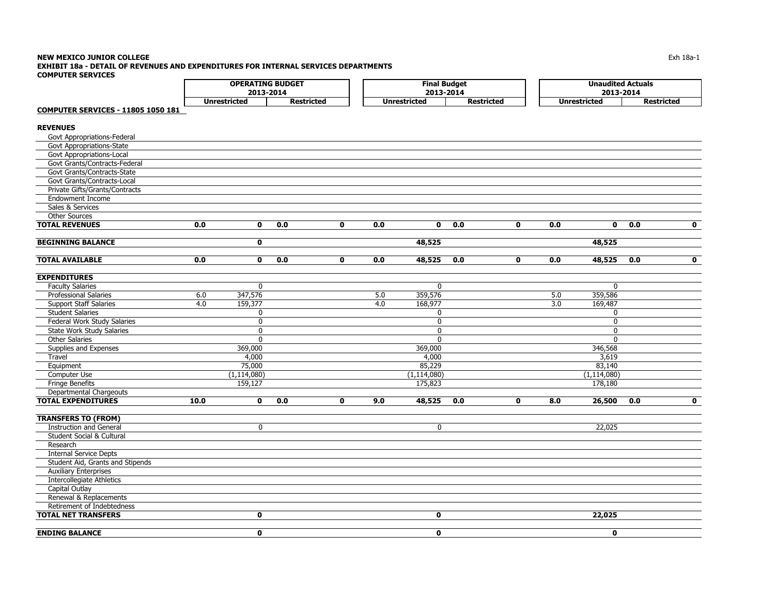|                                           | <b>OPERATING BUDGET</b><br>2013-2014 |                     |                   |             | <b>Final Budget</b><br>2013-2014 |                     |                   |              | <b>Unaudited Actuals</b><br>2013-2014 |                     |                   |             |
|-------------------------------------------|--------------------------------------|---------------------|-------------------|-------------|----------------------------------|---------------------|-------------------|--------------|---------------------------------------|---------------------|-------------------|-------------|
|                                           |                                      | <b>Unrestricted</b> | <b>Restricted</b> |             |                                  | <b>Unrestricted</b> | <b>Restricted</b> |              |                                       | <b>Unrestricted</b> | <b>Restricted</b> |             |
| <b>COMPUTER SERVICES - 11805 1050 181</b> |                                      |                     |                   |             |                                  |                     |                   |              |                                       |                     |                   |             |
| <b>REVENUES</b>                           |                                      |                     |                   |             |                                  |                     |                   |              |                                       |                     |                   |             |
| Govt Appropriations-Federal               |                                      |                     |                   |             |                                  |                     |                   |              |                                       |                     |                   |             |
| Govt Appropriations-State                 |                                      |                     |                   |             |                                  |                     |                   |              |                                       |                     |                   |             |
| Govt Appropriations-Local                 |                                      |                     |                   |             |                                  |                     |                   |              |                                       |                     |                   |             |
| Govt Grants/Contracts-Federal             |                                      |                     |                   |             |                                  |                     |                   |              |                                       |                     |                   |             |
| Govt Grants/Contracts-State               |                                      |                     |                   |             |                                  |                     |                   |              |                                       |                     |                   |             |
| Govt Grants/Contracts-Local               |                                      |                     |                   |             |                                  |                     |                   |              |                                       |                     |                   |             |
| Private Gifts/Grants/Contracts            |                                      |                     |                   |             |                                  |                     |                   |              |                                       |                     |                   |             |
| <b>Endowment Income</b>                   |                                      |                     |                   |             |                                  |                     |                   |              |                                       |                     |                   |             |
| Sales & Services                          |                                      |                     |                   |             |                                  |                     |                   |              |                                       |                     |                   |             |
| <b>Other Sources</b>                      |                                      |                     |                   |             |                                  |                     |                   |              |                                       |                     |                   |             |
| <b>TOTAL REVENUES</b>                     | 0.0                                  | $\mathbf 0$         | 0.0               | $\mathbf 0$ | 0.0                              | $\mathbf 0$         | 0.0               | $\mathbf{0}$ | 0.0                                   | $\mathbf 0$         | 0.0               | $\mathbf 0$ |
| <b>BEGINNING BALANCE</b>                  |                                      | 0                   |                   |             |                                  | 48,525              |                   |              |                                       | 48,525              |                   |             |
|                                           |                                      |                     |                   |             |                                  |                     |                   |              |                                       |                     |                   |             |
| <b>TOTAL AVAILABLE</b>                    | 0.0                                  | $\mathbf{0}$        | 0.0               | $\mathbf 0$ | 0.0                              | 48,525              | 0.0               | $\mathbf{0}$ | 0.0                                   | 48,525              | 0.0               | $\mathbf 0$ |
| <b>EXPENDITURES</b>                       |                                      |                     |                   |             |                                  |                     |                   |              |                                       |                     |                   |             |
| <b>Faculty Salaries</b>                   |                                      | $\mathbf{0}$        |                   |             |                                  | $\Omega$            |                   |              |                                       | $\mathbf{0}$        |                   |             |
| <b>Professional Salaries</b>              | 6.0                                  | 347,576             |                   |             | 5.0                              | 359,576             |                   |              | 5.0                                   | 359,586             |                   |             |
| <b>Support Staff Salaries</b>             | 4.0                                  | 159,377             |                   |             | 4.0                              | 168,977             |                   |              | 3.0                                   | 169,487             |                   |             |
| <b>Student Salaries</b>                   |                                      | 0                   |                   |             |                                  | 0                   |                   |              |                                       | 0                   |                   |             |
| Federal Work Study Salaries               |                                      | $\overline{0}$      |                   |             |                                  | $\overline{0}$      |                   |              |                                       | $\mathbf 0$         |                   |             |
| State Work Study Salaries                 |                                      | $\mathbf 0$         |                   |             |                                  | 0                   |                   |              |                                       | $\mathbf 0$         |                   |             |
| <b>Other Salaries</b>                     |                                      | $\mathbf{0}$        |                   |             |                                  | $\Omega$            |                   |              |                                       | $\mathbf{0}$        |                   |             |
| Supplies and Expenses                     |                                      | 369,000             |                   |             |                                  | 369,000             |                   |              |                                       | 346,568             |                   |             |
| Travel                                    |                                      | 4,000               |                   |             |                                  | 4,000               |                   |              |                                       | 3,619               |                   |             |
| Equipment                                 |                                      | 75,000              |                   |             |                                  | 85,229              |                   |              |                                       | 83,140              |                   |             |
| Computer Use                              |                                      | (1, 114, 080)       |                   |             |                                  | (1, 114, 080)       |                   |              |                                       | (1, 114, 080)       |                   |             |
| <b>Fringe Benefits</b>                    |                                      | 159,127             |                   |             |                                  | 175,823             |                   |              |                                       | 178,180             |                   |             |
| <b>Departmental Chargeouts</b>            |                                      |                     |                   |             |                                  |                     |                   |              |                                       |                     |                   |             |
| <b>TOTAL EXPENDITURES</b>                 | 10.0                                 | 0                   | 0.0               | $\mathbf 0$ | 9.0                              | 48,525              | 0.0               | $\mathbf{0}$ | 8.0                                   | 26,500              | 0.0               | $\mathbf 0$ |
| <b>TRANSFERS TO (FROM)</b>                |                                      |                     |                   |             |                                  |                     |                   |              |                                       |                     |                   |             |
| <b>Instruction and General</b>            |                                      | $\mathbf 0$         |                   |             |                                  | 0                   |                   |              |                                       | 22,025              |                   |             |
| Student Social & Cultural                 |                                      |                     |                   |             |                                  |                     |                   |              |                                       |                     |                   |             |
| Research                                  |                                      |                     |                   |             |                                  |                     |                   |              |                                       |                     |                   |             |
| <b>Internal Service Depts</b>             |                                      |                     |                   |             |                                  |                     |                   |              |                                       |                     |                   |             |
| Student Aid, Grants and Stipends          |                                      |                     |                   |             |                                  |                     |                   |              |                                       |                     |                   |             |
| <b>Auxiliary Enterprises</b>              |                                      |                     |                   |             |                                  |                     |                   |              |                                       |                     |                   |             |
| <b>Intercollegiate Athletics</b>          |                                      |                     |                   |             |                                  |                     |                   |              |                                       |                     |                   |             |
| Capital Outlay                            |                                      |                     |                   |             |                                  |                     |                   |              |                                       |                     |                   |             |
| Renewal & Replacements                    |                                      |                     |                   |             |                                  |                     |                   |              |                                       |                     |                   |             |
| Retirement of Indebtedness                |                                      |                     |                   |             |                                  |                     |                   |              |                                       |                     |                   |             |
| <b>TOTAL NET TRANSFERS</b>                |                                      | $\mathbf 0$         |                   |             |                                  | $\mathbf 0$         |                   |              |                                       | 22,025              |                   |             |
| <b>ENDING BALANCE</b>                     |                                      | $\mathbf{0}$        |                   |             |                                  | $\mathbf{0}$        |                   |              |                                       | $\mathbf{0}$        |                   |             |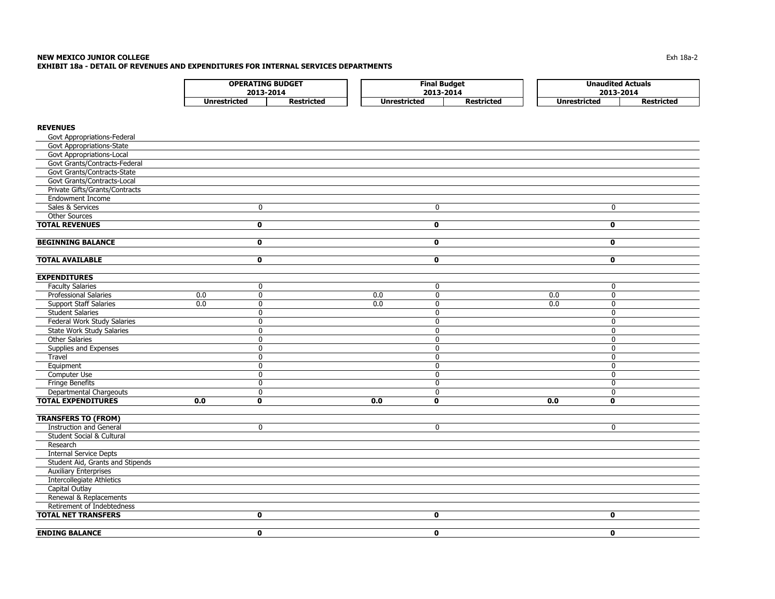### **NEW MEXICO JUNIOR COLLEGE** $\blacksquare$ Exh 18a-2 **EXHIBIT 18a - DETAIL OF REVENUES AND EXPENDITURES FOR INTERNAL SERVICES DEPARTMENTS**

| <b>OPERATING BUDGET</b> |                   |  | Final Budget        |                   |  | <b>Unaudited Actuals</b> |                   |  |  |
|-------------------------|-------------------|--|---------------------|-------------------|--|--------------------------|-------------------|--|--|
|                         | 2013-2014         |  |                     | 2013-2014         |  |                          | 2013-2014         |  |  |
| Unrestricted            | <b>Restricted</b> |  | <b>Unrestricted</b> | <b>Restricted</b> |  | Unrestricted             | <b>Restricted</b> |  |  |

## **REVENUES**

| Govt Appropriations-State<br>Govt Appropriations-Local<br>Govt Grants/Contracts-Federal<br>Govt Grants/Contracts-State<br>Govt Grants/Contracts-Local<br>Private Gifts/Grants/Contracts<br><b>Endowment Income</b><br>Sales & Services<br>$\mathbf 0$<br>$\mathbf 0$<br>0<br>Other Sources<br><b>TOTAL REVENUES</b><br>$\mathbf 0$<br>$\mathbf 0$<br>$\mathbf 0$<br><b>BEGINNING BALANCE</b><br>$\mathbf{o}$<br>$\mathbf 0$<br>$\mathbf{0}$<br><b>TOTAL AVAILABLE</b><br>$\mathbf 0$<br>$\mathbf 0$<br>$\mathbf 0$<br><b>EXPENDITURES</b><br><b>Faculty Salaries</b><br>$\mathbf 0$<br>0<br>0<br>Professional Salaries<br>0.0<br>$\mathbf 0$<br>0.0<br>$\mathbf 0$<br>0.0<br>0<br>0.0<br>$\overline{0}$<br>0.0<br>0.0<br><b>Support Staff Salaries</b><br>$\mathbf 0$<br>0<br><b>Student Salaries</b><br>$\mathbf 0$<br>$\mathbf 0$<br>0<br><b>Federal Work Study Salaries</b><br>$\mathbf 0$<br>$\mathbf 0$<br>0<br><b>State Work Study Salaries</b><br>$\Omega$<br>$\mathbf{0}$<br>$\mathbf{0}$<br>Other Salaries<br>$\mathbf{0}$<br>$\Omega$<br>0<br>Supplies and Expenses<br>0<br>$\mathbf 0$<br>$\Omega$<br>Travel<br>$\mathbf{0}$<br>$\mathbf{0}$<br>$\Omega$<br>Equipment<br>$\mathbf 0$<br>$\mathbf 0$<br>0<br>Computer Use<br>0<br>$\mathbf{0}$<br>$\Omega$<br><b>Fringe Benefits</b><br>0<br>$\mathbf 0$<br>0<br>Departmental Chargeouts<br>$\mathbf 0$<br>$\mathbf 0$<br>0<br><b>TOTAL EXPENDITURES</b><br>0.0<br>$\mathbf{0}$<br>0.0<br>$\mathbf 0$<br>0.0<br>$\mathbf 0$<br><b>TRANSFERS TO (FROM)</b><br><b>Instruction and General</b><br>$\mathbf{0}$<br>$\mathbf 0$<br>$\Omega$<br>Student Social & Cultural<br>Research<br><b>Internal Service Depts</b><br>Student Aid, Grants and Stipends<br><b>Auxiliary Enterprises</b><br><b>Intercollegiate Athletics</b><br><b>Capital Outlay</b><br>Renewal & Replacements<br>Retirement of Indebtedness<br><b>TOTAL NET TRANSFERS</b><br>$\mathbf 0$<br>$\mathbf 0$<br>$\mathbf 0$<br><b>ENDING BALANCE</b><br>$\mathbf 0$<br>$\mathbf 0$<br>$\mathbf{0}$ | Govt Appropriations-Federal |  |  |  |  |
|-----------------------------------------------------------------------------------------------------------------------------------------------------------------------------------------------------------------------------------------------------------------------------------------------------------------------------------------------------------------------------------------------------------------------------------------------------------------------------------------------------------------------------------------------------------------------------------------------------------------------------------------------------------------------------------------------------------------------------------------------------------------------------------------------------------------------------------------------------------------------------------------------------------------------------------------------------------------------------------------------------------------------------------------------------------------------------------------------------------------------------------------------------------------------------------------------------------------------------------------------------------------------------------------------------------------------------------------------------------------------------------------------------------------------------------------------------------------------------------------------------------------------------------------------------------------------------------------------------------------------------------------------------------------------------------------------------------------------------------------------------------------------------------------------------------------------------------------------------------------------------------------------------------------------------------------------------------------------------------------------------------------------|-----------------------------|--|--|--|--|
|                                                                                                                                                                                                                                                                                                                                                                                                                                                                                                                                                                                                                                                                                                                                                                                                                                                                                                                                                                                                                                                                                                                                                                                                                                                                                                                                                                                                                                                                                                                                                                                                                                                                                                                                                                                                                                                                                                                                                                                                                       |                             |  |  |  |  |
|                                                                                                                                                                                                                                                                                                                                                                                                                                                                                                                                                                                                                                                                                                                                                                                                                                                                                                                                                                                                                                                                                                                                                                                                                                                                                                                                                                                                                                                                                                                                                                                                                                                                                                                                                                                                                                                                                                                                                                                                                       |                             |  |  |  |  |
|                                                                                                                                                                                                                                                                                                                                                                                                                                                                                                                                                                                                                                                                                                                                                                                                                                                                                                                                                                                                                                                                                                                                                                                                                                                                                                                                                                                                                                                                                                                                                                                                                                                                                                                                                                                                                                                                                                                                                                                                                       |                             |  |  |  |  |
|                                                                                                                                                                                                                                                                                                                                                                                                                                                                                                                                                                                                                                                                                                                                                                                                                                                                                                                                                                                                                                                                                                                                                                                                                                                                                                                                                                                                                                                                                                                                                                                                                                                                                                                                                                                                                                                                                                                                                                                                                       |                             |  |  |  |  |
|                                                                                                                                                                                                                                                                                                                                                                                                                                                                                                                                                                                                                                                                                                                                                                                                                                                                                                                                                                                                                                                                                                                                                                                                                                                                                                                                                                                                                                                                                                                                                                                                                                                                                                                                                                                                                                                                                                                                                                                                                       |                             |  |  |  |  |
|                                                                                                                                                                                                                                                                                                                                                                                                                                                                                                                                                                                                                                                                                                                                                                                                                                                                                                                                                                                                                                                                                                                                                                                                                                                                                                                                                                                                                                                                                                                                                                                                                                                                                                                                                                                                                                                                                                                                                                                                                       |                             |  |  |  |  |
|                                                                                                                                                                                                                                                                                                                                                                                                                                                                                                                                                                                                                                                                                                                                                                                                                                                                                                                                                                                                                                                                                                                                                                                                                                                                                                                                                                                                                                                                                                                                                                                                                                                                                                                                                                                                                                                                                                                                                                                                                       |                             |  |  |  |  |
|                                                                                                                                                                                                                                                                                                                                                                                                                                                                                                                                                                                                                                                                                                                                                                                                                                                                                                                                                                                                                                                                                                                                                                                                                                                                                                                                                                                                                                                                                                                                                                                                                                                                                                                                                                                                                                                                                                                                                                                                                       |                             |  |  |  |  |
|                                                                                                                                                                                                                                                                                                                                                                                                                                                                                                                                                                                                                                                                                                                                                                                                                                                                                                                                                                                                                                                                                                                                                                                                                                                                                                                                                                                                                                                                                                                                                                                                                                                                                                                                                                                                                                                                                                                                                                                                                       |                             |  |  |  |  |
|                                                                                                                                                                                                                                                                                                                                                                                                                                                                                                                                                                                                                                                                                                                                                                                                                                                                                                                                                                                                                                                                                                                                                                                                                                                                                                                                                                                                                                                                                                                                                                                                                                                                                                                                                                                                                                                                                                                                                                                                                       |                             |  |  |  |  |
|                                                                                                                                                                                                                                                                                                                                                                                                                                                                                                                                                                                                                                                                                                                                                                                                                                                                                                                                                                                                                                                                                                                                                                                                                                                                                                                                                                                                                                                                                                                                                                                                                                                                                                                                                                                                                                                                                                                                                                                                                       |                             |  |  |  |  |
|                                                                                                                                                                                                                                                                                                                                                                                                                                                                                                                                                                                                                                                                                                                                                                                                                                                                                                                                                                                                                                                                                                                                                                                                                                                                                                                                                                                                                                                                                                                                                                                                                                                                                                                                                                                                                                                                                                                                                                                                                       |                             |  |  |  |  |
|                                                                                                                                                                                                                                                                                                                                                                                                                                                                                                                                                                                                                                                                                                                                                                                                                                                                                                                                                                                                                                                                                                                                                                                                                                                                                                                                                                                                                                                                                                                                                                                                                                                                                                                                                                                                                                                                                                                                                                                                                       |                             |  |  |  |  |
|                                                                                                                                                                                                                                                                                                                                                                                                                                                                                                                                                                                                                                                                                                                                                                                                                                                                                                                                                                                                                                                                                                                                                                                                                                                                                                                                                                                                                                                                                                                                                                                                                                                                                                                                                                                                                                                                                                                                                                                                                       |                             |  |  |  |  |
|                                                                                                                                                                                                                                                                                                                                                                                                                                                                                                                                                                                                                                                                                                                                                                                                                                                                                                                                                                                                                                                                                                                                                                                                                                                                                                                                                                                                                                                                                                                                                                                                                                                                                                                                                                                                                                                                                                                                                                                                                       |                             |  |  |  |  |
|                                                                                                                                                                                                                                                                                                                                                                                                                                                                                                                                                                                                                                                                                                                                                                                                                                                                                                                                                                                                                                                                                                                                                                                                                                                                                                                                                                                                                                                                                                                                                                                                                                                                                                                                                                                                                                                                                                                                                                                                                       |                             |  |  |  |  |
|                                                                                                                                                                                                                                                                                                                                                                                                                                                                                                                                                                                                                                                                                                                                                                                                                                                                                                                                                                                                                                                                                                                                                                                                                                                                                                                                                                                                                                                                                                                                                                                                                                                                                                                                                                                                                                                                                                                                                                                                                       |                             |  |  |  |  |
|                                                                                                                                                                                                                                                                                                                                                                                                                                                                                                                                                                                                                                                                                                                                                                                                                                                                                                                                                                                                                                                                                                                                                                                                                                                                                                                                                                                                                                                                                                                                                                                                                                                                                                                                                                                                                                                                                                                                                                                                                       |                             |  |  |  |  |
|                                                                                                                                                                                                                                                                                                                                                                                                                                                                                                                                                                                                                                                                                                                                                                                                                                                                                                                                                                                                                                                                                                                                                                                                                                                                                                                                                                                                                                                                                                                                                                                                                                                                                                                                                                                                                                                                                                                                                                                                                       |                             |  |  |  |  |
|                                                                                                                                                                                                                                                                                                                                                                                                                                                                                                                                                                                                                                                                                                                                                                                                                                                                                                                                                                                                                                                                                                                                                                                                                                                                                                                                                                                                                                                                                                                                                                                                                                                                                                                                                                                                                                                                                                                                                                                                                       |                             |  |  |  |  |
|                                                                                                                                                                                                                                                                                                                                                                                                                                                                                                                                                                                                                                                                                                                                                                                                                                                                                                                                                                                                                                                                                                                                                                                                                                                                                                                                                                                                                                                                                                                                                                                                                                                                                                                                                                                                                                                                                                                                                                                                                       |                             |  |  |  |  |
|                                                                                                                                                                                                                                                                                                                                                                                                                                                                                                                                                                                                                                                                                                                                                                                                                                                                                                                                                                                                                                                                                                                                                                                                                                                                                                                                                                                                                                                                                                                                                                                                                                                                                                                                                                                                                                                                                                                                                                                                                       |                             |  |  |  |  |
|                                                                                                                                                                                                                                                                                                                                                                                                                                                                                                                                                                                                                                                                                                                                                                                                                                                                                                                                                                                                                                                                                                                                                                                                                                                                                                                                                                                                                                                                                                                                                                                                                                                                                                                                                                                                                                                                                                                                                                                                                       |                             |  |  |  |  |
|                                                                                                                                                                                                                                                                                                                                                                                                                                                                                                                                                                                                                                                                                                                                                                                                                                                                                                                                                                                                                                                                                                                                                                                                                                                                                                                                                                                                                                                                                                                                                                                                                                                                                                                                                                                                                                                                                                                                                                                                                       |                             |  |  |  |  |
|                                                                                                                                                                                                                                                                                                                                                                                                                                                                                                                                                                                                                                                                                                                                                                                                                                                                                                                                                                                                                                                                                                                                                                                                                                                                                                                                                                                                                                                                                                                                                                                                                                                                                                                                                                                                                                                                                                                                                                                                                       |                             |  |  |  |  |
|                                                                                                                                                                                                                                                                                                                                                                                                                                                                                                                                                                                                                                                                                                                                                                                                                                                                                                                                                                                                                                                                                                                                                                                                                                                                                                                                                                                                                                                                                                                                                                                                                                                                                                                                                                                                                                                                                                                                                                                                                       |                             |  |  |  |  |
|                                                                                                                                                                                                                                                                                                                                                                                                                                                                                                                                                                                                                                                                                                                                                                                                                                                                                                                                                                                                                                                                                                                                                                                                                                                                                                                                                                                                                                                                                                                                                                                                                                                                                                                                                                                                                                                                                                                                                                                                                       |                             |  |  |  |  |
|                                                                                                                                                                                                                                                                                                                                                                                                                                                                                                                                                                                                                                                                                                                                                                                                                                                                                                                                                                                                                                                                                                                                                                                                                                                                                                                                                                                                                                                                                                                                                                                                                                                                                                                                                                                                                                                                                                                                                                                                                       |                             |  |  |  |  |
|                                                                                                                                                                                                                                                                                                                                                                                                                                                                                                                                                                                                                                                                                                                                                                                                                                                                                                                                                                                                                                                                                                                                                                                                                                                                                                                                                                                                                                                                                                                                                                                                                                                                                                                                                                                                                                                                                                                                                                                                                       |                             |  |  |  |  |
|                                                                                                                                                                                                                                                                                                                                                                                                                                                                                                                                                                                                                                                                                                                                                                                                                                                                                                                                                                                                                                                                                                                                                                                                                                                                                                                                                                                                                                                                                                                                                                                                                                                                                                                                                                                                                                                                                                                                                                                                                       |                             |  |  |  |  |
|                                                                                                                                                                                                                                                                                                                                                                                                                                                                                                                                                                                                                                                                                                                                                                                                                                                                                                                                                                                                                                                                                                                                                                                                                                                                                                                                                                                                                                                                                                                                                                                                                                                                                                                                                                                                                                                                                                                                                                                                                       |                             |  |  |  |  |
|                                                                                                                                                                                                                                                                                                                                                                                                                                                                                                                                                                                                                                                                                                                                                                                                                                                                                                                                                                                                                                                                                                                                                                                                                                                                                                                                                                                                                                                                                                                                                                                                                                                                                                                                                                                                                                                                                                                                                                                                                       |                             |  |  |  |  |
|                                                                                                                                                                                                                                                                                                                                                                                                                                                                                                                                                                                                                                                                                                                                                                                                                                                                                                                                                                                                                                                                                                                                                                                                                                                                                                                                                                                                                                                                                                                                                                                                                                                                                                                                                                                                                                                                                                                                                                                                                       |                             |  |  |  |  |
|                                                                                                                                                                                                                                                                                                                                                                                                                                                                                                                                                                                                                                                                                                                                                                                                                                                                                                                                                                                                                                                                                                                                                                                                                                                                                                                                                                                                                                                                                                                                                                                                                                                                                                                                                                                                                                                                                                                                                                                                                       |                             |  |  |  |  |
|                                                                                                                                                                                                                                                                                                                                                                                                                                                                                                                                                                                                                                                                                                                                                                                                                                                                                                                                                                                                                                                                                                                                                                                                                                                                                                                                                                                                                                                                                                                                                                                                                                                                                                                                                                                                                                                                                                                                                                                                                       |                             |  |  |  |  |
|                                                                                                                                                                                                                                                                                                                                                                                                                                                                                                                                                                                                                                                                                                                                                                                                                                                                                                                                                                                                                                                                                                                                                                                                                                                                                                                                                                                                                                                                                                                                                                                                                                                                                                                                                                                                                                                                                                                                                                                                                       |                             |  |  |  |  |
|                                                                                                                                                                                                                                                                                                                                                                                                                                                                                                                                                                                                                                                                                                                                                                                                                                                                                                                                                                                                                                                                                                                                                                                                                                                                                                                                                                                                                                                                                                                                                                                                                                                                                                                                                                                                                                                                                                                                                                                                                       |                             |  |  |  |  |
|                                                                                                                                                                                                                                                                                                                                                                                                                                                                                                                                                                                                                                                                                                                                                                                                                                                                                                                                                                                                                                                                                                                                                                                                                                                                                                                                                                                                                                                                                                                                                                                                                                                                                                                                                                                                                                                                                                                                                                                                                       |                             |  |  |  |  |
|                                                                                                                                                                                                                                                                                                                                                                                                                                                                                                                                                                                                                                                                                                                                                                                                                                                                                                                                                                                                                                                                                                                                                                                                                                                                                                                                                                                                                                                                                                                                                                                                                                                                                                                                                                                                                                                                                                                                                                                                                       |                             |  |  |  |  |
|                                                                                                                                                                                                                                                                                                                                                                                                                                                                                                                                                                                                                                                                                                                                                                                                                                                                                                                                                                                                                                                                                                                                                                                                                                                                                                                                                                                                                                                                                                                                                                                                                                                                                                                                                                                                                                                                                                                                                                                                                       |                             |  |  |  |  |
|                                                                                                                                                                                                                                                                                                                                                                                                                                                                                                                                                                                                                                                                                                                                                                                                                                                                                                                                                                                                                                                                                                                                                                                                                                                                                                                                                                                                                                                                                                                                                                                                                                                                                                                                                                                                                                                                                                                                                                                                                       |                             |  |  |  |  |
|                                                                                                                                                                                                                                                                                                                                                                                                                                                                                                                                                                                                                                                                                                                                                                                                                                                                                                                                                                                                                                                                                                                                                                                                                                                                                                                                                                                                                                                                                                                                                                                                                                                                                                                                                                                                                                                                                                                                                                                                                       |                             |  |  |  |  |
|                                                                                                                                                                                                                                                                                                                                                                                                                                                                                                                                                                                                                                                                                                                                                                                                                                                                                                                                                                                                                                                                                                                                                                                                                                                                                                                                                                                                                                                                                                                                                                                                                                                                                                                                                                                                                                                                                                                                                                                                                       |                             |  |  |  |  |
|                                                                                                                                                                                                                                                                                                                                                                                                                                                                                                                                                                                                                                                                                                                                                                                                                                                                                                                                                                                                                                                                                                                                                                                                                                                                                                                                                                                                                                                                                                                                                                                                                                                                                                                                                                                                                                                                                                                                                                                                                       |                             |  |  |  |  |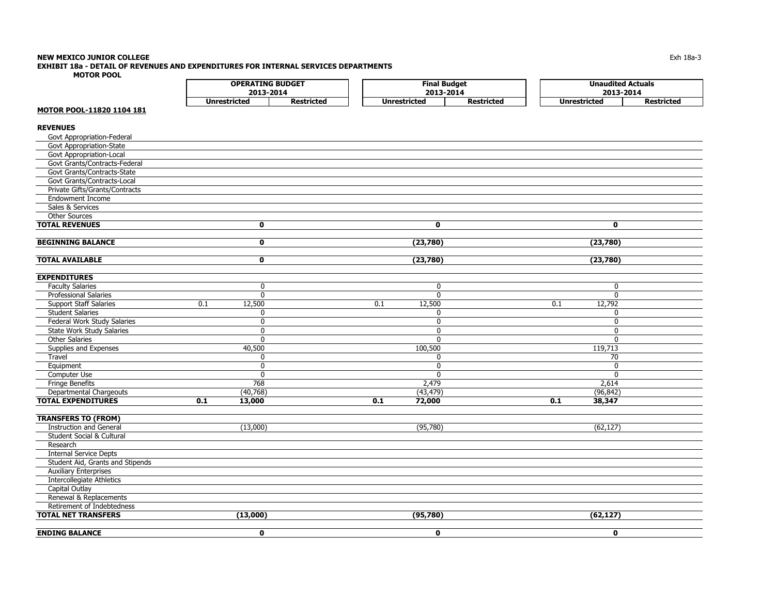# **NEW MEXICO JUNIOR COLLEGE**

**EXHIBIT 18a - DETAIL OF REVENUES AND EXPENDITURES FOR INTERNAL SERVICES DEPARTMENTS**

**MOTOR POOL**

| <b>OPERATING BUDGET</b> |                   | <b>Final Budget</b> |                   |  | <b>Unaudited Actuals</b> |                   |  |  |
|-------------------------|-------------------|---------------------|-------------------|--|--------------------------|-------------------|--|--|
| 2013-2014               |                   | 2013-2014           |                   |  | 2013-2014                |                   |  |  |
| Unrestricted            | <b>Restricted</b> | <b>Unrestricted</b> | <b>Restricted</b> |  | <b>Unrestricted</b>      | <b>Restricted</b> |  |  |

## **MOTOR POOL-11820 1104 181**

# **REVENUES**

| Govt Appropriation-Federal       |     |              |                  |              |                  |                 |  |
|----------------------------------|-----|--------------|------------------|--------------|------------------|-----------------|--|
| Govt Appropriation-State         |     |              |                  |              |                  |                 |  |
| Govt Appropriation-Local         |     |              |                  |              |                  |                 |  |
| Govt Grants/Contracts-Federal    |     |              |                  |              |                  |                 |  |
| Govt Grants/Contracts-State      |     |              |                  |              |                  |                 |  |
| Govt Grants/Contracts-Local      |     |              |                  |              |                  |                 |  |
| Private Gifts/Grants/Contracts   |     |              |                  |              |                  |                 |  |
| <b>Endowment Income</b>          |     |              |                  |              |                  |                 |  |
| Sales & Services                 |     |              |                  |              |                  |                 |  |
| <b>Other Sources</b>             |     |              |                  |              |                  |                 |  |
| <b>TOTAL REVENUES</b>            |     | $\mathbf 0$  |                  | $\mathbf{0}$ |                  | $\mathbf{0}$    |  |
|                                  |     |              |                  |              |                  |                 |  |
| <b>BEGINNING BALANCE</b>         |     | $\mathbf{0}$ |                  | (23,780)     |                  | (23,780)        |  |
|                                  |     |              |                  |              |                  |                 |  |
| <b>TOTAL AVAILABLE</b>           |     | $\mathbf 0$  |                  | (23,780)     |                  | (23,780)        |  |
| <b>EXPENDITURES</b>              |     |              |                  |              |                  |                 |  |
| <b>Faculty Salaries</b>          |     | 0            |                  | $\mathbf 0$  |                  | $\mathbf 0$     |  |
| <b>Professional Salaries</b>     |     | 0            |                  | $\mathbf 0$  |                  | $\mathbf 0$     |  |
| <b>Support Staff Salaries</b>    | 0.1 | 12,500       | $\overline{0.1}$ | 12,500       | $\overline{0.1}$ | 12,792          |  |
| <b>Student Salaries</b>          |     | 0            |                  | 0            |                  | 0               |  |
| Federal Work Study Salaries      |     | 0            |                  | $\mathbf 0$  |                  | $\mathbf 0$     |  |
| State Work Study Salaries        |     | 0            |                  | $\mathbf{0}$ |                  | 0               |  |
| <b>Other Salaries</b>            |     | $\mathbf{0}$ |                  | $\mathbf{0}$ |                  | $\mathbf{0}$    |  |
| Supplies and Expenses            |     | 40,500       |                  | 100,500      |                  | 119,713         |  |
| Travel                           |     | 0            |                  | $\mathbf{0}$ |                  | $\overline{70}$ |  |
| Equipment                        |     | 0            |                  | $\mathbf 0$  |                  | 0               |  |
| Computer Use                     |     | $\mathbf{0}$ |                  | $\Omega$     |                  | 0               |  |
| <b>Fringe Benefits</b>           |     | 768          |                  | 2,479        |                  | 2,614           |  |
| Departmental Chargeouts          |     | (40, 768)    |                  | (43, 479)    |                  | (96, 842)       |  |
| <b>TOTAL EXPENDITURES</b>        | 0.1 | 13,000       | 0.1              | 72,000       | 0.1              | 38,347          |  |
|                                  |     |              |                  |              |                  |                 |  |
| <b>TRANSFERS TO (FROM)</b>       |     |              |                  |              |                  |                 |  |
| <b>Instruction and General</b>   |     | (13,000)     |                  | (95, 780)    |                  | (62, 127)       |  |
| Student Social & Cultural        |     |              |                  |              |                  |                 |  |
| Research                         |     |              |                  |              |                  |                 |  |
| <b>Internal Service Depts</b>    |     |              |                  |              |                  |                 |  |
| Student Aid, Grants and Stipends |     |              |                  |              |                  |                 |  |
| <b>Auxiliary Enterprises</b>     |     |              |                  |              |                  |                 |  |
| <b>Intercollegiate Athletics</b> |     |              |                  |              |                  |                 |  |
| <b>Capital Outlay</b>            |     |              |                  |              |                  |                 |  |
| Renewal & Replacements           |     |              |                  |              |                  |                 |  |
| Retirement of Indebtedness       |     |              |                  |              |                  |                 |  |
| <b>TOTAL NET TRANSFERS</b>       |     | (13,000)     |                  | (95, 780)    |                  | (62, 127)       |  |
| <b>ENDING BALANCE</b>            |     | $\mathbf 0$  |                  | $\mathbf 0$  |                  | $\mathbf{0}$    |  |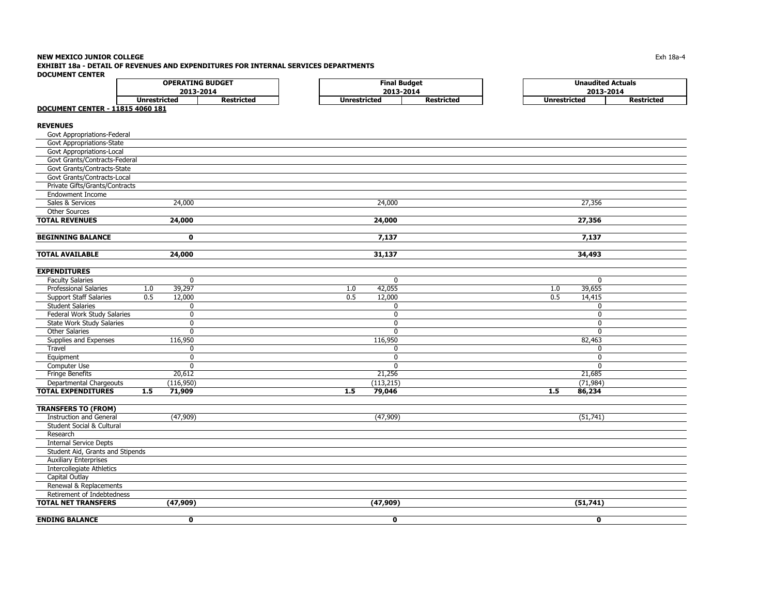#### **NEW MEXICO JUNIOR COLLEGE** $\mathsf E$  the contract of the contract of the contract of the contract of the contract of the contract of the contract of the contract of the contract of the contract of the contract of the contract of the contract of the co **EXHIBIT 18a - DETAIL OF REVENUES AND EXPENDITURES FOR INTERNAL SERVICES DEPARTMENTSDOCUMENT CENTER**

| POCONIEITI CEITIEIT                     |                     |                         |                     |                     |                     | <b>Unaudited Actuals</b> |  |  |  |  |
|-----------------------------------------|---------------------|-------------------------|---------------------|---------------------|---------------------|--------------------------|--|--|--|--|
|                                         |                     | <b>OPERATING BUDGET</b> |                     | <b>Final Budget</b> |                     |                          |  |  |  |  |
|                                         |                     | 2013-2014               |                     | 2013-2014           |                     | 2013-2014                |  |  |  |  |
| <b>DOCUMENT CENTER - 11815 4060 181</b> | <b>Unrestricted</b> | <b>Restricted</b>       | <b>Unrestricted</b> | <b>Restricted</b>   | <b>Unrestricted</b> | <b>Restricted</b>        |  |  |  |  |
|                                         |                     |                         |                     |                     |                     |                          |  |  |  |  |
| <b>REVENUES</b>                         |                     |                         |                     |                     |                     |                          |  |  |  |  |
| Govt Appropriations-Federal             |                     |                         |                     |                     |                     |                          |  |  |  |  |
| Govt Appropriations-State               |                     |                         |                     |                     |                     |                          |  |  |  |  |
| Govt Appropriations-Local               |                     |                         |                     |                     |                     |                          |  |  |  |  |
| Govt Grants/Contracts-Federal           |                     |                         |                     |                     |                     |                          |  |  |  |  |
| Govt Grants/Contracts-State             |                     |                         |                     |                     |                     |                          |  |  |  |  |
| Govt Grants/Contracts-Local             |                     |                         |                     |                     |                     |                          |  |  |  |  |
| Private Gifts/Grants/Contracts          |                     |                         |                     |                     |                     |                          |  |  |  |  |
| <b>Endowment Income</b>                 |                     |                         |                     |                     |                     |                          |  |  |  |  |
| Sales & Services                        | 24,000              |                         |                     | 24,000              |                     | 27,356                   |  |  |  |  |
| <b>Other Sources</b>                    |                     |                         |                     |                     |                     |                          |  |  |  |  |
| <b>TOTAL REVENUES</b>                   | 24,000              |                         |                     | 24,000              |                     | 27,356                   |  |  |  |  |
|                                         |                     |                         |                     |                     |                     |                          |  |  |  |  |
| <b>BEGINNING BALANCE</b>                | $\mathbf 0$         |                         |                     | 7,137               |                     | 7,137                    |  |  |  |  |
|                                         |                     |                         |                     |                     |                     |                          |  |  |  |  |
| <b>TOTAL AVAILABLE</b>                  | 24,000              |                         |                     | 31,137              |                     | 34,493                   |  |  |  |  |
|                                         |                     |                         |                     |                     |                     |                          |  |  |  |  |
| <b>EXPENDITURES</b>                     |                     |                         |                     |                     |                     |                          |  |  |  |  |
| <b>Faculty Salaries</b>                 | $\mathbf 0$         |                         |                     | $\mathbf 0$         |                     | $\mathbf{0}$             |  |  |  |  |
| Professional Salaries                   | 39,297<br>1.0       |                         | 1.0                 | 42,055              | 1.0                 | 39,655                   |  |  |  |  |
| <b>Support Staff Salaries</b>           | 0.5<br>12,000       |                         | 0.5                 | 12,000              | 0.5                 | 14,415                   |  |  |  |  |
| <b>Student Salaries</b>                 | 0                   |                         |                     | $\mathbf 0$         |                     | 0                        |  |  |  |  |
| Federal Work Study Salaries             | 0                   |                         |                     | 0                   |                     | 0                        |  |  |  |  |
| <b>State Work Study Salaries</b>        | $\mathbf 0$         |                         |                     | $\mathbf{0}$        |                     | $\mathbf 0$              |  |  |  |  |
| <b>Other Salaries</b>                   | $\mathbf 0$         |                         |                     | $\mathbf 0$         |                     | $\mathbf 0$              |  |  |  |  |
| Supplies and Expenses                   | 116,950             |                         |                     | 116,950             |                     | 82,463                   |  |  |  |  |
| Travel                                  | $\mathbf 0$         |                         |                     | $\mathbf 0$         |                     | $\mathbf 0$              |  |  |  |  |
| Equipment                               | $\mathbf 0$         |                         |                     | $\mathbf 0$         |                     | 0                        |  |  |  |  |
| Computer Use                            | $\mathbf 0$         |                         |                     | $\mathbf{0}$        |                     | $\mathbf{0}$             |  |  |  |  |
| <b>Fringe Benefits</b>                  | 20,612              |                         |                     | 21,256              |                     | 21,685                   |  |  |  |  |
| Departmental Chargeouts                 | (116,950)           |                         |                     | (113, 215)          |                     | (71, 984)                |  |  |  |  |
| <b>TOTAL EXPENDITURES</b>               | 1.5<br>71,909       |                         | 1.5                 | 79,046              | 1.5                 | 86,234                   |  |  |  |  |
|                                         |                     |                         |                     |                     |                     |                          |  |  |  |  |
| <b>TRANSFERS TO (FROM)</b>              |                     |                         |                     |                     |                     |                          |  |  |  |  |
| <b>Instruction and General</b>          | (47,909)            |                         |                     | (47,909)            |                     | (51, 741)                |  |  |  |  |
| Student Social & Cultural               |                     |                         |                     |                     |                     |                          |  |  |  |  |
| Research                                |                     |                         |                     |                     |                     |                          |  |  |  |  |
| <b>Internal Service Depts</b>           |                     |                         |                     |                     |                     |                          |  |  |  |  |
| Student Aid, Grants and Stipends        |                     |                         |                     |                     |                     |                          |  |  |  |  |
| <b>Auxiliary Enterprises</b>            |                     |                         |                     |                     |                     |                          |  |  |  |  |
| <b>Intercollegiate Athletics</b>        |                     |                         |                     |                     |                     |                          |  |  |  |  |
| Capital Outlay                          |                     |                         |                     |                     |                     |                          |  |  |  |  |
| Renewal & Replacements                  |                     |                         |                     |                     |                     |                          |  |  |  |  |
| Retirement of Indebtedness              |                     |                         |                     |                     |                     |                          |  |  |  |  |
| <b>TOTAL NET TRANSFERS</b>              | (47,909)            |                         |                     | (47,909)            |                     | (51, 741)                |  |  |  |  |
|                                         |                     |                         |                     |                     |                     |                          |  |  |  |  |
| <b>ENDING BALANCE</b>                   | $\mathbf{0}$        |                         |                     | $\mathbf{0}$        |                     | $\mathbf{0}$             |  |  |  |  |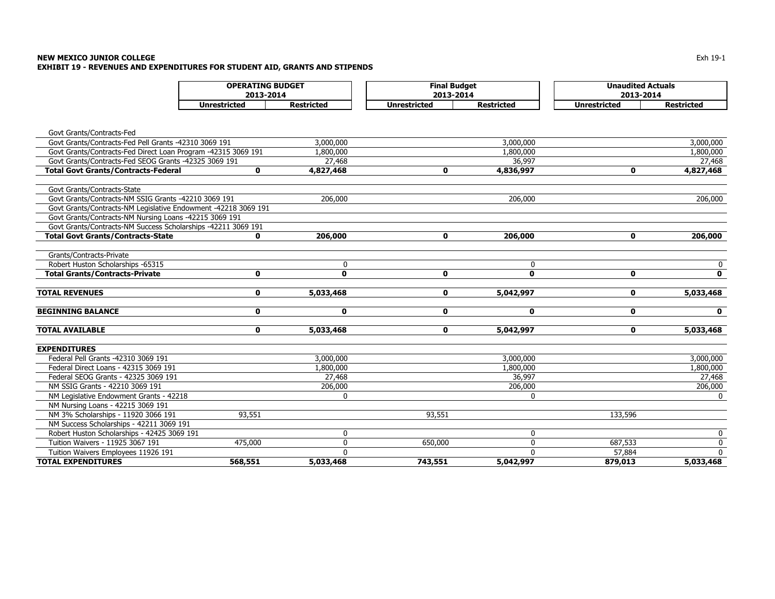#### **NEW MEXICO JUNIOR COLLEGE** $\mathsf E$ **EXHIBIT 19 - REVENUES AND EXPENDITURES FOR STUDENT AID, GRANTS AND STIPENDS**

|                                                                | <b>OPERATING BUDGET</b><br>2013-2014 |                   | <b>Final Budget</b><br>2013-2014 |                   | <b>Unaudited Actuals</b><br>2013-2014 |                   |
|----------------------------------------------------------------|--------------------------------------|-------------------|----------------------------------|-------------------|---------------------------------------|-------------------|
|                                                                | <b>Unrestricted</b>                  | <b>Restricted</b> | <b>Unrestricted</b>              | <b>Restricted</b> | <b>Unrestricted</b>                   | <b>Restricted</b> |
|                                                                |                                      |                   |                                  |                   |                                       |                   |
| Govt Grants/Contracts-Fed                                      |                                      |                   |                                  |                   |                                       |                   |
| Govt Grants/Contracts-Fed Pell Grants -42310 3069 191          |                                      | 3,000,000         |                                  | 3,000,000         |                                       | 3,000,000         |
| Govt Grants/Contracts-Fed Direct Loan Program -42315 3069 191  |                                      | 1,800,000         |                                  | 1,800,000         |                                       | 1,800,000         |
| Govt Grants/Contracts-Fed SEOG Grants -42325 3069 191          |                                      | 27,468            |                                  | 36,997            |                                       | 27,468            |
| <b>Total Govt Grants/Contracts-Federal</b>                     | $\mathbf 0$                          | 4,827,468         | 0                                | 4,836,997         | $\mathbf{0}$                          | 4,827,468         |
| Govt Grants/Contracts-State                                    |                                      |                   |                                  |                   |                                       |                   |
| Govt Grants/Contracts-NM SSIG Grants -42210 3069 191           |                                      | 206,000           |                                  | 206,000           |                                       | 206,000           |
| Govt Grants/Contracts-NM Legislative Endowment -42218 3069 191 |                                      |                   |                                  |                   |                                       |                   |
| Govt Grants/Contracts-NM Nursing Loans -42215 3069 191         |                                      |                   |                                  |                   |                                       |                   |
| Govt Grants/Contracts-NM Success Scholarships -42211 3069 191  |                                      |                   |                                  |                   |                                       |                   |
| <b>Total Govt Grants/Contracts-State</b>                       | $\mathbf{0}$                         | 206,000           | $\mathbf 0$                      | 206,000           | $\mathbf 0$                           | 206,000           |
| Grants/Contracts-Private                                       |                                      |                   |                                  |                   |                                       |                   |
| Robert Huston Scholarships -65315                              |                                      | 0                 |                                  | $\Omega$          |                                       | 0                 |
| <b>Total Grants/Contracts-Private</b>                          | $\mathbf 0$                          | $\mathbf{0}$      | $\mathbf 0$                      | $\mathbf{0}$      | $\mathbf 0$                           | $\mathbf{0}$      |
| <b>TOTAL REVENUES</b>                                          | 0                                    | 5,033,468         | 0                                | 5,042,997         | $\mathbf 0$                           | 5,033,468         |
| <b>BEGINNING BALANCE</b>                                       | 0                                    | $\mathbf 0$       | 0                                | $\mathbf{0}$      | $\mathbf 0$                           | $\mathbf 0$       |
|                                                                |                                      |                   |                                  |                   |                                       |                   |
| <b>TOTAL AVAILABLE</b>                                         | 0                                    | 5,033,468         | 0                                | 5,042,997         | $\mathbf 0$                           | 5,033,468         |
| <b>EXPENDITURES</b>                                            |                                      |                   |                                  |                   |                                       |                   |
| Federal Pell Grants -42310 3069 191                            |                                      | 3,000,000         |                                  | 3,000,000         |                                       | 3,000,000         |
| Federal Direct Loans - 42315 3069 191                          |                                      | 1,800,000         |                                  | 1,800,000         |                                       | 1,800,000         |
| Federal SEOG Grants - 42325 3069 191                           |                                      | 27,468            |                                  | 36,997            |                                       | 27,468            |
| NM SSIG Grants - 42210 3069 191                                |                                      | 206,000           |                                  | 206,000           |                                       | 206,000           |
| NM Legislative Endowment Grants - 42218                        |                                      | 0                 |                                  | $\Omega$          |                                       | $\Omega$          |
| NM Nursing Loans - 42215 3069 191                              |                                      |                   |                                  |                   |                                       |                   |
| NM 3% Scholarships - 11920 3066 191                            | 93,551                               |                   | 93,551                           |                   | 133,596                               |                   |
| NM Success Scholarships - 42211 3069 191                       |                                      |                   |                                  |                   |                                       |                   |
| Robert Huston Scholarships - 42425 3069 191                    |                                      | 0                 |                                  | $\mathbf 0$       |                                       | 0                 |
| Tuition Waivers - 11925 3067 191                               | 475,000                              | $\mathbf{0}$      | 650,000                          | $\Omega$          | 687,533                               | $\mathbf 0$       |
| Tuition Waivers Employees 11926 191                            |                                      | 0                 |                                  | $\Omega$          | 57,884                                | $\mathbf{0}$      |
| <b>TOTAL EXPENDITURES</b>                                      | 568,551                              | 5,033,468         | 743,551                          | 5,042,997         | 879,013                               | 5,033,468         |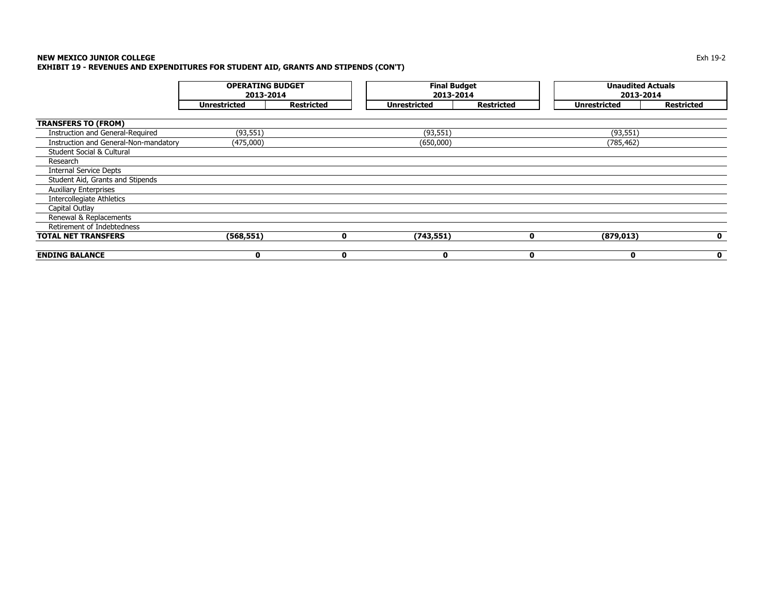#### **NEW MEXICO JUNIOR COLLEGE** $\mathsf E$ **EXHIBIT 19 - REVENUES AND EXPENDITURES FOR STUDENT AID, GRANTS AND STIPENDS (CON'T)**

|                                       | <b>OPERATING BUDGET</b><br>2013-2014 |                   | <b>Final Budget</b><br>2013-2014 |                   | <b>Unaudited Actuals</b><br>2013-2014 |                   |  |  |
|---------------------------------------|--------------------------------------|-------------------|----------------------------------|-------------------|---------------------------------------|-------------------|--|--|
|                                       | <b>Unrestricted</b>                  | <b>Restricted</b> | <b>Unrestricted</b>              | <b>Restricted</b> | <b>Unrestricted</b>                   | <b>Restricted</b> |  |  |
| <b>TRANSFERS TO (FROM)</b>            |                                      |                   |                                  |                   |                                       |                   |  |  |
| Instruction and General-Required      | (93, 551)                            |                   | (93, 551)                        |                   | (93, 551)                             |                   |  |  |
| Instruction and General-Non-mandatory | (475,000)                            |                   | (650,000)                        |                   | (785, 462)                            |                   |  |  |
| Student Social & Cultural             |                                      |                   |                                  |                   |                                       |                   |  |  |
| Research                              |                                      |                   |                                  |                   |                                       |                   |  |  |
| <b>Internal Service Depts</b>         |                                      |                   |                                  |                   |                                       |                   |  |  |
| Student Aid, Grants and Stipends      |                                      |                   |                                  |                   |                                       |                   |  |  |
| <b>Auxiliary Enterprises</b>          |                                      |                   |                                  |                   |                                       |                   |  |  |
| Intercollegiate Athletics             |                                      |                   |                                  |                   |                                       |                   |  |  |
| Capital Outlay                        |                                      |                   |                                  |                   |                                       |                   |  |  |
| Renewal & Replacements                |                                      |                   |                                  |                   |                                       |                   |  |  |
| Retirement of Indebtedness            |                                      |                   |                                  |                   |                                       |                   |  |  |
| <b>TOTAL NET TRANSFERS</b>            | (568, 551)                           | $\mathbf{0}$      | (743, 551)                       | $\mathbf{0}$      | (879, 013)                            | $\mathbf 0$       |  |  |
| <b>ENDING BALANCE</b>                 | 0                                    | $\mathbf 0$       | 0                                | 0                 | $\mathbf 0$                           | $\mathbf 0$       |  |  |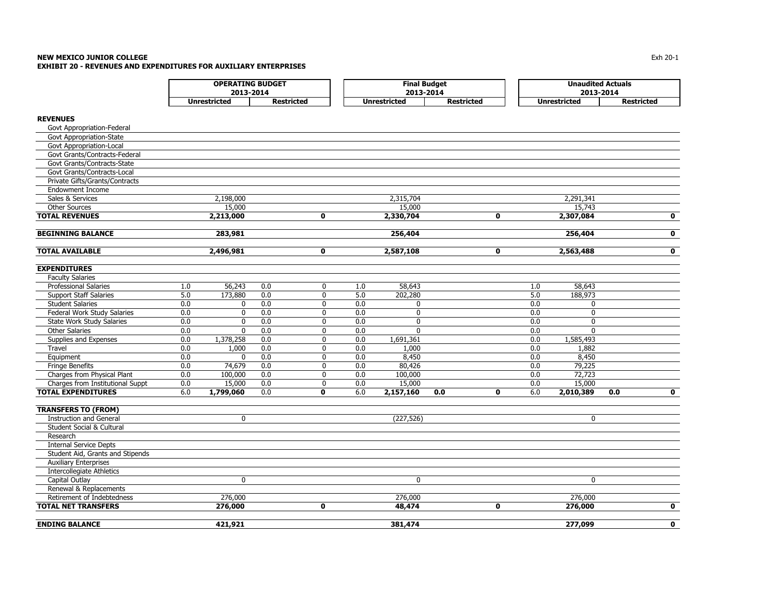#### **NEW MEXICO JUNIOR COLLEGE** $\mathsf E$  and  $\mathsf E$  and  $\mathsf E$  and  $\mathsf E$  and  $\mathsf E$  and  $\mathsf E$  and  $\mathsf E$  and  $\mathsf E$  and  $\mathsf E$  and  $\mathsf E$  and  $\mathsf E$  and  $\mathsf E$  and  $\mathsf E$  and  $\mathsf E$  and  $\mathsf E$  and  $\mathsf E$  and  $\mathsf E$  and  $\mathsf E$  and  $\mathsf E$  and  $\mathsf E$  and **EXHIBIT 20 - REVENUES AND EXPENDITURES FOR AUXILIARY ENTERPRISES**

|                                      |     | <b>OPERATING BUDGET</b> |                   |              |     | <b>Final Budget</b> |                   |              | <b>Unaudited Actuals</b> |                     |                   |              |  |
|--------------------------------------|-----|-------------------------|-------------------|--------------|-----|---------------------|-------------------|--------------|--------------------------|---------------------|-------------------|--------------|--|
|                                      |     | 2013-2014               |                   |              |     | 2013-2014           |                   |              | 2013-2014                |                     |                   |              |  |
|                                      |     | <b>Unrestricted</b>     | <b>Restricted</b> |              |     | <b>Unrestricted</b> | <b>Restricted</b> |              |                          | <b>Unrestricted</b> | <b>Restricted</b> |              |  |
| <b>REVENUES</b>                      |     |                         |                   |              |     |                     |                   |              |                          |                     |                   |              |  |
| Govt Appropriation-Federal           |     |                         |                   |              |     |                     |                   |              |                          |                     |                   |              |  |
| Govt Appropriation-State             |     |                         |                   |              |     |                     |                   |              |                          |                     |                   |              |  |
| Govt Appropriation-Local             |     |                         |                   |              |     |                     |                   |              |                          |                     |                   |              |  |
| Govt Grants/Contracts-Federal        |     |                         |                   |              |     |                     |                   |              |                          |                     |                   |              |  |
| Govt Grants/Contracts-State          |     |                         |                   |              |     |                     |                   |              |                          |                     |                   |              |  |
| Govt Grants/Contracts-Local          |     |                         |                   |              |     |                     |                   |              |                          |                     |                   |              |  |
| Private Gifts/Grants/Contracts       |     |                         |                   |              |     |                     |                   |              |                          |                     |                   |              |  |
| <b>Endowment Income</b>              |     |                         |                   |              |     |                     |                   |              |                          |                     |                   |              |  |
| Sales & Services                     |     | 2,198,000               |                   |              |     | 2,315,704           |                   |              |                          | 2,291,341           |                   |              |  |
| Other Sources                        |     | 15,000                  |                   |              |     | 15,000              |                   |              |                          | 15,743              |                   |              |  |
| <b>TOTAL REVENUES</b>                |     | 2,213,000               |                   | $\mathbf{0}$ |     | 2,330,704           |                   | $\mathbf{0}$ |                          | 2,307,084           |                   | $\mathbf{o}$ |  |
| <b>BEGINNING BALANCE</b>             |     | 283,981                 |                   |              |     | 256,404             |                   |              |                          | 256,404             |                   | $\mathbf 0$  |  |
| <b>TOTAL AVAILABLE</b>               |     | 2,496,981               |                   | $\mathbf{0}$ |     | 2,587,108           |                   | $\mathbf{0}$ |                          | 2,563,488           |                   | $\mathbf{0}$ |  |
| <b>EXPENDITURES</b>                  |     |                         |                   |              |     |                     |                   |              |                          |                     |                   |              |  |
| <b>Faculty Salaries</b>              |     |                         |                   |              |     |                     |                   |              |                          |                     |                   |              |  |
| Professional Salaries                | 1.0 | 56,243                  | 0.0               | $\mathbf 0$  | 1.0 | 58,643              |                   |              | 1.0                      | 58,643              |                   |              |  |
| <b>Support Staff Salaries</b>        | 5.0 | 173,880                 | 0.0               | $\mathbf 0$  | 5.0 | 202,280             |                   |              | 5.0                      | 188,973             |                   |              |  |
| <b>Student Salaries</b>              | 0.0 | 0                       | 0.0               | $\mathbf 0$  | 0.0 | $\mathbf 0$         |                   |              | 0.0                      | $\mathbf 0$         |                   |              |  |
| Federal Work Study Salaries          | 0.0 | 0                       | 0.0               | $\mathbf 0$  | 0.0 | $\mathbf 0$         |                   |              | 0.0                      | 0                   |                   |              |  |
| <b>State Work Study Salaries</b>     | 0.0 | $\mathbf 0$             | 0.0               | 0            | 0.0 | $\mathbf 0$         |                   |              | 0.0                      | $\mathbf{0}$        |                   |              |  |
| <b>Other Salaries</b>                | 0.0 | 0                       | 0.0               | $\mathbf 0$  | 0.0 | $\mathbf{0}$        |                   |              | 0.0                      | $\Omega$            |                   |              |  |
| Supplies and Expenses                | 0.0 | 1,378,258               | 0.0               | 0            | 0.0 | 1,691,361           |                   |              | 0.0                      | 1,585,493           |                   |              |  |
| Travel                               | 0.0 | 1,000                   | 0.0               | $\Omega$     | 0.0 | 1,000               |                   |              | 0.0                      | 1,882               |                   |              |  |
| Equipment                            | 0.0 | $\mathbf 0$             | 0.0               | 0            | 0.0 | 8,450               |                   |              | 0.0                      | 8,450               |                   |              |  |
| <b>Fringe Benefits</b>               | 0.0 | 74,679                  | 0.0               | 0            | 0.0 | 80,426              |                   |              | 0.0                      | 79,225              |                   |              |  |
| Charges from Physical Plant          | 0.0 | 100,000                 | 0.0               | $\mathbf 0$  | 0.0 | 100,000             |                   |              | 0.0                      | 72,723              |                   |              |  |
| Charges from Institutional Suppt     | 0.0 | 15,000                  | 0.0               | $\mathbf 0$  | 0.0 | 15,000              |                   |              | 0.0                      | 15,000              |                   |              |  |
| <b>TOTAL EXPENDITURES</b>            | 6.0 | 1,799,060               | 0.0               | 0            | 6.0 | 2,157,160           | 0.0               | $\mathbf 0$  | 6.0                      | 2,010,389           | 0.0               | $\mathbf 0$  |  |
| <b>TRANSFERS TO (FROM)</b>           |     |                         |                   |              |     |                     |                   |              |                          |                     |                   |              |  |
| <b>Instruction and General</b>       |     | 0                       |                   |              |     | (227, 526)          |                   |              |                          | $\mathbf 0$         |                   |              |  |
| <b>Student Social &amp; Cultural</b> |     |                         |                   |              |     |                     |                   |              |                          |                     |                   |              |  |
| Research                             |     |                         |                   |              |     |                     |                   |              |                          |                     |                   |              |  |
| <b>Internal Service Depts</b>        |     |                         |                   |              |     |                     |                   |              |                          |                     |                   |              |  |
| Student Aid, Grants and Stipends     |     |                         |                   |              |     |                     |                   |              |                          |                     |                   |              |  |
| <b>Auxiliary Enterprises</b>         |     |                         |                   |              |     |                     |                   |              |                          |                     |                   |              |  |
| <b>Intercollegiate Athletics</b>     |     |                         |                   |              |     |                     |                   |              |                          |                     |                   |              |  |
| Capital Outlay                       |     | 0                       |                   |              |     | $\mathbf 0$         |                   |              |                          | $\mathbf 0$         |                   |              |  |
| Renewal & Replacements               |     |                         |                   |              |     |                     |                   |              |                          |                     |                   |              |  |
| Retirement of Indebtedness           |     | 276,000                 |                   |              |     | 276,000             |                   |              |                          | 276,000             |                   |              |  |
| <b>TOTAL NET TRANSFERS</b>           |     | 276,000                 |                   | $\mathbf 0$  |     | 48,474              |                   | $\mathbf 0$  |                          | 276,000             |                   | $\mathbf 0$  |  |
| <b>ENDING BALANCE</b>                |     | 421,921                 |                   |              |     | 381,474             |                   |              |                          | 277,099             |                   | $\mathbf{0}$ |  |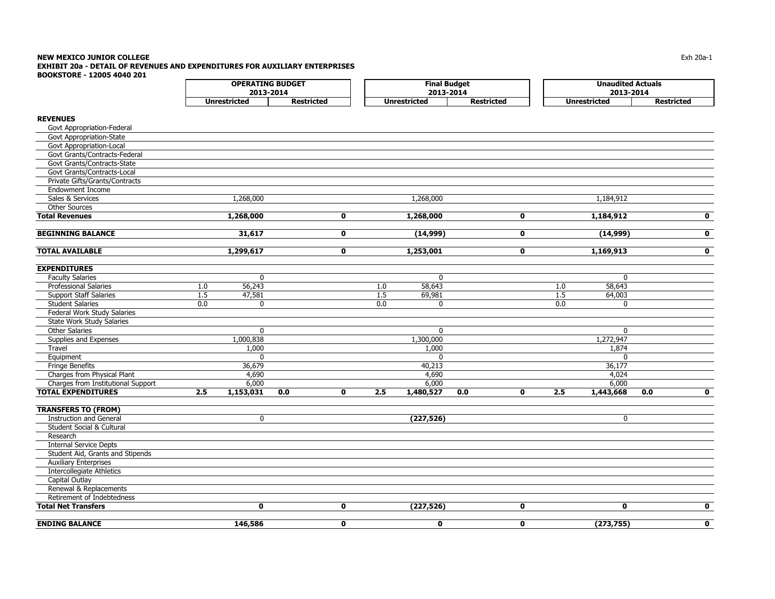#### **NEW MEXICO JUNIOR COLLEGE** $\blacksquare$  Exh 20a-1  $\blacksquare$ **EXHIBIT 20a - DETAIL OF REVENUES AND EXPENDITURES FOR AUXILIARY ENTERPRISESBOOKSTORE - 12005 4040 201**

|                                                                 |     | <b>OPERATING BUDGET</b><br>2013-2014 |                   |             | <b>Final Budget</b><br>2013-2014 |                     |                   |                         | <b>Unaudited Actuals</b><br>2013-2014 |                     |                   |   |
|-----------------------------------------------------------------|-----|--------------------------------------|-------------------|-------------|----------------------------------|---------------------|-------------------|-------------------------|---------------------------------------|---------------------|-------------------|---|
|                                                                 |     | <b>Unrestricted</b>                  | <b>Restricted</b> |             |                                  | <b>Unrestricted</b> | <b>Restricted</b> |                         |                                       | <b>Unrestricted</b> | <b>Restricted</b> |   |
|                                                                 |     |                                      |                   |             |                                  |                     |                   |                         |                                       |                     |                   |   |
| <b>REVENUES</b>                                                 |     |                                      |                   |             |                                  |                     |                   |                         |                                       |                     |                   |   |
| Govt Appropriation-Federal                                      |     |                                      |                   |             |                                  |                     |                   |                         |                                       |                     |                   |   |
| Govt Appropriation-State                                        |     |                                      |                   |             |                                  |                     |                   |                         |                                       |                     |                   |   |
| Govt Appropriation-Local                                        |     |                                      |                   |             |                                  |                     |                   |                         |                                       |                     |                   |   |
| Govt Grants/Contracts-Federal                                   |     |                                      |                   |             |                                  |                     |                   |                         |                                       |                     |                   |   |
| Govt Grants/Contracts-State                                     |     |                                      |                   |             |                                  |                     |                   |                         |                                       |                     |                   |   |
| Govt Grants/Contracts-Local                                     |     |                                      |                   |             |                                  |                     |                   |                         |                                       |                     |                   |   |
| Private Gifts/Grants/Contracts                                  |     |                                      |                   |             |                                  |                     |                   |                         |                                       |                     |                   |   |
| <b>Endowment Income</b>                                         |     |                                      |                   |             |                                  |                     |                   |                         |                                       |                     |                   |   |
| Sales & Services                                                |     | 1,268,000                            |                   |             |                                  | 1,268,000           |                   |                         |                                       | 1,184,912           |                   |   |
| Other Sources                                                   |     |                                      |                   |             |                                  |                     |                   |                         |                                       |                     |                   |   |
| <b>Total Revenues</b>                                           |     | 1,268,000                            |                   | 0           |                                  | 1,268,000           |                   | $\overline{\mathbf{0}}$ |                                       | 1,184,912           |                   | 0 |
| <b>BEGINNING BALANCE</b>                                        |     | 31,617                               |                   | 0           |                                  | (14,999)            |                   | 0                       |                                       | (14,999)            |                   | 0 |
| <b>TOTAL AVAILABLE</b>                                          |     | 1,299,617                            |                   | 0           |                                  | 1,253,001           |                   | 0                       |                                       | 1,169,913           |                   | 0 |
| <b>EXPENDITURES</b>                                             |     |                                      |                   |             |                                  |                     |                   |                         |                                       |                     |                   |   |
| <b>Faculty Salaries</b>                                         |     | $\Omega$                             |                   |             |                                  | $\Omega$            |                   |                         |                                       | $\Omega$            |                   |   |
| Professional Salaries                                           | 1.0 | 56,243                               |                   |             | 1.0                              | 58,643              |                   |                         | 1.0                                   | 58,643              |                   |   |
| <b>Support Staff Salaries</b>                                   | 1.5 | 47,581                               |                   |             | 1.5                              | 69,981              |                   |                         | $\overline{1.5}$                      | 64,003              |                   |   |
| <b>Student Salaries</b>                                         | 0.0 | 0                                    |                   |             | 0.0                              | 0                   |                   |                         | $\overline{0.0}$                      | $\mathbf{0}$        |                   |   |
| Federal Work Study Salaries                                     |     |                                      |                   |             |                                  |                     |                   |                         |                                       |                     |                   |   |
| <b>State Work Study Salaries</b>                                |     |                                      |                   |             |                                  |                     |                   |                         |                                       |                     |                   |   |
| <b>Other Salaries</b>                                           |     | $\mathbf 0$                          |                   |             |                                  | 0                   |                   |                         |                                       | 0                   |                   |   |
|                                                                 |     |                                      |                   |             |                                  |                     |                   |                         |                                       |                     |                   |   |
| Supplies and Expenses<br>Travel                                 |     | 1,000,838                            |                   |             |                                  | 1,300,000           |                   |                         |                                       | 1,272,947           |                   |   |
|                                                                 |     | 1,000<br>$\Omega$                    |                   |             |                                  | 1,000<br>0          |                   |                         |                                       | 1,874<br>$\Omega$   |                   |   |
| Equipment                                                       |     |                                      |                   |             |                                  |                     |                   |                         |                                       |                     |                   |   |
| <b>Fringe Benefits</b>                                          |     | 36,679                               |                   |             |                                  | 40,213              |                   |                         |                                       | 36,177              |                   |   |
| Charges from Physical Plant                                     |     | 4,690                                |                   |             |                                  | 4,690               |                   |                         |                                       | 4,024               |                   |   |
| Charges from Institutional Support<br><b>TOTAL EXPENDITURES</b> | 2.5 | 6,000<br>1,153,031                   | 0.0               | $\mathbf 0$ | 2.5                              | 6,000<br>1,480,527  | 0.0               | 0                       | 2.5                                   | 6,000<br>1,443,668  | 0.0               | 0 |
|                                                                 |     |                                      |                   |             |                                  |                     |                   |                         |                                       |                     |                   |   |
| <b>TRANSFERS TO (FROM)</b>                                      |     |                                      |                   |             |                                  |                     |                   |                         |                                       |                     |                   |   |
| <b>Instruction and General</b>                                  |     | 0                                    |                   |             |                                  | (227, 526)          |                   |                         |                                       | $\mathbf 0$         |                   |   |
| <b>Student Social &amp; Cultural</b>                            |     |                                      |                   |             |                                  |                     |                   |                         |                                       |                     |                   |   |
| Research                                                        |     |                                      |                   |             |                                  |                     |                   |                         |                                       |                     |                   |   |
| <b>Internal Service Depts</b>                                   |     |                                      |                   |             |                                  |                     |                   |                         |                                       |                     |                   |   |
| Student Aid, Grants and Stipends                                |     |                                      |                   |             |                                  |                     |                   |                         |                                       |                     |                   |   |
| <b>Auxiliary Enterprises</b>                                    |     |                                      |                   |             |                                  |                     |                   |                         |                                       |                     |                   |   |
| <b>Intercollegiate Athletics</b>                                |     |                                      |                   |             |                                  |                     |                   |                         |                                       |                     |                   |   |
| Capital Outlay                                                  |     |                                      |                   |             |                                  |                     |                   |                         |                                       |                     |                   |   |
| Renewal & Replacements                                          |     |                                      |                   |             |                                  |                     |                   |                         |                                       |                     |                   |   |
| Retirement of Indebtedness                                      |     |                                      |                   |             |                                  |                     |                   |                         |                                       |                     |                   |   |

 Renewal & Replacements Retirement of Indebtedness**Total Net Transfers 0 0 (227,526) 0 00 ENDING BALANCE 146,586 0 0 0 (273,755) 0**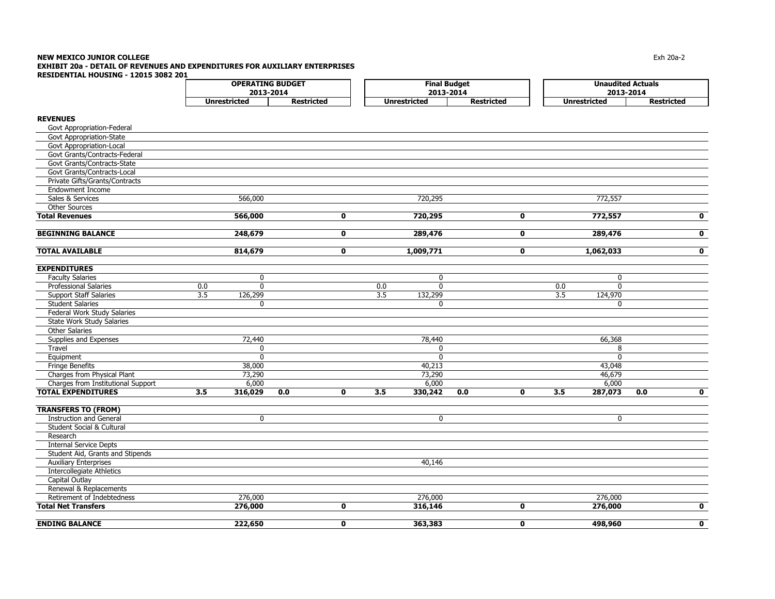#### **NEW MEXICO JUNIOR COLLEGE** Exh 20a-2 **EXHIBIT 20a - DETAIL OF REVENUES AND EXPENDITURES FOR AUXILIARY ENTERPRISES RESIDENTIAL HOUSING - 12015 3082 201**

|                                    |     | <b>OPERATING BUDGET</b> |                   |              |     | <b>Final Budget</b> |                   |              | <b>Unaudited Actuals</b> |                     |                   |                         |  |
|------------------------------------|-----|-------------------------|-------------------|--------------|-----|---------------------|-------------------|--------------|--------------------------|---------------------|-------------------|-------------------------|--|
|                                    |     | 2013-2014               |                   |              |     | 2013-2014           |                   |              |                          | 2013-2014           |                   |                         |  |
|                                    |     | <b>Unrestricted</b>     | <b>Restricted</b> |              |     | <b>Unrestricted</b> | <b>Restricted</b> |              |                          | <b>Unrestricted</b> | <b>Restricted</b> |                         |  |
| <b>REVENUES</b>                    |     |                         |                   |              |     |                     |                   |              |                          |                     |                   |                         |  |
| Govt Appropriation-Federal         |     |                         |                   |              |     |                     |                   |              |                          |                     |                   |                         |  |
| Govt Appropriation-State           |     |                         |                   |              |     |                     |                   |              |                          |                     |                   |                         |  |
| Govt Appropriation-Local           |     |                         |                   |              |     |                     |                   |              |                          |                     |                   |                         |  |
| Govt Grants/Contracts-Federal      |     |                         |                   |              |     |                     |                   |              |                          |                     |                   |                         |  |
| Govt Grants/Contracts-State        |     |                         |                   |              |     |                     |                   |              |                          |                     |                   |                         |  |
| Govt Grants/Contracts-Local        |     |                         |                   |              |     |                     |                   |              |                          |                     |                   |                         |  |
| Private Gifts/Grants/Contracts     |     |                         |                   |              |     |                     |                   |              |                          |                     |                   |                         |  |
| <b>Endowment Income</b>            |     |                         |                   |              |     |                     |                   |              |                          |                     |                   |                         |  |
| Sales & Services                   |     | 566,000                 |                   |              |     | 720,295             |                   |              |                          | 772,557             |                   |                         |  |
| <b>Other Sources</b>               |     |                         |                   |              |     |                     |                   |              |                          |                     |                   |                         |  |
| <b>Total Revenues</b>              |     | 566,000                 |                   | $\mathbf 0$  |     | 720,295             |                   | $\mathbf 0$  |                          | 772,557             |                   | $\mathbf 0$             |  |
| <b>BEGINNING BALANCE</b>           |     | 248,679                 |                   | 0            |     | 289,476             |                   | 0            |                          | 289,476             |                   | $\overline{\mathbf{0}}$ |  |
|                                    |     |                         |                   |              |     |                     |                   |              |                          |                     |                   |                         |  |
| <b>TOTAL AVAILABLE</b>             |     | 814,679                 |                   | $\mathbf 0$  |     | 1,009,771           |                   | $\mathbf 0$  |                          | 1,062,033           |                   | $\mathbf 0$             |  |
| <b>EXPENDITURES</b>                |     |                         |                   |              |     |                     |                   |              |                          |                     |                   |                         |  |
| <b>Faculty Salaries</b>            |     | 0                       |                   |              |     | 0                   |                   |              |                          | 0                   |                   |                         |  |
| Professional Salaries              | 0.0 | $\mathbf{0}$            |                   |              | 0.0 | $\mathbf 0$         |                   |              | 0.0                      | $\overline{0}$      |                   |                         |  |
| <b>Support Staff Salaries</b>      | 3.5 | 126,299                 |                   |              | 3.5 | 132,299             |                   |              | $\overline{3.5}$         | 124,970             |                   |                         |  |
| <b>Student Salaries</b>            |     | $\mathbf 0$             |                   |              |     | 0                   |                   |              |                          | $\mathbf 0$         |                   |                         |  |
| Federal Work Study Salaries        |     |                         |                   |              |     |                     |                   |              |                          |                     |                   |                         |  |
| <b>State Work Study Salaries</b>   |     |                         |                   |              |     |                     |                   |              |                          |                     |                   |                         |  |
| <b>Other Salaries</b>              |     |                         |                   |              |     |                     |                   |              |                          |                     |                   |                         |  |
| Supplies and Expenses              |     | 72,440                  |                   |              |     | 78,440              |                   |              |                          | 66,368              |                   |                         |  |
| Travel                             |     | 0                       |                   |              |     | 0                   |                   |              |                          | 8                   |                   |                         |  |
| Equipment                          |     | $\overline{0}$          |                   |              |     | $\overline{0}$      |                   |              |                          | $\overline{0}$      |                   |                         |  |
| <b>Fringe Benefits</b>             |     | 38,000                  |                   |              |     | 40,213              |                   |              |                          | 43,048              |                   |                         |  |
| Charges from Physical Plant        |     | 73,290                  |                   |              |     | 73,290              |                   |              |                          | 46,679              |                   |                         |  |
| Charges from Institutional Support |     | 6,000                   |                   |              |     | 6,000               |                   |              |                          | 6,000               |                   |                         |  |
| <b>TOTAL EXPENDITURES</b>          | 3.5 | 316,029                 | 0.0               | 0            | 3.5 | 330,242             | 0.0               | 0            | 3.5                      | 287,073             | 0.0               | $\mathbf 0$             |  |
| <b>TRANSFERS TO (FROM)</b>         |     |                         |                   |              |     |                     |                   |              |                          |                     |                   |                         |  |
| <b>Instruction and General</b>     |     | $\mathbf 0$             |                   |              |     | $\mathbf 0$         |                   |              |                          | $\overline{0}$      |                   |                         |  |
| Student Social & Cultural          |     |                         |                   |              |     |                     |                   |              |                          |                     |                   |                         |  |
| Research                           |     |                         |                   |              |     |                     |                   |              |                          |                     |                   |                         |  |
| <b>Internal Service Depts</b>      |     |                         |                   |              |     |                     |                   |              |                          |                     |                   |                         |  |
| Student Aid, Grants and Stipends   |     |                         |                   |              |     |                     |                   |              |                          |                     |                   |                         |  |
| <b>Auxiliary Enterprises</b>       |     |                         |                   |              |     | 40,146              |                   |              |                          |                     |                   |                         |  |
| <b>Intercollegiate Athletics</b>   |     |                         |                   |              |     |                     |                   |              |                          |                     |                   |                         |  |
| Capital Outlay                     |     |                         |                   |              |     |                     |                   |              |                          |                     |                   |                         |  |
| Renewal & Replacements             |     |                         |                   |              |     |                     |                   |              |                          |                     |                   |                         |  |
| Retirement of Indebtedness         |     | 276,000                 |                   |              |     | 276,000             |                   |              |                          | 276,000             |                   |                         |  |
| <b>Total Net Transfers</b>         |     | 276,000                 |                   | $\mathbf 0$  |     | 316,146             |                   | $\mathbf 0$  |                          | 276,000             |                   | $\mathbf 0$             |  |
| <b>ENDING BALANCE</b>              |     | 222,650                 |                   | $\mathbf{0}$ |     | 363,383             |                   | $\mathbf{0}$ |                          | 498,960             |                   | $\mathbf{0}$            |  |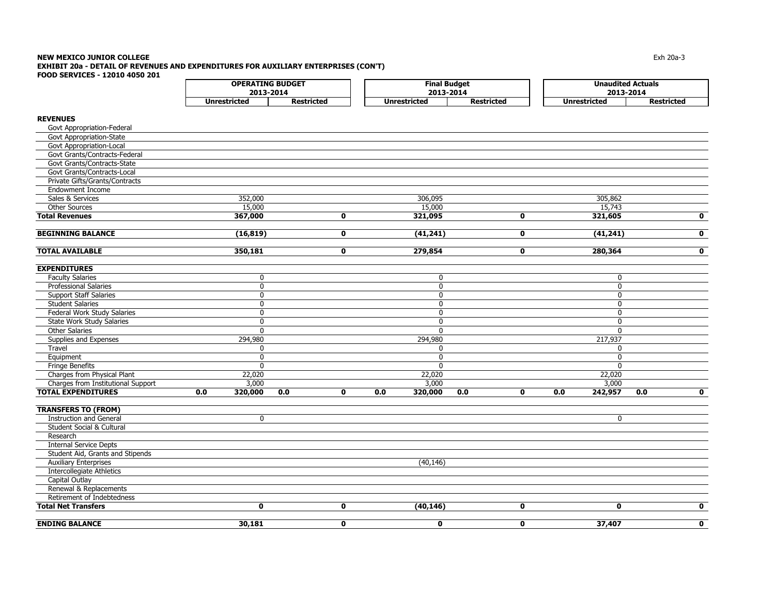#### **NEW MEXICO JUNIOR COLLEGE** $\blacksquare$  Exh 20a-3 **EXHIBIT 20a - DETAIL OF REVENUES AND EXPENDITURES FOR AUXILIARY ENTERPRISES (CON'T) FOOD SERVICES - 12010 4050 201**

|                                    |                     | <b>OPERATING BUDGET</b> |             | <b>Final Budget</b> |                   | <b>Unaudited Actuals</b> |                   |  |  |  |
|------------------------------------|---------------------|-------------------------|-------------|---------------------|-------------------|--------------------------|-------------------|--|--|--|
|                                    |                     | 2013-2014               |             | 2013-2014           |                   | 2013-2014                |                   |  |  |  |
|                                    | <b>Unrestricted</b> | <b>Restricted</b>       |             | <b>Unrestricted</b> | <b>Restricted</b> | <b>Unrestricted</b>      | <b>Restricted</b> |  |  |  |
| <b>REVENUES</b>                    |                     |                         |             |                     |                   |                          |                   |  |  |  |
| Govt Appropriation-Federal         |                     |                         |             |                     |                   |                          |                   |  |  |  |
| Govt Appropriation-State           |                     |                         |             |                     |                   |                          |                   |  |  |  |
| Govt Appropriation-Local           |                     |                         |             |                     |                   |                          |                   |  |  |  |
| Govt Grants/Contracts-Federal      |                     |                         |             |                     |                   |                          |                   |  |  |  |
| Govt Grants/Contracts-State        |                     |                         |             |                     |                   |                          |                   |  |  |  |
| Govt Grants/Contracts-Local        |                     |                         |             |                     |                   |                          |                   |  |  |  |
| Private Gifts/Grants/Contracts     |                     |                         |             |                     |                   |                          |                   |  |  |  |
| <b>Endowment Income</b>            |                     |                         |             |                     |                   |                          |                   |  |  |  |
| Sales & Services                   | 352,000             |                         |             | 306,095             |                   | 305,862                  |                   |  |  |  |
| <b>Other Sources</b>               | 15,000              |                         |             | 15,000              |                   | 15,743                   |                   |  |  |  |
| <b>Total Revenues</b>              | 367,000             |                         | $\mathbf 0$ | 321,095             | $\mathbf 0$       | 321,605                  | 0                 |  |  |  |
|                                    |                     |                         |             |                     |                   |                          |                   |  |  |  |
| <b>BEGINNING BALANCE</b>           | (16, 819)           |                         | $\mathbf 0$ | (41, 241)           | $\mathbf 0$       | (41, 241)                | 0                 |  |  |  |
| <b>TOTAL AVAILABLE</b>             |                     |                         | $\mathbf 0$ | 279,854             | 0                 |                          | 0                 |  |  |  |
|                                    | 350,181             |                         |             |                     |                   | 280,364                  |                   |  |  |  |
| <b>EXPENDITURES</b>                |                     |                         |             |                     |                   |                          |                   |  |  |  |
| <b>Faculty Salaries</b>            | 0                   |                         |             | 0                   |                   | 0                        |                   |  |  |  |
| <b>Professional Salaries</b>       | 0                   |                         |             | $\mathbf 0$         |                   | $\mathbf 0$              |                   |  |  |  |
| <b>Support Staff Salaries</b>      | 0                   |                         |             | $\mathbf{0}$        |                   | $\mathbf{0}$             |                   |  |  |  |
| <b>Student Salaries</b>            | $\mathbf{0}$        |                         |             | $\mathbf{0}$        |                   | $\mathbf{0}$             |                   |  |  |  |
| Federal Work Study Salaries        | $\mathbf{0}$        |                         |             | $\mathbf{0}$        |                   | 0                        |                   |  |  |  |
| State Work Study Salaries          | 0                   |                         |             | 0                   |                   | 0                        |                   |  |  |  |
| <b>Other Salaries</b>              | $\mathbf{0}$        |                         |             | $\mathbf{0}$        |                   | $\mathbf{0}$             |                   |  |  |  |
| Supplies and Expenses              | 294,980             |                         |             | 294,980             |                   | 217,937                  |                   |  |  |  |
| Travel                             | $\mathbf{0}$        |                         |             | $\mathbf{0}$        |                   | $\Omega$                 |                   |  |  |  |
| Equipment                          | $\mathbf{0}$        |                         |             | $\mathbf{0}$        |                   | $\mathbf{0}$             |                   |  |  |  |
| Fringe Benefits                    | $\Omega$            |                         |             | $\Omega$            |                   | $\Omega$                 |                   |  |  |  |
| Charges from Physical Plant        | 22,020              |                         |             | 22,020              |                   | 22,020                   |                   |  |  |  |
| Charges from Institutional Support | 3,000               |                         |             | 3,000               |                   | 3,000                    |                   |  |  |  |
| <b>TOTAL EXPENDITURES</b>          | 0.0<br>320,000      | 0.0                     | $\mathbf 0$ | 0.0<br>320,000      | 0.0<br>0          | 0.0<br>242,957           | 0.0<br>O          |  |  |  |
| <b>TRANSFERS TO (FROM)</b>         |                     |                         |             |                     |                   |                          |                   |  |  |  |
| <b>Instruction and General</b>     | $\mathbf 0$         |                         |             |                     |                   | $\mathbf 0$              |                   |  |  |  |
| Student Social & Cultural          |                     |                         |             |                     |                   |                          |                   |  |  |  |
| Research                           |                     |                         |             |                     |                   |                          |                   |  |  |  |
| <b>Internal Service Depts</b>      |                     |                         |             |                     |                   |                          |                   |  |  |  |
| Student Aid, Grants and Stipends   |                     |                         |             |                     |                   |                          |                   |  |  |  |
| <b>Auxiliary Enterprises</b>       |                     |                         |             | (40, 146)           |                   |                          |                   |  |  |  |
| <b>Intercollegiate Athletics</b>   |                     |                         |             |                     |                   |                          |                   |  |  |  |
| Capital Outlay                     |                     |                         |             |                     |                   |                          |                   |  |  |  |
| Renewal & Replacements             |                     |                         |             |                     |                   |                          |                   |  |  |  |
| Retirement of Indebtedness         |                     |                         |             |                     |                   |                          |                   |  |  |  |
| <b>Total Net Transfers</b>         | $\mathbf 0$         |                         | $\mathbf 0$ | (40, 146)           | $\mathbf 0$       | $\mathbf 0$              | 0                 |  |  |  |
|                                    |                     |                         |             |                     |                   |                          |                   |  |  |  |

**ENDING BALANCE 30,181 0 0 0 37,407 0**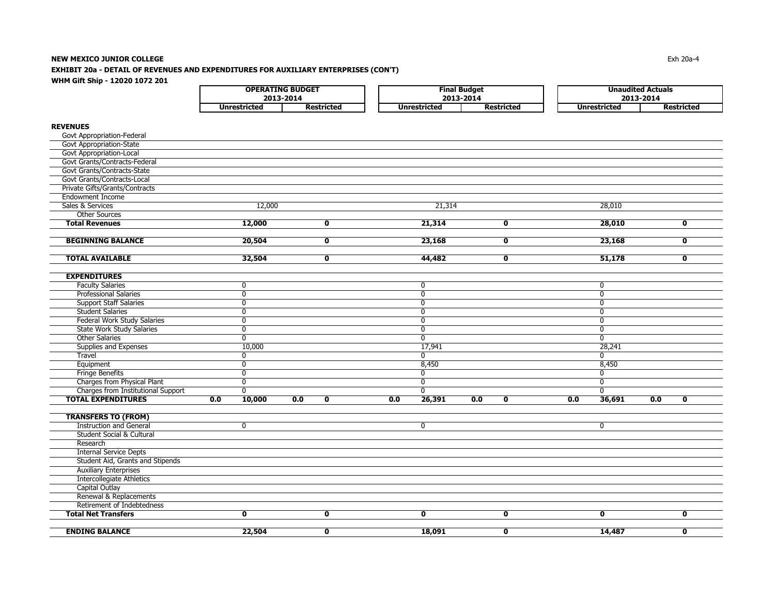### **NEW MEXICO JUNIOR COLLEGE** Exh 20a-4 **EXHIBIT 20a - DETAIL OF REVENUES AND EXPENDITURES FOR AUXILIARY ENTERPRISES (CON'T) WHM Gift Ship - 12020 1072 201**

| <b>OPERATING BUDGET</b> |            |              | <b>Final Budget</b> |  |              | <b>Unaudited Actuals</b> |
|-------------------------|------------|--------------|---------------------|--|--------------|--------------------------|
| 2013-2014               |            |              | 2013-2014           |  |              | 2013-2014                |
| Jnrestricted            | Restricted | Unrestricted | <b>Restricted</b>   |  | Unrestricted | Restricted               |

# **REVENUES**

| Govt Appropriation-Federal<br>Govt Appropriation-State<br><b>Govt Appropriation-Local</b><br>Govt Grants/Contracts-Federal<br>Govt Grants/Contracts-State<br>Govt Grants/Contracts-Local<br>Private Gifts/Grants/Contracts<br><b>Endowment Income</b><br>Sales & Services<br>12,000<br>21,314<br>28,010<br><b>Other Sources</b><br><b>Total Revenues</b><br>12,000<br>$\overline{\mathbf{0}}$<br>21,314<br>$\overline{\mathbf{0}}$<br>28,010<br>$\overline{\mathbf{0}}$<br><b>BEGINNING BALANCE</b><br>20,504<br>23,168<br>23,168<br>$\mathbf{0}$<br>$\mathbf 0$<br>$\mathbf 0$<br><b>TOTAL AVAILABLE</b><br>32,504<br>$\mathbf 0$<br>44,482<br>$\mathbf 0$<br>51,178<br>$\mathbf 0$<br><b>EXPENDITURES</b><br><b>Faculty Salaries</b><br>0<br>$\mathbf 0$<br>0<br><b>Professional Salaries</b><br>$\overline{0}$<br>$\overline{0}$<br>$\overline{0}$<br><b>Support Staff Salaries</b><br>0<br>0<br>$\mathbf 0$<br><b>Student Salaries</b><br>$\overline{0}$<br>$\overline{0}$<br>$\overline{0}$<br>Federal Work Study Salaries<br>$\overline{0}$<br>0<br>$\mathbf 0$<br><b>State Work Study Salaries</b><br>$\overline{0}$<br>$\overline{0}$<br>$\overline{0}$<br>$\overline{0}$<br><b>Other Salaries</b><br>$\overline{0}$<br>$\overline{0}$<br>Supplies and Expenses<br>10,000<br>17,941<br>28,241<br>$\overline{0}$<br>$\overline{0}$<br>Travel<br>$\mathbf{0}$<br>8,450<br>8,450<br>Equipment<br>$\mathbf 0$<br><b>Fringe Benefits</b><br>$\mathbf 0$<br>$\mathbf 0$<br>$\mathbf{0}$<br>Charges from Physical Plant<br>$\overline{0}$<br>$\overline{0}$<br>0<br>Charges from Institutional Support<br>$\overline{0}$<br>$\mathbf{0}$<br>0<br><b>TOTAL EXPENDITURES</b><br>0.0<br>10,000<br>26,391<br>36,691<br>0.0<br>$\mathbf 0$<br>0.0<br>0.0<br>$\mathbf 0$<br>0.0<br>0.0<br>$\mathbf 0$<br><b>TRANSFERS TO (FROM)</b><br><b>Instruction and General</b><br>$\overline{0}$<br>$\overline{0}$<br>0<br>Student Social & Cultural<br>Research<br><b>Internal Service Depts</b><br>Student Aid, Grants and Stipends<br><b>Auxiliary Enterprises</b><br><b>Intercollegiate Athletics</b><br>Capital Outlay<br>Renewal & Replacements<br>Retirement of Indebtedness<br>$\overline{\mathbf{0}}$<br>$\overline{\mathbf{0}}$<br>$\overline{\mathbf{0}}$<br><b>Total Net Transfers</b><br>$\mathbf 0$<br>$\mathbf 0$<br>0 |                       |        |              |        |             |        |             |
|-------------------------------------------------------------------------------------------------------------------------------------------------------------------------------------------------------------------------------------------------------------------------------------------------------------------------------------------------------------------------------------------------------------------------------------------------------------------------------------------------------------------------------------------------------------------------------------------------------------------------------------------------------------------------------------------------------------------------------------------------------------------------------------------------------------------------------------------------------------------------------------------------------------------------------------------------------------------------------------------------------------------------------------------------------------------------------------------------------------------------------------------------------------------------------------------------------------------------------------------------------------------------------------------------------------------------------------------------------------------------------------------------------------------------------------------------------------------------------------------------------------------------------------------------------------------------------------------------------------------------------------------------------------------------------------------------------------------------------------------------------------------------------------------------------------------------------------------------------------------------------------------------------------------------------------------------------------------------------------------------------------------------------------------------------------------------------------------------------------------------------------------------------------------------------------------------------------------------------------------------------------------------------------------------------------------------|-----------------------|--------|--------------|--------|-------------|--------|-------------|
|                                                                                                                                                                                                                                                                                                                                                                                                                                                                                                                                                                                                                                                                                                                                                                                                                                                                                                                                                                                                                                                                                                                                                                                                                                                                                                                                                                                                                                                                                                                                                                                                                                                                                                                                                                                                                                                                                                                                                                                                                                                                                                                                                                                                                                                                                                                         |                       |        |              |        |             |        |             |
|                                                                                                                                                                                                                                                                                                                                                                                                                                                                                                                                                                                                                                                                                                                                                                                                                                                                                                                                                                                                                                                                                                                                                                                                                                                                                                                                                                                                                                                                                                                                                                                                                                                                                                                                                                                                                                                                                                                                                                                                                                                                                                                                                                                                                                                                                                                         |                       |        |              |        |             |        |             |
|                                                                                                                                                                                                                                                                                                                                                                                                                                                                                                                                                                                                                                                                                                                                                                                                                                                                                                                                                                                                                                                                                                                                                                                                                                                                                                                                                                                                                                                                                                                                                                                                                                                                                                                                                                                                                                                                                                                                                                                                                                                                                                                                                                                                                                                                                                                         |                       |        |              |        |             |        |             |
|                                                                                                                                                                                                                                                                                                                                                                                                                                                                                                                                                                                                                                                                                                                                                                                                                                                                                                                                                                                                                                                                                                                                                                                                                                                                                                                                                                                                                                                                                                                                                                                                                                                                                                                                                                                                                                                                                                                                                                                                                                                                                                                                                                                                                                                                                                                         |                       |        |              |        |             |        |             |
|                                                                                                                                                                                                                                                                                                                                                                                                                                                                                                                                                                                                                                                                                                                                                                                                                                                                                                                                                                                                                                                                                                                                                                                                                                                                                                                                                                                                                                                                                                                                                                                                                                                                                                                                                                                                                                                                                                                                                                                                                                                                                                                                                                                                                                                                                                                         |                       |        |              |        |             |        |             |
|                                                                                                                                                                                                                                                                                                                                                                                                                                                                                                                                                                                                                                                                                                                                                                                                                                                                                                                                                                                                                                                                                                                                                                                                                                                                                                                                                                                                                                                                                                                                                                                                                                                                                                                                                                                                                                                                                                                                                                                                                                                                                                                                                                                                                                                                                                                         |                       |        |              |        |             |        |             |
|                                                                                                                                                                                                                                                                                                                                                                                                                                                                                                                                                                                                                                                                                                                                                                                                                                                                                                                                                                                                                                                                                                                                                                                                                                                                                                                                                                                                                                                                                                                                                                                                                                                                                                                                                                                                                                                                                                                                                                                                                                                                                                                                                                                                                                                                                                                         |                       |        |              |        |             |        |             |
|                                                                                                                                                                                                                                                                                                                                                                                                                                                                                                                                                                                                                                                                                                                                                                                                                                                                                                                                                                                                                                                                                                                                                                                                                                                                                                                                                                                                                                                                                                                                                                                                                                                                                                                                                                                                                                                                                                                                                                                                                                                                                                                                                                                                                                                                                                                         |                       |        |              |        |             |        |             |
|                                                                                                                                                                                                                                                                                                                                                                                                                                                                                                                                                                                                                                                                                                                                                                                                                                                                                                                                                                                                                                                                                                                                                                                                                                                                                                                                                                                                                                                                                                                                                                                                                                                                                                                                                                                                                                                                                                                                                                                                                                                                                                                                                                                                                                                                                                                         |                       |        |              |        |             |        |             |
|                                                                                                                                                                                                                                                                                                                                                                                                                                                                                                                                                                                                                                                                                                                                                                                                                                                                                                                                                                                                                                                                                                                                                                                                                                                                                                                                                                                                                                                                                                                                                                                                                                                                                                                                                                                                                                                                                                                                                                                                                                                                                                                                                                                                                                                                                                                         |                       |        |              |        |             |        |             |
|                                                                                                                                                                                                                                                                                                                                                                                                                                                                                                                                                                                                                                                                                                                                                                                                                                                                                                                                                                                                                                                                                                                                                                                                                                                                                                                                                                                                                                                                                                                                                                                                                                                                                                                                                                                                                                                                                                                                                                                                                                                                                                                                                                                                                                                                                                                         |                       |        |              |        |             |        |             |
|                                                                                                                                                                                                                                                                                                                                                                                                                                                                                                                                                                                                                                                                                                                                                                                                                                                                                                                                                                                                                                                                                                                                                                                                                                                                                                                                                                                                                                                                                                                                                                                                                                                                                                                                                                                                                                                                                                                                                                                                                                                                                                                                                                                                                                                                                                                         |                       |        |              |        |             |        |             |
|                                                                                                                                                                                                                                                                                                                                                                                                                                                                                                                                                                                                                                                                                                                                                                                                                                                                                                                                                                                                                                                                                                                                                                                                                                                                                                                                                                                                                                                                                                                                                                                                                                                                                                                                                                                                                                                                                                                                                                                                                                                                                                                                                                                                                                                                                                                         |                       |        |              |        |             |        |             |
|                                                                                                                                                                                                                                                                                                                                                                                                                                                                                                                                                                                                                                                                                                                                                                                                                                                                                                                                                                                                                                                                                                                                                                                                                                                                                                                                                                                                                                                                                                                                                                                                                                                                                                                                                                                                                                                                                                                                                                                                                                                                                                                                                                                                                                                                                                                         |                       |        |              |        |             |        |             |
|                                                                                                                                                                                                                                                                                                                                                                                                                                                                                                                                                                                                                                                                                                                                                                                                                                                                                                                                                                                                                                                                                                                                                                                                                                                                                                                                                                                                                                                                                                                                                                                                                                                                                                                                                                                                                                                                                                                                                                                                                                                                                                                                                                                                                                                                                                                         |                       |        |              |        |             |        |             |
|                                                                                                                                                                                                                                                                                                                                                                                                                                                                                                                                                                                                                                                                                                                                                                                                                                                                                                                                                                                                                                                                                                                                                                                                                                                                                                                                                                                                                                                                                                                                                                                                                                                                                                                                                                                                                                                                                                                                                                                                                                                                                                                                                                                                                                                                                                                         |                       |        |              |        |             |        |             |
|                                                                                                                                                                                                                                                                                                                                                                                                                                                                                                                                                                                                                                                                                                                                                                                                                                                                                                                                                                                                                                                                                                                                                                                                                                                                                                                                                                                                                                                                                                                                                                                                                                                                                                                                                                                                                                                                                                                                                                                                                                                                                                                                                                                                                                                                                                                         |                       |        |              |        |             |        |             |
|                                                                                                                                                                                                                                                                                                                                                                                                                                                                                                                                                                                                                                                                                                                                                                                                                                                                                                                                                                                                                                                                                                                                                                                                                                                                                                                                                                                                                                                                                                                                                                                                                                                                                                                                                                                                                                                                                                                                                                                                                                                                                                                                                                                                                                                                                                                         |                       |        |              |        |             |        |             |
|                                                                                                                                                                                                                                                                                                                                                                                                                                                                                                                                                                                                                                                                                                                                                                                                                                                                                                                                                                                                                                                                                                                                                                                                                                                                                                                                                                                                                                                                                                                                                                                                                                                                                                                                                                                                                                                                                                                                                                                                                                                                                                                                                                                                                                                                                                                         |                       |        |              |        |             |        |             |
|                                                                                                                                                                                                                                                                                                                                                                                                                                                                                                                                                                                                                                                                                                                                                                                                                                                                                                                                                                                                                                                                                                                                                                                                                                                                                                                                                                                                                                                                                                                                                                                                                                                                                                                                                                                                                                                                                                                                                                                                                                                                                                                                                                                                                                                                                                                         |                       |        |              |        |             |        |             |
|                                                                                                                                                                                                                                                                                                                                                                                                                                                                                                                                                                                                                                                                                                                                                                                                                                                                                                                                                                                                                                                                                                                                                                                                                                                                                                                                                                                                                                                                                                                                                                                                                                                                                                                                                                                                                                                                                                                                                                                                                                                                                                                                                                                                                                                                                                                         |                       |        |              |        |             |        |             |
|                                                                                                                                                                                                                                                                                                                                                                                                                                                                                                                                                                                                                                                                                                                                                                                                                                                                                                                                                                                                                                                                                                                                                                                                                                                                                                                                                                                                                                                                                                                                                                                                                                                                                                                                                                                                                                                                                                                                                                                                                                                                                                                                                                                                                                                                                                                         |                       |        |              |        |             |        |             |
|                                                                                                                                                                                                                                                                                                                                                                                                                                                                                                                                                                                                                                                                                                                                                                                                                                                                                                                                                                                                                                                                                                                                                                                                                                                                                                                                                                                                                                                                                                                                                                                                                                                                                                                                                                                                                                                                                                                                                                                                                                                                                                                                                                                                                                                                                                                         |                       |        |              |        |             |        |             |
|                                                                                                                                                                                                                                                                                                                                                                                                                                                                                                                                                                                                                                                                                                                                                                                                                                                                                                                                                                                                                                                                                                                                                                                                                                                                                                                                                                                                                                                                                                                                                                                                                                                                                                                                                                                                                                                                                                                                                                                                                                                                                                                                                                                                                                                                                                                         |                       |        |              |        |             |        |             |
|                                                                                                                                                                                                                                                                                                                                                                                                                                                                                                                                                                                                                                                                                                                                                                                                                                                                                                                                                                                                                                                                                                                                                                                                                                                                                                                                                                                                                                                                                                                                                                                                                                                                                                                                                                                                                                                                                                                                                                                                                                                                                                                                                                                                                                                                                                                         |                       |        |              |        |             |        |             |
|                                                                                                                                                                                                                                                                                                                                                                                                                                                                                                                                                                                                                                                                                                                                                                                                                                                                                                                                                                                                                                                                                                                                                                                                                                                                                                                                                                                                                                                                                                                                                                                                                                                                                                                                                                                                                                                                                                                                                                                                                                                                                                                                                                                                                                                                                                                         |                       |        |              |        |             |        |             |
|                                                                                                                                                                                                                                                                                                                                                                                                                                                                                                                                                                                                                                                                                                                                                                                                                                                                                                                                                                                                                                                                                                                                                                                                                                                                                                                                                                                                                                                                                                                                                                                                                                                                                                                                                                                                                                                                                                                                                                                                                                                                                                                                                                                                                                                                                                                         |                       |        |              |        |             |        |             |
|                                                                                                                                                                                                                                                                                                                                                                                                                                                                                                                                                                                                                                                                                                                                                                                                                                                                                                                                                                                                                                                                                                                                                                                                                                                                                                                                                                                                                                                                                                                                                                                                                                                                                                                                                                                                                                                                                                                                                                                                                                                                                                                                                                                                                                                                                                                         |                       |        |              |        |             |        |             |
|                                                                                                                                                                                                                                                                                                                                                                                                                                                                                                                                                                                                                                                                                                                                                                                                                                                                                                                                                                                                                                                                                                                                                                                                                                                                                                                                                                                                                                                                                                                                                                                                                                                                                                                                                                                                                                                                                                                                                                                                                                                                                                                                                                                                                                                                                                                         |                       |        |              |        |             |        |             |
|                                                                                                                                                                                                                                                                                                                                                                                                                                                                                                                                                                                                                                                                                                                                                                                                                                                                                                                                                                                                                                                                                                                                                                                                                                                                                                                                                                                                                                                                                                                                                                                                                                                                                                                                                                                                                                                                                                                                                                                                                                                                                                                                                                                                                                                                                                                         |                       |        |              |        |             |        |             |
|                                                                                                                                                                                                                                                                                                                                                                                                                                                                                                                                                                                                                                                                                                                                                                                                                                                                                                                                                                                                                                                                                                                                                                                                                                                                                                                                                                                                                                                                                                                                                                                                                                                                                                                                                                                                                                                                                                                                                                                                                                                                                                                                                                                                                                                                                                                         |                       |        |              |        |             |        |             |
|                                                                                                                                                                                                                                                                                                                                                                                                                                                                                                                                                                                                                                                                                                                                                                                                                                                                                                                                                                                                                                                                                                                                                                                                                                                                                                                                                                                                                                                                                                                                                                                                                                                                                                                                                                                                                                                                                                                                                                                                                                                                                                                                                                                                                                                                                                                         |                       |        |              |        |             |        |             |
|                                                                                                                                                                                                                                                                                                                                                                                                                                                                                                                                                                                                                                                                                                                                                                                                                                                                                                                                                                                                                                                                                                                                                                                                                                                                                                                                                                                                                                                                                                                                                                                                                                                                                                                                                                                                                                                                                                                                                                                                                                                                                                                                                                                                                                                                                                                         |                       |        |              |        |             |        |             |
|                                                                                                                                                                                                                                                                                                                                                                                                                                                                                                                                                                                                                                                                                                                                                                                                                                                                                                                                                                                                                                                                                                                                                                                                                                                                                                                                                                                                                                                                                                                                                                                                                                                                                                                                                                                                                                                                                                                                                                                                                                                                                                                                                                                                                                                                                                                         |                       |        |              |        |             |        |             |
|                                                                                                                                                                                                                                                                                                                                                                                                                                                                                                                                                                                                                                                                                                                                                                                                                                                                                                                                                                                                                                                                                                                                                                                                                                                                                                                                                                                                                                                                                                                                                                                                                                                                                                                                                                                                                                                                                                                                                                                                                                                                                                                                                                                                                                                                                                                         |                       |        |              |        |             |        |             |
|                                                                                                                                                                                                                                                                                                                                                                                                                                                                                                                                                                                                                                                                                                                                                                                                                                                                                                                                                                                                                                                                                                                                                                                                                                                                                                                                                                                                                                                                                                                                                                                                                                                                                                                                                                                                                                                                                                                                                                                                                                                                                                                                                                                                                                                                                                                         |                       |        |              |        |             |        |             |
|                                                                                                                                                                                                                                                                                                                                                                                                                                                                                                                                                                                                                                                                                                                                                                                                                                                                                                                                                                                                                                                                                                                                                                                                                                                                                                                                                                                                                                                                                                                                                                                                                                                                                                                                                                                                                                                                                                                                                                                                                                                                                                                                                                                                                                                                                                                         |                       |        |              |        |             |        |             |
|                                                                                                                                                                                                                                                                                                                                                                                                                                                                                                                                                                                                                                                                                                                                                                                                                                                                                                                                                                                                                                                                                                                                                                                                                                                                                                                                                                                                                                                                                                                                                                                                                                                                                                                                                                                                                                                                                                                                                                                                                                                                                                                                                                                                                                                                                                                         |                       |        |              |        |             |        |             |
|                                                                                                                                                                                                                                                                                                                                                                                                                                                                                                                                                                                                                                                                                                                                                                                                                                                                                                                                                                                                                                                                                                                                                                                                                                                                                                                                                                                                                                                                                                                                                                                                                                                                                                                                                                                                                                                                                                                                                                                                                                                                                                                                                                                                                                                                                                                         |                       |        |              |        |             |        |             |
|                                                                                                                                                                                                                                                                                                                                                                                                                                                                                                                                                                                                                                                                                                                                                                                                                                                                                                                                                                                                                                                                                                                                                                                                                                                                                                                                                                                                                                                                                                                                                                                                                                                                                                                                                                                                                                                                                                                                                                                                                                                                                                                                                                                                                                                                                                                         |                       |        |              |        |             |        |             |
|                                                                                                                                                                                                                                                                                                                                                                                                                                                                                                                                                                                                                                                                                                                                                                                                                                                                                                                                                                                                                                                                                                                                                                                                                                                                                                                                                                                                                                                                                                                                                                                                                                                                                                                                                                                                                                                                                                                                                                                                                                                                                                                                                                                                                                                                                                                         | <b>ENDING BALANCE</b> | 22,504 | $\mathbf{0}$ | 18,091 | $\mathbf 0$ | 14,487 | $\mathbf 0$ |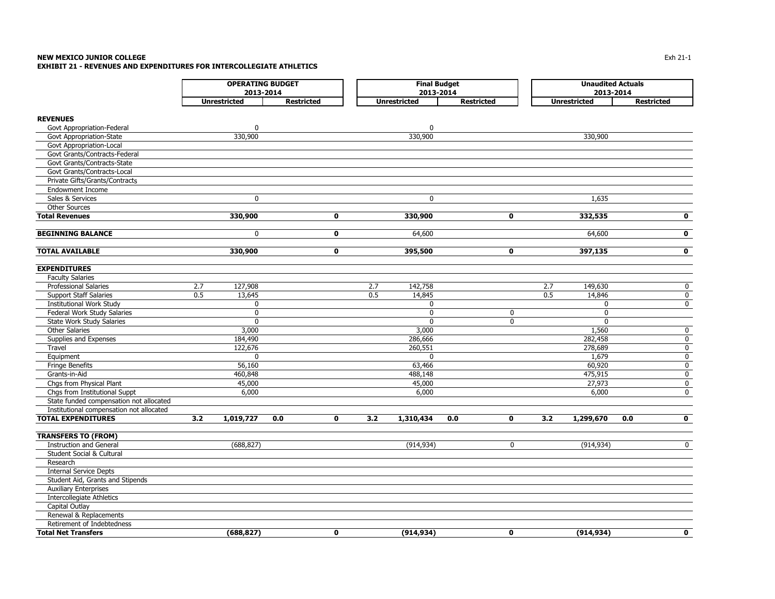#### **NEW MEXICO JUNIOR COLLEGE** $\mathsf E$

**EXHIBIT 21 - REVENUES AND EXPENDITURES FOR INTERCOLLEGIATE ATHLETICS**

|                                          |                     | <b>OPERATING BUDGET</b>    |                     | <b>Final Budget</b> |                    | <b>Unaudited Actuals</b> |                     |                         |  |
|------------------------------------------|---------------------|----------------------------|---------------------|---------------------|--------------------|--------------------------|---------------------|-------------------------|--|
|                                          |                     | 2013-2014                  |                     | 2013-2014           |                    | 2013-2014                |                     |                         |  |
|                                          | <b>Unrestricted</b> | <b>Restricted</b>          | <b>Unrestricted</b> |                     | <b>Restricted</b>  |                          | <b>Unrestricted</b> | <b>Restricted</b>       |  |
|                                          |                     |                            |                     |                     |                    |                          |                     |                         |  |
| <b>REVENUES</b>                          |                     |                            |                     |                     |                    |                          |                     |                         |  |
| Govt Appropriation-Federal               | $\mathbf 0$         |                            |                     | 0                   |                    |                          |                     |                         |  |
| Govt Appropriation-State                 | 330,900             |                            |                     | 330,900             |                    |                          | 330,900             |                         |  |
| Govt Appropriation-Local                 |                     |                            |                     |                     |                    |                          |                     |                         |  |
| Govt Grants/Contracts-Federal            |                     |                            |                     |                     |                    |                          |                     |                         |  |
| Govt Grants/Contracts-State              |                     |                            |                     |                     |                    |                          |                     |                         |  |
| Govt Grants/Contracts-Local              |                     |                            |                     |                     |                    |                          |                     |                         |  |
| Private Gifts/Grants/Contracts           |                     |                            |                     |                     |                    |                          |                     |                         |  |
| <b>Endowment Income</b>                  |                     |                            |                     |                     |                    |                          |                     |                         |  |
| Sales & Services                         |                     | $\mathbf 0$                |                     | $\mathbf 0$         |                    |                          | 1,635               |                         |  |
| <b>Other Sources</b>                     |                     |                            |                     |                     |                    |                          |                     |                         |  |
| <b>Total Revenues</b>                    | 330,900             | $\mathbf 0$                |                     | 330,900             | $\mathbf 0$        |                          | 332,535             | $\mathbf 0$             |  |
| <b>BEGINNING BALANCE</b>                 |                     | $\mathbf 0$<br>$\mathbf 0$ |                     | 64,600              |                    |                          | 64,600              | $\overline{\mathbf{0}}$ |  |
| <b>TOTAL AVAILABLE</b>                   | 330,900             | $\mathbf 0$                |                     | 395,500             | $\bf{0}$           |                          | 397,135             | $\mathbf{o}$            |  |
| <b>EXPENDITURES</b>                      |                     |                            |                     |                     |                    |                          |                     |                         |  |
| <b>Faculty Salaries</b>                  |                     |                            |                     |                     |                    |                          |                     |                         |  |
| <b>Professional Salaries</b>             | 2.7<br>127,908      |                            | 2.7                 | 142,758             |                    | 2.7                      | 149,630             | 0                       |  |
| <b>Support Staff Salaries</b>            | 0.5<br>13,645       |                            | 0.5                 | 14,845              |                    | 0.5                      | 14,846              | $\mathbf 0$             |  |
| <b>Institutional Work Study</b>          | 0                   |                            |                     | 0                   |                    |                          | 0                   | 0                       |  |
| Federal Work Study Salaries              | $\mathbf 0$         |                            |                     | 0                   | 0                  |                          | 0                   |                         |  |
| State Work Study Salaries                | $\mathbf 0$         |                            |                     | $\mathbf 0$         | 0                  |                          | $\mathbf 0$         |                         |  |
| <b>Other Salaries</b>                    | 3,000               |                            |                     | 3,000               |                    |                          | 1,560               | 0                       |  |
| Supplies and Expenses                    | 184,490             |                            |                     | 286,666             |                    |                          | 282,458             | $\mathbf 0$             |  |
| Travel                                   | 122,676             |                            |                     | 260,551             |                    |                          | 278,689             | 0                       |  |
| Equipment                                | 0                   |                            |                     | $\mathbf 0$         |                    |                          | 1,679               | 0                       |  |
| Fringe Benefits                          | 56,160              |                            |                     | 63,466              |                    |                          | 60,920              | 0                       |  |
| Grants-in-Aid                            | 460,848             |                            |                     | 488,148             |                    |                          | 475,915             | 0                       |  |
| Chgs from Physical Plant                 | 45,000              |                            |                     | 45,000              |                    |                          | 27,973              | 0                       |  |
| Chgs from Institutional Suppt            | 6,000               |                            |                     | 6,000               |                    |                          | 6,000               | $\mathbf 0$             |  |
| State funded compensation not allocated  |                     |                            |                     |                     |                    |                          |                     |                         |  |
| Institutional compensation not allocated |                     |                            |                     |                     |                    |                          |                     |                         |  |
| <b>TOTAL EXPENDITURES</b>                | 3.2<br>1,019,727    | 0.0<br>0                   | 3.2                 | 1,310,434           | $\mathbf 0$<br>0.0 | 3.2                      | 1,299,670           | $\mathbf 0$<br>0.0      |  |
| <b>TRANSFERS TO (FROM)</b>               |                     |                            |                     |                     |                    |                          |                     |                         |  |
| <b>Instruction and General</b>           | (688, 827)          |                            |                     | (914, 934)          | 0                  |                          | (914, 934)          | $\mathbf 0$             |  |
| <b>Student Social &amp; Cultural</b>     |                     |                            |                     |                     |                    |                          |                     |                         |  |
| Research                                 |                     |                            |                     |                     |                    |                          |                     |                         |  |
| <b>Internal Service Depts</b>            |                     |                            |                     |                     |                    |                          |                     |                         |  |
| Student Aid, Grants and Stipends         |                     |                            |                     |                     |                    |                          |                     |                         |  |
| <b>Auxiliary Enterprises</b>             |                     |                            |                     |                     |                    |                          |                     |                         |  |
| <b>Intercollegiate Athletics</b>         |                     |                            |                     |                     |                    |                          |                     |                         |  |
| Capital Outlay                           |                     |                            |                     |                     |                    |                          |                     |                         |  |
| Renewal & Replacements                   |                     |                            |                     |                     |                    |                          |                     |                         |  |
| Retirement of Indebtedness               |                     |                            |                     |                     |                    |                          |                     |                         |  |
| <b>Total Net Transfers</b>               | (688,827)           | 0                          |                     | (914, 934)          | $\mathbf 0$        |                          | (914, 934)          | $\mathbf{0}$            |  |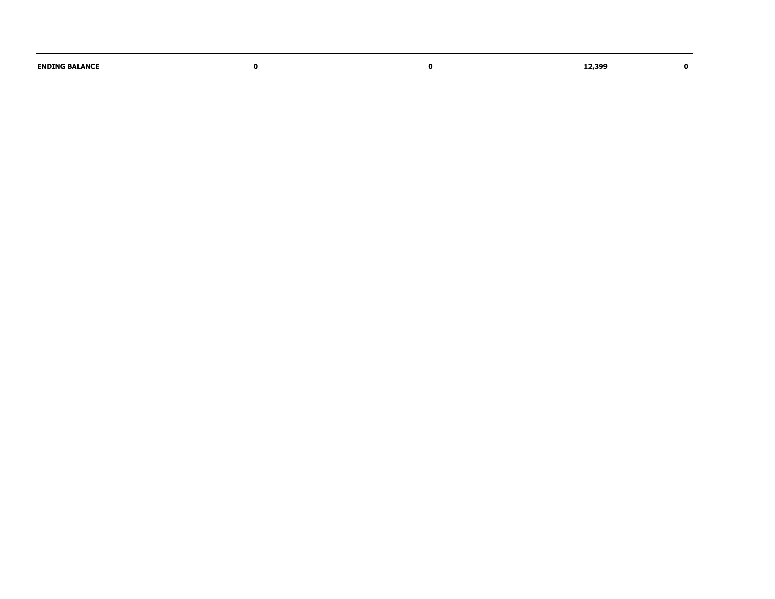| <b>RAI ANCE</b><br><b>ENDING</b> |  |  |
|----------------------------------|--|--|
|                                  |  |  |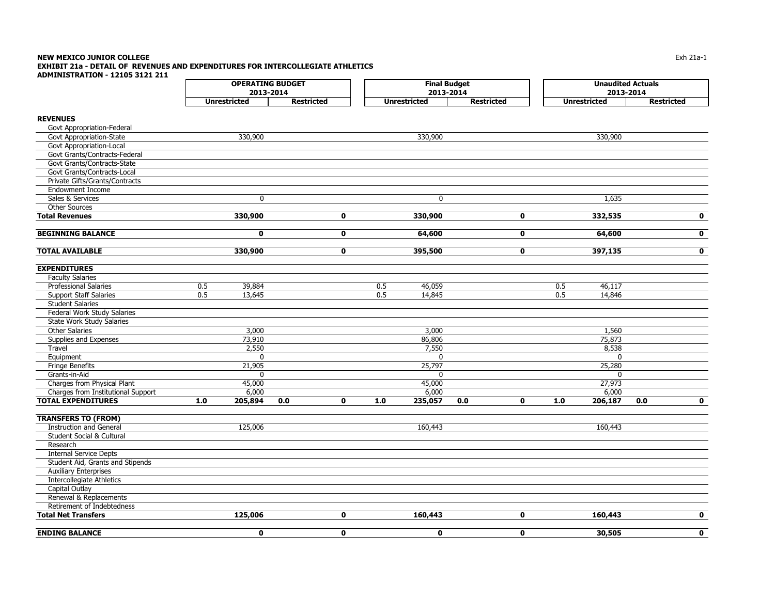#### **NEW MEXICO JUNIOR COLLEGE** $\mathsf E$  the contract of the contract of the contract of the contract of the contract of the contract of the contract of the contract of the contract of the contract of the contract of the contract of the contract of the co **EXHIBIT 21a - DETAIL OF REVENUES AND EXPENDITURES FOR INTERCOLLEGIATE ATHLETICS ADMINISTRATION - 12105 3121 211**

|                                    |         | <b>OPERATING BUDGET</b> |                   |             | <b>Final Budget</b> |                     |                   | <b>Unaudited Actuals</b> |       |                     |           |                   |
|------------------------------------|---------|-------------------------|-------------------|-------------|---------------------|---------------------|-------------------|--------------------------|-------|---------------------|-----------|-------------------|
|                                    |         | 2013-2014               |                   |             |                     | 2013-2014           |                   |                          |       |                     | 2013-2014 |                   |
|                                    |         | <b>Unrestricted</b>     | <b>Restricted</b> |             |                     | <b>Unrestricted</b> | <b>Restricted</b> |                          |       | <b>Unrestricted</b> |           | <b>Restricted</b> |
| <b>REVENUES</b>                    |         |                         |                   |             |                     |                     |                   |                          |       |                     |           |                   |
| Govt Appropriation-Federal         |         |                         |                   |             |                     |                     |                   |                          |       |                     |           |                   |
| Govt Appropriation-State           |         | 330,900                 |                   |             |                     | 330,900             |                   |                          |       | 330,900             |           |                   |
| Govt Appropriation-Local           |         |                         |                   |             |                     |                     |                   |                          |       |                     |           |                   |
| Govt Grants/Contracts-Federal      |         |                         |                   |             |                     |                     |                   |                          |       |                     |           |                   |
| Govt Grants/Contracts-State        |         |                         |                   |             |                     |                     |                   |                          |       |                     |           |                   |
| Govt Grants/Contracts-Local        |         |                         |                   |             |                     |                     |                   |                          |       |                     |           |                   |
| Private Gifts/Grants/Contracts     |         |                         |                   |             |                     |                     |                   |                          |       |                     |           |                   |
| <b>Endowment Income</b>            |         |                         |                   |             |                     |                     |                   |                          |       |                     |           |                   |
| Sales & Services                   |         | 0                       |                   |             |                     | 0                   |                   |                          |       | 1,635               |           |                   |
| <b>Other Sources</b>               |         |                         |                   |             |                     |                     |                   |                          |       |                     |           |                   |
| <b>Total Revenues</b>              |         | 330,900                 |                   | 0           |                     | 330,900             |                   | $\bf{0}$                 |       | 332,535             |           | $\mathbf 0$       |
|                                    |         |                         |                   |             |                     |                     |                   |                          |       |                     |           |                   |
| <b>BEGINNING BALANCE</b>           |         | 0                       |                   | 0           |                     | 64,600              |                   | 0                        |       | 64,600              |           | $\mathbf 0$       |
| <b>TOTAL AVAILABLE</b>             |         | 330,900                 |                   | 0           |                     | 395,500             |                   | 0                        |       | 397,135             |           | $\mathbf 0$       |
| <b>EXPENDITURES</b>                |         |                         |                   |             |                     |                     |                   |                          |       |                     |           |                   |
| <b>Faculty Salaries</b>            |         |                         |                   |             |                     |                     |                   |                          |       |                     |           |                   |
| <b>Professional Salaries</b>       | 0.5     | 39,884                  |                   |             | 0.5                 | 46,059              |                   |                          | 0.5   | 46,117              |           |                   |
| <b>Support Staff Salaries</b>      | 0.5     | 13,645                  |                   |             | 0.5                 | 14,845              |                   |                          | 0.5   | 14,846              |           |                   |
| <b>Student Salaries</b>            |         |                         |                   |             |                     |                     |                   |                          |       |                     |           |                   |
| Federal Work Study Salaries        |         |                         |                   |             |                     |                     |                   |                          |       |                     |           |                   |
| State Work Study Salaries          |         |                         |                   |             |                     |                     |                   |                          |       |                     |           |                   |
| <b>Other Salaries</b>              |         | 3,000                   |                   |             |                     | 3,000               |                   |                          |       | 1,560               |           |                   |
| Supplies and Expenses              |         | 73,910                  |                   |             |                     | 86,806              |                   |                          |       | 75,873              |           |                   |
| Travel                             |         | 2,550                   |                   |             |                     | 7,550               |                   |                          |       | 8,538               |           |                   |
| Equipment                          |         | 0                       |                   |             |                     | 0                   |                   |                          |       | 0                   |           |                   |
| <b>Fringe Benefits</b>             |         | 21,905                  |                   |             |                     | 25,797              |                   |                          |       | 25,280              |           |                   |
| Grants-in-Aid                      |         | 0                       |                   |             |                     | 0                   |                   |                          |       | $\mathbf{0}$        |           |                   |
| Charges from Physical Plant        |         | 45,000                  |                   |             |                     | 45,000              |                   |                          |       | 27,973              |           |                   |
| Charges from Institutional Support |         | 6,000                   |                   |             |                     | 6,000               |                   |                          |       | 6,000               |           |                   |
| <b>TOTAL EXPENDITURES</b>          | $1.0\,$ | 205,894                 | 0.0               | 0           | 1.0                 | 235,057             | 0.0               | $\mathbf 0$              | $1.0$ | 206,187             | 0.0       | $\mathbf 0$       |
|                                    |         |                         |                   |             |                     |                     |                   |                          |       |                     |           |                   |
| <b>TRANSFERS TO (FROM)</b>         |         |                         |                   |             |                     |                     |                   |                          |       |                     |           |                   |
| <b>Instruction and General</b>     |         | 125,006                 |                   |             |                     | 160,443             |                   |                          |       | 160,443             |           |                   |
| Student Social & Cultural          |         |                         |                   |             |                     |                     |                   |                          |       |                     |           |                   |
| Research                           |         |                         |                   |             |                     |                     |                   |                          |       |                     |           |                   |
| <b>Internal Service Depts</b>      |         |                         |                   |             |                     |                     |                   |                          |       |                     |           |                   |
| Student Aid, Grants and Stipends   |         |                         |                   |             |                     |                     |                   |                          |       |                     |           |                   |
| <b>Auxiliary Enterprises</b>       |         |                         |                   |             |                     |                     |                   |                          |       |                     |           |                   |
| <b>Intercollegiate Athletics</b>   |         |                         |                   |             |                     |                     |                   |                          |       |                     |           |                   |
| Capital Outlay                     |         |                         |                   |             |                     |                     |                   |                          |       |                     |           |                   |
| Renewal & Replacements             |         |                         |                   |             |                     |                     |                   |                          |       |                     |           |                   |
| Retirement of Indebtedness         |         |                         |                   |             |                     |                     |                   |                          |       |                     |           |                   |
| <b>Total Net Transfers</b>         |         | 125,006                 |                   | $\mathbf 0$ |                     | 160,443             |                   | $\mathbf 0$              |       | 160,443             |           | $\mathbf{0}$      |

**ENDING BALANCE 0 0 0 0 30,505 0**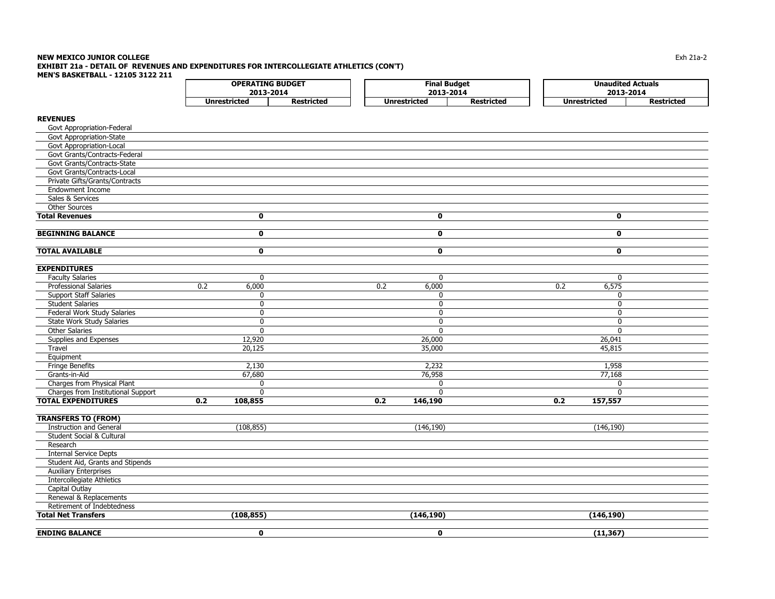#### **NEW MEXICO JUNIOR COLLEGE** $\mathsf E$  the contract of the contract of the contract of the contract of the contract of the contract of the  $21$ a-2 contract of the  $21$ a-2 contract of the  $21$ a-2 contract of the  $21$ a-2 contract of the  $21$ a-2 contract o **EXHIBIT 21a - DETAIL OF REVENUES AND EXPENDITURES FOR INTERCOLLEGIATE ATHLETICS (CON'T) MEN'S BASKETBALL - 12105 3122 211**

| <b>Unrestricted</b><br><b>Restricted</b><br><b>Unrestricted</b><br><b>Unrestricted</b><br><b>Restricted</b><br><b>REVENUES</b><br>Govt Appropriation-Federal<br>Govt Appropriation-State<br>Govt Appropriation-Local<br>Govt Grants/Contracts-Federal<br>Govt Grants/Contracts-State<br>Govt Grants/Contracts-Local<br>Private Gifts/Grants/Contracts<br><b>Endowment Income</b><br>Sales & Services<br>Other Sources<br><b>Total Revenues</b><br>0<br>0<br>0<br>$\overline{\mathbf{0}}$<br>$\overline{\mathbf{0}}$<br>$\overline{\mathbf{0}}$<br><b>BEGINNING BALANCE</b><br>$\overline{\mathbf{0}}$<br>$\overline{\mathbf{o}}$<br>$\overline{\mathbf{0}}$<br><b>TOTAL AVAILABLE</b><br><b>EXPENDITURES</b><br><b>Faculty Salaries</b><br>$\mathbf 0$<br>$\mathbf 0$<br>$\mathbf 0$<br><b>Professional Salaries</b><br>0.2<br>6,000<br>0.2<br>6,000<br>0.2<br>6,575<br><b>Support Staff Salaries</b><br>$\mathbf 0$<br>$\mathbf 0$<br>$\mathbf 0$<br><b>Student Salaries</b><br>$\mathbf 0$<br>$\mathbf 0$<br>$\mathbf 0$<br>Federal Work Study Salaries<br>$\mathbf 0$<br>$\mathbf 0$<br>$\Omega$<br><b>State Work Study Salaries</b><br>$\mathbf 0$<br>$\mathbf 0$<br>$\mathbf 0$<br><b>Other Salaries</b><br>$\mathbf{0}$<br>$\Omega$<br>$\Omega$<br>Supplies and Expenses<br>12,920<br>26,000<br>26,041<br>Travel<br>20,125<br>35,000<br>45,815<br>Equipment<br><b>Fringe Benefits</b><br>2,130<br>2,232<br>1,958<br>67,680<br>76,958<br>Grants-in-Aid<br>77,168<br>Charges from Physical Plant<br>$\Omega$<br>$\Omega$<br>$\Omega$<br>Charges from Institutional Support<br>$\mathbf{0}$<br>$\Omega$<br>$\Omega$<br><b>TOTAL EXPENDITURES</b><br>0.2<br>108,855<br>0.2<br>146,190<br>0.2<br>157,557<br><b>TRANSFERS TO (FROM)</b><br><b>Instruction and General</b><br>(108, 855)<br>(146, 190)<br>(146, 190)<br><b>Student Social &amp; Cultural</b><br>Research<br><b>Internal Service Depts</b><br>Student Aid, Grants and Stipends<br><b>Auxiliary Enterprises</b><br><b>Intercollegiate Athletics</b><br>Capital Outlay<br>Renewal & Replacements<br>Retirement of Indebtedness<br><b>Total Net Transfers</b><br>(108, 855)<br>(146, 190)<br>(146, 190) | <b>OPERATING BUDGET</b><br>2013-2014 | <b>Final Budget</b><br>2013-2014 |                   | <b>Unaudited Actuals</b><br>2013-2014 |  |
|--------------------------------------------------------------------------------------------------------------------------------------------------------------------------------------------------------------------------------------------------------------------------------------------------------------------------------------------------------------------------------------------------------------------------------------------------------------------------------------------------------------------------------------------------------------------------------------------------------------------------------------------------------------------------------------------------------------------------------------------------------------------------------------------------------------------------------------------------------------------------------------------------------------------------------------------------------------------------------------------------------------------------------------------------------------------------------------------------------------------------------------------------------------------------------------------------------------------------------------------------------------------------------------------------------------------------------------------------------------------------------------------------------------------------------------------------------------------------------------------------------------------------------------------------------------------------------------------------------------------------------------------------------------------------------------------------------------------------------------------------------------------------------------------------------------------------------------------------------------------------------------------------------------------------------------------------------------------------------------------------------------------------------------------------------------------------------------------------------------------------------------------------------------------|--------------------------------------|----------------------------------|-------------------|---------------------------------------|--|
|                                                                                                                                                                                                                                                                                                                                                                                                                                                                                                                                                                                                                                                                                                                                                                                                                                                                                                                                                                                                                                                                                                                                                                                                                                                                                                                                                                                                                                                                                                                                                                                                                                                                                                                                                                                                                                                                                                                                                                                                                                                                                                                                                                    |                                      |                                  | <b>Restricted</b> |                                       |  |
|                                                                                                                                                                                                                                                                                                                                                                                                                                                                                                                                                                                                                                                                                                                                                                                                                                                                                                                                                                                                                                                                                                                                                                                                                                                                                                                                                                                                                                                                                                                                                                                                                                                                                                                                                                                                                                                                                                                                                                                                                                                                                                                                                                    |                                      |                                  |                   |                                       |  |
|                                                                                                                                                                                                                                                                                                                                                                                                                                                                                                                                                                                                                                                                                                                                                                                                                                                                                                                                                                                                                                                                                                                                                                                                                                                                                                                                                                                                                                                                                                                                                                                                                                                                                                                                                                                                                                                                                                                                                                                                                                                                                                                                                                    |                                      |                                  |                   |                                       |  |
|                                                                                                                                                                                                                                                                                                                                                                                                                                                                                                                                                                                                                                                                                                                                                                                                                                                                                                                                                                                                                                                                                                                                                                                                                                                                                                                                                                                                                                                                                                                                                                                                                                                                                                                                                                                                                                                                                                                                                                                                                                                                                                                                                                    |                                      |                                  |                   |                                       |  |
|                                                                                                                                                                                                                                                                                                                                                                                                                                                                                                                                                                                                                                                                                                                                                                                                                                                                                                                                                                                                                                                                                                                                                                                                                                                                                                                                                                                                                                                                                                                                                                                                                                                                                                                                                                                                                                                                                                                                                                                                                                                                                                                                                                    |                                      |                                  |                   |                                       |  |
|                                                                                                                                                                                                                                                                                                                                                                                                                                                                                                                                                                                                                                                                                                                                                                                                                                                                                                                                                                                                                                                                                                                                                                                                                                                                                                                                                                                                                                                                                                                                                                                                                                                                                                                                                                                                                                                                                                                                                                                                                                                                                                                                                                    |                                      |                                  |                   |                                       |  |
|                                                                                                                                                                                                                                                                                                                                                                                                                                                                                                                                                                                                                                                                                                                                                                                                                                                                                                                                                                                                                                                                                                                                                                                                                                                                                                                                                                                                                                                                                                                                                                                                                                                                                                                                                                                                                                                                                                                                                                                                                                                                                                                                                                    |                                      |                                  |                   |                                       |  |
|                                                                                                                                                                                                                                                                                                                                                                                                                                                                                                                                                                                                                                                                                                                                                                                                                                                                                                                                                                                                                                                                                                                                                                                                                                                                                                                                                                                                                                                                                                                                                                                                                                                                                                                                                                                                                                                                                                                                                                                                                                                                                                                                                                    |                                      |                                  |                   |                                       |  |
|                                                                                                                                                                                                                                                                                                                                                                                                                                                                                                                                                                                                                                                                                                                                                                                                                                                                                                                                                                                                                                                                                                                                                                                                                                                                                                                                                                                                                                                                                                                                                                                                                                                                                                                                                                                                                                                                                                                                                                                                                                                                                                                                                                    |                                      |                                  |                   |                                       |  |
|                                                                                                                                                                                                                                                                                                                                                                                                                                                                                                                                                                                                                                                                                                                                                                                                                                                                                                                                                                                                                                                                                                                                                                                                                                                                                                                                                                                                                                                                                                                                                                                                                                                                                                                                                                                                                                                                                                                                                                                                                                                                                                                                                                    |                                      |                                  |                   |                                       |  |
|                                                                                                                                                                                                                                                                                                                                                                                                                                                                                                                                                                                                                                                                                                                                                                                                                                                                                                                                                                                                                                                                                                                                                                                                                                                                                                                                                                                                                                                                                                                                                                                                                                                                                                                                                                                                                                                                                                                                                                                                                                                                                                                                                                    |                                      |                                  |                   |                                       |  |
|                                                                                                                                                                                                                                                                                                                                                                                                                                                                                                                                                                                                                                                                                                                                                                                                                                                                                                                                                                                                                                                                                                                                                                                                                                                                                                                                                                                                                                                                                                                                                                                                                                                                                                                                                                                                                                                                                                                                                                                                                                                                                                                                                                    |                                      |                                  |                   |                                       |  |
|                                                                                                                                                                                                                                                                                                                                                                                                                                                                                                                                                                                                                                                                                                                                                                                                                                                                                                                                                                                                                                                                                                                                                                                                                                                                                                                                                                                                                                                                                                                                                                                                                                                                                                                                                                                                                                                                                                                                                                                                                                                                                                                                                                    |                                      |                                  |                   |                                       |  |
|                                                                                                                                                                                                                                                                                                                                                                                                                                                                                                                                                                                                                                                                                                                                                                                                                                                                                                                                                                                                                                                                                                                                                                                                                                                                                                                                                                                                                                                                                                                                                                                                                                                                                                                                                                                                                                                                                                                                                                                                                                                                                                                                                                    |                                      |                                  |                   |                                       |  |
|                                                                                                                                                                                                                                                                                                                                                                                                                                                                                                                                                                                                                                                                                                                                                                                                                                                                                                                                                                                                                                                                                                                                                                                                                                                                                                                                                                                                                                                                                                                                                                                                                                                                                                                                                                                                                                                                                                                                                                                                                                                                                                                                                                    |                                      |                                  |                   |                                       |  |
|                                                                                                                                                                                                                                                                                                                                                                                                                                                                                                                                                                                                                                                                                                                                                                                                                                                                                                                                                                                                                                                                                                                                                                                                                                                                                                                                                                                                                                                                                                                                                                                                                                                                                                                                                                                                                                                                                                                                                                                                                                                                                                                                                                    |                                      |                                  |                   |                                       |  |
|                                                                                                                                                                                                                                                                                                                                                                                                                                                                                                                                                                                                                                                                                                                                                                                                                                                                                                                                                                                                                                                                                                                                                                                                                                                                                                                                                                                                                                                                                                                                                                                                                                                                                                                                                                                                                                                                                                                                                                                                                                                                                                                                                                    |                                      |                                  |                   |                                       |  |
|                                                                                                                                                                                                                                                                                                                                                                                                                                                                                                                                                                                                                                                                                                                                                                                                                                                                                                                                                                                                                                                                                                                                                                                                                                                                                                                                                                                                                                                                                                                                                                                                                                                                                                                                                                                                                                                                                                                                                                                                                                                                                                                                                                    |                                      |                                  |                   |                                       |  |
|                                                                                                                                                                                                                                                                                                                                                                                                                                                                                                                                                                                                                                                                                                                                                                                                                                                                                                                                                                                                                                                                                                                                                                                                                                                                                                                                                                                                                                                                                                                                                                                                                                                                                                                                                                                                                                                                                                                                                                                                                                                                                                                                                                    |                                      |                                  |                   |                                       |  |
|                                                                                                                                                                                                                                                                                                                                                                                                                                                                                                                                                                                                                                                                                                                                                                                                                                                                                                                                                                                                                                                                                                                                                                                                                                                                                                                                                                                                                                                                                                                                                                                                                                                                                                                                                                                                                                                                                                                                                                                                                                                                                                                                                                    |                                      |                                  |                   |                                       |  |
|                                                                                                                                                                                                                                                                                                                                                                                                                                                                                                                                                                                                                                                                                                                                                                                                                                                                                                                                                                                                                                                                                                                                                                                                                                                                                                                                                                                                                                                                                                                                                                                                                                                                                                                                                                                                                                                                                                                                                                                                                                                                                                                                                                    |                                      |                                  |                   |                                       |  |
|                                                                                                                                                                                                                                                                                                                                                                                                                                                                                                                                                                                                                                                                                                                                                                                                                                                                                                                                                                                                                                                                                                                                                                                                                                                                                                                                                                                                                                                                                                                                                                                                                                                                                                                                                                                                                                                                                                                                                                                                                                                                                                                                                                    |                                      |                                  |                   |                                       |  |
|                                                                                                                                                                                                                                                                                                                                                                                                                                                                                                                                                                                                                                                                                                                                                                                                                                                                                                                                                                                                                                                                                                                                                                                                                                                                                                                                                                                                                                                                                                                                                                                                                                                                                                                                                                                                                                                                                                                                                                                                                                                                                                                                                                    |                                      |                                  |                   |                                       |  |
|                                                                                                                                                                                                                                                                                                                                                                                                                                                                                                                                                                                                                                                                                                                                                                                                                                                                                                                                                                                                                                                                                                                                                                                                                                                                                                                                                                                                                                                                                                                                                                                                                                                                                                                                                                                                                                                                                                                                                                                                                                                                                                                                                                    |                                      |                                  |                   |                                       |  |
|                                                                                                                                                                                                                                                                                                                                                                                                                                                                                                                                                                                                                                                                                                                                                                                                                                                                                                                                                                                                                                                                                                                                                                                                                                                                                                                                                                                                                                                                                                                                                                                                                                                                                                                                                                                                                                                                                                                                                                                                                                                                                                                                                                    |                                      |                                  |                   |                                       |  |
|                                                                                                                                                                                                                                                                                                                                                                                                                                                                                                                                                                                                                                                                                                                                                                                                                                                                                                                                                                                                                                                                                                                                                                                                                                                                                                                                                                                                                                                                                                                                                                                                                                                                                                                                                                                                                                                                                                                                                                                                                                                                                                                                                                    |                                      |                                  |                   |                                       |  |
|                                                                                                                                                                                                                                                                                                                                                                                                                                                                                                                                                                                                                                                                                                                                                                                                                                                                                                                                                                                                                                                                                                                                                                                                                                                                                                                                                                                                                                                                                                                                                                                                                                                                                                                                                                                                                                                                                                                                                                                                                                                                                                                                                                    |                                      |                                  |                   |                                       |  |
|                                                                                                                                                                                                                                                                                                                                                                                                                                                                                                                                                                                                                                                                                                                                                                                                                                                                                                                                                                                                                                                                                                                                                                                                                                                                                                                                                                                                                                                                                                                                                                                                                                                                                                                                                                                                                                                                                                                                                                                                                                                                                                                                                                    |                                      |                                  |                   |                                       |  |
|                                                                                                                                                                                                                                                                                                                                                                                                                                                                                                                                                                                                                                                                                                                                                                                                                                                                                                                                                                                                                                                                                                                                                                                                                                                                                                                                                                                                                                                                                                                                                                                                                                                                                                                                                                                                                                                                                                                                                                                                                                                                                                                                                                    |                                      |                                  |                   |                                       |  |
|                                                                                                                                                                                                                                                                                                                                                                                                                                                                                                                                                                                                                                                                                                                                                                                                                                                                                                                                                                                                                                                                                                                                                                                                                                                                                                                                                                                                                                                                                                                                                                                                                                                                                                                                                                                                                                                                                                                                                                                                                                                                                                                                                                    |                                      |                                  |                   |                                       |  |
|                                                                                                                                                                                                                                                                                                                                                                                                                                                                                                                                                                                                                                                                                                                                                                                                                                                                                                                                                                                                                                                                                                                                                                                                                                                                                                                                                                                                                                                                                                                                                                                                                                                                                                                                                                                                                                                                                                                                                                                                                                                                                                                                                                    |                                      |                                  |                   |                                       |  |
|                                                                                                                                                                                                                                                                                                                                                                                                                                                                                                                                                                                                                                                                                                                                                                                                                                                                                                                                                                                                                                                                                                                                                                                                                                                                                                                                                                                                                                                                                                                                                                                                                                                                                                                                                                                                                                                                                                                                                                                                                                                                                                                                                                    |                                      |                                  |                   |                                       |  |
|                                                                                                                                                                                                                                                                                                                                                                                                                                                                                                                                                                                                                                                                                                                                                                                                                                                                                                                                                                                                                                                                                                                                                                                                                                                                                                                                                                                                                                                                                                                                                                                                                                                                                                                                                                                                                                                                                                                                                                                                                                                                                                                                                                    |                                      |                                  |                   |                                       |  |
|                                                                                                                                                                                                                                                                                                                                                                                                                                                                                                                                                                                                                                                                                                                                                                                                                                                                                                                                                                                                                                                                                                                                                                                                                                                                                                                                                                                                                                                                                                                                                                                                                                                                                                                                                                                                                                                                                                                                                                                                                                                                                                                                                                    |                                      |                                  |                   |                                       |  |
|                                                                                                                                                                                                                                                                                                                                                                                                                                                                                                                                                                                                                                                                                                                                                                                                                                                                                                                                                                                                                                                                                                                                                                                                                                                                                                                                                                                                                                                                                                                                                                                                                                                                                                                                                                                                                                                                                                                                                                                                                                                                                                                                                                    |                                      |                                  |                   |                                       |  |
|                                                                                                                                                                                                                                                                                                                                                                                                                                                                                                                                                                                                                                                                                                                                                                                                                                                                                                                                                                                                                                                                                                                                                                                                                                                                                                                                                                                                                                                                                                                                                                                                                                                                                                                                                                                                                                                                                                                                                                                                                                                                                                                                                                    |                                      |                                  |                   |                                       |  |
|                                                                                                                                                                                                                                                                                                                                                                                                                                                                                                                                                                                                                                                                                                                                                                                                                                                                                                                                                                                                                                                                                                                                                                                                                                                                                                                                                                                                                                                                                                                                                                                                                                                                                                                                                                                                                                                                                                                                                                                                                                                                                                                                                                    |                                      |                                  |                   |                                       |  |
|                                                                                                                                                                                                                                                                                                                                                                                                                                                                                                                                                                                                                                                                                                                                                                                                                                                                                                                                                                                                                                                                                                                                                                                                                                                                                                                                                                                                                                                                                                                                                                                                                                                                                                                                                                                                                                                                                                                                                                                                                                                                                                                                                                    |                                      |                                  |                   |                                       |  |
|                                                                                                                                                                                                                                                                                                                                                                                                                                                                                                                                                                                                                                                                                                                                                                                                                                                                                                                                                                                                                                                                                                                                                                                                                                                                                                                                                                                                                                                                                                                                                                                                                                                                                                                                                                                                                                                                                                                                                                                                                                                                                                                                                                    |                                      |                                  |                   |                                       |  |
|                                                                                                                                                                                                                                                                                                                                                                                                                                                                                                                                                                                                                                                                                                                                                                                                                                                                                                                                                                                                                                                                                                                                                                                                                                                                                                                                                                                                                                                                                                                                                                                                                                                                                                                                                                                                                                                                                                                                                                                                                                                                                                                                                                    |                                      |                                  |                   |                                       |  |
|                                                                                                                                                                                                                                                                                                                                                                                                                                                                                                                                                                                                                                                                                                                                                                                                                                                                                                                                                                                                                                                                                                                                                                                                                                                                                                                                                                                                                                                                                                                                                                                                                                                                                                                                                                                                                                                                                                                                                                                                                                                                                                                                                                    |                                      |                                  |                   |                                       |  |
|                                                                                                                                                                                                                                                                                                                                                                                                                                                                                                                                                                                                                                                                                                                                                                                                                                                                                                                                                                                                                                                                                                                                                                                                                                                                                                                                                                                                                                                                                                                                                                                                                                                                                                                                                                                                                                                                                                                                                                                                                                                                                                                                                                    |                                      |                                  |                   |                                       |  |
|                                                                                                                                                                                                                                                                                                                                                                                                                                                                                                                                                                                                                                                                                                                                                                                                                                                                                                                                                                                                                                                                                                                                                                                                                                                                                                                                                                                                                                                                                                                                                                                                                                                                                                                                                                                                                                                                                                                                                                                                                                                                                                                                                                    |                                      |                                  |                   |                                       |  |
|                                                                                                                                                                                                                                                                                                                                                                                                                                                                                                                                                                                                                                                                                                                                                                                                                                                                                                                                                                                                                                                                                                                                                                                                                                                                                                                                                                                                                                                                                                                                                                                                                                                                                                                                                                                                                                                                                                                                                                                                                                                                                                                                                                    |                                      |                                  |                   |                                       |  |
|                                                                                                                                                                                                                                                                                                                                                                                                                                                                                                                                                                                                                                                                                                                                                                                                                                                                                                                                                                                                                                                                                                                                                                                                                                                                                                                                                                                                                                                                                                                                                                                                                                                                                                                                                                                                                                                                                                                                                                                                                                                                                                                                                                    |                                      |                                  |                   |                                       |  |

**ENDING BALANCE 0 0 (11,367)**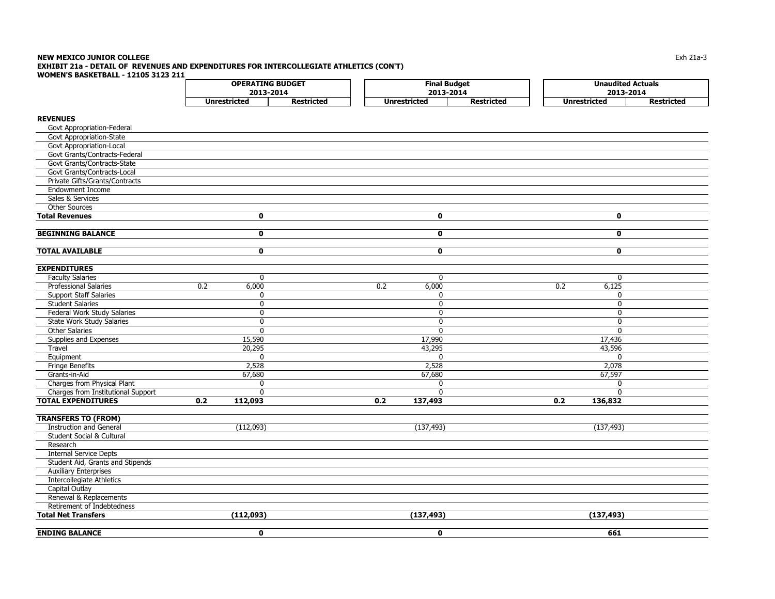#### **NEW MEXICO JUNIOR COLLEGE** $\mathsf E$  the contract of the contract of the contract of the contract of the contract of the contract of the contract of the contract of the contract of the contract of the contract of the contract of the contract of the co **EXHIBIT 21a - DETAIL OF REVENUES AND EXPENDITURES FOR INTERCOLLEGIATE ATHLETICS (CON'T) WOMEN'S BASKETBALL - 12105 3123 211**

| WOMEN'S BASKETBALL - 12103 3123 211  | <b>OPERATING BUDGET</b> |                   |                         | <b>Final Budget</b> | <b>Unaudited Actuals</b> |                   |
|--------------------------------------|-------------------------|-------------------|-------------------------|---------------------|--------------------------|-------------------|
|                                      | 2013-2014               |                   |                         | 2013-2014           | 2013-2014                |                   |
|                                      | <b>Unrestricted</b>     | <b>Restricted</b> | <b>Unrestricted</b>     | <b>Restricted</b>   | <b>Unrestricted</b>      | <b>Restricted</b> |
| <b>REVENUES</b>                      |                         |                   |                         |                     |                          |                   |
| Govt Appropriation-Federal           |                         |                   |                         |                     |                          |                   |
| Govt Appropriation-State             |                         |                   |                         |                     |                          |                   |
| Govt Appropriation-Local             |                         |                   |                         |                     |                          |                   |
| Govt Grants/Contracts-Federal        |                         |                   |                         |                     |                          |                   |
| Govt Grants/Contracts-State          |                         |                   |                         |                     |                          |                   |
| Govt Grants/Contracts-Local          |                         |                   |                         |                     |                          |                   |
| Private Gifts/Grants/Contracts       |                         |                   |                         |                     |                          |                   |
|                                      |                         |                   |                         |                     |                          |                   |
| <b>Endowment Income</b>              |                         |                   |                         |                     |                          |                   |
| Sales & Services                     |                         |                   |                         |                     |                          |                   |
| <b>Other Sources</b>                 |                         |                   |                         |                     |                          |                   |
| <b>Total Revenues</b>                | $\mathbf{0}$            |                   | $\mathbf 0$             |                     | $\mathbf 0$              |                   |
| <b>BEGINNING BALANCE</b>             | 0                       |                   | $\overline{\mathbf{0}}$ |                     | $\overline{\mathbf{0}}$  |                   |
| <b>TOTAL AVAILABLE</b>               | $\mathbf 0$             |                   | $\mathbf 0$             |                     | $\mathbf 0$              |                   |
|                                      |                         |                   |                         |                     |                          |                   |
| <b>EXPENDITURES</b>                  |                         |                   |                         |                     |                          |                   |
| <b>Faculty Salaries</b>              | $\mathbf 0$             |                   | 0                       |                     | $\mathbf 0$              |                   |
| <b>Professional Salaries</b>         | 0.2<br>6,000            |                   | 0.2<br>6,000            |                     | 6,125<br>0.2             |                   |
| <b>Support Staff Salaries</b>        | $\mathbf 0$             |                   | 0                       |                     | $\mathbf 0$              |                   |
| <b>Student Salaries</b>              | $\mathbf{0}$            |                   | $\Omega$                |                     | $\mathbf{0}$             |                   |
| Federal Work Study Salaries          | $\mathbf 0$             |                   | 0                       |                     | $\mathbf 0$              |                   |
| <b>State Work Study Salaries</b>     | $\mathbf{0}$            |                   | $\overline{0}$          |                     | $\overline{0}$           |                   |
| <b>Other Salaries</b>                | $\mathbf{0}$            |                   | $\Omega$                |                     | $\mathbf{0}$             |                   |
| Supplies and Expenses                | 15,590                  |                   | 17,990                  |                     | 17,436                   |                   |
| Travel                               | 20,295                  |                   | 43,295                  |                     | 43,596                   |                   |
| Equipment                            | $\mathbf 0$             |                   | $\mathbf 0$             |                     | $\mathbf 0$              |                   |
| <b>Fringe Benefits</b>               | 2,528                   |                   | 2,528                   |                     | 2,078                    |                   |
| Grants-in-Aid                        | 67,680                  |                   | 67,680                  |                     | 67,597                   |                   |
| Charges from Physical Plant          | $\mathbf{0}$            |                   | $\Omega$                |                     | $\mathbf 0$              |                   |
| Charges from Institutional Support   | $\mathbf 0$             |                   | 0                       |                     | $\mathbf 0$              |                   |
| <b>TOTAL EXPENDITURES</b>            | 0.2<br>112,093          |                   | 0.2<br>137,493          |                     | 0.2<br>136,832           |                   |
| <b>TRANSFERS TO (FROM)</b>           |                         |                   |                         |                     |                          |                   |
| <b>Instruction and General</b>       | (112,093)               |                   | (137, 493)              |                     | (137, 493)               |                   |
| <b>Student Social &amp; Cultural</b> |                         |                   |                         |                     |                          |                   |
| Research                             |                         |                   |                         |                     |                          |                   |
| <b>Internal Service Depts</b>        |                         |                   |                         |                     |                          |                   |
| Student Aid, Grants and Stipends     |                         |                   |                         |                     |                          |                   |
| <b>Auxiliary Enterprises</b>         |                         |                   |                         |                     |                          |                   |
| <b>Intercollegiate Athletics</b>     |                         |                   |                         |                     |                          |                   |
| Capital Outlay                       |                         |                   |                         |                     |                          |                   |
| Renewal & Replacements               |                         |                   |                         |                     |                          |                   |
| Retirement of Indebtedness           |                         |                   |                         |                     |                          |                   |
| <b>Total Net Transfers</b>           | (112,093)               |                   | (137, 493)              |                     | (137, 493)               |                   |
| <b>ENDING BALANCE</b>                | $\mathbf 0$             |                   | $\mathbf 0$             |                     | 661                      |                   |
|                                      |                         |                   |                         |                     |                          |                   |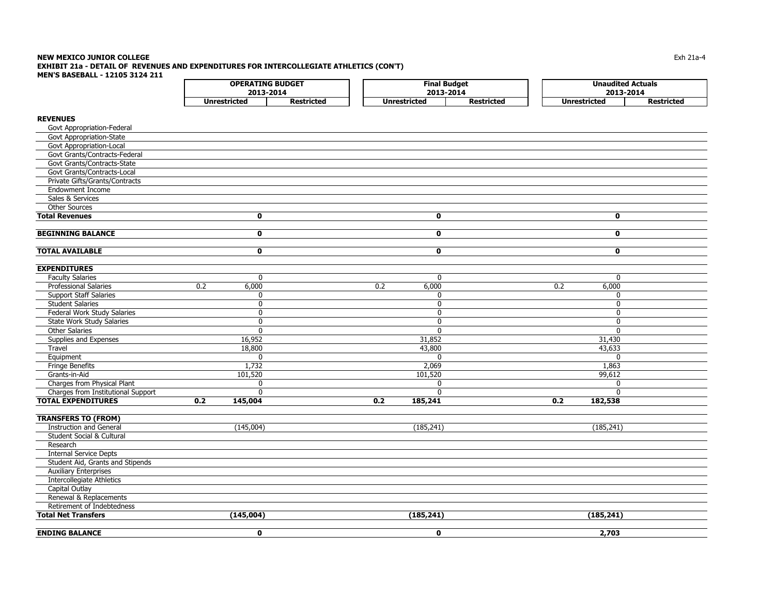#### **NEW MEXICO JUNIOR COLLEGE** Exh 21a-4 **EXHIBIT 21a - DETAIL OF REVENUES AND EXPENDITURES FOR INTERCOLLEGIATE ATHLETICS (CON'T) MEN'S BASEBALL - 12105 3124 211** $\Gamma$ **OPERATING BUDGET Final Budget Unaudited Actuals**

|                                    | UFLINAI LING DUDGLI<br>2013-2014 |                   |     | ı ınal buuyet<br>2013-2014 |                   |                     | <b>UIIQUUILCU ACLUQIS</b><br>2013-2014 |
|------------------------------------|----------------------------------|-------------------|-----|----------------------------|-------------------|---------------------|----------------------------------------|
|                                    | <b>Unrestricted</b>              | <b>Restricted</b> |     | <b>Unrestricted</b>        | <b>Restricted</b> | <b>Unrestricted</b> | <b>Restricted</b>                      |
|                                    |                                  |                   |     |                            |                   |                     |                                        |
| <b>REVENUES</b>                    |                                  |                   |     |                            |                   |                     |                                        |
| Govt Appropriation-Federal         |                                  |                   |     |                            |                   |                     |                                        |
| Govt Appropriation-State           |                                  |                   |     |                            |                   |                     |                                        |
| Govt Appropriation-Local           |                                  |                   |     |                            |                   |                     |                                        |
| Govt Grants/Contracts-Federal      |                                  |                   |     |                            |                   |                     |                                        |
| Govt Grants/Contracts-State        |                                  |                   |     |                            |                   |                     |                                        |
| Govt Grants/Contracts-Local        |                                  |                   |     |                            |                   |                     |                                        |
| Private Gifts/Grants/Contracts     |                                  |                   |     |                            |                   |                     |                                        |
| <b>Endowment Income</b>            |                                  |                   |     |                            |                   |                     |                                        |
| Sales & Services                   |                                  |                   |     |                            |                   |                     |                                        |
| Other Sources                      |                                  |                   |     |                            |                   |                     |                                        |
| <b>Total Revenues</b>              | $\mathbf 0$                      |                   |     | $\mathbf 0$                |                   | 0                   |                                        |
| <b>BEGINNING BALANCE</b>           | $\mathbf 0$                      |                   |     | $\mathbf 0$                |                   | $\mathbf 0$         |                                        |
| <b>TOTAL AVAILABLE</b>             | $\mathbf 0$                      |                   |     | $\mathbf 0$                |                   | $\mathbf 0$         |                                        |
| <b>EXPENDITURES</b>                |                                  |                   |     |                            |                   |                     |                                        |
| <b>Faculty Salaries</b>            | $\mathbf 0$                      |                   |     | 0                          |                   | $\mathbf{0}$        |                                        |
| <b>Professional Salaries</b>       | 6,000<br>0.2                     |                   | 0.2 | 6,000                      |                   | 6,000<br>0.2        |                                        |
| <b>Support Staff Salaries</b>      | 0                                |                   |     | $\mathbf{0}$               |                   | $\mathbf{0}$        |                                        |
| <b>Student Salaries</b>            | $\mathbf{0}$                     |                   |     | $\mathbf{0}$               |                   | $\mathbf{0}$        |                                        |
| Federal Work Study Salaries        | $\mathbf{0}$                     |                   |     | 0                          |                   | $\mathbf{0}$        |                                        |
| State Work Study Salaries          | $\mathbf{0}$                     |                   |     | $\Omega$                   |                   | $\Omega$            |                                        |
| <b>Other Salaries</b>              | $\mathbf 0$                      |                   |     | 0                          |                   | $\mathbf{0}$        |                                        |
| Supplies and Expenses              | 16,952                           |                   |     | 31,852                     |                   | 31,430              |                                        |
| Travel                             | 18,800                           |                   |     | 43,800                     |                   | 43,633              |                                        |
| Equipment                          | $\Omega$                         |                   |     | $\mathbf{0}$               |                   | $\Omega$            |                                        |
| <b>Fringe Benefits</b>             | 1,732                            |                   |     | 2,069                      |                   | 1,863               |                                        |
| Grants-in-Aid                      | 101,520                          |                   |     | 101,520                    |                   | 99,612              |                                        |
| Charges from Physical Plant        | 0                                |                   |     | 0                          |                   | $\mathbf{0}$        |                                        |
| Charges from Institutional Support | $\Omega$                         |                   |     | $\Omega$                   |                   | $\Omega$            |                                        |
| <b>TOTAL EXPENDITURES</b>          | 0.2<br>145,004                   |                   | 0.2 | 185,241                    |                   | 0.2<br>182,538      |                                        |
| <b>TRANSFERS TO (FROM)</b>         |                                  |                   |     |                            |                   |                     |                                        |
| <b>Instruction and General</b>     | (145,004)                        |                   |     | (185, 241)                 |                   | (185, 241)          |                                        |
| Student Social & Cultural          |                                  |                   |     |                            |                   |                     |                                        |
| Research                           |                                  |                   |     |                            |                   |                     |                                        |
| <b>Internal Service Depts</b>      |                                  |                   |     |                            |                   |                     |                                        |
| Student Aid, Grants and Stipends   |                                  |                   |     |                            |                   |                     |                                        |
| <b>Auxiliary Enterprises</b>       |                                  |                   |     |                            |                   |                     |                                        |
| Intercollegiate Athletics          |                                  |                   |     |                            |                   |                     |                                        |
| Capital Outlay                     |                                  |                   |     |                            |                   |                     |                                        |
| <b>Penewal &amp; Penlacements</b>  |                                  |                   |     |                            |                   |                     |                                        |

 Renewal & Replacements Retirement of Indebtedness **Total Net Transfers (145,004) (185,241) (185,241) ENDING BALANCE 0 0 2,703**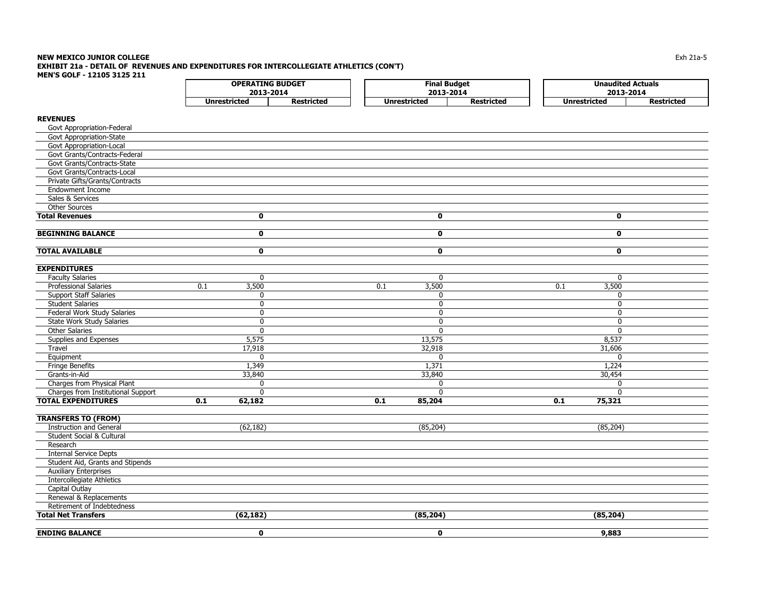### **NEW MEXICO JUNIOR COLLEGE** $\mathsf E$  the contract of the contract of the contract of the contract of the contract of the contract of the contract of the contract of the contract of the contract of the contract of the contract of the contract of the co **EXHIBIT 21a - DETAIL OF REVENUES AND EXPENDITURES FOR INTERCOLLEGIATE ATHLETICS (CON'T) MEN'S GOLF - 12105 3125 211**

|                                                              |                     | <b>OPERATING BUDGET</b><br>2013-2014 |                     | <b>Final Budget</b><br>2013-2014 |                   |     | <b>Unaudited Actuals</b><br>2013-2014 |                   |
|--------------------------------------------------------------|---------------------|--------------------------------------|---------------------|----------------------------------|-------------------|-----|---------------------------------------|-------------------|
|                                                              | <b>Unrestricted</b> | <b>Restricted</b>                    | <b>Unrestricted</b> |                                  | <b>Restricted</b> |     | <b>Unrestricted</b>                   | <b>Restricted</b> |
|                                                              |                     |                                      |                     |                                  |                   |     |                                       |                   |
| <b>REVENUES</b>                                              |                     |                                      |                     |                                  |                   |     |                                       |                   |
| Govt Appropriation-Federal                                   |                     |                                      |                     |                                  |                   |     |                                       |                   |
| Govt Appropriation-State                                     |                     |                                      |                     |                                  |                   |     |                                       |                   |
| <b>Govt Appropriation-Local</b>                              |                     |                                      |                     |                                  |                   |     |                                       |                   |
| Govt Grants/Contracts-Federal                                |                     |                                      |                     |                                  |                   |     |                                       |                   |
| Govt Grants/Contracts-State                                  |                     |                                      |                     |                                  |                   |     |                                       |                   |
| Govt Grants/Contracts-Local                                  |                     |                                      |                     |                                  |                   |     |                                       |                   |
| Private Gifts/Grants/Contracts                               |                     |                                      |                     |                                  |                   |     |                                       |                   |
| <b>Endowment Income</b>                                      |                     |                                      |                     |                                  |                   |     |                                       |                   |
| Sales & Services                                             |                     |                                      |                     |                                  |                   |     |                                       |                   |
| <b>Other Sources</b>                                         |                     |                                      |                     |                                  |                   |     |                                       |                   |
| <b>Total Revenues</b>                                        | $\mathbf 0$         |                                      |                     | 0                                |                   |     | 0                                     |                   |
| <b>BEGINNING BALANCE</b>                                     | $\mathbf 0$         |                                      |                     | $\mathbf{0}$                     |                   |     | $\mathbf{0}$                          |                   |
|                                                              |                     |                                      |                     |                                  |                   |     |                                       |                   |
| <b>TOTAL AVAILABLE</b>                                       | $\mathbf 0$         |                                      |                     | $\mathbf 0$                      |                   |     | $\mathbf{0}$                          |                   |
|                                                              |                     |                                      |                     |                                  |                   |     |                                       |                   |
| <b>EXPENDITURES</b>                                          |                     |                                      |                     |                                  |                   |     |                                       |                   |
| <b>Faculty Salaries</b>                                      | $\mathbf{0}$        |                                      |                     | $\Omega$                         |                   |     | $\mathbf{0}$                          |                   |
| <b>Professional Salaries</b>                                 | 0.1<br>3,500        |                                      | 0.1                 | 3,500                            |                   | 0.1 | 3,500                                 |                   |
| <b>Support Staff Salaries</b>                                | 0                   |                                      |                     | 0                                |                   |     | $\mathbf 0$                           |                   |
| <b>Student Salaries</b>                                      | $\overline{0}$      |                                      |                     | $\mathbf 0$                      |                   |     | $\overline{0}$                        |                   |
| Federal Work Study Salaries                                  | 0                   |                                      |                     | 0                                |                   |     | $\mathbf 0$                           |                   |
| State Work Study Salaries                                    | 0                   |                                      |                     | $\mathbf{0}$                     |                   |     | $\Omega$                              |                   |
| <b>Other Salaries</b>                                        | $\mathbf{0}$        |                                      |                     | $\Omega$                         |                   |     | $\mathbf{0}$                          |                   |
| Supplies and Expenses                                        | 5,575               |                                      |                     | 13,575                           |                   |     | 8,537                                 |                   |
| Travel                                                       | 17,918              |                                      |                     | 32,918                           |                   |     | 31,606                                |                   |
| Equipment                                                    | $\mathbf{0}$        |                                      |                     | $\mathbf{0}$                     |                   |     | $\mathbf{0}$                          |                   |
| Fringe Benefits                                              | 1,349               |                                      |                     | 1,371                            |                   |     | 1,224                                 |                   |
| Grants-in-Aid                                                | 33,840              |                                      |                     | 33,840                           |                   |     | 30,454                                |                   |
| Charges from Physical Plant                                  | 0                   |                                      |                     | $\mathbf{0}$                     |                   |     | $\mathbf 0$                           |                   |
| Charges from Institutional Support                           | $\mathbf{0}$        |                                      |                     | $\mathbf{0}$                     |                   |     | $\Omega$                              |                   |
| <b>TOTAL EXPENDITURES</b>                                    | 0.1<br>62,182       |                                      | 0.1                 | 85,204                           |                   | 0.1 | 75,321                                |                   |
|                                                              |                     |                                      |                     |                                  |                   |     |                                       |                   |
| <b>TRANSFERS TO (FROM)</b><br><b>Instruction and General</b> | (62, 182)           |                                      |                     | (85, 204)                        |                   |     | (85, 204)                             |                   |
| <b>Student Social &amp; Cultural</b>                         |                     |                                      |                     |                                  |                   |     |                                       |                   |
| Research                                                     |                     |                                      |                     |                                  |                   |     |                                       |                   |
|                                                              |                     |                                      |                     |                                  |                   |     |                                       |                   |
| <b>Internal Service Depts</b>                                |                     |                                      |                     |                                  |                   |     |                                       |                   |
| Student Aid, Grants and Stipends                             |                     |                                      |                     |                                  |                   |     |                                       |                   |
| <b>Auxiliary Enterprises</b>                                 |                     |                                      |                     |                                  |                   |     |                                       |                   |
| <b>Intercollegiate Athletics</b>                             |                     |                                      |                     |                                  |                   |     |                                       |                   |
| Capital Outlay                                               |                     |                                      |                     |                                  |                   |     |                                       |                   |

 Renewal & Replacements Retirement of Indebtedness **Total Net Transfers (62,182) (85,204) (85,204) ENDING BALANCE 0 0 9,883**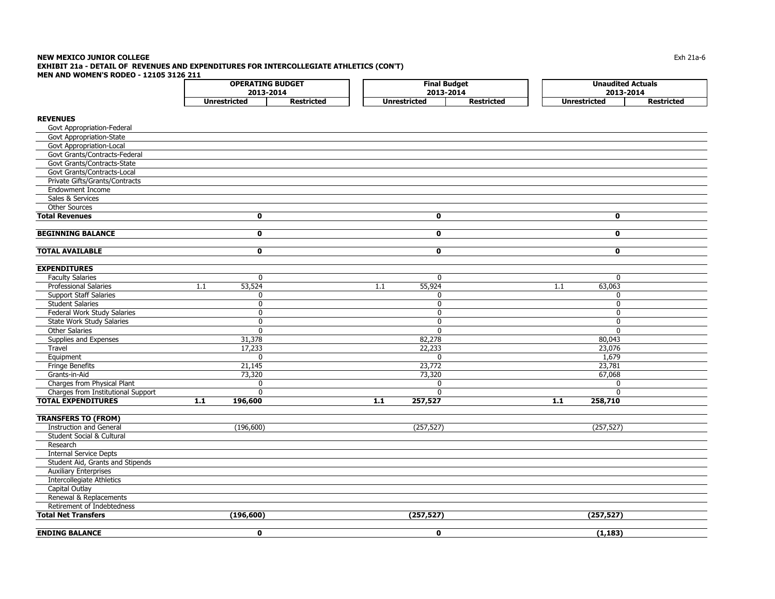## **NEW MEXICO JUNIOR COLLEGE** $\mathsf E$  the contract of the contract of the contract of the contract of the contract of the contract of the contract of the contract of the contract of the contract of the contract of the contract of the contract of the co **EXHIBIT 21a - DETAIL OF REVENUES AND EXPENDITURES FOR INTERCOLLEGIATE ATHLETICS (CON'T)**

**MEN AND WOMEN'S RODEO - 12105 3126 211**

|                                                          | <b>OPERATING BUDGET</b> |                   |                     | <b>Final Budget</b> | <b>Unaudited Actuals</b> |                   |
|----------------------------------------------------------|-------------------------|-------------------|---------------------|---------------------|--------------------------|-------------------|
|                                                          | 2013-2014               |                   |                     | 2013-2014           | 2013-2014                |                   |
|                                                          | <b>Unrestricted</b>     | <b>Restricted</b> | <b>Unrestricted</b> | <b>Restricted</b>   | <b>Unrestricted</b>      | <b>Restricted</b> |
| <b>REVENUES</b>                                          |                         |                   |                     |                     |                          |                   |
| Govt Appropriation-Federal                               |                         |                   |                     |                     |                          |                   |
| Govt Appropriation-State                                 |                         |                   |                     |                     |                          |                   |
| Govt Appropriation-Local                                 |                         |                   |                     |                     |                          |                   |
| Govt Grants/Contracts-Federal                            |                         |                   |                     |                     |                          |                   |
| Govt Grants/Contracts-State                              |                         |                   |                     |                     |                          |                   |
| Govt Grants/Contracts-Local                              |                         |                   |                     |                     |                          |                   |
| Private Gifts/Grants/Contracts                           |                         |                   |                     |                     |                          |                   |
| <b>Endowment Income</b>                                  |                         |                   |                     |                     |                          |                   |
| Sales & Services                                         |                         |                   |                     |                     |                          |                   |
| Other Sources                                            |                         |                   |                     |                     |                          |                   |
| <b>Total Revenues</b>                                    | $\mathbf 0$             |                   | $\mathbf 0$         |                     | $\mathbf 0$              |                   |
|                                                          |                         |                   |                     |                     |                          |                   |
| <b>BEGINNING BALANCE</b>                                 | $\mathbf 0$             |                   | $\mathbf 0$         |                     | $\mathbf 0$              |                   |
|                                                          |                         |                   |                     |                     |                          |                   |
| <b>TOTAL AVAILABLE</b>                                   | $\mathbf 0$             |                   | $\mathbf 0$         |                     | $\mathbf 0$              |                   |
|                                                          |                         |                   |                     |                     |                          |                   |
| <b>EXPENDITURES</b>                                      |                         |                   |                     |                     |                          |                   |
| <b>Faculty Salaries</b>                                  | 0                       |                   | 0                   |                     | 0                        |                   |
| Professional Salaries                                    | 1.1<br>53,524           |                   | 1.1<br>55,924       |                     | 63,063<br>1.1            |                   |
| <b>Support Staff Salaries</b>                            | 0                       |                   | 0                   |                     | $\mathbf{0}$             |                   |
| <b>Student Salaries</b>                                  | $\Omega$                |                   | $\mathbf{0}$        |                     | $\Omega$                 |                   |
| Federal Work Study Salaries                              | $\mathbf{0}$            |                   | $\Omega$            |                     | $\Omega$                 |                   |
| <b>State Work Study Salaries</b>                         | 0                       |                   | $\Omega$            |                     | $\Omega$                 |                   |
| <b>Other Salaries</b>                                    | $\mathbf{0}$            |                   | $\mathbf{0}$        |                     | $\Omega$                 |                   |
| Supplies and Expenses                                    | 31,378                  |                   | 82,278              |                     | 80,043                   |                   |
| Travel                                                   | 17,233                  |                   | 22,233              |                     | 23,076                   |                   |
| Equipment                                                | $\mathbf{0}$            |                   | $\Omega$            |                     | 1,679                    |                   |
| <b>Fringe Benefits</b>                                   | 21,145                  |                   | 23,772              |                     | 23,781                   |                   |
| Grants-in-Aid                                            | 73,320                  |                   | 73,320              |                     | 67,068                   |                   |
| Charges from Physical Plant                              | 0                       |                   | 0                   |                     | 0                        |                   |
| Charges from Institutional Support                       | $\mathbf{0}$            |                   | $\Omega$            |                     | $\Omega$                 |                   |
| <b>TOTAL EXPENDITURES</b>                                | $1.1$<br>196,600        |                   | $1.1$<br>257,527    |                     | $1.1$<br>258,710         |                   |
|                                                          |                         |                   |                     |                     |                          |                   |
| <b>TRANSFERS TO (FROM)</b>                               |                         |                   |                     |                     |                          |                   |
| <b>Instruction and General</b>                           | (196, 600)              |                   | (257, 527)          |                     | (257, 527)               |                   |
| Student Social & Cultural                                |                         |                   |                     |                     |                          |                   |
| Research                                                 |                         |                   |                     |                     |                          |                   |
| <b>Internal Service Depts</b>                            |                         |                   |                     |                     |                          |                   |
| Student Aid, Grants and Stipends                         |                         |                   |                     |                     |                          |                   |
| <b>Auxiliary Enterprises</b>                             |                         |                   |                     |                     |                          |                   |
| <b>Intercollegiate Athletics</b>                         |                         |                   |                     |                     |                          |                   |
| Capital Outlay<br>Renewal & Replacements                 |                         |                   |                     |                     |                          |                   |
|                                                          |                         |                   |                     |                     |                          |                   |
| Retirement of Indebtedness<br><b>Total Net Transfers</b> | (196, 600)              |                   | (257, 527)          |                     | (257, 527)               |                   |
|                                                          |                         |                   |                     |                     |                          |                   |
| <b>ENDING BALANCE</b>                                    | $\mathbf 0$             |                   | $\mathbf 0$         |                     | (1, 183)                 |                   |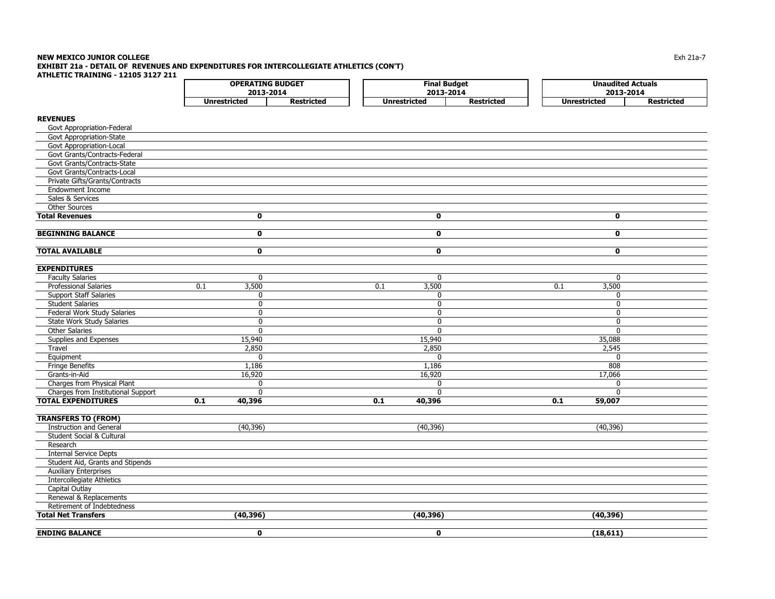#### **NEW MEXICO JUNIOR COLLEGE** $\mathsf E$  the contract of the contract of the contract of the contract of the contract of the contract of the contract of the contract of the contract of the contract of the contract of the contract of the contract of the co **EXHIBIT 21a - DETAIL OF REVENUES AND EXPENDITURES FOR INTERCOLLEGIATE ATHLETICS (CON'T) ATHLETIC TRAINING - 12105 3127 211**

**REVENUES** Govt Appropriation-Federal Govt Appropriation-State Govt Appropriation-Local Govt Grants/Contracts-Federal Govt Grants/Contracts-State Govt Grants/Contracts-Local Private Gifts/Grants/Contracts Endowment Income Sales & Services Other Sources**Total Revenues 0 0 0 BEGINNING BALANCE 0 0 0 TOTAL AVAILABLE 0 0 0 EXPENDITURES** Faculty Salaries 0 0 0 Professional Salaries **0.1** 3,500 0.1 3,500 0.1 3,500 0.1 3,500 0.1 3,500 Support Staff Salaries 0 0 0 Student Salaries 0 0 0 Federal Work Study Salaries 0 0 0 State Work Study Salaries 0 0 0 Other Salaries 0 0 0 Supplies and Expenses 15,940 15,940 15,940 15,940 15,940 15,940 15,940 15,940 15,940 15,940 15,940 15,940 15,940 15,088 Travel 2,850 2,850 2,545 Equipment 0 0 0 Fringe Benefits 1,186 1,186 808 Grants-in-Aid 16,920 16,920 17,066 Charges from Physical Plant  $\begin{array}{ccc} 0 & 0 \\ 0 & 0 \end{array}$ Charges from Institutional Support and the charges from Institutional Support and the charges from Institutional Support and the charges of the charges of the charges of the charges of the charges of the charges of the cha **TOTAL EXPENDITURES 0.1 40,396 0.1 40,396 0.1 59,007 TRANSFERS TO (FROM) Unrestricted Restricted Unrestricted Restricted Unrestricted Restricted OPERATING BUDGET Final Budget Unaudited Actuals 2013-20142013-2014 2013-2014**

 Instruction and Generall (40,396) (40,396) (40,396) Student Social & Cultural Research Internal Service Depts Student Aid, Grants and Stipends Auxiliary Enterprises Intercollegiate Athletics Capital Outlay Renewal & Replacements Retirement of Indebtedness**Total Net Transfers (40,396) (40,396) (40,396) ENDING BALANCE 0 0 (18,611)**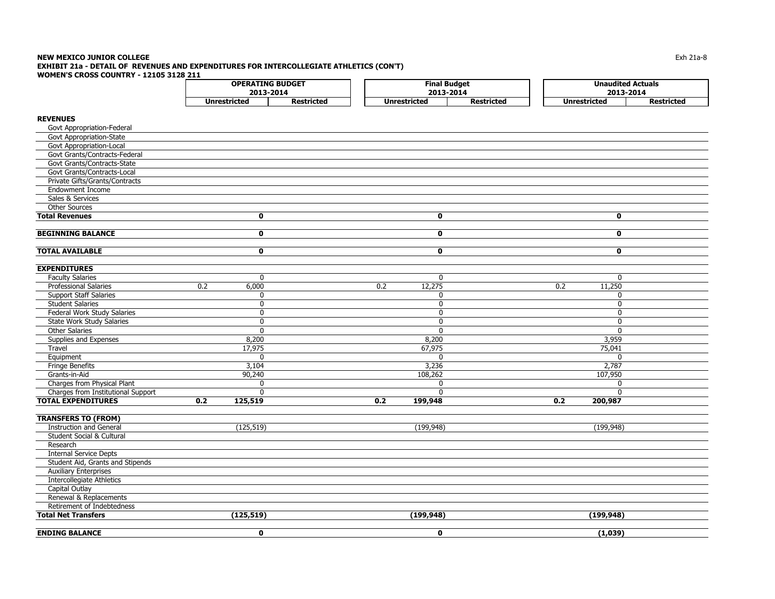#### **NEW MEXICO JUNIOR COLLEGE** $\mathsf E$  the contract of the contract of the contract of the contract of the contract of the contract of the contract of the contract of the contract of the contract of the contract of the contract of the contract of the co **EXHIBIT 21a - DETAIL OF REVENUES AND EXPENDITURES FOR INTERCOLLEGIATE ATHLETICS (CON'T) WOMEN'S CROSS COUNTRY - 12105 3128 211**

|                                      | ---<br><b>OPERATING BUDGET</b> |                   |                     | <b>Final Budget</b> | <b>Unaudited Actuals</b> |                   |  |
|--------------------------------------|--------------------------------|-------------------|---------------------|---------------------|--------------------------|-------------------|--|
|                                      | 2013-2014                      |                   |                     | 2013-2014           | 2013-2014                |                   |  |
|                                      | <b>Unrestricted</b>            | <b>Restricted</b> | <b>Unrestricted</b> | <b>Restricted</b>   | <b>Unrestricted</b>      | <b>Restricted</b> |  |
| <b>REVENUES</b>                      |                                |                   |                     |                     |                          |                   |  |
| Govt Appropriation-Federal           |                                |                   |                     |                     |                          |                   |  |
| Govt Appropriation-State             |                                |                   |                     |                     |                          |                   |  |
| Govt Appropriation-Local             |                                |                   |                     |                     |                          |                   |  |
| Govt Grants/Contracts-Federal        |                                |                   |                     |                     |                          |                   |  |
| Govt Grants/Contracts-State          |                                |                   |                     |                     |                          |                   |  |
| Govt Grants/Contracts-Local          |                                |                   |                     |                     |                          |                   |  |
| Private Gifts/Grants/Contracts       |                                |                   |                     |                     |                          |                   |  |
| <b>Endowment Income</b>              |                                |                   |                     |                     |                          |                   |  |
| Sales & Services                     |                                |                   |                     |                     |                          |                   |  |
| <b>Other Sources</b>                 |                                |                   |                     |                     |                          |                   |  |
| <b>Total Revenues</b>                | $\mathbf 0$                    |                   | $\mathbf 0$         |                     | $\mathbf 0$              |                   |  |
| <b>BEGINNING BALANCE</b>             | $\mathbf 0$                    |                   | 0                   |                     | 0                        |                   |  |
|                                      |                                |                   |                     |                     |                          |                   |  |
| <b>TOTAL AVAILABLE</b>               | $\mathbf 0$                    |                   | $\mathbf 0$         |                     | $\mathbf 0$              |                   |  |
| <b>EXPENDITURES</b>                  |                                |                   |                     |                     |                          |                   |  |
| <b>Faculty Salaries</b>              | 0                              |                   |                     | $\mathbf 0$         | $\mathbf{0}$             |                   |  |
| <b>Professional Salaries</b>         | 0.2<br>6,000                   |                   | 0.2<br>12,275       |                     | 0.2<br>11,250            |                   |  |
| <b>Support Staff Salaries</b>        | 0                              |                   |                     | 0                   | $\mathbf 0$              |                   |  |
| <b>Student Salaries</b>              | $\mathbf{0}$                   |                   |                     | $\Omega$            | $\mathbf{0}$             |                   |  |
| <b>Federal Work Study Salaries</b>   | 0                              |                   |                     | 0                   | $\mathbf 0$              |                   |  |
| State Work Study Salaries            | 0                              |                   |                     | 0                   | $\mathbf 0$              |                   |  |
| <b>Other Salaries</b>                | $\mathbf 0$                    |                   |                     | 0                   | $\mathbf 0$              |                   |  |
| Supplies and Expenses                | 8,200                          |                   | 8,200               |                     | 3,959                    |                   |  |
| Travel                               | 17,975                         |                   | 67,975              |                     | 75,041                   |                   |  |
| Equipment                            | $\mathbf 0$                    |                   |                     | 0                   | $\mathbf 0$              |                   |  |
| Fringe Benefits                      | 3,104                          |                   | 3,236               |                     | 2,787                    |                   |  |
| Grants-in-Aid                        | 90,240                         |                   | 108,262             |                     | 107,950                  |                   |  |
| Charges from Physical Plant          | $\Omega$                       |                   |                     | $\mathbf{0}$        | $\mathbf{0}$             |                   |  |
| Charges from Institutional Support   | $\mathbf 0$                    |                   |                     | 0                   | $\mathbf 0$              |                   |  |
| <b>TOTAL EXPENDITURES</b>            | 0.2<br>125,519                 |                   | 0.2<br>199,948      |                     | 0.2<br>200,987           |                   |  |
| <b>TRANSFERS TO (FROM)</b>           |                                |                   |                     |                     |                          |                   |  |
| <b>Instruction and General</b>       | (125, 519)                     |                   | (199, 948)          |                     | (199, 948)               |                   |  |
| <b>Student Social &amp; Cultural</b> |                                |                   |                     |                     |                          |                   |  |
| Research                             |                                |                   |                     |                     |                          |                   |  |
| <b>Internal Service Depts</b>        |                                |                   |                     |                     |                          |                   |  |
| Student Aid, Grants and Stipends     |                                |                   |                     |                     |                          |                   |  |
| <b>Auxiliary Enterprises</b>         |                                |                   |                     |                     |                          |                   |  |
| <b>Intercollegiate Athletics</b>     |                                |                   |                     |                     |                          |                   |  |
| <b>Capital Outlay</b>                |                                |                   |                     |                     |                          |                   |  |
| Renewal & Replacements               |                                |                   |                     |                     |                          |                   |  |
| Retirement of Indebtedness           |                                |                   |                     |                     |                          |                   |  |
| <b>Total Net Transfers</b>           | (125, 519)                     |                   | (199, 948)          |                     | (199, 948)               |                   |  |
| <b>ENDING BALANCE</b>                | $\mathbf{0}$                   |                   | $\mathbf{0}$        |                     | (1,039)                  |                   |  |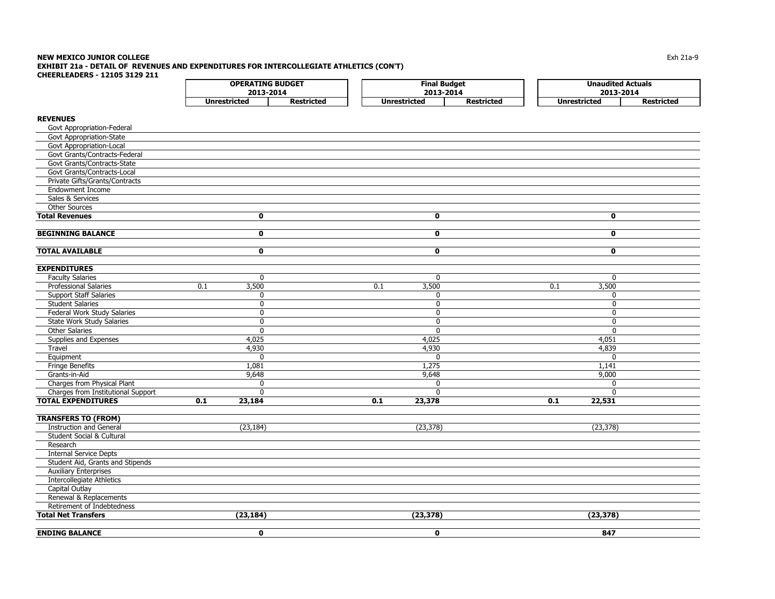#### **NEW MEXICO JUNIOR COLLEGE** $\mathsf E$  the contract of the contract of the contract of the contract of the contract of the contract of the contract of the contract of the contract of the contract of the contract of the contract of the contract of the co **EXHIBIT 21a - DETAIL OF REVENUES AND EXPENDITURES FOR INTERCOLLEGIATE ATHLETICS (CON'T) CHEERLEADERS - 12105 3129 211** $\Gamma$ **OPERATING BUDGET Final Budget Unaudited Actuals**

|                                      |     | 2013-2014           |                   |     | 2013-2014           |                   |                     | 2013-2014         |
|--------------------------------------|-----|---------------------|-------------------|-----|---------------------|-------------------|---------------------|-------------------|
|                                      |     | <b>Unrestricted</b> | <b>Restricted</b> |     | <b>Unrestricted</b> | <b>Restricted</b> | <b>Unrestricted</b> | <b>Restricted</b> |
| <b>REVENUES</b>                      |     |                     |                   |     |                     |                   |                     |                   |
|                                      |     |                     |                   |     |                     |                   |                     |                   |
| Govt Appropriation-Federal           |     |                     |                   |     |                     |                   |                     |                   |
| Govt Appropriation-State             |     |                     |                   |     |                     |                   |                     |                   |
| Govt Appropriation-Local             |     |                     |                   |     |                     |                   |                     |                   |
| Govt Grants/Contracts-Federal        |     |                     |                   |     |                     |                   |                     |                   |
| Govt Grants/Contracts-State          |     |                     |                   |     |                     |                   |                     |                   |
| Govt Grants/Contracts-Local          |     |                     |                   |     |                     |                   |                     |                   |
| Private Gifts/Grants/Contracts       |     |                     |                   |     |                     |                   |                     |                   |
| <b>Endowment Income</b>              |     |                     |                   |     |                     |                   |                     |                   |
| Sales & Services                     |     |                     |                   |     |                     |                   |                     |                   |
| Other Sources                        |     |                     |                   |     |                     |                   |                     |                   |
| <b>Total Revenues</b>                |     | 0                   |                   |     | 0                   |                   | 0                   |                   |
| <b>BEGINNING BALANCE</b>             |     | $\mathbf 0$         |                   |     | $\mathbf 0$         |                   | 0                   |                   |
| <b>TOTAL AVAILABLE</b>               |     | $\mathbf 0$         |                   |     | $\mathbf 0$         |                   | 0                   |                   |
|                                      |     |                     |                   |     |                     |                   |                     |                   |
| <b>EXPENDITURES</b>                  |     |                     |                   |     |                     |                   |                     |                   |
| <b>Faculty Salaries</b>              |     | $\mathbf 0$         |                   |     | $\mathbf{0}$        |                   | $\mathbf{0}$        |                   |
| <b>Professional Salaries</b>         | 0.1 | 3,500               |                   | 0.1 | 3,500               |                   | 0.1<br>3,500        |                   |
| <b>Support Staff Salaries</b>        |     | 0                   |                   |     | 0                   |                   | $\mathbf 0$         |                   |
| <b>Student Salaries</b>              |     | 0                   |                   |     | $\mathbf 0$         |                   | $\mathbf{0}$        |                   |
| Federal Work Study Salaries          |     | 0                   |                   |     | 0                   |                   | $\mathbf{0}$        |                   |
| <b>State Work Study Salaries</b>     |     | 0                   |                   |     | $\mathbf{0}$        |                   | $\mathbf{0}$        |                   |
| <b>Other Salaries</b>                |     | 0                   |                   |     | 0                   |                   | $\mathbf 0$         |                   |
| Supplies and Expenses                |     | 4,025               |                   |     | 4,025               |                   | 4,051               |                   |
| Travel                               |     | 4,930               |                   |     | 4,930               |                   | 4,839               |                   |
| Equipment                            |     | 0                   |                   |     | $\mathbf{0}$        |                   | $\mathbf{0}$        |                   |
| <b>Fringe Benefits</b>               |     | 1,081               |                   |     | 1,275               |                   | 1,141               |                   |
| Grants-in-Aid                        |     | 9,648               |                   |     | 9,648               |                   | 9,000               |                   |
| Charges from Physical Plant          |     | 0                   |                   |     | $\mathbf{0}$        |                   | $\mathbf{0}$        |                   |
| Charges from Institutional Support   |     | <sup>0</sup>        |                   |     | $\Omega$            |                   | $\mathbf{0}$        |                   |
| <b>TOTAL EXPENDITURES</b>            | 0.1 | 23,184              |                   | 0.1 | 23,378              |                   | 22,531<br>0.1       |                   |
|                                      |     |                     |                   |     |                     |                   |                     |                   |
| <b>TRANSFERS TO (FROM)</b>           |     |                     |                   |     |                     |                   |                     |                   |
| <b>Instruction and General</b>       |     | (23, 184)           |                   |     | (23, 378)           |                   | (23, 378)           |                   |
| <b>Student Social &amp; Cultural</b> |     |                     |                   |     |                     |                   |                     |                   |
| Research                             |     |                     |                   |     |                     |                   |                     |                   |
| <b>Internal Service Depts</b>        |     |                     |                   |     |                     |                   |                     |                   |
| Student Aid, Grants and Stipends     |     |                     |                   |     |                     |                   |                     |                   |
| <b>Auxiliary Enterprises</b>         |     |                     |                   |     |                     |                   |                     |                   |
| Intercollegiate Athletics            |     |                     |                   |     |                     |                   |                     |                   |
| Capital Outlay                       |     |                     |                   |     |                     |                   |                     |                   |
| Renewal & Replacements               |     |                     |                   |     |                     |                   |                     |                   |
| Retirement of Indebtedness           |     |                     |                   |     |                     |                   |                     |                   |
| <b>Total Net Transfers</b>           |     | (23, 184)           |                   |     | (23, 378)           |                   | (23, 378)           |                   |
|                                      |     |                     |                   |     |                     |                   |                     |                   |

**ENDING BALANCE 0 0 847**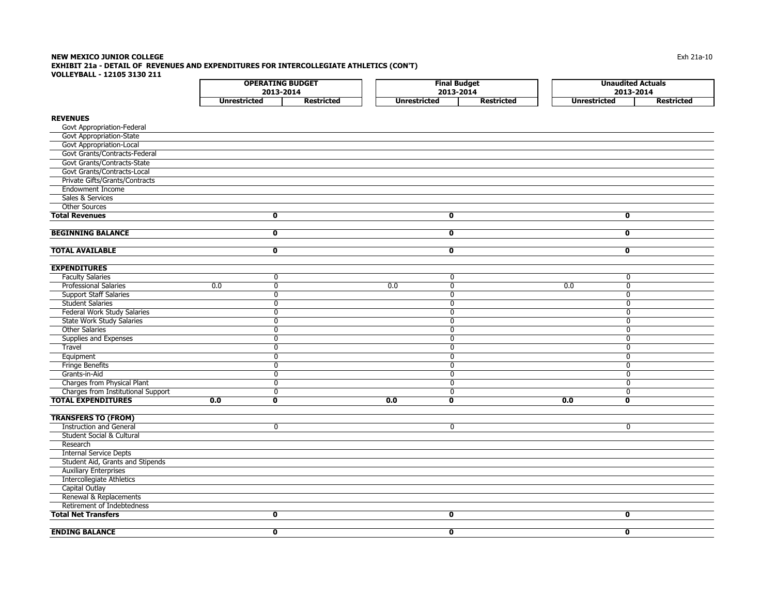### **NEW MEXICO JUNIOR COLLEGE** $\mathsf E$  and  $\mathsf E$  and  $\mathsf E$  and  $\mathsf E$  and  $\mathsf E$  and  $\mathsf E$  and  $\mathsf E$  and  $\mathsf E$  and  $\mathsf E$  and  $\mathsf E$  and  $\mathsf E$  and  $\mathsf E$  and  $\mathsf E$  and  $\mathsf E$  and  $\mathsf E$  and  $\mathsf E$  and  $\mathsf E$  and  $\mathsf E$  and  $\mathsf E$  and  $\mathsf E$  and **EXHIBIT 21a - DETAIL OF REVENUES AND EXPENDITURES FOR INTERCOLLEGIATE ATHLETICS (CON'T) VOLLEYBALL - 12105 3130 211**

| 2013-2014<br>2013-2014<br>2013-2014 | <b>OPERATING BUDGET</b> |            | --<br>Final Budget |            | <b>Unaudited Actuals</b> |            |
|-------------------------------------|-------------------------|------------|--------------------|------------|--------------------------|------------|
|                                     |                         |            |                    |            |                          |            |
|                                     | Unrestricted            | Restricted | Unrestricted       | Restricted | Unrestricted             | Restricted |

# **REVENUES**

| Govt Appropriation-Federal         |     |                         |     |                         |     |                         |  |
|------------------------------------|-----|-------------------------|-----|-------------------------|-----|-------------------------|--|
| <b>Govt Appropriation-State</b>    |     |                         |     |                         |     |                         |  |
| Govt Appropriation-Local           |     |                         |     |                         |     |                         |  |
| Govt Grants/Contracts-Federal      |     |                         |     |                         |     |                         |  |
| Govt Grants/Contracts-State        |     |                         |     |                         |     |                         |  |
| Govt Grants/Contracts-Local        |     |                         |     |                         |     |                         |  |
| Private Gifts/Grants/Contracts     |     |                         |     |                         |     |                         |  |
| <b>Endowment Income</b>            |     |                         |     |                         |     |                         |  |
| Sales & Services                   |     |                         |     |                         |     |                         |  |
| <b>Other Sources</b>               |     |                         |     |                         |     |                         |  |
| <b>Total Revenues</b>              |     | $\mathbf 0$             |     | $\mathbf 0$             |     | $\overline{\mathbf{0}}$ |  |
|                                    |     |                         |     |                         |     |                         |  |
| <b>BEGINNING BALANCE</b>           |     | $\overline{\mathbf{0}}$ |     | $\overline{\mathbf{0}}$ |     | $\overline{\mathbf{0}}$ |  |
|                                    |     |                         |     |                         |     |                         |  |
| <b>TOTAL AVAILABLE</b>             |     | $\mathbf 0$             |     | $\overline{\mathbf{0}}$ |     | $\overline{\mathbf{0}}$ |  |
| <b>EXPENDITURES</b>                |     |                         |     |                         |     |                         |  |
| <b>Faculty Salaries</b>            |     | $\mathbf 0$             |     | $\mathbf 0$             |     | $\mathbf{0}$            |  |
| <b>Professional Salaries</b>       | 0.0 | $\overline{0}$          | 0.0 | $\overline{0}$          | 0.0 | $\overline{0}$          |  |
| <b>Support Staff Salaries</b>      |     | $\mathbf 0$             |     | $\mathbf 0$             |     | $\mathbf 0$             |  |
| <b>Student Salaries</b>            |     | $\mathbf 0$             |     | $\mathbf{0}$            |     | $\Omega$                |  |
| <b>Federal Work Study Salaries</b> |     | 0                       |     | $\mathbf{0}$            |     | $\Omega$                |  |
| <b>State Work Study Salaries</b>   |     | $\mathbf 0$             |     | $\mathbf 0$             |     | $\mathbf 0$             |  |
| <b>Other Salaries</b>              |     | $\overline{0}$          |     | $\mathbf 0$             |     | $\Omega$                |  |
| Supplies and Expenses              |     | $\mathbf 0$             |     | $\mathbf 0$             |     | $\mathbf 0$             |  |
| Travel                             |     | $\overline{0}$          |     | $\mathbf 0$             |     | $\mathbf 0$             |  |
| Equipment                          |     | $\Omega$                |     | $\overline{0}$          |     | $\Omega$                |  |
| <b>Fringe Benefits</b>             |     | $\mathbf 0$             |     | $\mathbf 0$             |     | 0                       |  |
| Grants-in-Aid                      |     | $\overline{0}$          |     | $\overline{0}$          |     | $\overline{0}$          |  |
| Charges from Physical Plant        |     | $\mathbf 0$             |     | $\mathbf 0$             |     | $\Omega$                |  |
| Charges from Institutional Support |     | 0                       |     | $\mathbf 0$             |     | 0                       |  |
| <b>TOTAL EXPENDITURES</b>          | 0.0 | $\overline{\mathbf{0}}$ | 0.0 | $\overline{\mathbf{0}}$ | 0.0 | $\overline{\mathbf{0}}$ |  |
|                                    |     |                         |     |                         |     |                         |  |
| <b>TRANSFERS TO (FROM)</b>         |     |                         |     |                         |     |                         |  |
| <b>Instruction and General</b>     |     | $\mathbf 0$             |     | $\mathbf{0}$            |     | $\mathbf{0}$            |  |
| Student Social & Cultural          |     |                         |     |                         |     |                         |  |
| Research                           |     |                         |     |                         |     |                         |  |
| <b>Internal Service Depts</b>      |     |                         |     |                         |     |                         |  |
| Student Aid, Grants and Stipends   |     |                         |     |                         |     |                         |  |
| <b>Auxiliary Enterprises</b>       |     |                         |     |                         |     |                         |  |
| Intercollegiate Athletics          |     |                         |     |                         |     |                         |  |
| Capital Outlay                     |     |                         |     |                         |     |                         |  |
| Renewal & Replacements             |     |                         |     |                         |     |                         |  |
| Retirement of Indebtedness         |     |                         |     |                         |     |                         |  |
| <b>Total Net Transfers</b>         |     | $\overline{\mathbf{0}}$ |     | $\mathbf 0$             |     | $\mathbf 0$             |  |
|                                    |     |                         |     |                         |     |                         |  |
| <b>ENDING BALANCE</b>              |     | $\mathbf 0$             |     | $\mathbf 0$             |     | $\mathbf 0$             |  |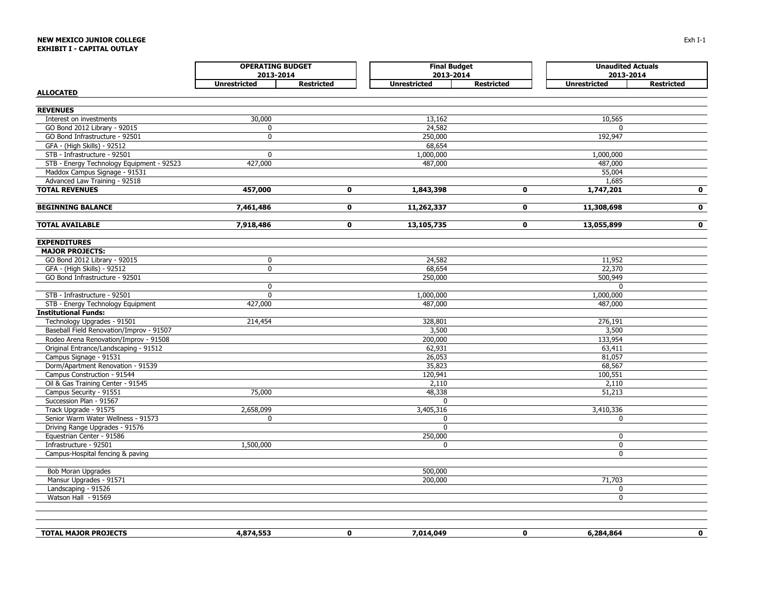# **NEW MEXICO JUNIOR COLLEGEEXHIBIT I - CAPITAL OUTLAY**

| <b>OPERATING BUDGET</b><br>2013-2014                             |                     |                   |                     | <b>Final Budget</b><br>2013-2014 | <b>Unaudited Actuals</b><br>2013-2014 |                   |
|------------------------------------------------------------------|---------------------|-------------------|---------------------|----------------------------------|---------------------------------------|-------------------|
|                                                                  | <b>Unrestricted</b> | <b>Restricted</b> | <b>Unrestricted</b> | <b>Restricted</b>                | <b>Unrestricted</b>                   | <b>Restricted</b> |
| <b>ALLOCATED</b>                                                 |                     |                   |                     |                                  |                                       |                   |
|                                                                  |                     |                   |                     |                                  |                                       |                   |
| <b>REVENUES</b>                                                  |                     |                   |                     |                                  |                                       |                   |
| Interest on investments                                          | 30,000              |                   | 13,162              |                                  | 10,565                                |                   |
| GO Bond 2012 Library - 92015                                     | $\mathbf 0$         |                   | 24,582              |                                  | $\mathbf{0}$                          |                   |
| GO Bond Infrastructure - 92501                                   | $\mathbf 0$         |                   | 250,000             |                                  | 192,947                               |                   |
| GFA - (High Skills) - 92512                                      |                     |                   | 68,654              |                                  |                                       |                   |
| STB - Infrastructure - 92501                                     | $\mathbf 0$         |                   | 1,000,000           |                                  | 1,000,000                             |                   |
| STB - Energy Technology Equipment - 92523                        | 427,000             |                   | 487,000             |                                  | 487,000                               |                   |
| Maddox Campus Signage - 91531                                    |                     |                   |                     |                                  | 55,004                                |                   |
| Advanced Law Training - 92518                                    |                     |                   |                     |                                  | 1,685                                 |                   |
| <b>TOTAL REVENUES</b>                                            | 457,000             | $\mathbf 0$       | 1,843,398           | $\mathbf 0$                      | 1,747,201                             | $\mathbf{0}$      |
|                                                                  |                     |                   |                     |                                  |                                       |                   |
| <b>BEGINNING BALANCE</b>                                         | 7,461,486           | $\mathbf{0}$      | 11,262,337          | $\mathbf{0}$                     | 11,308,698                            | $\mathbf{0}$      |
| <b>TOTAL AVAILABLE</b>                                           | 7,918,486           | $\mathbf{0}$      | 13,105,735          | $\mathbf{o}$                     | 13,055,899                            | $\mathbf{0}$      |
| <b>EXPENDITURES</b>                                              |                     |                   |                     |                                  |                                       |                   |
| <b>MAJOR PROJECTS:</b>                                           |                     |                   |                     |                                  |                                       |                   |
| GO Bond 2012 Library - 92015                                     | 0                   |                   | 24,582              |                                  | 11,952                                |                   |
| GFA - (High Skills) - 92512                                      | $\mathbf 0$         |                   | 68,654              |                                  | 22,370                                |                   |
| GO Bond Infrastructure - 92501                                   |                     |                   | 250,000             |                                  | 500,949                               |                   |
|                                                                  | $\mathbf 0$         |                   |                     |                                  | $\mathbf{0}$                          |                   |
| STB - Infrastructure - 92501                                     | $\overline{0}$      |                   | 1,000,000           |                                  | 1,000,000                             |                   |
| STB - Energy Technology Equipment                                | 427,000             |                   | 487,000             |                                  | 487,000                               |                   |
| <b>Institutional Funds:</b>                                      |                     |                   |                     |                                  |                                       |                   |
| Technology Upgrades - 91501                                      | 214,454             |                   | 328,801             |                                  | 276,191                               |                   |
| Baseball Field Renovation/Improv - 91507                         |                     |                   | 3,500               |                                  | 3,500                                 |                   |
| Rodeo Arena Renovation/Improv - 91508                            |                     |                   | 200,000             |                                  | 133,954                               |                   |
| Original Entrance/Landscaping - 91512                            |                     |                   | 62,931              |                                  | 63,411                                |                   |
| Campus Signage - 91531                                           |                     |                   | 26,053              |                                  | 81,057                                |                   |
| Dorm/Apartment Renovation - 91539<br>Campus Construction - 91544 |                     |                   | 35,823              |                                  | 68,567                                |                   |
| Oil & Gas Training Center - 91545                                |                     |                   | 120,941<br>2,110    |                                  | 100,551<br>2,110                      |                   |
| Campus Security - 91551                                          | 75,000              |                   | 48,338              |                                  | 51,213                                |                   |
| Succession Plan - 91567                                          |                     |                   | $\mathbf{0}$        |                                  |                                       |                   |
| Track Upgrade - 91575                                            | 2,658,099           |                   | 3,405,316           |                                  | 3,410,336                             |                   |
| Senior Warm Water Wellness - 91573                               | $\mathbf 0$         |                   | $\mathbf{0}$        |                                  | 0                                     |                   |
| Driving Range Upgrades - 91576                                   |                     |                   | $\mathbf{0}$        |                                  |                                       |                   |
| Equestrian Center - 91586                                        |                     |                   | 250,000             |                                  | $\mathbf 0$                           |                   |
| Infrastructure - 92501                                           | 1,500,000           |                   | $\mathbf 0$         |                                  | $\mathbf 0$                           |                   |
| Campus-Hospital fencing & paving                                 |                     |                   |                     |                                  | $\mathbf 0$                           |                   |
| <b>Bob Moran Upgrades</b>                                        |                     |                   | 500,000             |                                  |                                       |                   |
| Mansur Upgrades - 91571                                          |                     |                   | 200,000             |                                  | 71,703                                |                   |
| Landscaping - 91526                                              |                     |                   |                     |                                  | 0                                     |                   |
| Watson Hall - 91569                                              |                     |                   |                     |                                  | $\mathbf 0$                           |                   |
|                                                                  |                     |                   |                     |                                  |                                       |                   |
|                                                                  |                     |                   |                     |                                  |                                       |                   |
| <b>TOTAL MAJOR PROJECTS</b>                                      | 4,874,553           | $\mathbf{0}$      | 7,014,049           | $\mathbf{0}$                     | 6,284,864                             | $\mathbf{0}$      |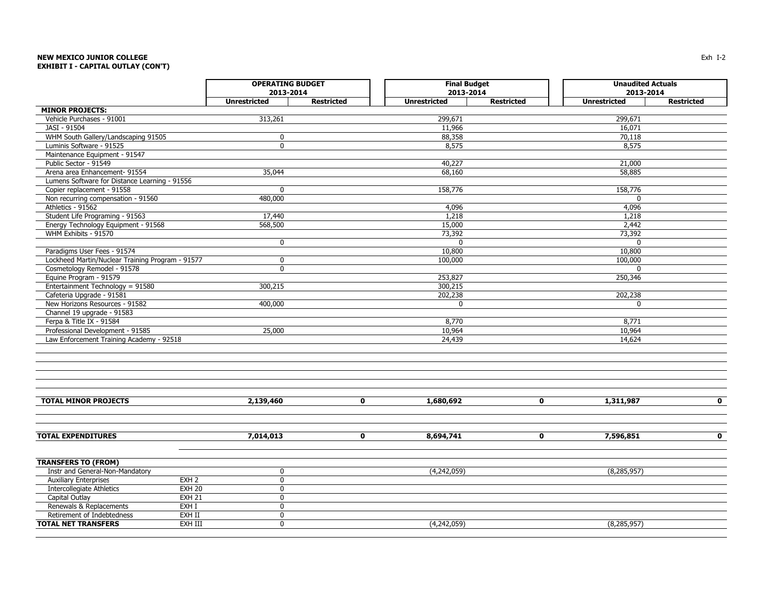# **NEW MEXICO JUNIOR COLLEGEEXHIBIT I - CAPITAL OUTLAY (CON'T)**

|                                                                              | <b>OPERATING BUDGET</b> |                   | <b>Final Budget</b> |                   | <b>Unaudited Actuals</b> |                   |  |
|------------------------------------------------------------------------------|-------------------------|-------------------|---------------------|-------------------|--------------------------|-------------------|--|
|                                                                              | 2013-2014               |                   | 2013-2014           |                   | 2013-2014                |                   |  |
|                                                                              | <b>Unrestricted</b>     | <b>Restricted</b> | <b>Unrestricted</b> | <b>Restricted</b> | <b>Unrestricted</b>      | <b>Restricted</b> |  |
| <b>MINOR PROJECTS:</b>                                                       |                         |                   |                     |                   |                          |                   |  |
| Vehicle Purchases - 91001                                                    | 313,261                 |                   | 299,671             |                   | 299,671                  |                   |  |
| JASI - 91504                                                                 |                         |                   | 11,966              |                   | 16,071                   |                   |  |
| WHM South Gallery/Landscaping 91505                                          | $\mathbf 0$             |                   | 88,358              |                   | 70,118                   |                   |  |
| Luminis Software - 91525                                                     | $\mathbf{0}$            |                   | 8,575               |                   | 8,575                    |                   |  |
| Maintenance Equipment - 91547                                                |                         |                   |                     |                   |                          |                   |  |
| Public Sector - 91549                                                        |                         |                   | 40,227              |                   | 21,000                   |                   |  |
| Arena area Enhancement- 91554                                                | 35,044                  |                   | 68,160              |                   | 58,885                   |                   |  |
| Lumens Software for Distance Learning - 91556                                |                         |                   |                     |                   |                          |                   |  |
| Copier replacement - 91558                                                   | $\mathbf{0}$            |                   | 158,776             |                   | 158,776                  |                   |  |
| Non recurring compensation - 91560                                           | 480,000                 |                   |                     |                   | $\mathbf{0}$             |                   |  |
| Athletics - 91562                                                            |                         |                   | 4,096               |                   | 4,096                    |                   |  |
| Student Life Programing - 91563                                              | 17,440                  |                   | 1,218               |                   | 1,218                    |                   |  |
| Energy Technology Equipment - 91568                                          | 568,500                 |                   | 15,000              |                   | 2,442                    |                   |  |
| WHM Exhibits - 91570                                                         |                         |                   | 73,392              |                   | 73,392                   |                   |  |
|                                                                              | $\mathbf 0$             |                   | $\mathbf{0}$        |                   | $\mathbf{0}$             |                   |  |
| Paradigms User Fees - 91574                                                  |                         |                   | 10,800              |                   | 10,800                   |                   |  |
| Lockheed Martin/Nuclear Training Program - 91577                             | $\mathbf 0$             |                   | 100,000             |                   | 100,000                  |                   |  |
| Cosmetology Remodel - 91578                                                  | $\mathbf{0}$            |                   |                     |                   | $\mathbf{0}$             |                   |  |
| Equine Program - 91579                                                       |                         |                   | 253,827             |                   | 250,346                  |                   |  |
| Entertainment Technology = 91580                                             | 300,215                 |                   | 300,215             |                   |                          |                   |  |
| Cafeteria Upgrade - 91581<br>New Horizons Resources - 91582                  | 400,000                 |                   | 202,238             |                   | 202,238<br>$\mathbf{0}$  |                   |  |
| Channel 19 upgrade - 91583                                                   |                         |                   | 0                   |                   |                          |                   |  |
| Ferpa & Title IX - 91584                                                     |                         |                   | 8,770               |                   | 8,771                    |                   |  |
|                                                                              |                         |                   |                     |                   |                          |                   |  |
| Professional Development - 91585<br>Law Enforcement Training Academy - 92518 | 25,000                  |                   | 10,964<br>24,439    |                   | 10,964<br>14,624         |                   |  |
|                                                                              |                         |                   |                     |                   |                          |                   |  |
|                                                                              |                         |                   |                     |                   |                          |                   |  |
| <b>TOTAL MINOR PROJECTS</b>                                                  | 2,139,460               | $\mathbf 0$       | 1,680,692           | $\mathbf 0$       | 1,311,987                | $\mathbf{0}$      |  |
| <b>TOTAL EXPENDITURES</b>                                                    | 7,014,013               | $\mathbf 0$       | 8,694,741           | $\mathbf 0$       | 7,596,851                | $\mathbf{0}$      |  |
| <b>TRANSFERS TO (FROM)</b>                                                   |                         |                   |                     |                   |                          |                   |  |
| Instr and General-Non-Mandatory                                              | $\mathbf 0$             |                   | (4,242,059)         |                   | (8, 285, 957)            |                   |  |
| <b>Auxiliary Enterprises</b><br>EXH <sub>2</sub>                             | $\mathbf 0$             |                   |                     |                   |                          |                   |  |
| <b>EXH 20</b><br><b>Intercollegiate Athletics</b>                            | $\mathbf 0$             |                   |                     |                   |                          |                   |  |
| <b>EXH 21</b><br>Capital Outlay                                              | $\mathbf 0$             |                   |                     |                   |                          |                   |  |
| Renewals & Replacements<br>EXH I                                             | $\mathbf 0$             |                   |                     |                   |                          |                   |  |
| EXH II<br>Retirement of Indebtedness                                         | $\mathbf 0$             |                   |                     |                   |                          |                   |  |
| EXH III<br><b>TOTAL NET TRANSFERS</b>                                        | $\mathbf{0}$            |                   | (4,242,059)         |                   | (8, 285, 957)            |                   |  |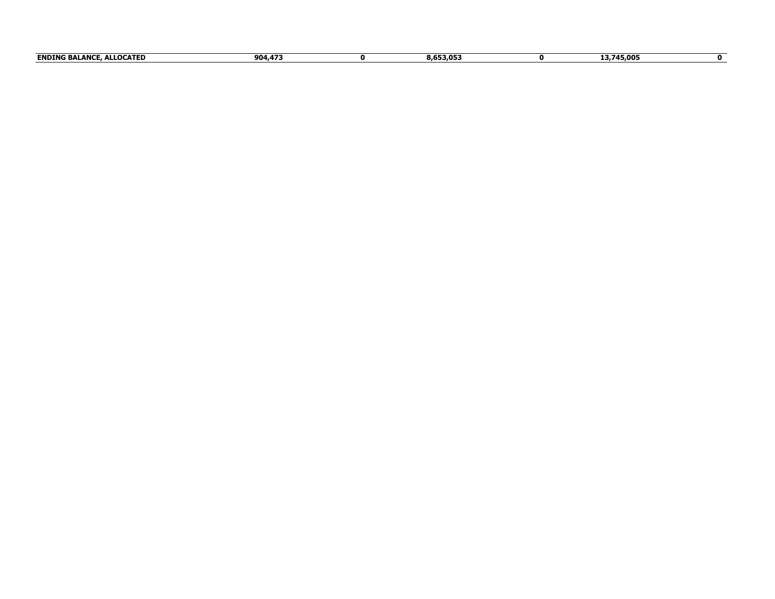| <b>ENDING</b><br><b>ALLOCATED</b><br><b>BALANCL</b> | 904.473 | - - -<br>8.653.053 | .3,745,005 |  |
|-----------------------------------------------------|---------|--------------------|------------|--|
|                                                     |         |                    |            |  |
|                                                     |         |                    |            |  |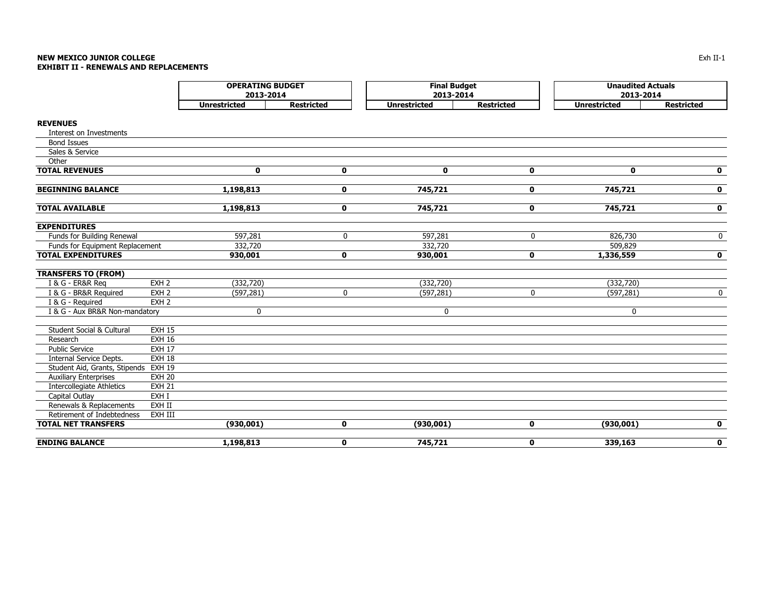#### **NEW MEXICO JUNIOR COLLEGE** Exh II-1 **EXHIBIT II - RENEWALS AND REPLACEMENTS**

|                                 |                  | <b>OPERATING BUDGET</b><br>2013-2014 |                   | <b>Final Budget</b><br>2013-2014 |                   | <b>Unaudited Actuals</b><br>2013-2014 |                   |  |
|---------------------------------|------------------|--------------------------------------|-------------------|----------------------------------|-------------------|---------------------------------------|-------------------|--|
|                                 |                  | <b>Unrestricted</b>                  | <b>Restricted</b> | <b>Unrestricted</b>              | <b>Restricted</b> | <b>Unrestricted</b>                   | <b>Restricted</b> |  |
| <b>REVENUES</b>                 |                  |                                      |                   |                                  |                   |                                       |                   |  |
| Interest on Investments         |                  |                                      |                   |                                  |                   |                                       |                   |  |
| <b>Bond Issues</b>              |                  |                                      |                   |                                  |                   |                                       |                   |  |
| Sales & Service                 |                  |                                      |                   |                                  |                   |                                       |                   |  |
| Other                           |                  |                                      |                   |                                  |                   |                                       |                   |  |
| <b>TOTAL REVENUES</b>           |                  | $\mathbf 0$                          | $\mathbf 0$       | $\mathbf 0$                      | $\mathbf 0$       | $\mathbf 0$                           | $\mathbf 0$       |  |
| <b>BEGINNING BALANCE</b>        |                  | 1,198,813                            | $\mathbf 0$       | 745,721                          | $\mathbf 0$       | 745,721                               | $\mathbf 0$       |  |
| <b>TOTAL AVAILABLE</b>          |                  | 1,198,813                            | $\mathbf 0$       | 745,721                          | $\mathbf 0$       | 745,721                               | $\mathbf 0$       |  |
| <b>EXPENDITURES</b>             |                  |                                      |                   |                                  |                   |                                       |                   |  |
| Funds for Building Renewal      |                  | 597,281                              | 0                 | 597,281                          | 0                 | 826,730                               | $\mathbf 0$       |  |
| Funds for Equipment Replacement |                  | 332,720                              |                   | 332,720                          |                   | 509,829                               |                   |  |
| <b>TOTAL EXPENDITURES</b>       |                  | 930,001                              | $\mathbf 0$       | 930,001                          | $\mathbf 0$       | 1,336,559                             | $\mathbf 0$       |  |
| <b>TRANSFERS TO (FROM)</b>      |                  |                                      |                   |                                  |                   |                                       |                   |  |
| I & G - ER&R Reg                | EXH <sub>2</sub> | (332, 720)                           |                   | (332, 720)                       |                   | (332, 720)                            |                   |  |
| I & G - BR&R Required           | EXH <sub>2</sub> | (597, 281)                           | $\pmb{0}$         | (597, 281)                       | 0                 | (597, 281)                            | $\mathbf 0$       |  |
| I & G - Required                | EXH <sub>2</sub> |                                      |                   |                                  |                   |                                       |                   |  |
| I & G - Aux BR&R Non-mandatory  |                  | 0                                    |                   | 0                                |                   | $\mathbf 0$                           |                   |  |
| Student Social & Cultural       | <b>EXH 15</b>    |                                      |                   |                                  |                   |                                       |                   |  |
| Research                        | <b>EXH 16</b>    |                                      |                   |                                  |                   |                                       |                   |  |
| <b>Public Service</b>           | <b>EXH 17</b>    |                                      |                   |                                  |                   |                                       |                   |  |
| Internal Service Depts.         | <b>EXH 18</b>    |                                      |                   |                                  |                   |                                       |                   |  |
| Student Aid, Grants, Stipends   | <b>EXH 19</b>    |                                      |                   |                                  |                   |                                       |                   |  |
| <b>Auxiliary Enterprises</b>    | <b>EXH 20</b>    |                                      |                   |                                  |                   |                                       |                   |  |
| Intercollegiate Athletics       | <b>EXH 21</b>    |                                      |                   |                                  |                   |                                       |                   |  |
| Capital Outlay                  | EXH I            |                                      |                   |                                  |                   |                                       |                   |  |
| Renewals & Replacements         | EXH II           |                                      |                   |                                  |                   |                                       |                   |  |
| Retirement of Indebtedness      | EXH III          |                                      |                   |                                  |                   |                                       |                   |  |
| <b>TOTAL NET TRANSFERS</b>      |                  | (930, 001)                           | $\mathbf 0$       | (930,001)                        | $\mathbf 0$       | (930, 001)                            | $\mathbf 0$       |  |
| <b>ENDING BALANCE</b>           |                  | 1,198,813                            | 0                 | 745,721                          | $\mathbf{0}$      | 339,163                               | $\mathbf 0$       |  |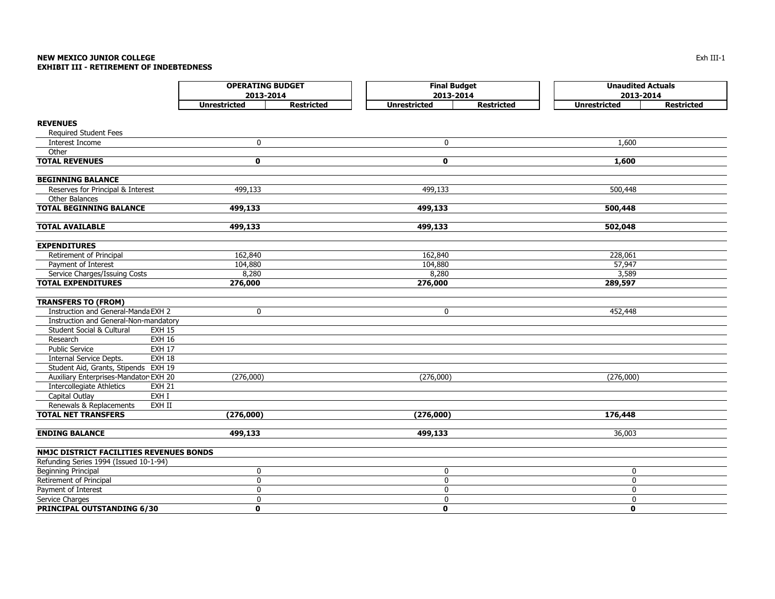#### **NEW MEXICO JUNIOR COLLEGE** Exh III-1 **EXHIBIT III - RETIREMENT OF INDEBTEDNESS**

|                                            | <b>OPERATING BUDGET</b><br>2013-2014     | <b>Final Budget</b><br>2013-2014         | <b>Unaudited Actuals</b><br>2013-2014    |
|--------------------------------------------|------------------------------------------|------------------------------------------|------------------------------------------|
|                                            | <b>Unrestricted</b><br><b>Restricted</b> | <b>Unrestricted</b><br><b>Restricted</b> | <b>Unrestricted</b><br><b>Restricted</b> |
| <b>REVENUES</b>                            |                                          |                                          |                                          |
| <b>Required Student Fees</b>               |                                          |                                          |                                          |
| <b>Interest Income</b>                     | 0                                        | $\mathbf 0$                              | 1,600                                    |
| Other                                      |                                          |                                          |                                          |
| <b>TOTAL REVENUES</b>                      | 0                                        | $\mathbf 0$                              | 1,600                                    |
|                                            |                                          |                                          |                                          |
| <b>BEGINNING BALANCE</b>                   |                                          |                                          |                                          |
| Reserves for Principal & Interest          | 499,133                                  | 499,133                                  | 500,448                                  |
| Other Balances                             |                                          |                                          |                                          |
| <b>TOTAL BEGINNING BALANCE</b>             | 499,133                                  | 499,133                                  | 500,448                                  |
|                                            |                                          |                                          |                                          |
| <b>TOTAL AVAILABLE</b>                     | 499,133                                  | 499,133                                  | 502,048                                  |
| <b>EXPENDITURES</b>                        |                                          |                                          |                                          |
| Retirement of Principal                    | 162,840                                  | 162,840                                  | 228,061                                  |
| Payment of Interest                        | 104,880                                  | 104,880                                  | 57,947                                   |
| Service Charges/Issuing Costs              | 8,280                                    | 8,280                                    | 3,589                                    |
| <b>TOTAL EXPENDITURES</b>                  | 276,000                                  | 276,000                                  | 289,597                                  |
|                                            |                                          |                                          |                                          |
| <b>TRANSFERS TO (FROM)</b>                 |                                          |                                          |                                          |
| Instruction and General-Manda EXH 2        | 0                                        | $\mathbf 0$                              | 452,448                                  |
| Instruction and General-Non-mandatory      |                                          |                                          |                                          |
| Student Social & Cultural<br><b>EXH 15</b> |                                          |                                          |                                          |
| Research<br><b>EXH 16</b>                  |                                          |                                          |                                          |
| <b>Public Service</b><br><b>EXH 17</b>     |                                          |                                          |                                          |
| <b>EXH 18</b><br>Internal Service Depts.   |                                          |                                          |                                          |
| Student Aid, Grants, Stipends EXH 19       |                                          |                                          |                                          |
| Auxiliary Enterprises-Mandator EXH 20      | (276,000)                                | (276,000)                                | (276,000)                                |
| Intercollegiate Athletics<br><b>EXH 21</b> |                                          |                                          |                                          |
| Capital Outlay<br>EXH I                    |                                          |                                          |                                          |
| Renewals & Replacements<br>EXH II          |                                          |                                          |                                          |
| <b>TOTAL NET TRANSFERS</b>                 | (276,000)                                | (276,000)                                | 176,448                                  |
| <b>ENDING BALANCE</b>                      | 499,133                                  | 499,133                                  | 36,003                                   |
|                                            |                                          |                                          |                                          |
| NMJC DISTRICT FACILITIES REVENUES BONDS    |                                          |                                          |                                          |
| Refunding Series 1994 (Issued 10-1-94)     |                                          |                                          |                                          |
| <b>Beginning Principal</b>                 | 0                                        | 0                                        | 0                                        |
| Retirement of Principal                    | 0                                        | 0                                        | 0                                        |
| Payment of Interest                        | 0                                        | 0                                        | $\pmb{0}$                                |
| Service Charges                            | 0                                        | 0                                        | 0                                        |
| <b>PRINCIPAL OUTSTANDING 6/30</b>          | $\mathbf{0}$                             | $\mathbf{0}$                             | $\mathbf 0$                              |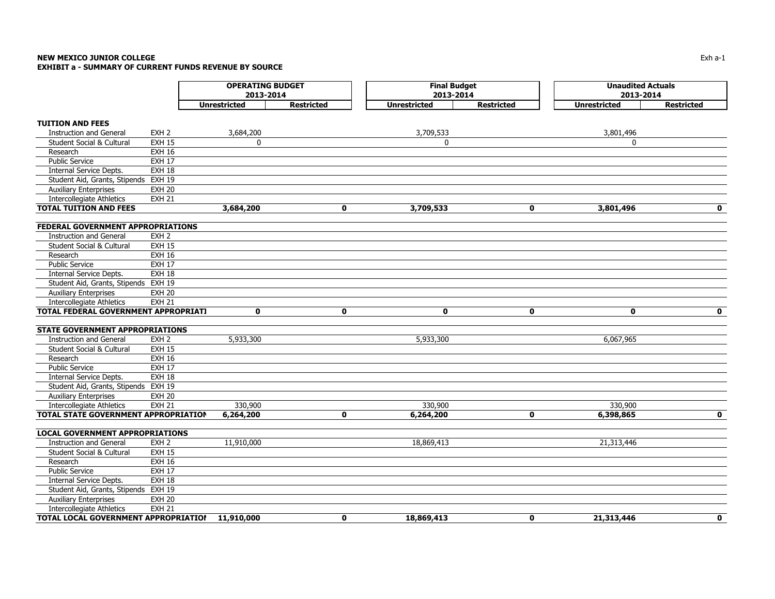#### **NEW MEXICO JUNIOR COLLEGE**Exh a-1 and the contract of the contract of the contract of the contract of the contract of the contract of the contract of the contract of the contract of the contract of the contract of the contract of the contract of th **EXHIBIT a - SUMMARY OF CURRENT FUNDS REVENUE BY SOURCE**

|                                          |                  | <b>OPERATING BUDGET</b> |                   | <b>Final Budget</b> |                   | <b>Unaudited Actuals</b> |                   |  |
|------------------------------------------|------------------|-------------------------|-------------------|---------------------|-------------------|--------------------------|-------------------|--|
|                                          |                  | 2013-2014               |                   | 2013-2014           |                   | 2013-2014                |                   |  |
|                                          |                  | <b>Unrestricted</b>     | <b>Restricted</b> | <b>Unrestricted</b> | <b>Restricted</b> | <b>Unrestricted</b>      | <b>Restricted</b> |  |
| <b>TUITION AND FEES</b>                  |                  |                         |                   |                     |                   |                          |                   |  |
| <b>Instruction and General</b>           | EXH <sub>2</sub> | 3,684,200               |                   | 3,709,533           |                   | 3,801,496                |                   |  |
| Student Social & Cultural                | <b>EXH 15</b>    | $\mathbf 0$             |                   | $\mathbf 0$         |                   | $\mathbf{0}$             |                   |  |
| Research                                 | <b>EXH 16</b>    |                         |                   |                     |                   |                          |                   |  |
| <b>Public Service</b>                    | <b>EXH 17</b>    |                         |                   |                     |                   |                          |                   |  |
| <b>Internal Service Depts.</b>           | <b>EXH 18</b>    |                         |                   |                     |                   |                          |                   |  |
| Student Aid, Grants, Stipends EXH 19     |                  |                         |                   |                     |                   |                          |                   |  |
| <b>Auxiliary Enterprises</b>             | <b>EXH 20</b>    |                         |                   |                     |                   |                          |                   |  |
| Intercollegiate Athletics                | <b>EXH 21</b>    |                         |                   |                     |                   |                          |                   |  |
| <b>TOTAL TUITION AND FEES</b>            |                  | 3,684,200               | 0                 | 3,709,533           | 0                 | 3,801,496                | $\mathbf 0$       |  |
|                                          |                  |                         |                   |                     |                   |                          |                   |  |
| <b>FEDERAL GOVERNMENT APPROPRIATIONS</b> |                  |                         |                   |                     |                   |                          |                   |  |
| <b>Instruction and General</b>           | EXH <sub>2</sub> |                         |                   |                     |                   |                          |                   |  |
| Student Social & Cultural                | <b>EXH 15</b>    |                         |                   |                     |                   |                          |                   |  |
| Research                                 | <b>EXH 16</b>    |                         |                   |                     |                   |                          |                   |  |
| <b>Public Service</b>                    | <b>EXH 17</b>    |                         |                   |                     |                   |                          |                   |  |
| Internal Service Depts.                  | <b>EXH 18</b>    |                         |                   |                     |                   |                          |                   |  |
| Student Aid, Grants, Stipends EXH 19     |                  |                         |                   |                     |                   |                          |                   |  |
| <b>Auxiliary Enterprises</b>             | <b>EXH 20</b>    |                         |                   |                     |                   |                          |                   |  |
| <b>Intercollegiate Athletics</b>         | <b>EXH 21</b>    |                         |                   |                     |                   |                          |                   |  |
| TOTAL FEDERAL GOVERNMENT APPROPRIAT!     |                  | $\mathbf 0$             | $\mathbf 0$       | 0                   | 0                 | $\mathbf 0$              | $\mathbf 0$       |  |
| <b>STATE GOVERNMENT APPROPRIATIONS</b>   |                  |                         |                   |                     |                   |                          |                   |  |
| <b>Instruction and General</b>           | EXH <sub>2</sub> | 5,933,300               |                   | 5,933,300           |                   | 6,067,965                |                   |  |
| <b>Student Social &amp; Cultural</b>     | <b>EXH 15</b>    |                         |                   |                     |                   |                          |                   |  |
| Research                                 | <b>EXH 16</b>    |                         |                   |                     |                   |                          |                   |  |
| <b>Public Service</b>                    | <b>EXH 17</b>    |                         |                   |                     |                   |                          |                   |  |
| Internal Service Depts.                  | <b>EXH 18</b>    |                         |                   |                     |                   |                          |                   |  |
| Student Aid, Grants, Stipends EXH 19     |                  |                         |                   |                     |                   |                          |                   |  |
| <b>Auxiliary Enterprises</b>             | <b>EXH 20</b>    |                         |                   |                     |                   |                          |                   |  |
| <b>Intercollegiate Athletics</b>         | <b>EXH 21</b>    | 330,900                 |                   | 330,900             |                   | 330,900                  |                   |  |
| TOTAL STATE GOVERNMENT APPROPRIATION     |                  | 6,264,200               | $\mathbf{0}$      | 6,264,200           | $\mathbf 0$       | 6,398,865                | $\mathbf 0$       |  |
|                                          |                  |                         |                   |                     |                   |                          |                   |  |
| <b>LOCAL GOVERNMENT APPROPRIATIONS</b>   |                  |                         |                   |                     |                   |                          |                   |  |
| <b>Instruction and General</b>           | EXH <sub>2</sub> | 11,910,000              |                   | 18,869,413          |                   | 21,313,446               |                   |  |
| Student Social & Cultural                | <b>EXH 15</b>    |                         |                   |                     |                   |                          |                   |  |
| Research                                 | <b>EXH 16</b>    |                         |                   |                     |                   |                          |                   |  |
| <b>Public Service</b>                    | <b>EXH 17</b>    |                         |                   |                     |                   |                          |                   |  |
| Internal Service Depts.                  | <b>EXH 18</b>    |                         |                   |                     |                   |                          |                   |  |
| Student Aid, Grants, Stipends EXH 19     |                  |                         |                   |                     |                   |                          |                   |  |
| <b>Auxiliary Enterprises</b>             | <b>EXH 20</b>    |                         |                   |                     |                   |                          |                   |  |
| <b>Intercollegiate Athletics</b>         | <b>EXH 21</b>    |                         |                   |                     |                   |                          |                   |  |
| TOTAL LOCAL GOVERNMENT APPROPRIATIOI     |                  | 11,910,000              | $\mathbf{0}$      | 18,869,413          | $\bf{0}$          | 21,313,446               | $\mathbf{0}$      |  |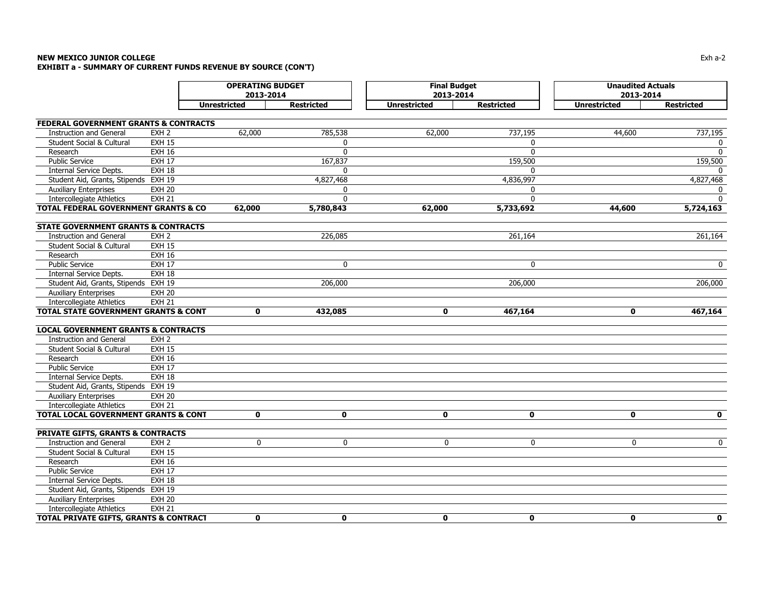#### **NEW MEXICO JUNIOR COLLEGE**Exh a-2 and the state of the state of the state of the state of the state of the state of the state of the state of the state of the state of the state of the state of the state of the state of the state of the state of th **EXHIBIT a - SUMMARY OF CURRENT FUNDS REVENUE BY SOURCE (CON'T)**

|                                                                  |                  | <b>OPERATING BUDGET</b> |                   | <b>Final Budget</b> |                   | <b>Unaudited Actuals</b> |                   |  |
|------------------------------------------------------------------|------------------|-------------------------|-------------------|---------------------|-------------------|--------------------------|-------------------|--|
|                                                                  |                  | 2013-2014               |                   | 2013-2014           |                   | 2013-2014                |                   |  |
|                                                                  |                  | <b>Unrestricted</b>     | <b>Restricted</b> | <b>Unrestricted</b> | <b>Restricted</b> | <b>Unrestricted</b>      | <b>Restricted</b> |  |
| <b>FEDERAL GOVERNMENT GRANTS &amp; CONTRACTS</b>                 |                  |                         |                   |                     |                   |                          |                   |  |
| <b>Instruction and General</b>                                   | EXH <sub>2</sub> | 62,000                  | 785,538           | 62,000              | 737,195           | 44,600                   | 737,195           |  |
| Student Social & Cultural                                        | <b>EXH 15</b>    |                         | $\mathbf 0$       |                     | $\mathbf{0}$      |                          | 0                 |  |
| Research                                                         | <b>EXH 16</b>    |                         | $\mathbf{0}$      |                     | $\mathbf{0}$      |                          | $\Omega$          |  |
| <b>Public Service</b>                                            | <b>EXH 17</b>    |                         | 167,837           |                     | 159,500           |                          | 159,500           |  |
| <b>Internal Service Depts.</b>                                   | <b>EXH 18</b>    |                         | $\mathbf{0}$      |                     | $\Omega$          |                          |                   |  |
| Student Aid, Grants, Stipends EXH 19                             |                  |                         | 4,827,468         |                     | 4,836,997         |                          | 4,827,468         |  |
| <b>Auxiliary Enterprises</b>                                     | <b>EXH 20</b>    |                         | $\Omega$          |                     | $\mathbf{0}$      |                          | 0                 |  |
| <b>Intercollegiate Athletics</b>                                 | <b>EXH 21</b>    |                         | $\Omega$          |                     | $\Omega$          |                          | $\Omega$          |  |
| <b>TOTAL FEDERAL GOVERNMENT GRANTS &amp; CO</b>                  |                  | 62,000                  | 5,780,843         | 62,000              | 5,733,692         | 44,600                   | 5,724,163         |  |
|                                                                  |                  |                         |                   |                     |                   |                          |                   |  |
| <b>STATE GOVERNMENT GRANTS &amp; CONTRACTS</b>                   |                  |                         |                   |                     |                   |                          |                   |  |
| <b>Instruction and General</b>                                   | EXH <sub>2</sub> |                         | 226,085           |                     | 261,164           |                          | 261,164           |  |
| Student Social & Cultural                                        | <b>EXH 15</b>    |                         |                   |                     |                   |                          |                   |  |
| Research                                                         | <b>EXH 16</b>    |                         |                   |                     |                   |                          |                   |  |
| <b>Public Service</b>                                            | <b>EXH 17</b>    |                         | $\mathbf 0$       |                     | $\mathbf{0}$      |                          | $\mathbf 0$       |  |
| Internal Service Depts.                                          | <b>EXH 18</b>    |                         |                   |                     |                   |                          |                   |  |
| Student Aid, Grants, Stipends EXH 19                             |                  |                         | 206,000           |                     | 206,000           |                          | 206,000           |  |
| <b>Auxiliary Enterprises</b>                                     | <b>EXH 20</b>    |                         |                   |                     |                   |                          |                   |  |
| <b>Intercollegiate Athletics</b>                                 | <b>EXH 21</b>    |                         |                   |                     |                   |                          |                   |  |
| <b>TOTAL STATE GOVERNMENT GRANTS &amp; CONT</b>                  |                  | $\mathbf 0$             | 432,085           | $\mathbf 0$         | 467,164           | $\mathbf 0$              | 467,164           |  |
| <b>LOCAL GOVERNMENT GRANTS &amp; CONTRACTS</b>                   |                  |                         |                   |                     |                   |                          |                   |  |
| <b>Instruction and General</b>                                   | EXH <sub>2</sub> |                         |                   |                     |                   |                          |                   |  |
| <b>Student Social &amp; Cultural</b>                             | <b>EXH 15</b>    |                         |                   |                     |                   |                          |                   |  |
| Research                                                         | <b>EXH 16</b>    |                         |                   |                     |                   |                          |                   |  |
| <b>Public Service</b>                                            | <b>EXH 17</b>    |                         |                   |                     |                   |                          |                   |  |
| Internal Service Depts.                                          | <b>EXH 18</b>    |                         |                   |                     |                   |                          |                   |  |
| Student Aid, Grants, Stipends EXH 19                             |                  |                         |                   |                     |                   |                          |                   |  |
| <b>Auxiliary Enterprises</b>                                     | <b>EXH 20</b>    |                         |                   |                     |                   |                          |                   |  |
| Intercollegiate Athletics                                        | <b>EXH 21</b>    |                         |                   |                     |                   |                          |                   |  |
| <b>TOTAL LOCAL GOVERNMENT GRANTS &amp; CONT</b>                  |                  | $\mathbf 0$             | $\mathbf 0$       | $\mathbf 0$         | $\mathbf 0$       | $\mathbf 0$              | $\mathbf 0$       |  |
| <b>PRIVATE GIFTS, GRANTS &amp; CONTRACTS</b>                     |                  |                         |                   |                     |                   |                          |                   |  |
| <b>Instruction and General</b>                                   | EXH <sub>2</sub> | 0                       | $\mathbf 0$       | 0                   | 0                 | $\mathbf 0$              | $\mathbf 0$       |  |
| Student Social & Cultural                                        | <b>EXH 15</b>    |                         |                   |                     |                   |                          |                   |  |
| Research                                                         | <b>EXH 16</b>    |                         |                   |                     |                   |                          |                   |  |
| <b>Public Service</b>                                            | <b>EXH 17</b>    |                         |                   |                     |                   |                          |                   |  |
| Internal Service Depts.                                          | <b>EXH 18</b>    |                         |                   |                     |                   |                          |                   |  |
| Student Aid, Grants, Stipends EXH 19                             |                  |                         |                   |                     |                   |                          |                   |  |
|                                                                  | <b>EXH 20</b>    |                         |                   |                     |                   |                          |                   |  |
| <b>Auxiliary Enterprises</b><br><b>Intercollegiate Athletics</b> | <b>EXH 21</b>    |                         |                   |                     |                   |                          |                   |  |
| TOTAL PRIVATE GIFTS, GRANTS & CONTRACT                           |                  | $\mathbf{0}$            | $\mathbf{0}$      | $\mathbf{0}$        | $\mathbf{0}$      | $\mathbf{0}$             | $\mathbf{0}$      |  |
|                                                                  |                  |                         |                   |                     |                   |                          |                   |  |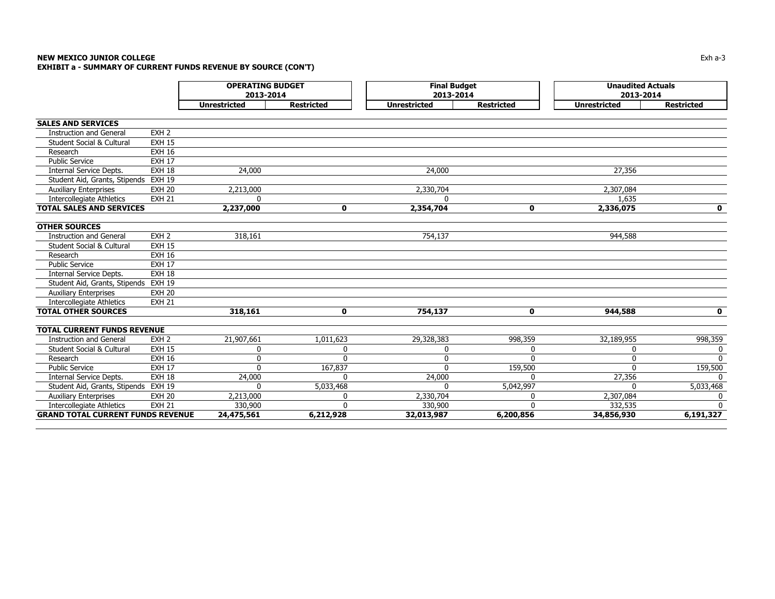#### **NEW MEXICO JUNIOR COLLEGE** $\mathsf E$  the contract of the contract of the contract of the contract of the contract of the contract of the contract of the contract of the contract of the contract of the contract of the contract of the contract of the co **EXHIBIT a - SUMMARY OF CURRENT FUNDS REVENUE BY SOURCE (CON'T)**

|                                                             |                  | <b>OPERATING BUDGET</b><br>2013-2014 |                   | <b>Final Budget</b><br>2013-2014 |                   | <b>Unaudited Actuals</b><br>2013-2014 |                   |
|-------------------------------------------------------------|------------------|--------------------------------------|-------------------|----------------------------------|-------------------|---------------------------------------|-------------------|
|                                                             |                  | <b>Unrestricted</b>                  | <b>Restricted</b> | <b>Unrestricted</b>              | <b>Restricted</b> | <b>Unrestricted</b>                   | <b>Restricted</b> |
|                                                             |                  |                                      |                   |                                  |                   |                                       |                   |
| <b>SALES AND SERVICES</b><br><b>Instruction and General</b> | EXH <sub>2</sub> |                                      |                   |                                  |                   |                                       |                   |
| Student Social & Cultural                                   | <b>EXH 15</b>    |                                      |                   |                                  |                   |                                       |                   |
| Research                                                    | <b>EXH 16</b>    |                                      |                   |                                  |                   |                                       |                   |
| <b>Public Service</b>                                       | <b>EXH 17</b>    |                                      |                   |                                  |                   |                                       |                   |
| Internal Service Depts.                                     | <b>EXH 18</b>    | 24,000                               |                   | 24,000                           |                   | 27,356                                |                   |
| Student Aid, Grants, Stipends                               | <b>EXH 19</b>    |                                      |                   |                                  |                   |                                       |                   |
| <b>Auxiliary Enterprises</b>                                | <b>EXH 20</b>    | 2,213,000                            |                   | 2,330,704                        |                   | 2,307,084                             |                   |
| <b>Intercollegiate Athletics</b>                            | <b>EXH 21</b>    | $\mathbf{0}$                         |                   | $\mathbf{0}$                     |                   | 1,635                                 |                   |
| <b>TOTAL SALES AND SERVICES</b>                             |                  | 2,237,000                            | 0                 | 2,354,704                        | 0                 | 2,336,075                             | $\mathbf 0$       |
|                                                             |                  |                                      |                   |                                  |                   |                                       |                   |
| <b>OTHER SOURCES</b>                                        |                  |                                      |                   |                                  |                   |                                       |                   |
| <b>Instruction and General</b>                              | EXH <sub>2</sub> | 318,161                              |                   | 754,137                          |                   | 944,588                               |                   |
| <b>Student Social &amp; Cultural</b>                        | <b>EXH 15</b>    |                                      |                   |                                  |                   |                                       |                   |
| Research                                                    | <b>EXH 16</b>    |                                      |                   |                                  |                   |                                       |                   |
| <b>Public Service</b>                                       | <b>EXH 17</b>    |                                      |                   |                                  |                   |                                       |                   |
| Internal Service Depts.                                     | <b>EXH 18</b>    |                                      |                   |                                  |                   |                                       |                   |
| Student Aid, Grants, Stipends                               | <b>EXH 19</b>    |                                      |                   |                                  |                   |                                       |                   |
| <b>Auxiliary Enterprises</b>                                | <b>EXH 20</b>    |                                      |                   |                                  |                   |                                       |                   |
| <b>Intercollegiate Athletics</b>                            | <b>EXH 21</b>    |                                      |                   |                                  |                   |                                       |                   |
| <b>TOTAL OTHER SOURCES</b>                                  |                  | 318,161                              | $\mathbf 0$       | 754,137                          | $\mathbf 0$       | 944,588                               | $\mathbf{0}$      |
| <b>TOTAL CURRENT FUNDS REVENUE</b>                          |                  |                                      |                   |                                  |                   |                                       |                   |
| <b>Instruction and General</b>                              | EXH <sub>2</sub> | 21,907,661                           | 1,011,623         | 29,328,383                       | 998,359           | 32,189,955                            | 998,359           |
| <b>Student Social &amp; Cultural</b>                        | <b>EXH 15</b>    | $\mathbf{0}$                         | 0                 | 0                                | $\Omega$          | $\mathbf{0}$                          | 0                 |
| Research                                                    | <b>EXH 16</b>    | $\Omega$                             | ŋ                 | 0                                | $\Omega$          | 0                                     | $\Omega$          |
| <b>Public Service</b>                                       | <b>EXH 17</b>    | $\Omega$                             | 167,837           | $\Omega$                         | 159,500           | $\Omega$                              | 159,500           |
| Internal Service Depts.                                     | <b>EXH 18</b>    | 24,000                               | U                 | 24,000                           | $\Omega$          | 27,356                                |                   |
| Student Aid, Grants, Stipends                               | <b>EXH 19</b>    | $\Omega$                             | 5,033,468         | $\Omega$                         | 5,042,997         | $\Omega$                              | 5,033,468         |
| Auxiliary Enterprises                                       | <b>EXH 20</b>    | 2,213,000                            | 0                 | 2,330,704                        | $\Omega$          | 2,307,084                             | 0                 |
| <b>Intercollegiate Athletics</b>                            | <b>EXH 21</b>    | 330,900                              | $\Omega$          | 330,900                          | $\Omega$          | 332,535                               | $\Omega$          |
| <b>GRAND TOTAL CURRENT FUNDS REVENUE</b>                    |                  | 24,475,561                           | 6,212,928         | 32,013,987                       | 6,200,856         | 34,856,930                            | 6,191,327         |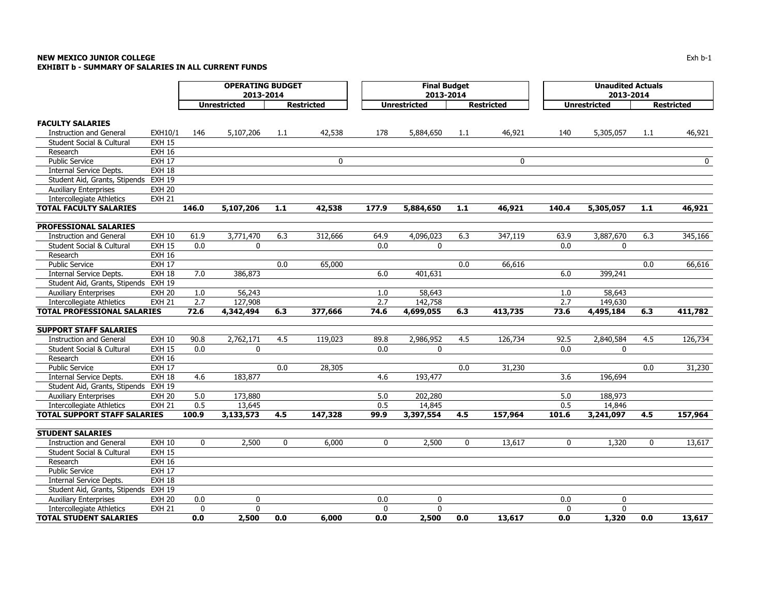#### **NEW MEXICO JUNIOR COLLEGE** Exh b-1 **EXHIBIT b - SUMMARY OF SALARIES IN ALL CURRENT FUNDS**

|                                      |               |              | <b>OPERATING BUDGET</b><br>2013-2014 |             |                   |          | <b>Final Budget</b><br>2013-2014 |       |                   |                  | <b>Unaudited Actuals</b><br>2013-2014 |       |                   |
|--------------------------------------|---------------|--------------|--------------------------------------|-------------|-------------------|----------|----------------------------------|-------|-------------------|------------------|---------------------------------------|-------|-------------------|
|                                      |               |              | <b>Unrestricted</b>                  |             | <b>Restricted</b> |          | <b>Unrestricted</b>              |       | <b>Restricted</b> |                  | <b>Unrestricted</b>                   |       | <b>Restricted</b> |
| <b>FACULTY SALARIES</b>              |               |              |                                      |             |                   |          |                                  |       |                   |                  |                                       |       |                   |
| <b>Instruction and General</b>       | EXH10/1       | 146          | 5,107,206                            | 1.1         | 42,538            | 178      | 5,884,650                        | 1.1   | 46,921            | 140              | 5,305,057                             | 1.1   | 46,921            |
| <b>Student Social &amp; Cultural</b> | <b>EXH 15</b> |              |                                      |             |                   |          |                                  |       |                   |                  |                                       |       |                   |
| Research                             | <b>EXH 16</b> |              |                                      |             |                   |          |                                  |       |                   |                  |                                       |       |                   |
| <b>Public Service</b>                | <b>EXH 17</b> |              |                                      |             | $\mathbf 0$       |          |                                  |       | $\mathbf 0$       |                  |                                       |       | 0                 |
| Internal Service Depts.              | <b>EXH 18</b> |              |                                      |             |                   |          |                                  |       |                   |                  |                                       |       |                   |
| Student Aid, Grants, Stipends        | <b>EXH 19</b> |              |                                      |             |                   |          |                                  |       |                   |                  |                                       |       |                   |
| <b>Auxiliary Enterprises</b>         | <b>EXH 20</b> |              |                                      |             |                   |          |                                  |       |                   |                  |                                       |       |                   |
| Intercollegiate Athletics            | <b>EXH 21</b> |              |                                      |             |                   |          |                                  |       |                   |                  |                                       |       |                   |
| <b>TOTAL FACULTY SALARIES</b>        |               | 146.0        | 5,107,206                            | 1.1         | 42,538            | 177.9    | 5,884,650                        | $1.1$ | 46,921            | 140.4            | 5,305,057                             | $1.1$ | 46,921            |
| <b>PROFESSIONAL SALARIES</b>         |               |              |                                      |             |                   |          |                                  |       |                   |                  |                                       |       |                   |
| <b>Instruction and General</b>       | <b>EXH 10</b> | 61.9         | 3,771,470                            | 6.3         | 312,666           | 64.9     | 4,096,023                        | 6.3   | 347,119           | 63.9             | 3,887,670                             | 6.3   | 345,166           |
| Student Social & Cultural            | <b>EXH 15</b> | 0.0          | 0                                    |             |                   | 0.0      | $\mathbf 0$                      |       |                   | 0.0              | 0                                     |       |                   |
| Research                             | <b>EXH 16</b> |              |                                      |             |                   |          |                                  |       |                   |                  |                                       |       |                   |
| <b>Public Service</b>                | <b>EXH 17</b> |              |                                      | 0.0         | 65,000            |          |                                  | 0.0   | 66,616            |                  |                                       | 0.0   | 66,616            |
| Internal Service Depts.              | EXH 18        | 7.0          | 386,873                              |             |                   | 6.0      | 401,631                          |       |                   | 6.0              | 399,241                               |       |                   |
| Student Aid, Grants, Stipends        | <b>EXH 19</b> |              |                                      |             |                   |          |                                  |       |                   |                  |                                       |       |                   |
| <b>Auxiliary Enterprises</b>         | <b>EXH 20</b> | 1.0          | 56,243                               |             |                   | 1.0      | 58,643                           |       |                   | 1.0              | 58,643                                |       |                   |
| <b>Intercollegiate Athletics</b>     | <b>EXH 21</b> | 2.7          | 127,908                              |             |                   | 2.7      | 142,758                          |       |                   | 2.7              | 149,630                               |       |                   |
| <b>TOTAL PROFESSIONAL SALARIES</b>   |               | 72.6         | 4,342,494                            | 6.3         | 377,666           | 74.6     | 4,699,055                        | 6.3   | 413,735           | 73.6             | 4,495,184                             | 6.3   | 411,782           |
| <b>SUPPORT STAFF SALARIES</b>        |               |              |                                      |             |                   |          |                                  |       |                   |                  |                                       |       |                   |
| <b>Instruction and General</b>       | <b>EXH 10</b> | 90.8         | 2,762,171                            | 4.5         | 119,023           | 89.8     | 2,986,952                        | 4.5   | 126,734           | 92.5             | 2,840,584                             | 4.5   | 126,734           |
| Student Social & Cultural            | <b>EXH 15</b> | 0.0          | $\mathbf{0}$                         |             |                   | 0.0      | $\mathbf{0}$                     |       |                   | 0.0              | $\mathbf{0}$                          |       |                   |
| Research                             | <b>EXH 16</b> |              |                                      |             |                   |          |                                  |       |                   |                  |                                       |       |                   |
| <b>Public Service</b>                | <b>EXH 17</b> |              |                                      | 0.0         | 28,305            |          |                                  | 0.0   | 31,230            |                  |                                       | 0.0   | 31,230            |
| Internal Service Depts.              | <b>EXH 18</b> | 4.6          | 183,877                              |             |                   | 4.6      | 193,477                          |       |                   | $\overline{3.6}$ | 196,694                               |       |                   |
| Student Aid, Grants, Stipends        | <b>EXH 19</b> |              |                                      |             |                   |          |                                  |       |                   |                  |                                       |       |                   |
| <b>Auxiliary Enterprises</b>         | <b>EXH 20</b> | 5.0          | 173,880                              |             |                   | 5.0      | 202,280                          |       |                   | 5.0              | 188,973                               |       |                   |
| <b>Intercollegiate Athletics</b>     | <b>EXH 21</b> | 0.5          | 13,645                               |             |                   | 0.5      | 14,845                           |       |                   | 0.5              | 14,846                                |       |                   |
| <b>TOTAL SUPPORT STAFF SALARIES</b>  |               | 100.9        | 3,133,573                            | 4.5         | 147,328           | 99.9     | 3,397,554                        | 4.5   | 157,964           | 101.6            | 3,241,097                             | 4.5   | 157,964           |
| <b>STUDENT SALARIES</b>              |               |              |                                      |             |                   |          |                                  |       |                   |                  |                                       |       |                   |
| <b>Instruction and General</b>       | <b>EXH 10</b> | $\mathbf 0$  | 2,500                                | $\mathbf 0$ | 6,000             | 0        | 2,500                            | 0     | 13,617            | 0                | 1,320                                 | 0     | 13,617            |
| Student Social & Cultural            | <b>EXH 15</b> |              |                                      |             |                   |          |                                  |       |                   |                  |                                       |       |                   |
| Research                             | <b>EXH 16</b> |              |                                      |             |                   |          |                                  |       |                   |                  |                                       |       |                   |
| <b>Public Service</b>                | <b>EXH 17</b> |              |                                      |             |                   |          |                                  |       |                   |                  |                                       |       |                   |
| <b>Internal Service Depts.</b>       | <b>EXH 18</b> |              |                                      |             |                   |          |                                  |       |                   |                  |                                       |       |                   |
| Student Aid, Grants, Stipends        | <b>EXH 19</b> |              |                                      |             |                   |          |                                  |       |                   |                  |                                       |       |                   |
| <b>Auxiliary Enterprises</b>         | <b>EXH 20</b> | 0.0          | 0                                    |             |                   | 0.0      | 0                                |       |                   | 0.0              | $\mathbf 0$                           |       |                   |
| <b>Intercollegiate Athletics</b>     | <b>EXH 21</b> | $\mathbf{0}$ | $\Omega$                             |             |                   | $\Omega$ | $\Omega$                         |       |                   | $\Omega$         | $\Omega$                              |       |                   |
| <b>TOTAL STUDENT SALARIES</b>        |               | 0.0          | 2,500                                | 0.0         | 6,000             | 0.0      | 2,500                            | 0.0   | 13,617            | 0.0              | 1,320                                 | 0.0   | 13,617            |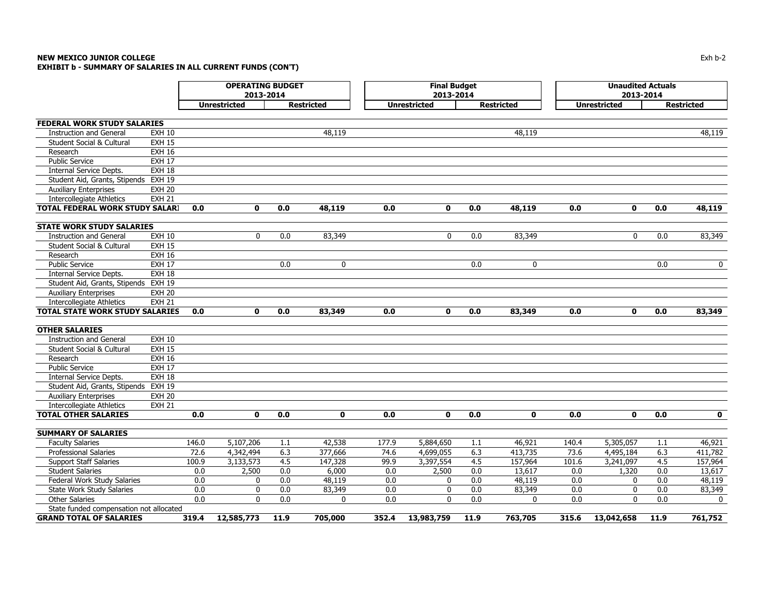#### **NEW MEXICO JUNIOR COLLEGE** $\mathsf E$  becomes the contract of the contract of the contract of the contract of the contract of the contract of the contract of the contract of the contract of the contract of the contract of the contract of the contract o **EXHIBIT b - SUMMARY OF SALARIES IN ALL CURRENT FUNDS (CON'T)**

|                                         |               |       | <b>OPERATING BUDGET</b><br>2013-2014 |      |                   |       | <b>Final Budget</b><br>2013-2014 |      |                   |       | <b>Unaudited Actuals</b><br>2013-2014 |      |                   |
|-----------------------------------------|---------------|-------|--------------------------------------|------|-------------------|-------|----------------------------------|------|-------------------|-------|---------------------------------------|------|-------------------|
|                                         |               |       | <b>Unrestricted</b>                  |      | <b>Restricted</b> |       | <b>Unrestricted</b>              |      | <b>Restricted</b> |       | <b>Unrestricted</b>                   |      | <b>Restricted</b> |
|                                         |               |       |                                      |      |                   |       |                                  |      |                   |       |                                       |      |                   |
| <b>FEDERAL WORK STUDY SALARIES</b>      |               |       |                                      |      |                   |       |                                  |      |                   |       |                                       |      |                   |
| <b>Instruction and General</b>          | <b>EXH 10</b> |       |                                      |      | 48,119            |       |                                  |      | 48,119            |       |                                       |      | 48,119            |
| <b>Student Social &amp; Cultural</b>    | <b>EXH 15</b> |       |                                      |      |                   |       |                                  |      |                   |       |                                       |      |                   |
| Research                                | <b>EXH 16</b> |       |                                      |      |                   |       |                                  |      |                   |       |                                       |      |                   |
| <b>Public Service</b>                   | <b>EXH 17</b> |       |                                      |      |                   |       |                                  |      |                   |       |                                       |      |                   |
| <b>Internal Service Depts.</b>          | <b>EXH 18</b> |       |                                      |      |                   |       |                                  |      |                   |       |                                       |      |                   |
| Student Aid, Grants, Stipends EXH 19    |               |       |                                      |      |                   |       |                                  |      |                   |       |                                       |      |                   |
| <b>Auxiliary Enterprises</b>            | <b>EXH 20</b> |       |                                      |      |                   |       |                                  |      |                   |       |                                       |      |                   |
| <b>Intercollegiate Athletics</b>        | <b>EXH 21</b> |       |                                      |      |                   |       |                                  |      |                   |       |                                       |      |                   |
| <b>TOTAL FEDERAL WORK STUDY SALARI</b>  |               | 0.0   | $\mathbf{0}$                         | 0.0  | 48,119            | 0.0   | $\mathbf{0}$                     | 0.0  | 48,119            | 0.0   | $\mathbf{0}$                          | 0.0  | 48,119            |
|                                         |               |       |                                      |      |                   |       |                                  |      |                   |       |                                       |      |                   |
| <b>STATE WORK STUDY SALARIES</b>        |               |       |                                      |      |                   |       |                                  |      |                   |       |                                       |      |                   |
| <b>Instruction and General</b>          | <b>EXH 10</b> |       | 0                                    | 0.0  | 83,349            |       | 0                                | 0.0  | 83,349            |       | 0                                     | 0.0  | 83,349            |
| Student Social & Cultural               | <b>EXH 15</b> |       |                                      |      |                   |       |                                  |      |                   |       |                                       |      |                   |
| Research                                | <b>EXH 16</b> |       |                                      |      |                   |       |                                  |      |                   |       |                                       |      |                   |
| <b>Public Service</b>                   | <b>EXH 17</b> |       |                                      | 0.0  | $\mathbf 0$       |       |                                  | 0.0  | 0                 |       |                                       | 0.0  | $\mathbf 0$       |
| <b>Internal Service Depts.</b>          | <b>EXH 18</b> |       |                                      |      |                   |       |                                  |      |                   |       |                                       |      |                   |
| Student Aid, Grants, Stipends EXH 19    |               |       |                                      |      |                   |       |                                  |      |                   |       |                                       |      |                   |
| <b>Auxiliary Enterprises</b>            | <b>EXH 20</b> |       |                                      |      |                   |       |                                  |      |                   |       |                                       |      |                   |
| <b>Intercollegiate Athletics</b>        | <b>EXH 21</b> |       |                                      |      |                   |       |                                  |      |                   |       |                                       |      |                   |
| <b>TOTAL STATE WORK STUDY SALARIES</b>  |               | 0.0   | $\mathbf{0}$                         | 0.0  | 83,349            | 0.0   | $\mathbf{0}$                     | 0.0  | 83,349            | 0.0   | $\mathbf{0}$                          | 0.0  | 83,349            |
| <b>OTHER SALARIES</b>                   |               |       |                                      |      |                   |       |                                  |      |                   |       |                                       |      |                   |
| <b>Instruction and General</b>          | <b>EXH 10</b> |       |                                      |      |                   |       |                                  |      |                   |       |                                       |      |                   |
| Student Social & Cultural               | <b>EXH 15</b> |       |                                      |      |                   |       |                                  |      |                   |       |                                       |      |                   |
| Research                                | <b>EXH 16</b> |       |                                      |      |                   |       |                                  |      |                   |       |                                       |      |                   |
| <b>Public Service</b>                   | <b>EXH 17</b> |       |                                      |      |                   |       |                                  |      |                   |       |                                       |      |                   |
| Internal Service Depts.                 | <b>EXH 18</b> |       |                                      |      |                   |       |                                  |      |                   |       |                                       |      |                   |
| Student Aid, Grants, Stipends           | <b>EXH 19</b> |       |                                      |      |                   |       |                                  |      |                   |       |                                       |      |                   |
| <b>Auxiliary Enterprises</b>            | <b>EXH 20</b> |       |                                      |      |                   |       |                                  |      |                   |       |                                       |      |                   |
| <b>Intercollegiate Athletics</b>        | <b>EXH 21</b> |       |                                      |      |                   |       |                                  |      |                   |       |                                       |      |                   |
| <b>TOTAL OTHER SALARIES</b>             |               | 0.0   | $\mathbf{0}$                         | 0.0  | $\mathbf{0}$      | 0.0   | $\mathbf{0}$                     | 0.0  | $\mathbf 0$       | 0.0   | $\mathbf{o}$                          | 0.0  | $\mathbf{0}$      |
| <b>SUMMARY OF SALARIES</b>              |               |       |                                      |      |                   |       |                                  |      |                   |       |                                       |      |                   |
| <b>Faculty Salaries</b>                 |               | 146.0 | 5,107,206                            | 1.1  | 42,538            | 177.9 | 5,884,650                        | 1.1  | 46,921            | 140.4 | 5,305,057                             | 1.1  | 46,921            |
| Professional Salaries                   |               | 72.6  | 4,342,494                            | 6.3  | 377,666           | 74.6  | 4,699,055                        | 6.3  | 413,735           | 73.6  | 4,495,184                             | 6.3  | 411,782           |
| <b>Support Staff Salaries</b>           |               | 100.9 | 3,133,573                            | 4.5  | 147,328           | 99.9  | 3,397,554                        | 4.5  | 157,964           | 101.6 | 3,241,097                             | 4.5  | 157,964           |
| <b>Student Salaries</b>                 |               | 0.0   | 2,500                                | 0.0  | 6,000             | 0.0   | 2,500                            | 0.0  | 13,617            | 0.0   | 1,320                                 | 0.0  | 13,617            |
| Federal Work Study Salaries             |               | 0.0   | 0                                    | 0.0  | 48,119            | 0.0   | 0                                | 0.0  | 48,119            | 0.0   | 0                                     | 0.0  | 48,119            |
| State Work Study Salaries               |               | 0.0   | 0                                    | 0.0  | 83,349            | 0.0   | 0                                | 0.0  | 83,349            | 0.0   | 0                                     | 0.0  | 83,349            |
| <b>Other Salaries</b>                   |               | 0.0   | 0                                    | 0.0  | $\Omega$          | 0.0   | $\mathbf{0}$                     | 0.0  | $\mathbf{0}$      | 0.0   | 0                                     | 0.0  | $\mathbf{0}$      |
| State funded compensation not allocated |               |       |                                      |      |                   |       |                                  |      |                   |       |                                       |      |                   |
| <b>GRAND TOTAL OF SALARIES</b>          |               | 319.4 | 12,585,773                           | 11.9 | 705,000           | 352.4 | 13,983,759                       | 11.9 | 763,705           | 315.6 | 13,042,658                            | 11.9 | 761,752           |
|                                         |               |       |                                      |      |                   |       |                                  |      |                   |       |                                       |      |                   |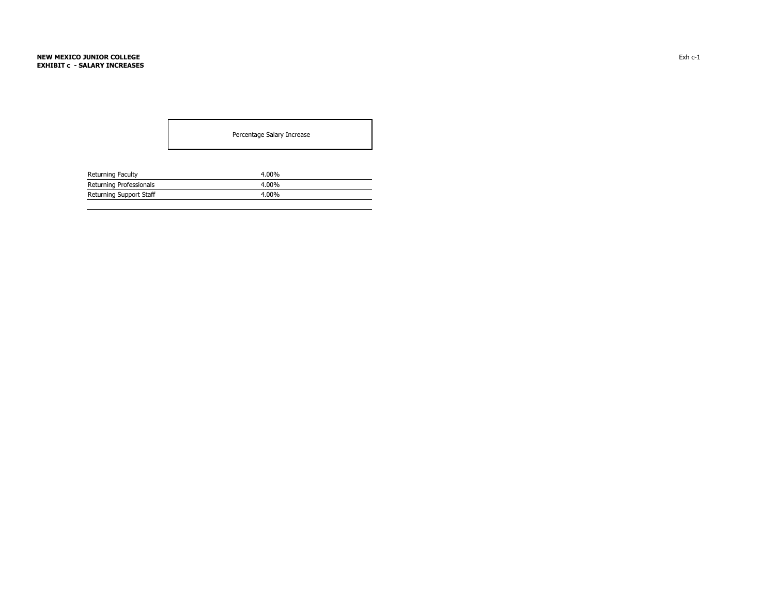Percentage Salary Increase

| Returning Faculty       | $4.00\%$ |
|-------------------------|----------|
| Returning Professionals | $4.00\%$ |
| Returning Support Staff | $4.00\%$ |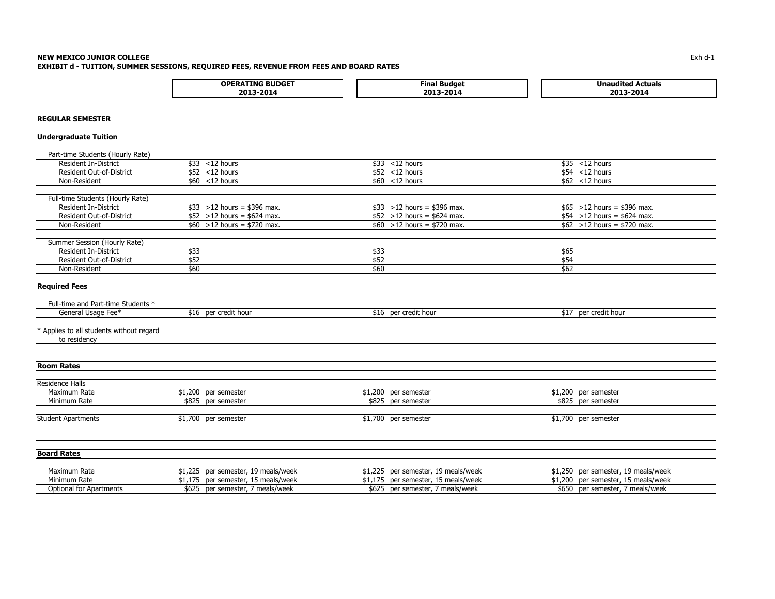#### **NEW MEXICO JUNIOR COLLEGE** Exh d-1 **EXHIBIT d - TUITION, SUMMER SESSIONS, REQUIRED FEES, REVENUE FROM FEES AND BOARD RATES**

| . <del>. .</del><br>∩P∣<br>3UDGE. | --<br>Fin.<br>пае | Actuals<br><b>Unaugite</b> |
|-----------------------------------|-------------------|----------------------------|
| <br>,,,<br>--                     | חר<br>2019 -      | ∴∩∩-<br>20<br>-            |

# **REGULAR SEMESTER**

# **Undergraduate Tuition**

| Part-time Students (Hourly Rate)         |                                        |                                       |                                       |
|------------------------------------------|----------------------------------------|---------------------------------------|---------------------------------------|
| <b>Resident In-District</b>              | $$33$ <12 hours                        | $$33$ < 12 hours                      | $$35$ < 12 hours                      |
| Resident Out-of-District                 | $$52$ < 12 hours                       | $$52$ <12 hours                       | $$54$ < 12 hours                      |
| Non-Resident                             | $$60$ < 12 hours                       | $$60$ < 12 hours                      | $$62$ < 12 hours                      |
|                                          |                                        |                                       |                                       |
| Full-time Students (Hourly Rate)         |                                        |                                       |                                       |
| <b>Resident In-District</b>              | $$33 > 12$ hours = \$396 max.          | $$33 > 12$ hours = \$396 max.         | $$65 > 12$ hours = \$396 max.         |
| <b>Resident Out-of-District</b>          | $$52 > 12$ hours = \$624 max.          | $$52 > 12$ hours = \$624 max.         | $$54 > 12$ hours = \$624 max.         |
| Non-Resident                             | $\frac{1}{60}$ > 12 hours = \$720 max. | $\frac{1}{10}$ >12 hours = \$720 max. | $\frac{1}{2}$ = 12 hours = \$720 max. |
|                                          |                                        |                                       |                                       |
| Summer Session (Hourly Rate)             |                                        |                                       |                                       |
| <b>Resident In-District</b>              | \$33                                   | \$33                                  | \$65                                  |
| <b>Resident Out-of-District</b>          | \$52                                   | \$52                                  | \$54                                  |
| Non-Resident                             | \$60                                   | \$60                                  | \$62                                  |
|                                          |                                        |                                       |                                       |
| <b>Required Fees</b>                     |                                        |                                       |                                       |
|                                          |                                        |                                       |                                       |
| Full-time and Part-time Students *       |                                        |                                       |                                       |
| General Usage Fee*                       | \$16 per credit hour                   | \$16 per credit hour                  | \$17 per credit hour                  |
|                                          |                                        |                                       |                                       |
| * Applies to all students without regard |                                        |                                       |                                       |
| to residency                             |                                        |                                       |                                       |
|                                          |                                        |                                       |                                       |
|                                          |                                        |                                       |                                       |
| <b>Room Rates</b>                        |                                        |                                       |                                       |
|                                          |                                        |                                       |                                       |
| Residence Halls                          |                                        |                                       |                                       |
| Maximum Rate                             | $$1,200$ per semester                  | \$1,200 per semester                  | \$1,200 per semester                  |
| Minimum Rate                             | \$825 per semester                     | \$825 per semester                    | \$825 per semester                    |
|                                          |                                        |                                       |                                       |
| <b>Student Apartments</b>                | \$1,700 per semester                   | \$1,700 per semester                  | \$1,700 per semester                  |
|                                          |                                        |                                       |                                       |
|                                          |                                        |                                       |                                       |
|                                          |                                        |                                       |                                       |
| <b>Board Rates</b>                       |                                        |                                       |                                       |
|                                          |                                        |                                       |                                       |
| Maximum Rate                             | \$1,225 per semester, 19 meals/week    | \$1,225 per semester, 19 meals/week   | \$1,250 per semester, 19 meals/week   |
| Minimum Rate                             | \$1,175 per semester, 15 meals/week    | \$1,175 per semester, 15 meals/week   | \$1,200 per semester, 15 meals/week   |
| <b>Optional for Apartments</b>           | \$625 per semester, 7 meals/week       | \$625 per semester, 7 meals/week      | \$650 per semester, 7 meals/week      |
|                                          |                                        |                                       |                                       |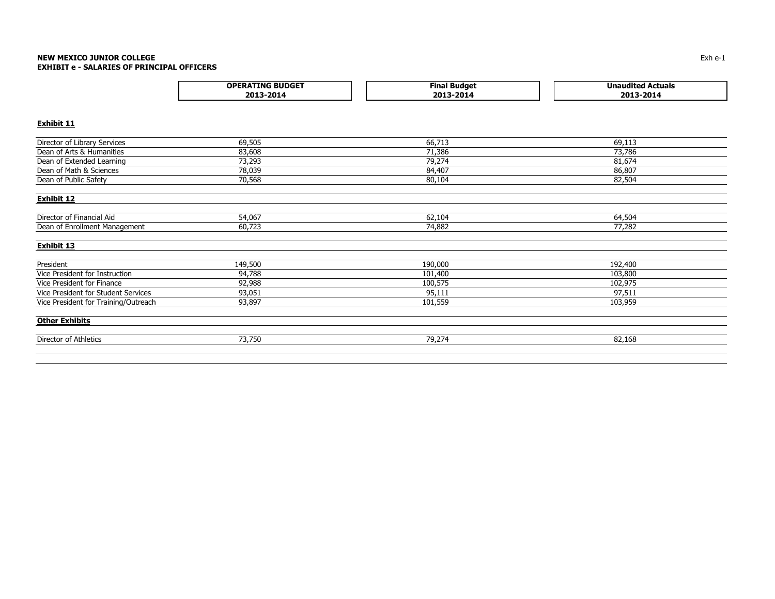#### **NEW MEXICO JUNIOR COLLEGE** Exh e-1 **EXHIBIT e - SALARIES OF PRINCIPAL OFFICERS**

| <b>.TING BUDGET</b><br><b>OPERAT</b> | iudaet<br>"ina | ctuals<br>IJn.<br>nudn. |
|--------------------------------------|----------------|-------------------------|
| 2013                                 | 2014           | 2013                    |
| .701.                                | 20             | $-2014$                 |

## **Exhibit 11**

| Director of Library Services         | 69,505  | 66,713  | 69,113  |
|--------------------------------------|---------|---------|---------|
| Dean of Arts & Humanities            | 83,608  | 71,386  | 73,786  |
| Dean of Extended Learning            | 73,293  | 79,274  | 81,674  |
| Dean of Math & Sciences              | 78,039  | 84,407  | 86,807  |
| Dean of Public Safety                | 70,568  | 80,104  | 82,504  |
| <b>Exhibit 12</b>                    |         |         |         |
| Director of Financial Aid            | 54,067  | 62,104  | 64,504  |
| Dean of Enrollment Management        | 60,723  | 74,882  | 77,282  |
| <b>Exhibit 13</b>                    |         |         |         |
| President                            | 149,500 | 190,000 | 192,400 |
| Vice President for Instruction       | 94,788  | 101,400 | 103,800 |
| Vice President for Finance           | 92,988  | 100,575 | 102,975 |
| Vice President for Student Services  | 93,051  | 95,111  | 97,511  |
| Vice President for Training/Outreach | 93,897  | 101,559 | 103,959 |
| <b>Other Exhibits</b>                |         |         |         |
| Director of Athletics                | 73,750  | 79,274  | 82,168  |
|                                      |         |         |         |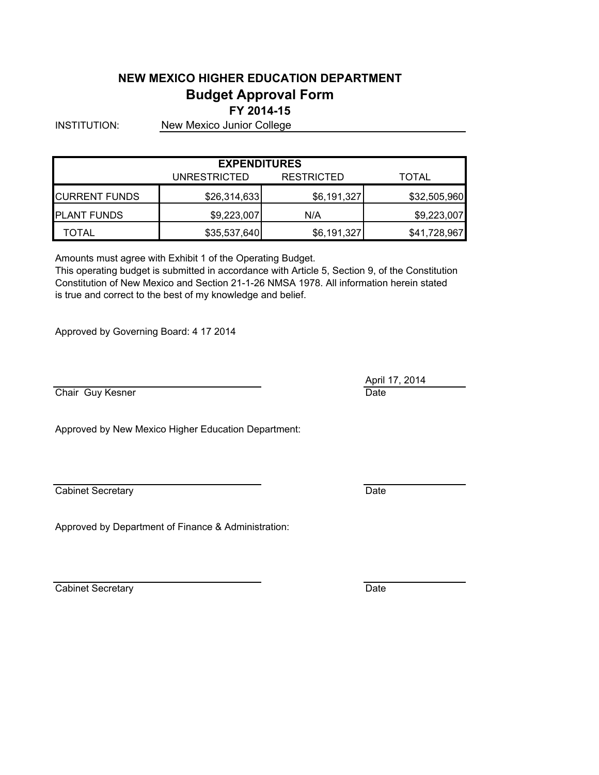# **NEW MEXICO HIGHER EDUCATION DEPARTMENT Budget Approval Form FY 2014-15**

INSTITUTION: New Mexico Junior College

| <b>EXPENDITURES</b> |              |                   |              |  |  |  |
|---------------------|--------------|-------------------|--------------|--|--|--|
|                     | UNRESTRICTED | <b>RESTRICTED</b> | TOTAL        |  |  |  |
| ICURRENT FUNDS      | \$26,314,633 | \$6,191,327       | \$32,505,960 |  |  |  |
| <b>PLANT FUNDS</b>  | \$9,223,007  | N/A               | \$9,223,007  |  |  |  |
| TOTAL               | \$35,537,640 | \$6,191,327       | \$41,728,967 |  |  |  |

Amounts must agree with Exhibit 1 of the Operating Budget.

Constitution of New Mexico and Section 21-1-26 NMSA 1978. All information herein stated is true and correct to the best of my knowledge and belief. This operating budget is submitted in accordance with Article 5, Section 9, of the Constitution

Approved by Governing Board: 4 17 2014

Chair Guy Kesner **Date** Date Date

Approved by New Mexico Higher Education Department:

Cabinet Secretary **Date** 

Approved by Department of Finance & Administration:

Cabinet Secretary **Date** Date **Date** 

April 17, 2014